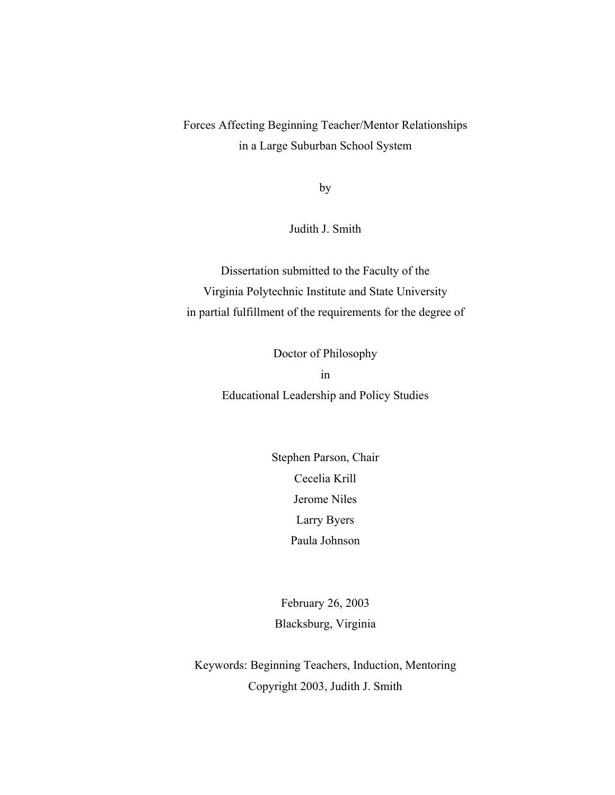Forces Affecting Beginning Teacher/Mentor Relationships in a Large Suburban School System

by

Judith J. Smith

Dissertation submitted to the Faculty of the Virginia Polytechnic Institute and State University in partial fulfillment of the requirements for the degree of

> Doctor of Philosophy in Educational Leadership and Policy Studies

> > Stephen Parson, Chair Cecelia Krill Jerome Niles Larry Byers Paula Johnson

February 26, 2003 Blacksburg, Virginia

Keywords: Beginning Teachers, Induction, Mentoring Copyright 2003, Judith J. Smith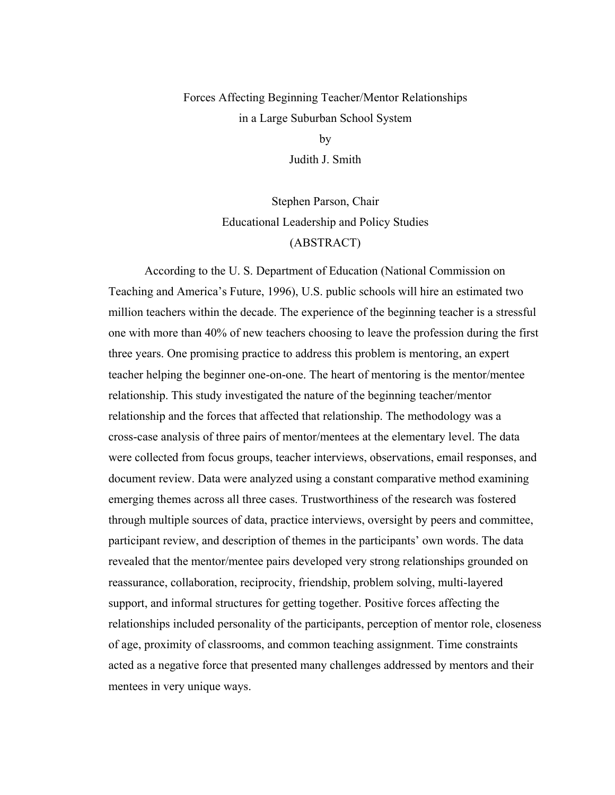# Forces Affecting Beginning Teacher/Mentor Relationships in a Large Suburban School System

by

Judith J. Smith

Stephen Parson, Chair Educational Leadership and Policy Studies (ABSTRACT)

According to the U. S. Department of Education (National Commission on Teaching and America's Future, 1996), U.S. public schools will hire an estimated two million teachers within the decade. The experience of the beginning teacher is a stressful one with more than 40% of new teachers choosing to leave the profession during the first three years. One promising practice to address this problem is mentoring, an expert teacher helping the beginner one-on-one. The heart of mentoring is the mentor/mentee relationship. This study investigated the nature of the beginning teacher/mentor relationship and the forces that affected that relationship. The methodology was a cross-case analysis of three pairs of mentor/mentees at the elementary level. The data were collected from focus groups, teacher interviews, observations, email responses, and document review. Data were analyzed using a constant comparative method examining emerging themes across all three cases. Trustworthiness of the research was fostered through multiple sources of data, practice interviews, oversight by peers and committee, participant review, and description of themes in the participants' own words. The data revealed that the mentor/mentee pairs developed very strong relationships grounded on reassurance, collaboration, reciprocity, friendship, problem solving, multi-layered support, and informal structures for getting together. Positive forces affecting the relationships included personality of the participants, perception of mentor role, closeness of age, proximity of classrooms, and common teaching assignment. Time constraints acted as a negative force that presented many challenges addressed by mentors and their mentees in very unique ways.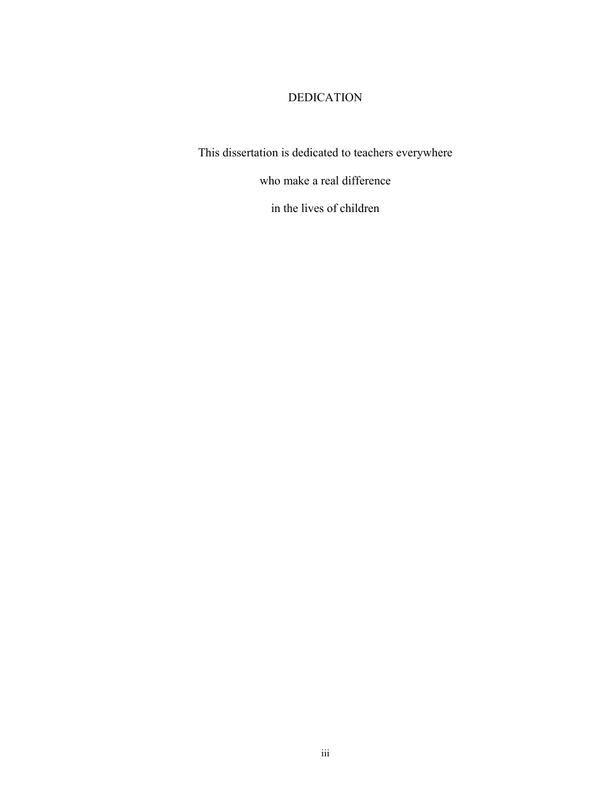# DEDICATION

This dissertation is dedicated to teachers everywhere

who make a real difference

in the lives of children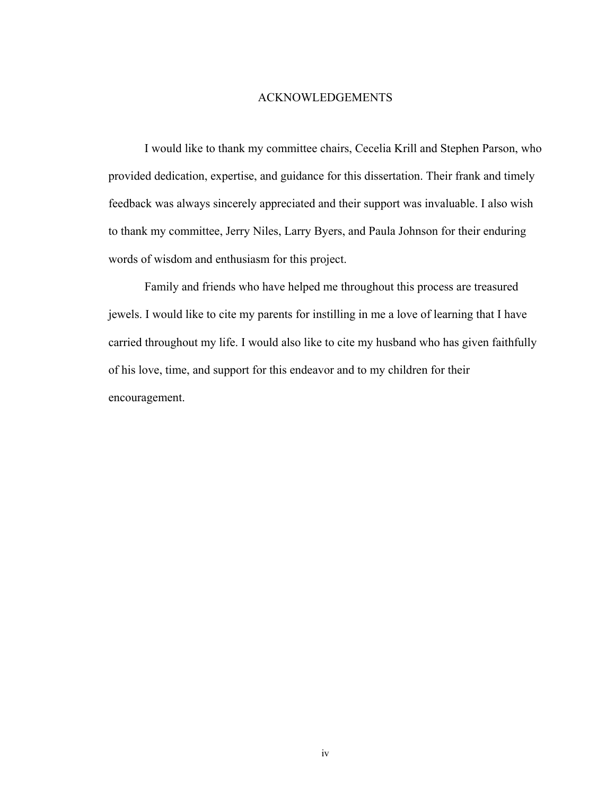#### ACKNOWLEDGEMENTS

I would like to thank my committee chairs, Cecelia Krill and Stephen Parson, who provided dedication, expertise, and guidance for this dissertation. Their frank and timely feedback was always sincerely appreciated and their support was invaluable. I also wish to thank my committee, Jerry Niles, Larry Byers, and Paula Johnson for their enduring words of wisdom and enthusiasm for this project.

Family and friends who have helped me throughout this process are treasured jewels. I would like to cite my parents for instilling in me a love of learning that I have carried throughout my life. I would also like to cite my husband who has given faithfully of his love, time, and support for this endeavor and to my children for their encouragement.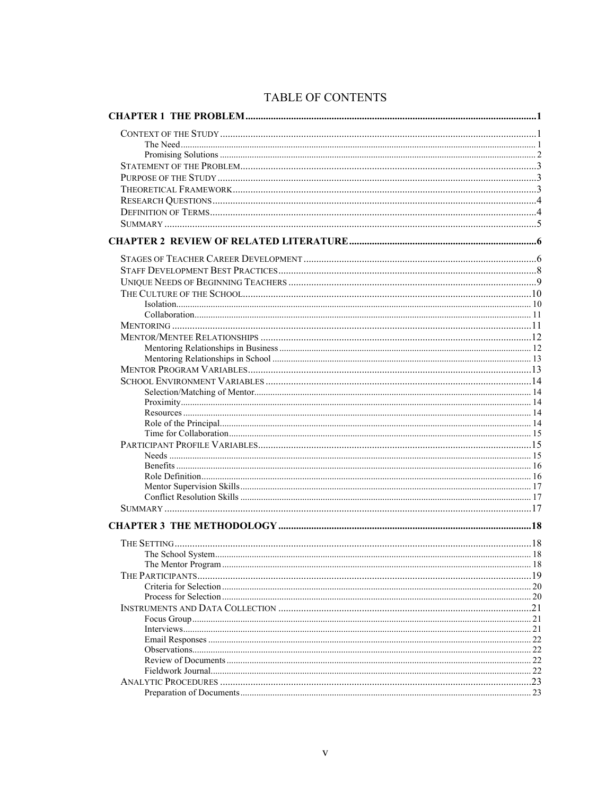# TABLE OF CONTENTS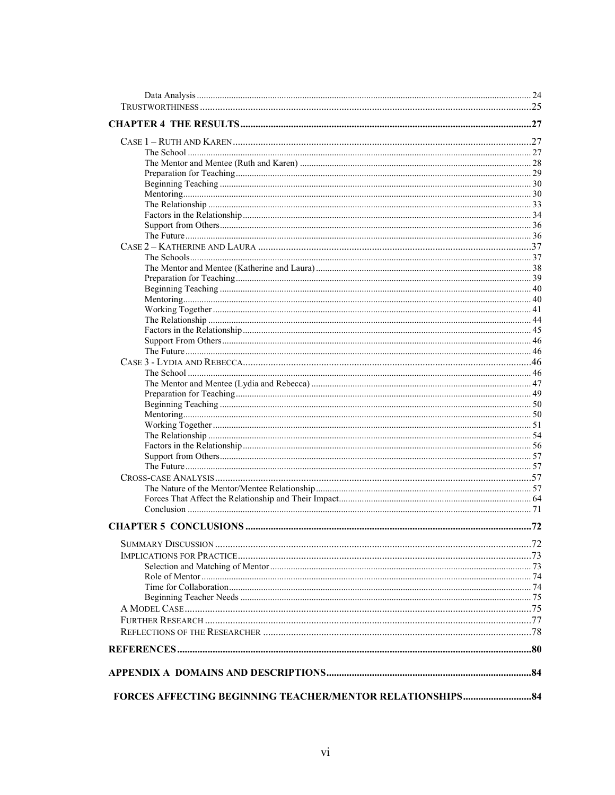| <b>FORCES AFFECTING BEGINNING TEACHER/MENTOR RELATIONSHIPS 84</b> |  |
|-------------------------------------------------------------------|--|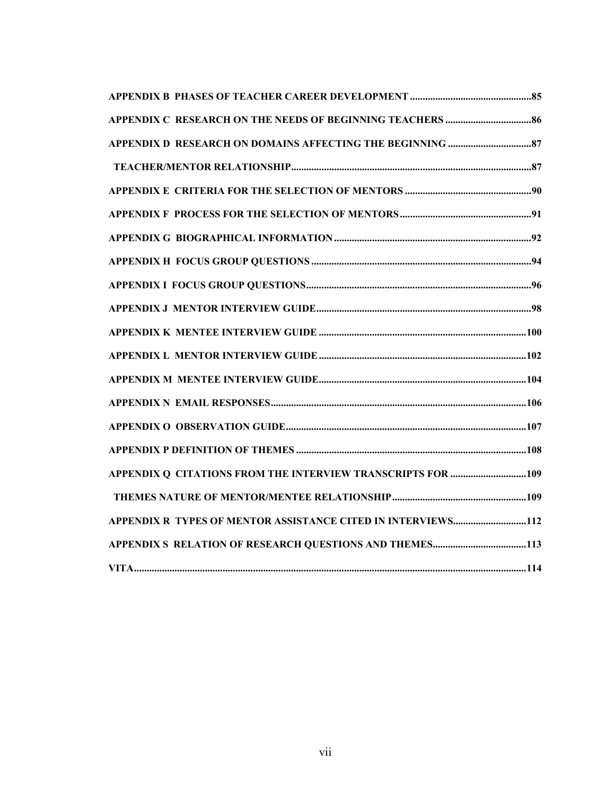| APPENDIX R TYPES OF MENTOR ASSISTANCE CITED IN INTERVIEWS112 |
|--------------------------------------------------------------|
|                                                              |
|                                                              |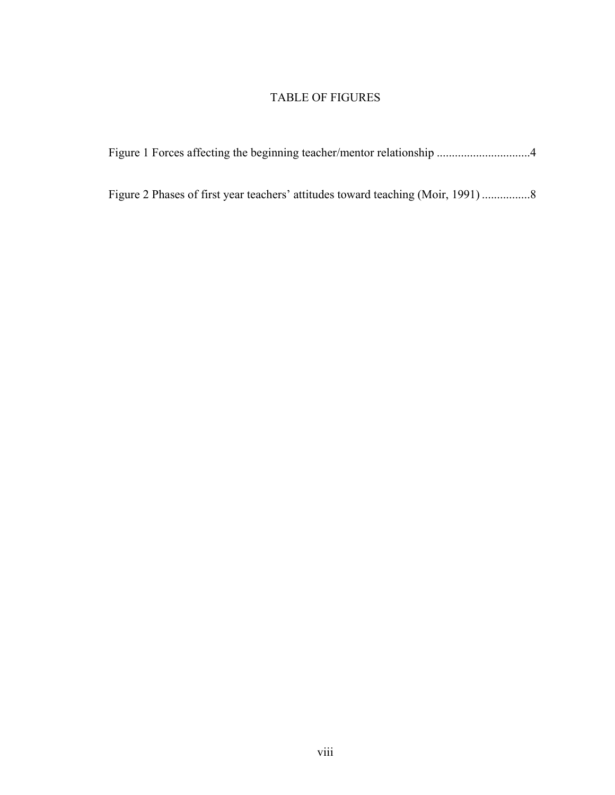# TABLE OF FIGURES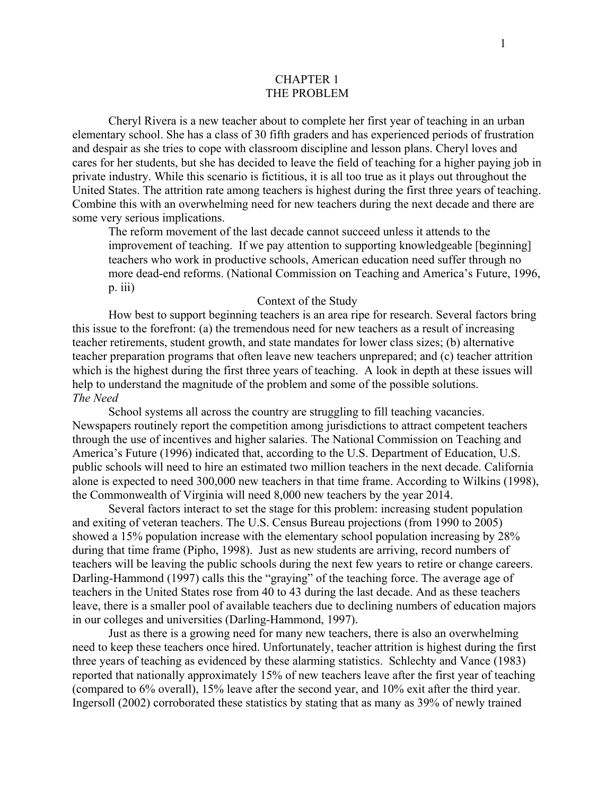## CHAPTER 1 THE PROBLEM

<span id="page-8-0"></span>Cheryl Rivera is a new teacher about to complete her first year of teaching in an urban elementary school. She has a class of 30 fifth graders and has experienced periods of frustration and despair as she tries to cope with classroom discipline and lesson plans. Cheryl loves and cares for her students, but she has decided to leave the field of teaching for a higher paying job in private industry. While this scenario is fictitious, it is all too true as it plays out throughout the United States. The attrition rate among teachers is highest during the first three years of teaching. Combine this with an overwhelming need for new teachers during the next decade and there are some very serious implications.

The reform movement of the last decade cannot succeed unless it attends to the improvement of teaching. If we pay attention to supporting knowledgeable [beginning] teachers who work in productive schools, American education need suffer through no more dead-end reforms. (National Commission on Teaching and America's Future, 1996, p. iii)

### Context of the Study

How best to support beginning teachers is an area ripe for research. Several factors bring this issue to the forefront: (a) the tremendous need for new teachers as a result of increasing teacher retirements, student growth, and state mandates for lower class sizes; (b) alternative teacher preparation programs that often leave new teachers unprepared; and (c) teacher attrition which is the highest during the first three years of teaching. A look in depth at these issues will help to understand the magnitude of the problem and some of the possible solutions. *The Need* 

School systems all across the country are struggling to fill teaching vacancies. Newspapers routinely report the competition among jurisdictions to attract competent teachers through the use of incentives and higher salaries. The National Commission on Teaching and America's Future (1996) indicated that, according to the U.S. Department of Education, U.S. public schools will need to hire an estimated two million teachers in the next decade. California alone is expected to need 300,000 new teachers in that time frame. According to Wilkins (1998), the Commonwealth of Virginia will need 8,000 new teachers by the year 2014.

Several factors interact to set the stage for this problem: increasing student population and exiting of veteran teachers. The U.S. Census Bureau projections (from 1990 to 2005) showed a 15% population increase with the elementary school population increasing by 28% during that time frame (Pipho, 1998). Just as new students are arriving, record numbers of teachers will be leaving the public schools during the next few years to retire or change careers. Darling-Hammond (1997) calls this the "graying" of the teaching force. The average age of teachers in the United States rose from 40 to 43 during the last decade. And as these teachers leave, there is a smaller pool of available teachers due to declining numbers of education majors in our colleges and universities (Darling-Hammond, 1997).

Just as there is a growing need for many new teachers, there is also an overwhelming need to keep these teachers once hired. Unfortunately, teacher attrition is highest during the first three years of teaching as evidenced by these alarming statistics. Schlechty and Vance (1983) reported that nationally approximately 15% of new teachers leave after the first year of teaching (compared to 6% overall), 15% leave after the second year, and 10% exit after the third year. Ingersoll (2002) corroborated these statistics by stating that as many as 39% of newly trained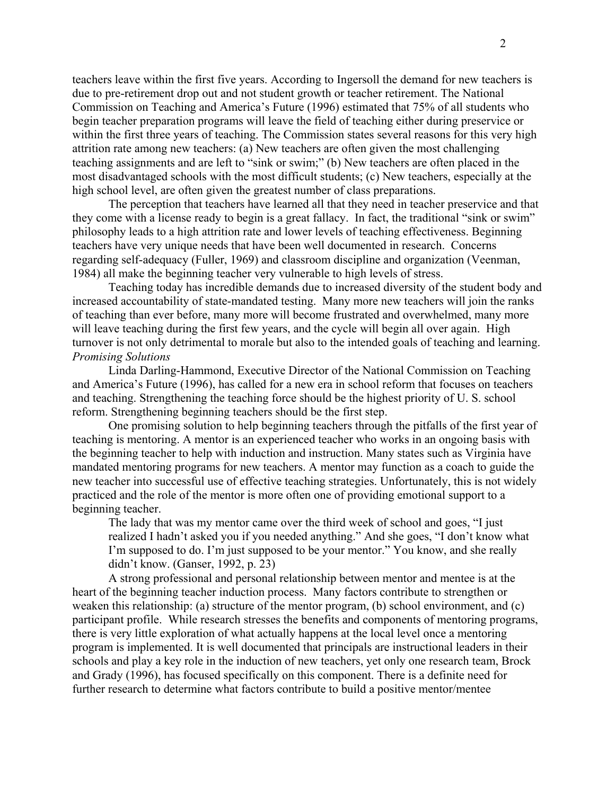teachers leave within the first five years. According to Ingersoll the demand for new teachers is due to pre-retirement drop out and not student growth or teacher retirement. The National Commission on Teaching and America's Future (1996) estimated that 75% of all students who begin teacher preparation programs will leave the field of teaching either during preservice or within the first three years of teaching. The Commission states several reasons for this very high attrition rate among new teachers: (a) New teachers are often given the most challenging teaching assignments and are left to "sink or swim;" (b) New teachers are often placed in the most disadvantaged schools with the most difficult students; (c) New teachers, especially at the high school level, are often given the greatest number of class preparations.

The perception that teachers have learned all that they need in teacher preservice and that they come with a license ready to begin is a great fallacy. In fact, the traditional "sink or swim" philosophy leads to a high attrition rate and lower levels of teaching effectiveness. Beginning teachers have very unique needs that have been well documented in research. Concerns regarding self-adequacy (Fuller, 1969) and classroom discipline and organization (Veenman, 1984) all make the beginning teacher very vulnerable to high levels of stress.

Teaching today has incredible demands due to increased diversity of the student body and increased accountability of state-mandated testing. Many more new teachers will join the ranks of teaching than ever before, many more will become frustrated and overwhelmed, many more will leave teaching during the first few years, and the cycle will begin all over again. High turnover is not only detrimental to morale but also to the intended goals of teaching and learning. *Promising Solutions* 

Linda Darling-Hammond, Executive Director of the National Commission on Teaching and America's Future (1996), has called for a new era in school reform that focuses on teachers and teaching. Strengthening the teaching force should be the highest priority of U. S. school reform. Strengthening beginning teachers should be the first step.

One promising solution to help beginning teachers through the pitfalls of the first year of teaching is mentoring. A mentor is an experienced teacher who works in an ongoing basis with the beginning teacher to help with induction and instruction. Many states such as Virginia have mandated mentoring programs for new teachers. A mentor may function as a coach to guide the new teacher into successful use of effective teaching strategies. Unfortunately, this is not widely practiced and the role of the mentor is more often one of providing emotional support to a beginning teacher.

The lady that was my mentor came over the third week of school and goes, "I just realized I hadn't asked you if you needed anything." And she goes, "I don't know what I'm supposed to do. I'm just supposed to be your mentor." You know, and she really didn't know. (Ganser, 1992, p. 23)

A strong professional and personal relationship between mentor and mentee is at the heart of the beginning teacher induction process. Many factors contribute to strengthen or weaken this relationship: (a) structure of the mentor program, (b) school environment, and (c) participant profile. While research stresses the benefits and components of mentoring programs, there is very little exploration of what actually happens at the local level once a mentoring program is implemented. It is well documented that principals are instructional leaders in their schools and play a key role in the induction of new teachers, yet only one research team, Brock and Grady (1996), has focused specifically on this component. There is a definite need for further research to determine what factors contribute to build a positive mentor/mentee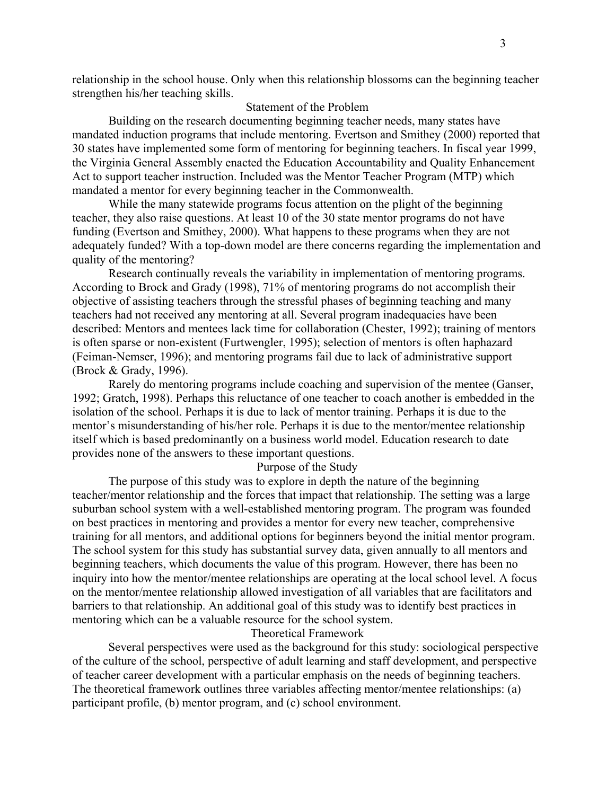relationship in the school house. Only when this relationship blossoms can the beginning teacher strengthen his/her teaching skills.

# Statement of the Problem

Building on the research documenting beginning teacher needs, many states have mandated induction programs that include mentoring. Evertson and Smithey (2000) reported that 30 states have implemented some form of mentoring for beginning teachers. In fiscal year 1999, the Virginia General Assembly enacted the Education Accountability and Quality Enhancement Act to support teacher instruction. Included was the Mentor Teacher Program (MTP) which mandated a mentor for every beginning teacher in the Commonwealth.

While the many statewide programs focus attention on the plight of the beginning teacher, they also raise questions. At least 10 of the 30 state mentor programs do not have funding (Evertson and Smithey, 2000). What happens to these programs when they are not adequately funded? With a top-down model are there concerns regarding the implementation and quality of the mentoring?

Research continually reveals the variability in implementation of mentoring programs. According to Brock and Grady (1998), 71% of mentoring programs do not accomplish their objective of assisting teachers through the stressful phases of beginning teaching and many teachers had not received any mentoring at all. Several program inadequacies have been described: Mentors and mentees lack time for collaboration (Chester, 1992); training of mentors is often sparse or non-existent (Furtwengler, 1995); selection of mentors is often haphazard (Feiman-Nemser, 1996); and mentoring programs fail due to lack of administrative support (Brock & Grady, 1996).

Rarely do mentoring programs include coaching and supervision of the mentee (Ganser, 1992; Gratch, 1998). Perhaps this reluctance of one teacher to coach another is embedded in the isolation of the school. Perhaps it is due to lack of mentor training. Perhaps it is due to the mentor's misunderstanding of his/her role. Perhaps it is due to the mentor/mentee relationship itself which is based predominantly on a business world model. Education research to date provides none of the answers to these important questions.

## Purpose of the Study

The purpose of this study was to explore in depth the nature of the beginning teacher/mentor relationship and the forces that impact that relationship. The setting was a large suburban school system with a well-established mentoring program. The program was founded on best practices in mentoring and provides a mentor for every new teacher, comprehensive training for all mentors, and additional options for beginners beyond the initial mentor program. The school system for this study has substantial survey data, given annually to all mentors and beginning teachers, which documents the value of this program. However, there has been no inquiry into how the mentor/mentee relationships are operating at the local school level. A focus on the mentor/mentee relationship allowed investigation of all variables that are facilitators and barriers to that relationship. An additional goal of this study was to identify best practices in mentoring which can be a valuable resource for the school system.

#### Theoretical Framework

Several perspectives were used as the background for this study: sociological perspective of the culture of the school, perspective of adult learning and staff development, and perspective of teacher career development with a particular emphasis on the needs of beginning teachers. The theoretical framework outlines three variables affecting mentor/mentee relationships: (a) participant profile, (b) mentor program, and (c) school environment.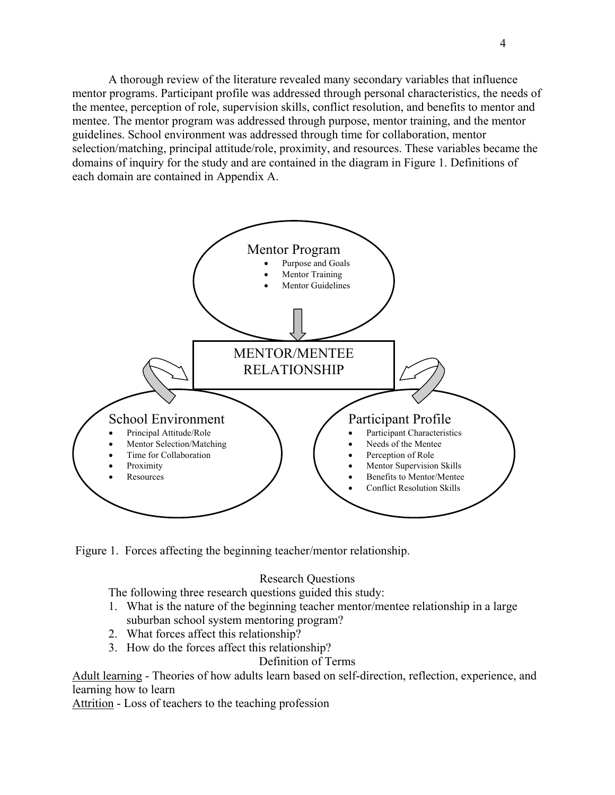<span id="page-11-0"></span>A thorough review of the literature revealed many secondary variables that influence mentor programs. Participant profile was addressed through personal characteristics, the needs of the mentee, perception of role, supervision skills, conflict resolution, and benefits to mentor and mentee. The mentor program was addressed through purpose, mentor training, and the mentor guidelines. School environment was addressed through time for collaboration, mentor selection/matching, principal attitude/role, proximity, and resources. These variables became the domains of inquiry for the study and are contained in the diagram in Figure 1. Definitions of each domain are contained in Appendix A.



Figure 1. Forces affecting the beginning teacher/mentor relationship.

# Research Questions

The following three research questions guided this study:

- 1. What is the nature of the beginning teacher mentor/mentee relationship in a large suburban school system mentoring program?
- 2. What forces affect this relationship?
- 3. How do the forces affect this relationship?

# Definition of Terms

Adult learning - Theories of how adults learn based on self-direction, reflection, experience, and learning how to learn

Attrition - Loss of teachers to the teaching profession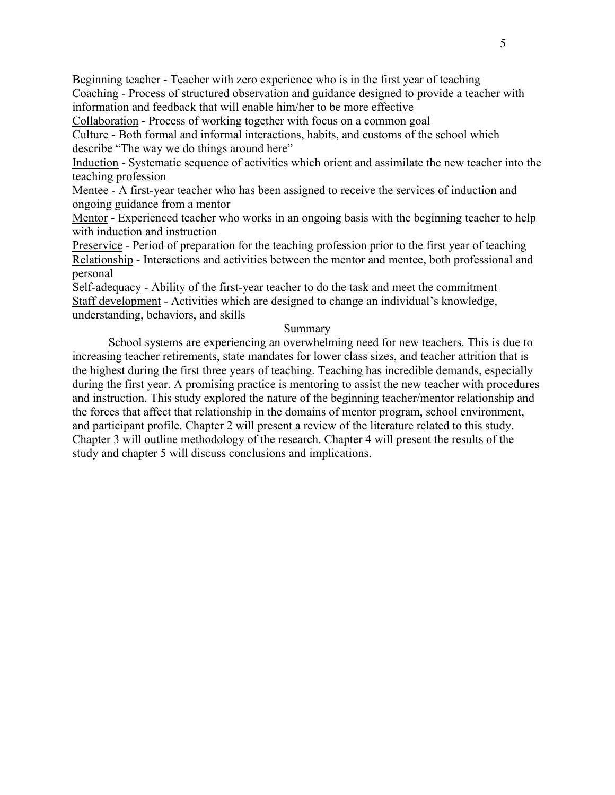Beginning teacher - Teacher with zero experience who is in the first year of teaching Coaching - Process of structured observation and guidance designed to provide a teacher with information and feedback that will enable him/her to be more effective

Collaboration - Process of working together with focus on a common goal

Culture - Both formal and informal interactions, habits, and customs of the school which describe "The way we do things around here"

Induction - Systematic sequence of activities which orient and assimilate the new teacher into the teaching profession

Mentee - A first-year teacher who has been assigned to receive the services of induction and ongoing guidance from a mentor

Mentor - Experienced teacher who works in an ongoing basis with the beginning teacher to help with induction and instruction

Preservice - Period of preparation for the teaching profession prior to the first year of teaching Relationship - Interactions and activities between the mentor and mentee, both professional and personal

Self-adequacy - Ability of the first-year teacher to do the task and meet the commitment Staff development - Activities which are designed to change an individual's knowledge, understanding, behaviors, and skills

# Summary

School systems are experiencing an overwhelming need for new teachers. This is due to increasing teacher retirements, state mandates for lower class sizes, and teacher attrition that is the highest during the first three years of teaching. Teaching has incredible demands, especially during the first year. A promising practice is mentoring to assist the new teacher with procedures and instruction. This study explored the nature of the beginning teacher/mentor relationship and the forces that affect that relationship in the domains of mentor program, school environment, and participant profile. Chapter 2 will present a review of the literature related to this study. Chapter 3 will outline methodology of the research. Chapter 4 will present the results of the study and chapter 5 will discuss conclusions and implications.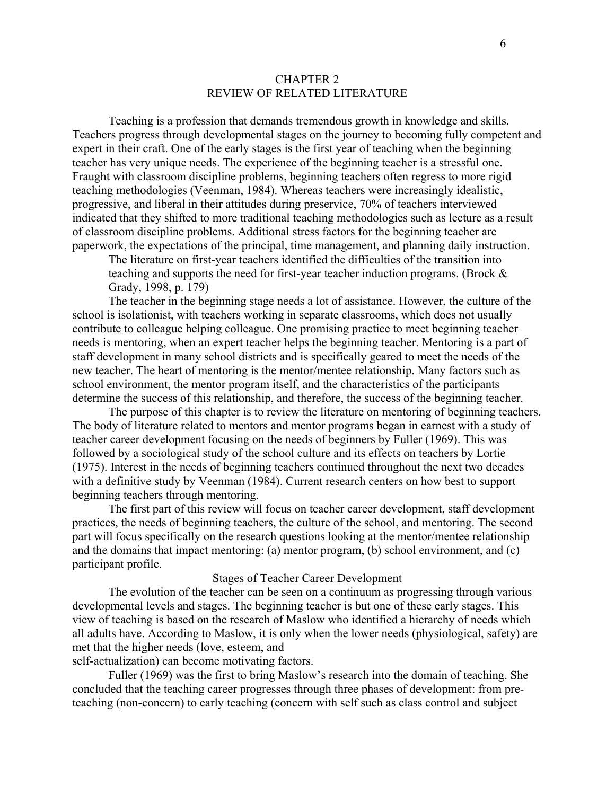## CHAPTER 2 REVIEW OF RELATED LITERATURE

<span id="page-13-0"></span>Teaching is a profession that demands tremendous growth in knowledge and skills. Teachers progress through developmental stages on the journey to becoming fully competent and expert in their craft. One of the early stages is the first year of teaching when the beginning teacher has very unique needs. The experience of the beginning teacher is a stressful one. Fraught with classroom discipline problems, beginning teachers often regress to more rigid teaching methodologies (Veenman, 1984). Whereas teachers were increasingly idealistic, progressive, and liberal in their attitudes during preservice, 70% of teachers interviewed indicated that they shifted to more traditional teaching methodologies such as lecture as a result of classroom discipline problems. Additional stress factors for the beginning teacher are paperwork, the expectations of the principal, time management, and planning daily instruction.

The literature on first-year teachers identified the difficulties of the transition into teaching and supports the need for first-year teacher induction programs. (Brock & Grady, 1998, p. 179)

The teacher in the beginning stage needs a lot of assistance. However, the culture of the school is isolationist, with teachers working in separate classrooms, which does not usually contribute to colleague helping colleague. One promising practice to meet beginning teacher needs is mentoring, when an expert teacher helps the beginning teacher. Mentoring is a part of staff development in many school districts and is specifically geared to meet the needs of the new teacher. The heart of mentoring is the mentor/mentee relationship. Many factors such as school environment, the mentor program itself, and the characteristics of the participants determine the success of this relationship, and therefore, the success of the beginning teacher.

The purpose of this chapter is to review the literature on mentoring of beginning teachers. The body of literature related to mentors and mentor programs began in earnest with a study of teacher career development focusing on the needs of beginners by Fuller (1969). This was followed by a sociological study of the school culture and its effects on teachers by Lortie (1975). Interest in the needs of beginning teachers continued throughout the next two decades with a definitive study by Veenman (1984). Current research centers on how best to support beginning teachers through mentoring.

The first part of this review will focus on teacher career development, staff development practices, the needs of beginning teachers, the culture of the school, and mentoring. The second part will focus specifically on the research questions looking at the mentor/mentee relationship and the domains that impact mentoring: (a) mentor program, (b) school environment, and (c) participant profile.

#### Stages of Teacher Career Development

The evolution of the teacher can be seen on a continuum as progressing through various developmental levels and stages. The beginning teacher is but one of these early stages. This view of teaching is based on the research of Maslow who identified a hierarchy of needs which all adults have. According to Maslow, it is only when the lower needs (physiological, safety) are met that the higher needs (love, esteem, and

self-actualization) can become motivating factors.

Fuller (1969) was the first to bring Maslow's research into the domain of teaching. She concluded that the teaching career progresses through three phases of development: from preteaching (non-concern) to early teaching (concern with self such as class control and subject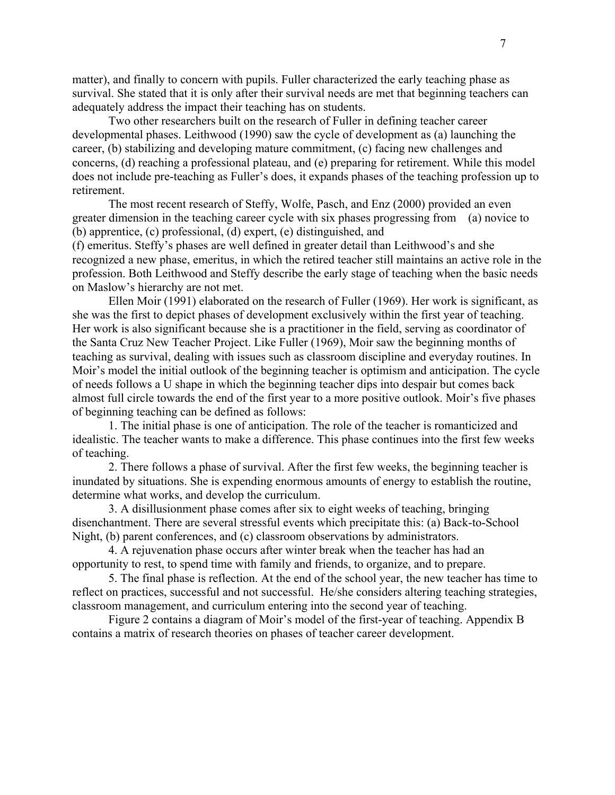matter), and finally to concern with pupils. Fuller characterized the early teaching phase as survival. She stated that it is only after their survival needs are met that beginning teachers can adequately address the impact their teaching has on students.

Two other researchers built on the research of Fuller in defining teacher career developmental phases. Leithwood (1990) saw the cycle of development as (a) launching the career, (b) stabilizing and developing mature commitment, (c) facing new challenges and concerns, (d) reaching a professional plateau, and (e) preparing for retirement. While this model does not include pre-teaching as Fuller's does, it expands phases of the teaching profession up to retirement.

The most recent research of Steffy, Wolfe, Pasch, and Enz (2000) provided an even greater dimension in the teaching career cycle with six phases progressing from (a) novice to (b) apprentice, (c) professional, (d) expert, (e) distinguished, and

(f) emeritus. Steffy's phases are well defined in greater detail than Leithwood's and she recognized a new phase, emeritus, in which the retired teacher still maintains an active role in the profession. Both Leithwood and Steffy describe the early stage of teaching when the basic needs on Maslow's hierarchy are not met.

Ellen Moir (1991) elaborated on the research of Fuller (1969). Her work is significant, as she was the first to depict phases of development exclusively within the first year of teaching. Her work is also significant because she is a practitioner in the field, serving as coordinator of the Santa Cruz New Teacher Project. Like Fuller (1969), Moir saw the beginning months of teaching as survival, dealing with issues such as classroom discipline and everyday routines. In Moir's model the initial outlook of the beginning teacher is optimism and anticipation. The cycle of needs follows a U shape in which the beginning teacher dips into despair but comes back almost full circle towards the end of the first year to a more positive outlook. Moir's five phases of beginning teaching can be defined as follows:

1. The initial phase is one of anticipation. The role of the teacher is romanticized and idealistic. The teacher wants to make a difference. This phase continues into the first few weeks of teaching.

2. There follows a phase of survival. After the first few weeks, the beginning teacher is inundated by situations. She is expending enormous amounts of energy to establish the routine, determine what works, and develop the curriculum.

3. A disillusionment phase comes after six to eight weeks of teaching, bringing disenchantment. There are several stressful events which precipitate this: (a) Back-to-School Night, (b) parent conferences, and (c) classroom observations by administrators.

4. A rejuvenation phase occurs after winter break when the teacher has had an opportunity to rest, to spend time with family and friends, to organize, and to prepare.

5. The final phase is reflection. At the end of the school year, the new teacher has time to reflect on practices, successful and not successful. He/she considers altering teaching strategies, classroom management, and curriculum entering into the second year of teaching.

Figure 2 contains a diagram of Moir's model of the first-year of teaching. Appendix B contains a matrix of research theories on phases of teacher career development.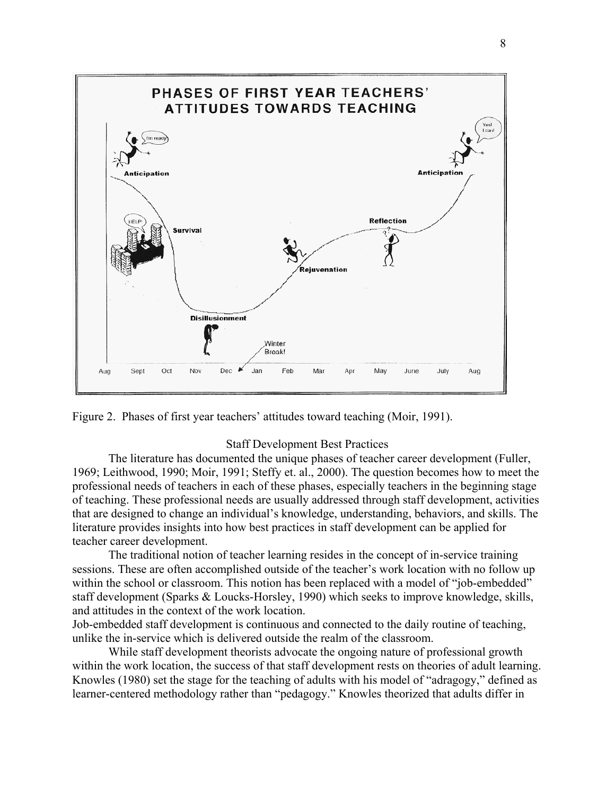<span id="page-15-0"></span>



#### Staff Development Best Practices

The literature has documented the unique phases of teacher career development (Fuller, 1969; Leithwood, 1990; Moir, 1991; Steffy et. al., 2000). The question becomes how to meet the professional needs of teachers in each of these phases, especially teachers in the beginning stage of teaching. These professional needs are usually addressed through staff development, activities that are designed to change an individual's knowledge, understanding, behaviors, and skills. The literature provides insights into how best practices in staff development can be applied for teacher career development.

The traditional notion of teacher learning resides in the concept of in-service training sessions. These are often accomplished outside of the teacher's work location with no follow up within the school or classroom. This notion has been replaced with a model of "job-embedded" staff development (Sparks & Loucks-Horsley, 1990) which seeks to improve knowledge, skills, and attitudes in the context of the work location.

Job-embedded staff development is continuous and connected to the daily routine of teaching, unlike the in-service which is delivered outside the realm of the classroom.

While staff development theorists advocate the ongoing nature of professional growth within the work location, the success of that staff development rests on theories of adult learning. Knowles (1980) set the stage for the teaching of adults with his model of "adragogy," defined as learner-centered methodology rather than "pedagogy." Knowles theorized that adults differ in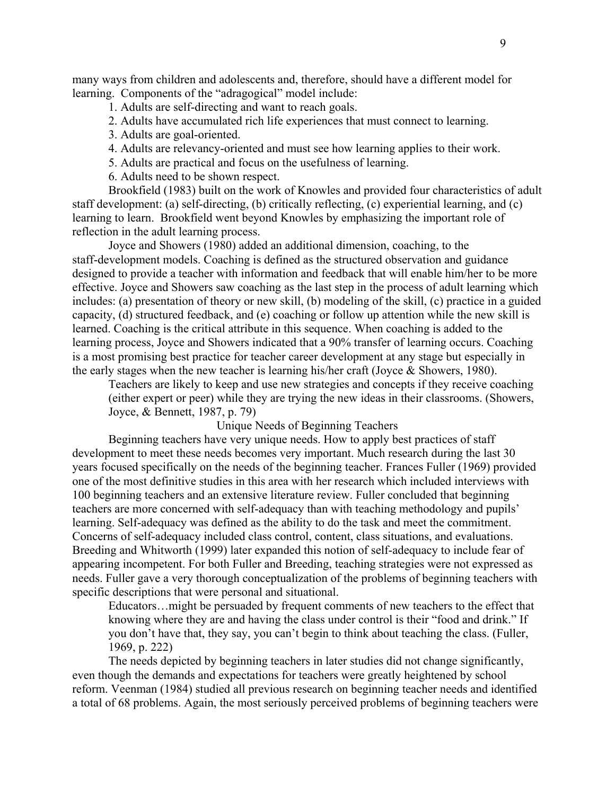many ways from children and adolescents and, therefore, should have a different model for learning. Components of the "adragogical" model include:

1. Adults are self-directing and want to reach goals.

2. Adults have accumulated rich life experiences that must connect to learning.

3. Adults are goal-oriented.

4. Adults are relevancy-oriented and must see how learning applies to their work.

5. Adults are practical and focus on the usefulness of learning.

6. Adults need to be shown respect.

Brookfield (1983) built on the work of Knowles and provided four characteristics of adult staff development: (a) self-directing, (b) critically reflecting, (c) experiential learning, and (c) learning to learn. Brookfield went beyond Knowles by emphasizing the important role of reflection in the adult learning process.

Joyce and Showers (1980) added an additional dimension, coaching, to the staff-development models. Coaching is defined as the structured observation and guidance designed to provide a teacher with information and feedback that will enable him/her to be more effective. Joyce and Showers saw coaching as the last step in the process of adult learning which includes: (a) presentation of theory or new skill, (b) modeling of the skill, (c) practice in a guided capacity, (d) structured feedback, and (e) coaching or follow up attention while the new skill is learned. Coaching is the critical attribute in this sequence. When coaching is added to the learning process, Joyce and Showers indicated that a 90% transfer of learning occurs. Coaching is a most promising best practice for teacher career development at any stage but especially in the early stages when the new teacher is learning his/her craft (Joyce & Showers, 1980).

Teachers are likely to keep and use new strategies and concepts if they receive coaching (either expert or peer) while they are trying the new ideas in their classrooms. (Showers, Joyce, & Bennett, 1987, p. 79)

Unique Needs of Beginning Teachers

Beginning teachers have very unique needs. How to apply best practices of staff development to meet these needs becomes very important. Much research during the last 30 years focused specifically on the needs of the beginning teacher. Frances Fuller (1969) provided one of the most definitive studies in this area with her research which included interviews with 100 beginning teachers and an extensive literature review. Fuller concluded that beginning teachers are more concerned with self-adequacy than with teaching methodology and pupils' learning. Self-adequacy was defined as the ability to do the task and meet the commitment. Concerns of self-adequacy included class control, content, class situations, and evaluations. Breeding and Whitworth (1999) later expanded this notion of self-adequacy to include fear of appearing incompetent. For both Fuller and Breeding, teaching strategies were not expressed as needs. Fuller gave a very thorough conceptualization of the problems of beginning teachers with specific descriptions that were personal and situational.

Educators…might be persuaded by frequent comments of new teachers to the effect that knowing where they are and having the class under control is their "food and drink." If you don't have that, they say, you can't begin to think about teaching the class. (Fuller, 1969, p. 222)

The needs depicted by beginning teachers in later studies did not change significantly, even though the demands and expectations for teachers were greatly heightened by school reform. Veenman (1984) studied all previous research on beginning teacher needs and identified a total of 68 problems. Again, the most seriously perceived problems of beginning teachers were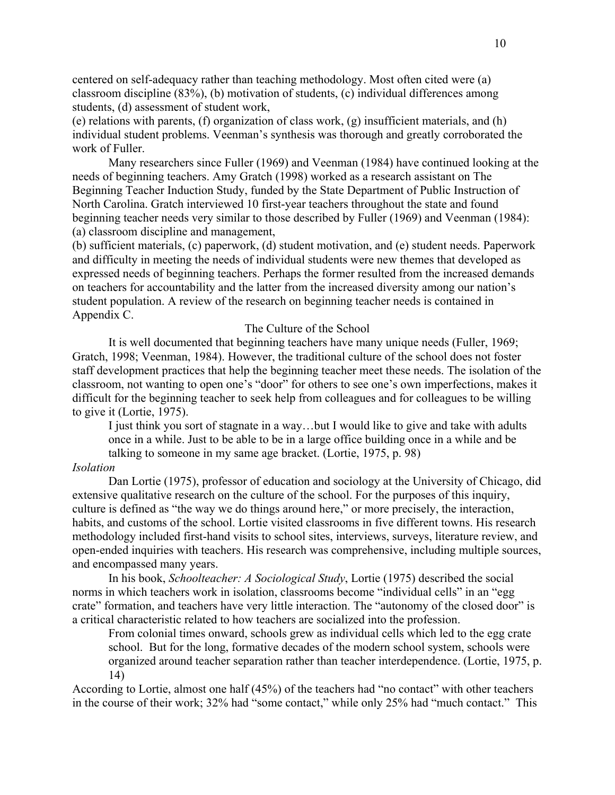centered on self-adequacy rather than teaching methodology. Most often cited were (a) classroom discipline (83%), (b) motivation of students, (c) individual differences among students, (d) assessment of student work,

(e) relations with parents, (f) organization of class work, (g) insufficient materials, and (h) individual student problems. Veenman's synthesis was thorough and greatly corroborated the work of Fuller.

Many researchers since Fuller (1969) and Veenman (1984) have continued looking at the needs of beginning teachers. Amy Gratch (1998) worked as a research assistant on The Beginning Teacher Induction Study, funded by the State Department of Public Instruction of North Carolina. Gratch interviewed 10 first-year teachers throughout the state and found beginning teacher needs very similar to those described by Fuller (1969) and Veenman (1984): (a) classroom discipline and management,

(b) sufficient materials, (c) paperwork, (d) student motivation, and (e) student needs. Paperwork and difficulty in meeting the needs of individual students were new themes that developed as expressed needs of beginning teachers. Perhaps the former resulted from the increased demands on teachers for accountability and the latter from the increased diversity among our nation's student population. A review of the research on beginning teacher needs is contained in Appendix C.

### The Culture of the School

It is well documented that beginning teachers have many unique needs (Fuller, 1969; Gratch, 1998; Veenman, 1984). However, the traditional culture of the school does not foster staff development practices that help the beginning teacher meet these needs. The isolation of the classroom, not wanting to open one's "door" for others to see one's own imperfections, makes it difficult for the beginning teacher to seek help from colleagues and for colleagues to be willing to give it (Lortie, 1975).

I just think you sort of stagnate in a way…but I would like to give and take with adults once in a while. Just to be able to be in a large office building once in a while and be talking to someone in my same age bracket. (Lortie, 1975, p. 98)

### *Isolation*

Dan Lortie (1975), professor of education and sociology at the University of Chicago, did extensive qualitative research on the culture of the school. For the purposes of this inquiry, culture is defined as "the way we do things around here," or more precisely, the interaction, habits, and customs of the school. Lortie visited classrooms in five different towns. His research methodology included first-hand visits to school sites, interviews, surveys, literature review, and open-ended inquiries with teachers. His research was comprehensive, including multiple sources, and encompassed many years.

In his book, *Schoolteacher: A Sociological Study*, Lortie (1975) described the social norms in which teachers work in isolation, classrooms become "individual cells" in an "egg crate" formation, and teachers have very little interaction. The "autonomy of the closed door" is a critical characteristic related to how teachers are socialized into the profession.

From colonial times onward, schools grew as individual cells which led to the egg crate school. But for the long, formative decades of the modern school system, schools were organized around teacher separation rather than teacher interdependence. (Lortie, 1975, p. 14)

According to Lortie, almost one half (45%) of the teachers had "no contact" with other teachers in the course of their work; 32% had "some contact," while only 25% had "much contact." This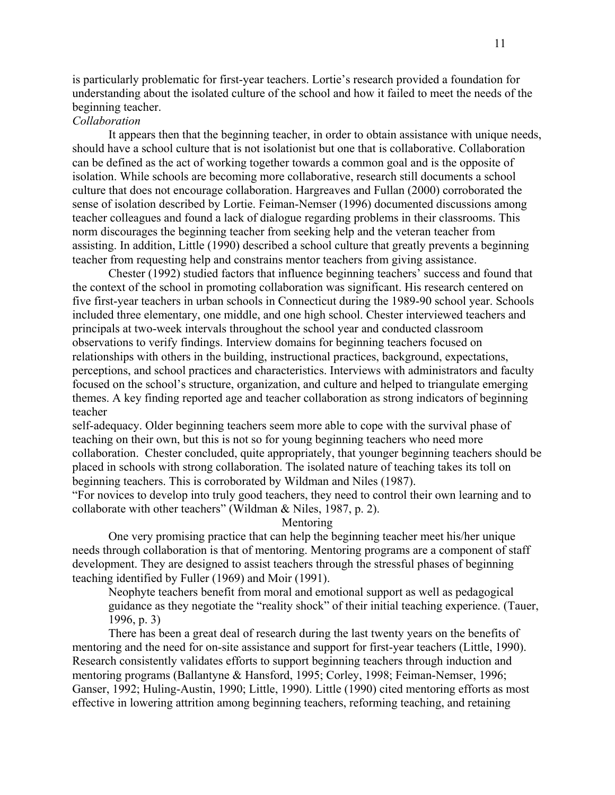is particularly problematic for first-year teachers. Lortie's research provided a foundation for understanding about the isolated culture of the school and how it failed to meet the needs of the beginning teacher.

# *Collaboration*

It appears then that the beginning teacher, in order to obtain assistance with unique needs, should have a school culture that is not isolationist but one that is collaborative. Collaboration can be defined as the act of working together towards a common goal and is the opposite of isolation. While schools are becoming more collaborative, research still documents a school culture that does not encourage collaboration. Hargreaves and Fullan (2000) corroborated the sense of isolation described by Lortie. Feiman-Nemser (1996) documented discussions among teacher colleagues and found a lack of dialogue regarding problems in their classrooms. This norm discourages the beginning teacher from seeking help and the veteran teacher from assisting. In addition, Little (1990) described a school culture that greatly prevents a beginning teacher from requesting help and constrains mentor teachers from giving assistance.

Chester (1992) studied factors that influence beginning teachers' success and found that the context of the school in promoting collaboration was significant. His research centered on five first-year teachers in urban schools in Connecticut during the 1989-90 school year. Schools included three elementary, one middle, and one high school. Chester interviewed teachers and principals at two-week intervals throughout the school year and conducted classroom observations to verify findings. Interview domains for beginning teachers focused on relationships with others in the building, instructional practices, background, expectations, perceptions, and school practices and characteristics. Interviews with administrators and faculty focused on the school's structure, organization, and culture and helped to triangulate emerging themes. A key finding reported age and teacher collaboration as strong indicators of beginning teacher

self-adequacy. Older beginning teachers seem more able to cope with the survival phase of teaching on their own, but this is not so for young beginning teachers who need more collaboration. Chester concluded, quite appropriately, that younger beginning teachers should be placed in schools with strong collaboration. The isolated nature of teaching takes its toll on beginning teachers. This is corroborated by Wildman and Niles (1987).

"For novices to develop into truly good teachers, they need to control their own learning and to collaborate with other teachers" (Wildman & Niles, 1987, p. 2).

Mentoring

One very promising practice that can help the beginning teacher meet his/her unique needs through collaboration is that of mentoring. Mentoring programs are a component of staff development. They are designed to assist teachers through the stressful phases of beginning teaching identified by Fuller (1969) and Moir (1991).

Neophyte teachers benefit from moral and emotional support as well as pedagogical guidance as they negotiate the "reality shock" of their initial teaching experience. (Tauer, 1996, p. 3)

There has been a great deal of research during the last twenty years on the benefits of mentoring and the need for on-site assistance and support for first-year teachers (Little, 1990). Research consistently validates efforts to support beginning teachers through induction and mentoring programs (Ballantyne & Hansford, 1995; Corley, 1998; Feiman-Nemser, 1996; Ganser, 1992; Huling-Austin, 1990; Little, 1990). Little (1990) cited mentoring efforts as most effective in lowering attrition among beginning teachers, reforming teaching, and retaining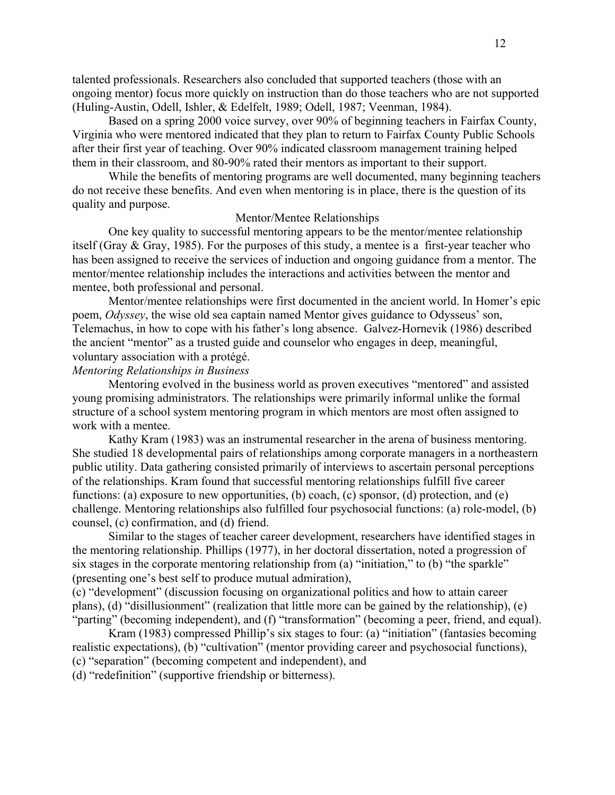talented professionals. Researchers also concluded that supported teachers (those with an ongoing mentor) focus more quickly on instruction than do those teachers who are not supported (Huling-Austin, Odell, Ishler, & Edelfelt, 1989; Odell, 1987; Veenman, 1984).

Based on a spring 2000 voice survey, over 90% of beginning teachers in Fairfax County, Virginia who were mentored indicated that they plan to return to Fairfax County Public Schools after their first year of teaching. Over 90% indicated classroom management training helped them in their classroom, and 80-90% rated their mentors as important to their support.

While the benefits of mentoring programs are well documented, many beginning teachers do not receive these benefits. And even when mentoring is in place, there is the question of its quality and purpose.

## Mentor/Mentee Relationships

One key quality to successful mentoring appears to be the mentor/mentee relationship itself (Gray & Gray, 1985). For the purposes of this study, a mentee is a first-year teacher who has been assigned to receive the services of induction and ongoing guidance from a mentor. The mentor/mentee relationship includes the interactions and activities between the mentor and mentee, both professional and personal.

Mentor/mentee relationships were first documented in the ancient world. In Homer's epic poem, *Odyssey*, the wise old sea captain named Mentor gives guidance to Odysseus' son, Telemachus, in how to cope with his father's long absence. Galvez-Hornevik (1986) described the ancient "mentor" as a trusted guide and counselor who engages in deep, meaningful, voluntary association with a protégé.

# *Mentoring Relationships in Business*

Mentoring evolved in the business world as proven executives "mentored" and assisted young promising administrators. The relationships were primarily informal unlike the formal structure of a school system mentoring program in which mentors are most often assigned to work with a mentee.

Kathy Kram (1983) was an instrumental researcher in the arena of business mentoring. She studied 18 developmental pairs of relationships among corporate managers in a northeastern public utility. Data gathering consisted primarily of interviews to ascertain personal perceptions of the relationships. Kram found that successful mentoring relationships fulfill five career functions: (a) exposure to new opportunities, (b) coach, (c) sponsor, (d) protection, and (e) challenge. Mentoring relationships also fulfilled four psychosocial functions: (a) role-model, (b) counsel, (c) confirmation, and (d) friend.

Similar to the stages of teacher career development, researchers have identified stages in the mentoring relationship. Phillips (1977), in her doctoral dissertation, noted a progression of six stages in the corporate mentoring relationship from (a) "initiation," to (b) "the sparkle" (presenting one's best self to produce mutual admiration),

(c) "development" (discussion focusing on organizational politics and how to attain career plans), (d) "disillusionment" (realization that little more can be gained by the relationship), (e) "parting" (becoming independent), and (f) "transformation" (becoming a peer, friend, and equal).

Kram (1983) compressed Phillip's six stages to four: (a) "initiation" (fantasies becoming realistic expectations), (b) "cultivation" (mentor providing career and psychosocial functions), (c) "separation" (becoming competent and independent), and

(d) "redefinition" (supportive friendship or bitterness).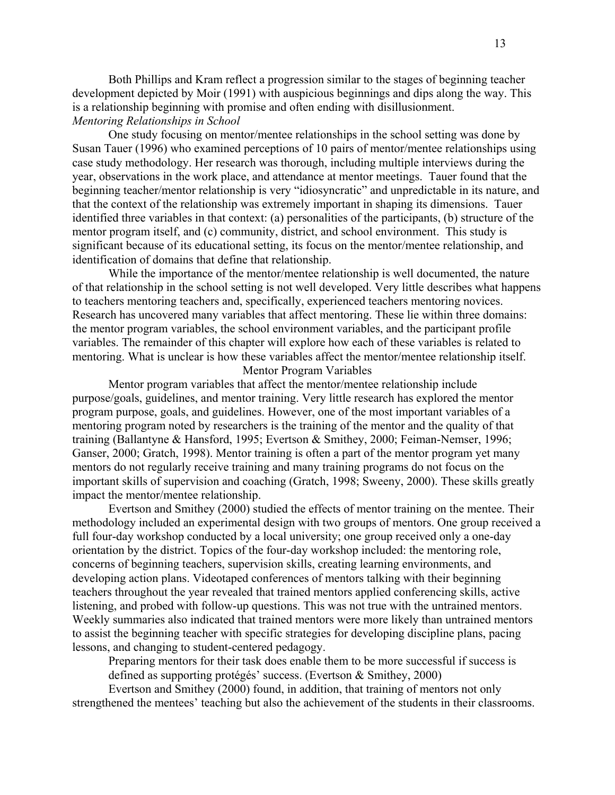Both Phillips and Kram reflect a progression similar to the stages of beginning teacher development depicted by Moir (1991) with auspicious beginnings and dips along the way. This is a relationship beginning with promise and often ending with disillusionment. *Mentoring Relationships in School* 

One study focusing on mentor/mentee relationships in the school setting was done by Susan Tauer (1996) who examined perceptions of 10 pairs of mentor/mentee relationships using case study methodology. Her research was thorough, including multiple interviews during the year, observations in the work place, and attendance at mentor meetings. Tauer found that the beginning teacher/mentor relationship is very "idiosyncratic" and unpredictable in its nature, and that the context of the relationship was extremely important in shaping its dimensions. Tauer identified three variables in that context: (a) personalities of the participants, (b) structure of the mentor program itself, and (c) community, district, and school environment. This study is significant because of its educational setting, its focus on the mentor/mentee relationship, and identification of domains that define that relationship.

While the importance of the mentor/mentee relationship is well documented, the nature of that relationship in the school setting is not well developed. Very little describes what happens to teachers mentoring teachers and, specifically, experienced teachers mentoring novices. Research has uncovered many variables that affect mentoring. These lie within three domains: the mentor program variables, the school environment variables, and the participant profile variables. The remainder of this chapter will explore how each of these variables is related to mentoring. What is unclear is how these variables affect the mentor/mentee relationship itself.

## Mentor Program Variables

Mentor program variables that affect the mentor/mentee relationship include purpose/goals, guidelines, and mentor training. Very little research has explored the mentor program purpose, goals, and guidelines. However, one of the most important variables of a mentoring program noted by researchers is the training of the mentor and the quality of that training (Ballantyne & Hansford, 1995; Evertson & Smithey, 2000; Feiman-Nemser, 1996; Ganser, 2000; Gratch, 1998). Mentor training is often a part of the mentor program yet many mentors do not regularly receive training and many training programs do not focus on the important skills of supervision and coaching (Gratch, 1998; Sweeny, 2000). These skills greatly impact the mentor/mentee relationship.

Evertson and Smithey (2000) studied the effects of mentor training on the mentee. Their methodology included an experimental design with two groups of mentors. One group received a full four-day workshop conducted by a local university; one group received only a one-day orientation by the district. Topics of the four-day workshop included: the mentoring role, concerns of beginning teachers, supervision skills, creating learning environments, and developing action plans. Videotaped conferences of mentors talking with their beginning teachers throughout the year revealed that trained mentors applied conferencing skills, active listening, and probed with follow-up questions. This was not true with the untrained mentors. Weekly summaries also indicated that trained mentors were more likely than untrained mentors to assist the beginning teacher with specific strategies for developing discipline plans, pacing lessons, and changing to student-centered pedagogy.

Preparing mentors for their task does enable them to be more successful if success is defined as supporting protégés' success. (Evertson & Smithey, 2000)

Evertson and Smithey (2000) found, in addition, that training of mentors not only strengthened the mentees' teaching but also the achievement of the students in their classrooms.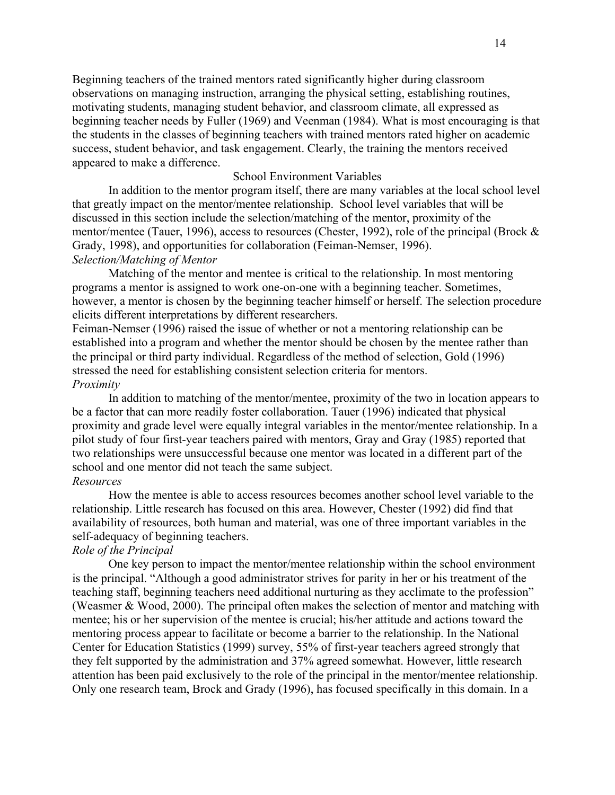Beginning teachers of the trained mentors rated significantly higher during classroom observations on managing instruction, arranging the physical setting, establishing routines, motivating students, managing student behavior, and classroom climate, all expressed as beginning teacher needs by Fuller (1969) and Veenman (1984). What is most encouraging is that the students in the classes of beginning teachers with trained mentors rated higher on academic success, student behavior, and task engagement. Clearly, the training the mentors received appeared to make a difference.

# School Environment Variables

In addition to the mentor program itself, there are many variables at the local school level that greatly impact on the mentor/mentee relationship. School level variables that will be discussed in this section include the selection/matching of the mentor, proximity of the mentor/mentee (Tauer, 1996), access to resources (Chester, 1992), role of the principal (Brock & Grady, 1998), and opportunities for collaboration (Feiman-Nemser, 1996). *Selection/Matching of Mentor* 

Matching of the mentor and mentee is critical to the relationship. In most mentoring programs a mentor is assigned to work one-on-one with a beginning teacher. Sometimes, however, a mentor is chosen by the beginning teacher himself or herself. The selection procedure elicits different interpretations by different researchers.

Feiman-Nemser (1996) raised the issue of whether or not a mentoring relationship can be established into a program and whether the mentor should be chosen by the mentee rather than the principal or third party individual. Regardless of the method of selection, Gold (1996) stressed the need for establishing consistent selection criteria for mentors. *Proximity* 

In addition to matching of the mentor/mentee, proximity of the two in location appears to be a factor that can more readily foster collaboration. Tauer (1996) indicated that physical proximity and grade level were equally integral variables in the mentor/mentee relationship. In a pilot study of four first-year teachers paired with mentors, Gray and Gray (1985) reported that two relationships were unsuccessful because one mentor was located in a different part of the school and one mentor did not teach the same subject.

# *Resources*

How the mentee is able to access resources becomes another school level variable to the relationship. Little research has focused on this area. However, Chester (1992) did find that availability of resources, both human and material, was one of three important variables in the self-adequacy of beginning teachers.

# *Role of the Principal*

One key person to impact the mentor/mentee relationship within the school environment is the principal. "Although a good administrator strives for parity in her or his treatment of the teaching staff, beginning teachers need additional nurturing as they acclimate to the profession" (Weasmer & Wood, 2000). The principal often makes the selection of mentor and matching with mentee; his or her supervision of the mentee is crucial; his/her attitude and actions toward the mentoring process appear to facilitate or become a barrier to the relationship. In the National Center for Education Statistics (1999) survey, 55% of first-year teachers agreed strongly that they felt supported by the administration and 37% agreed somewhat. However, little research attention has been paid exclusively to the role of the principal in the mentor/mentee relationship. Only one research team, Brock and Grady (1996), has focused specifically in this domain. In a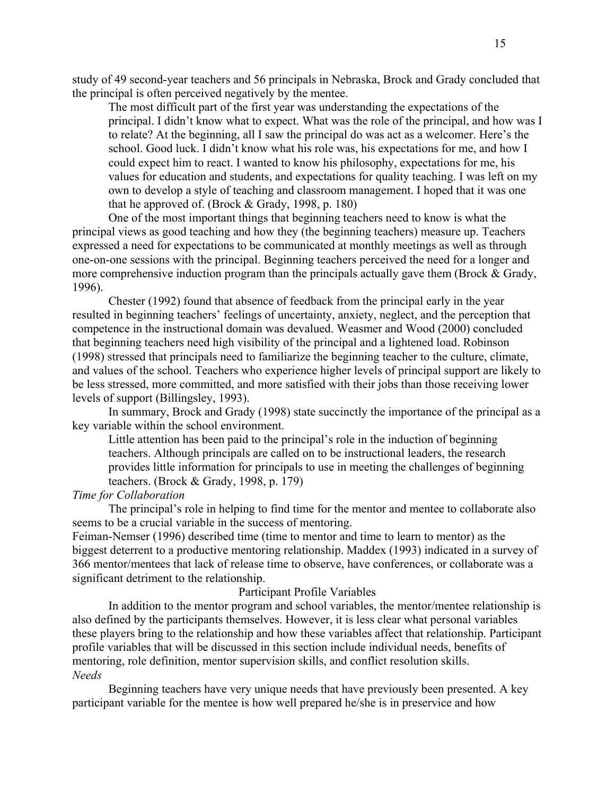study of 49 second-year teachers and 56 principals in Nebraska, Brock and Grady concluded that the principal is often perceived negatively by the mentee.

The most difficult part of the first year was understanding the expectations of the principal. I didn't know what to expect. What was the role of the principal, and how was I to relate? At the beginning, all I saw the principal do was act as a welcomer. Here's the school. Good luck. I didn't know what his role was, his expectations for me, and how I could expect him to react. I wanted to know his philosophy, expectations for me, his values for education and students, and expectations for quality teaching. I was left on my own to develop a style of teaching and classroom management. I hoped that it was one that he approved of. (Brock  $& Grandy, 1998, p. 180$ )

One of the most important things that beginning teachers need to know is what the principal views as good teaching and how they (the beginning teachers) measure up. Teachers expressed a need for expectations to be communicated at monthly meetings as well as through one-on-one sessions with the principal. Beginning teachers perceived the need for a longer and more comprehensive induction program than the principals actually gave them (Brock & Grady, 1996).

Chester (1992) found that absence of feedback from the principal early in the year resulted in beginning teachers' feelings of uncertainty, anxiety, neglect, and the perception that competence in the instructional domain was devalued. Weasmer and Wood (2000) concluded that beginning teachers need high visibility of the principal and a lightened load. Robinson (1998) stressed that principals need to familiarize the beginning teacher to the culture, climate, and values of the school. Teachers who experience higher levels of principal support are likely to be less stressed, more committed, and more satisfied with their jobs than those receiving lower levels of support (Billingsley, 1993).

In summary, Brock and Grady (1998) state succinctly the importance of the principal as a key variable within the school environment.

Little attention has been paid to the principal's role in the induction of beginning teachers. Although principals are called on to be instructional leaders, the research provides little information for principals to use in meeting the challenges of beginning teachers. (Brock & Grady, 1998, p. 179)

# *Time for Collaboration*

The principal's role in helping to find time for the mentor and mentee to collaborate also seems to be a crucial variable in the success of mentoring.

Feiman-Nemser (1996) described time (time to mentor and time to learn to mentor) as the biggest deterrent to a productive mentoring relationship. Maddex (1993) indicated in a survey of 366 mentor/mentees that lack of release time to observe, have conferences, or collaborate was a significant detriment to the relationship.

#### Participant Profile Variables

In addition to the mentor program and school variables, the mentor/mentee relationship is also defined by the participants themselves. However, it is less clear what personal variables these players bring to the relationship and how these variables affect that relationship. Participant profile variables that will be discussed in this section include individual needs, benefits of mentoring, role definition, mentor supervision skills, and conflict resolution skills. *Needs* 

Beginning teachers have very unique needs that have previously been presented. A key participant variable for the mentee is how well prepared he/she is in preservice and how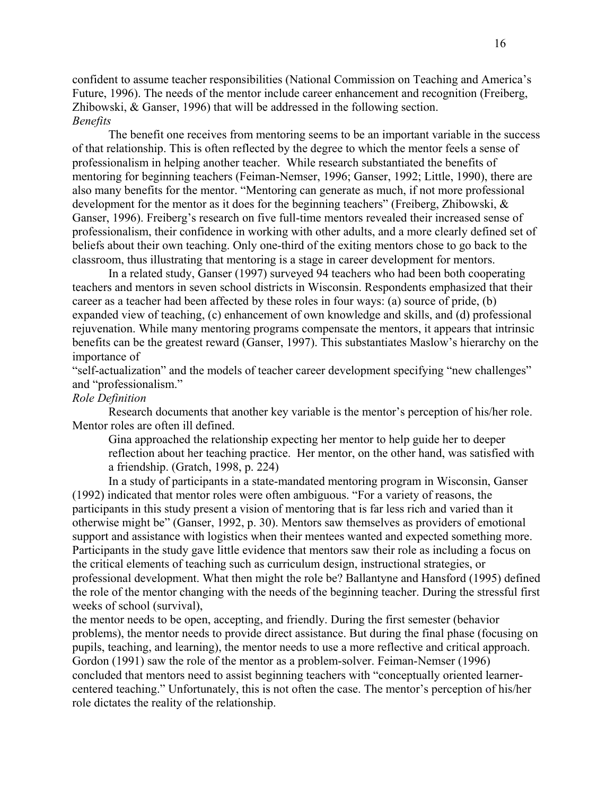confident to assume teacher responsibilities (National Commission on Teaching and America's Future, 1996). The needs of the mentor include career enhancement and recognition (Freiberg, Zhibowski, & Ganser, 1996) that will be addressed in the following section. *Benefits* 

The benefit one receives from mentoring seems to be an important variable in the success of that relationship. This is often reflected by the degree to which the mentor feels a sense of professionalism in helping another teacher. While research substantiated the benefits of mentoring for beginning teachers (Feiman-Nemser, 1996; Ganser, 1992; Little, 1990), there are also many benefits for the mentor. "Mentoring can generate as much, if not more professional development for the mentor as it does for the beginning teachers" (Freiberg, Zhibowski, & Ganser, 1996). Freiberg's research on five full-time mentors revealed their increased sense of professionalism, their confidence in working with other adults, and a more clearly defined set of beliefs about their own teaching. Only one-third of the exiting mentors chose to go back to the classroom, thus illustrating that mentoring is a stage in career development for mentors.

In a related study, Ganser (1997) surveyed 94 teachers who had been both cooperating teachers and mentors in seven school districts in Wisconsin. Respondents emphasized that their career as a teacher had been affected by these roles in four ways: (a) source of pride, (b) expanded view of teaching, (c) enhancement of own knowledge and skills, and (d) professional rejuvenation. While many mentoring programs compensate the mentors, it appears that intrinsic benefits can be the greatest reward (Ganser, 1997). This substantiates Maslow's hierarchy on the importance of

"self-actualization" and the models of teacher career development specifying "new challenges" and "professionalism."

## *Role Definition*

Research documents that another key variable is the mentor's perception of his/her role. Mentor roles are often ill defined.

Gina approached the relationship expecting her mentor to help guide her to deeper reflection about her teaching practice. Her mentor, on the other hand, was satisfied with a friendship. (Gratch, 1998, p. 224)

In a study of participants in a state-mandated mentoring program in Wisconsin, Ganser (1992) indicated that mentor roles were often ambiguous. "For a variety of reasons, the participants in this study present a vision of mentoring that is far less rich and varied than it otherwise might be" (Ganser, 1992, p. 30). Mentors saw themselves as providers of emotional support and assistance with logistics when their mentees wanted and expected something more. Participants in the study gave little evidence that mentors saw their role as including a focus on the critical elements of teaching such as curriculum design, instructional strategies, or professional development. What then might the role be? Ballantyne and Hansford (1995) defined the role of the mentor changing with the needs of the beginning teacher. During the stressful first weeks of school (survival),

the mentor needs to be open, accepting, and friendly. During the first semester (behavior problems), the mentor needs to provide direct assistance. But during the final phase (focusing on pupils, teaching, and learning), the mentor needs to use a more reflective and critical approach. Gordon (1991) saw the role of the mentor as a problem-solver. Feiman-Nemser (1996) concluded that mentors need to assist beginning teachers with "conceptually oriented learnercentered teaching." Unfortunately, this is not often the case. The mentor's perception of his/her role dictates the reality of the relationship.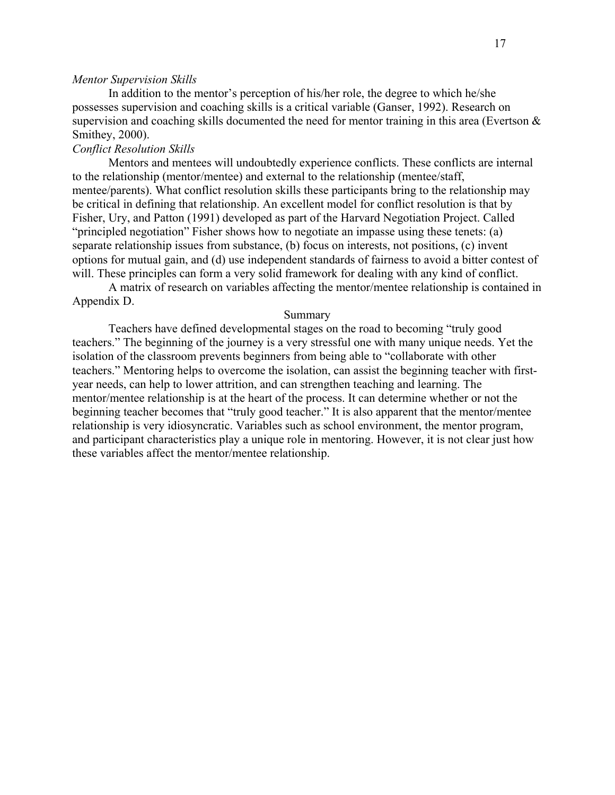### *Mentor Supervision Skills*

In addition to the mentor's perception of his/her role, the degree to which he/she possesses supervision and coaching skills is a critical variable (Ganser, 1992). Research on supervision and coaching skills documented the need for mentor training in this area (Evertson & Smithey, 2000).

# *Conflict Resolution Skills*

Mentors and mentees will undoubtedly experience conflicts. These conflicts are internal to the relationship (mentor/mentee) and external to the relationship (mentee/staff, mentee/parents). What conflict resolution skills these participants bring to the relationship may be critical in defining that relationship. An excellent model for conflict resolution is that by Fisher, Ury, and Patton (1991) developed as part of the Harvard Negotiation Project. Called "principled negotiation" Fisher shows how to negotiate an impasse using these tenets: (a) separate relationship issues from substance, (b) focus on interests, not positions, (c) invent options for mutual gain, and (d) use independent standards of fairness to avoid a bitter contest of will. These principles can form a very solid framework for dealing with any kind of conflict.

A matrix of research on variables affecting the mentor/mentee relationship is contained in Appendix D.

### Summary

Teachers have defined developmental stages on the road to becoming "truly good teachers." The beginning of the journey is a very stressful one with many unique needs. Yet the isolation of the classroom prevents beginners from being able to "collaborate with other teachers." Mentoring helps to overcome the isolation, can assist the beginning teacher with firstyear needs, can help to lower attrition, and can strengthen teaching and learning. The mentor/mentee relationship is at the heart of the process. It can determine whether or not the beginning teacher becomes that "truly good teacher." It is also apparent that the mentor/mentee relationship is very idiosyncratic. Variables such as school environment, the mentor program, and participant characteristics play a unique role in mentoring. However, it is not clear just how these variables affect the mentor/mentee relationship.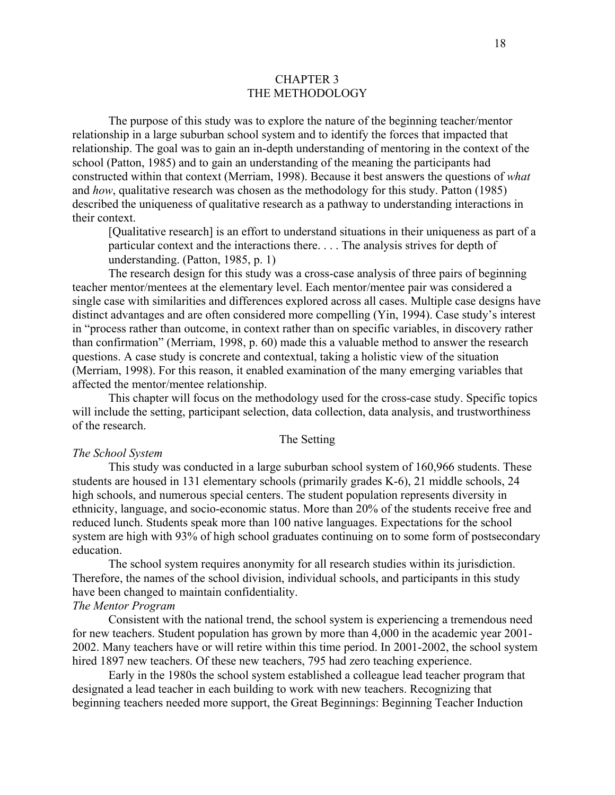## CHAPTER 3 THE METHODOLOGY

<span id="page-25-0"></span>The purpose of this study was to explore the nature of the beginning teacher/mentor relationship in a large suburban school system and to identify the forces that impacted that relationship. The goal was to gain an in-depth understanding of mentoring in the context of the school (Patton, 1985) and to gain an understanding of the meaning the participants had constructed within that context (Merriam, 1998). Because it best answers the questions of *what* and *how*, qualitative research was chosen as the methodology for this study. Patton (1985) described the uniqueness of qualitative research as a pathway to understanding interactions in their context.

[Qualitative research] is an effort to understand situations in their uniqueness as part of a particular context and the interactions there. . . . The analysis strives for depth of understanding. (Patton, 1985, p. 1)

The research design for this study was a cross-case analysis of three pairs of beginning teacher mentor/mentees at the elementary level. Each mentor/mentee pair was considered a single case with similarities and differences explored across all cases. Multiple case designs have distinct advantages and are often considered more compelling (Yin, 1994). Case study's interest in "process rather than outcome, in context rather than on specific variables, in discovery rather than confirmation" (Merriam, 1998, p. 60) made this a valuable method to answer the research questions. A case study is concrete and contextual, taking a holistic view of the situation (Merriam, 1998). For this reason, it enabled examination of the many emerging variables that affected the mentor/mentee relationship.

This chapter will focus on the methodology used for the cross-case study. Specific topics will include the setting, participant selection, data collection, data analysis, and trustworthiness of the research.

## The Setting

#### *The School System*

This study was conducted in a large suburban school system of 160,966 students. These students are housed in 131 elementary schools (primarily grades K-6), 21 middle schools, 24 high schools, and numerous special centers. The student population represents diversity in ethnicity, language, and socio-economic status. More than 20% of the students receive free and reduced lunch. Students speak more than 100 native languages. Expectations for the school system are high with 93% of high school graduates continuing on to some form of postsecondary education.

The school system requires anonymity for all research studies within its jurisdiction. Therefore, the names of the school division, individual schools, and participants in this study have been changed to maintain confidentiality.

#### *The Mentor Program*

Consistent with the national trend, the school system is experiencing a tremendous need for new teachers. Student population has grown by more than 4,000 in the academic year 2001- 2002. Many teachers have or will retire within this time period. In 2001-2002, the school system hired 1897 new teachers. Of these new teachers, 795 had zero teaching experience.

Early in the 1980s the school system established a colleague lead teacher program that designated a lead teacher in each building to work with new teachers. Recognizing that beginning teachers needed more support, the Great Beginnings: Beginning Teacher Induction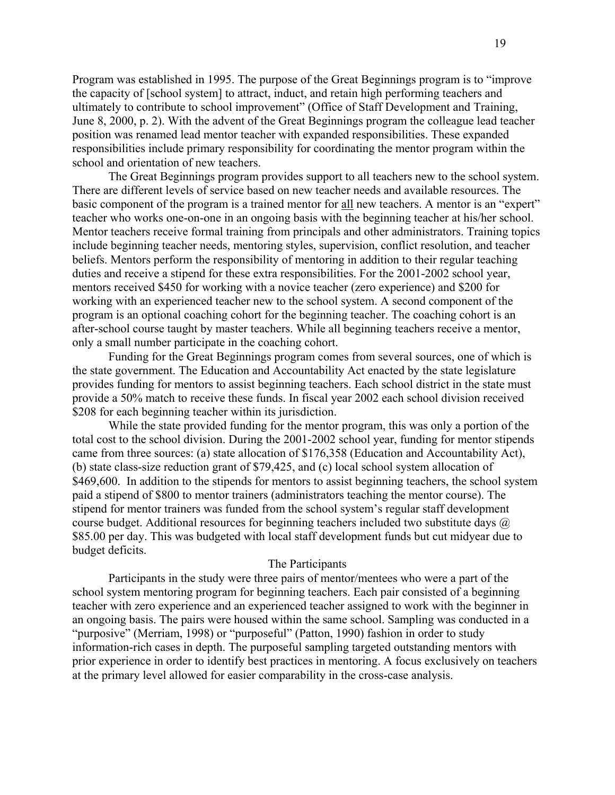Program was established in 1995. The purpose of the Great Beginnings program is to "improve the capacity of [school system] to attract, induct, and retain high performing teachers and ultimately to contribute to school improvement" (Office of Staff Development and Training, June 8, 2000, p. 2). With the advent of the Great Beginnings program the colleague lead teacher position was renamed lead mentor teacher with expanded responsibilities. These expanded responsibilities include primary responsibility for coordinating the mentor program within the school and orientation of new teachers.

The Great Beginnings program provides support to all teachers new to the school system. There are different levels of service based on new teacher needs and available resources. The basic component of the program is a trained mentor for all new teachers. A mentor is an "expert" teacher who works one-on-one in an ongoing basis with the beginning teacher at his/her school. Mentor teachers receive formal training from principals and other administrators. Training topics include beginning teacher needs, mentoring styles, supervision, conflict resolution, and teacher beliefs. Mentors perform the responsibility of mentoring in addition to their regular teaching duties and receive a stipend for these extra responsibilities. For the 2001-2002 school year, mentors received \$450 for working with a novice teacher (zero experience) and \$200 for working with an experienced teacher new to the school system. A second component of the program is an optional coaching cohort for the beginning teacher. The coaching cohort is an after-school course taught by master teachers. While all beginning teachers receive a mentor, only a small number participate in the coaching cohort.

Funding for the Great Beginnings program comes from several sources, one of which is the state government. The Education and Accountability Act enacted by the state legislature provides funding for mentors to assist beginning teachers. Each school district in the state must provide a 50% match to receive these funds. In fiscal year 2002 each school division received \$208 for each beginning teacher within its jurisdiction.

While the state provided funding for the mentor program, this was only a portion of the total cost to the school division. During the 2001-2002 school year, funding for mentor stipends came from three sources: (a) state allocation of \$176,358 (Education and Accountability Act), (b) state class-size reduction grant of \$79,425, and (c) local school system allocation of \$469,600. In addition to the stipends for mentors to assist beginning teachers, the school system paid a stipend of \$800 to mentor trainers (administrators teaching the mentor course). The stipend for mentor trainers was funded from the school system's regular staff development course budget. Additional resources for beginning teachers included two substitute days  $\omega$ \$85.00 per day. This was budgeted with local staff development funds but cut midyear due to budget deficits.

## The Participants

Participants in the study were three pairs of mentor/mentees who were a part of the school system mentoring program for beginning teachers. Each pair consisted of a beginning teacher with zero experience and an experienced teacher assigned to work with the beginner in an ongoing basis. The pairs were housed within the same school. Sampling was conducted in a "purposive" (Merriam, 1998) or "purposeful" (Patton, 1990) fashion in order to study information-rich cases in depth. The purposeful sampling targeted outstanding mentors with prior experience in order to identify best practices in mentoring. A focus exclusively on teachers at the primary level allowed for easier comparability in the cross-case analysis.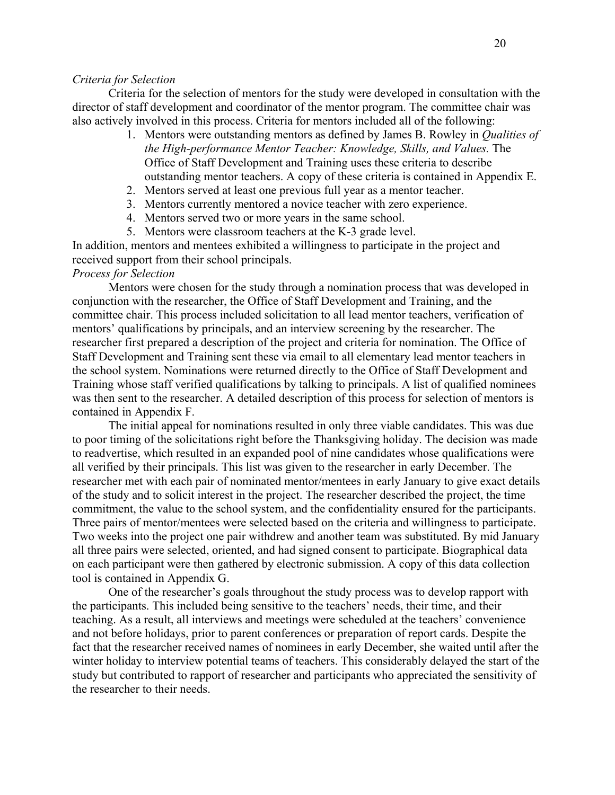### *Criteria for Selection*

Criteria for the selection of mentors for the study were developed in consultation with the director of staff development and coordinator of the mentor program. The committee chair was also actively involved in this process. Criteria for mentors included all of the following:

- 1. Mentors were outstanding mentors as defined by James B. Rowley in *Qualities of the High-performance Mentor Teacher: Knowledge, Skills, and Values.* The Office of Staff Development and Training uses these criteria to describe outstanding mentor teachers. A copy of these criteria is contained in Appendix E.
- 2. Mentors served at least one previous full year as a mentor teacher.
- 3. Mentors currently mentored a novice teacher with zero experience.
- 4. Mentors served two or more years in the same school.
- 5. Mentors were classroom teachers at the K-3 grade level.

In addition, mentors and mentees exhibited a willingness to participate in the project and received support from their school principals.

# *Process for Selection*

Mentors were chosen for the study through a nomination process that was developed in conjunction with the researcher, the Office of Staff Development and Training, and the committee chair. This process included solicitation to all lead mentor teachers, verification of mentors' qualifications by principals, and an interview screening by the researcher. The researcher first prepared a description of the project and criteria for nomination. The Office of Staff Development and Training sent these via email to all elementary lead mentor teachers in the school system. Nominations were returned directly to the Office of Staff Development and Training whose staff verified qualifications by talking to principals. A list of qualified nominees was then sent to the researcher. A detailed description of this process for selection of mentors is contained in Appendix F.

The initial appeal for nominations resulted in only three viable candidates. This was due to poor timing of the solicitations right before the Thanksgiving holiday. The decision was made to readvertise, which resulted in an expanded pool of nine candidates whose qualifications were all verified by their principals. This list was given to the researcher in early December. The researcher met with each pair of nominated mentor/mentees in early January to give exact details of the study and to solicit interest in the project. The researcher described the project, the time commitment, the value to the school system, and the confidentiality ensured for the participants. Three pairs of mentor/mentees were selected based on the criteria and willingness to participate. Two weeks into the project one pair withdrew and another team was substituted. By mid January all three pairs were selected, oriented, and had signed consent to participate. Biographical data on each participant were then gathered by electronic submission. A copy of this data collection tool is contained in Appendix G.

One of the researcher's goals throughout the study process was to develop rapport with the participants. This included being sensitive to the teachers' needs, their time, and their teaching. As a result, all interviews and meetings were scheduled at the teachers' convenience and not before holidays, prior to parent conferences or preparation of report cards. Despite the fact that the researcher received names of nominees in early December, she waited until after the winter holiday to interview potential teams of teachers. This considerably delayed the start of the study but contributed to rapport of researcher and participants who appreciated the sensitivity of the researcher to their needs.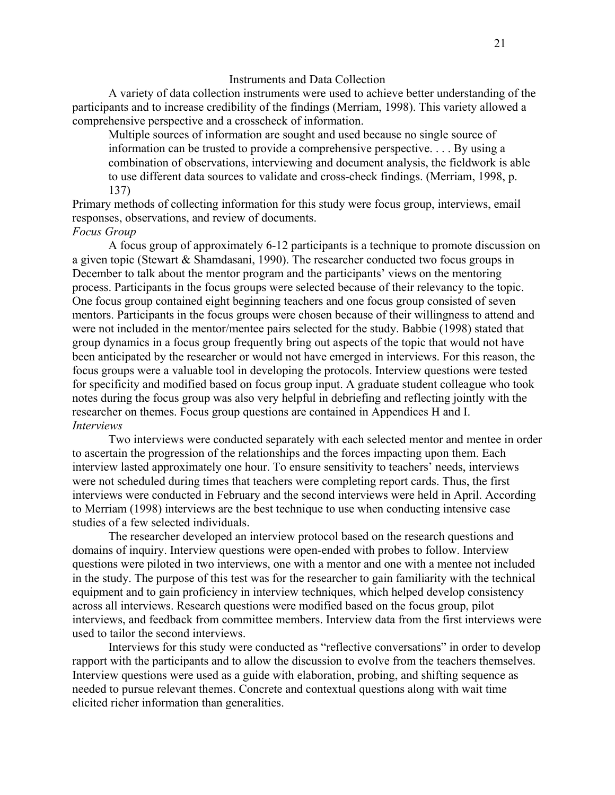### Instruments and Data Collection

A variety of data collection instruments were used to achieve better understanding of the participants and to increase credibility of the findings (Merriam, 1998). This variety allowed a comprehensive perspective and a crosscheck of information.

Multiple sources of information are sought and used because no single source of information can be trusted to provide a comprehensive perspective. . . . By using a combination of observations, interviewing and document analysis, the fieldwork is able to use different data sources to validate and cross-check findings. (Merriam, 1998, p. 137)

Primary methods of collecting information for this study were focus group, interviews, email responses, observations, and review of documents.

## *Focus Group*

A focus group of approximately 6-12 participants is a technique to promote discussion on a given topic (Stewart & Shamdasani, 1990). The researcher conducted two focus groups in December to talk about the mentor program and the participants' views on the mentoring process. Participants in the focus groups were selected because of their relevancy to the topic. One focus group contained eight beginning teachers and one focus group consisted of seven mentors. Participants in the focus groups were chosen because of their willingness to attend and were not included in the mentor/mentee pairs selected for the study. Babbie (1998) stated that group dynamics in a focus group frequently bring out aspects of the topic that would not have been anticipated by the researcher or would not have emerged in interviews. For this reason, the focus groups were a valuable tool in developing the protocols. Interview questions were tested for specificity and modified based on focus group input. A graduate student colleague who took notes during the focus group was also very helpful in debriefing and reflecting jointly with the researcher on themes. Focus group questions are contained in Appendices H and I. *Interviews* 

Two interviews were conducted separately with each selected mentor and mentee in order to ascertain the progression of the relationships and the forces impacting upon them. Each interview lasted approximately one hour. To ensure sensitivity to teachers' needs, interviews were not scheduled during times that teachers were completing report cards. Thus, the first interviews were conducted in February and the second interviews were held in April. According to Merriam (1998) interviews are the best technique to use when conducting intensive case studies of a few selected individuals.

The researcher developed an interview protocol based on the research questions and domains of inquiry. Interview questions were open-ended with probes to follow. Interview questions were piloted in two interviews, one with a mentor and one with a mentee not included in the study. The purpose of this test was for the researcher to gain familiarity with the technical equipment and to gain proficiency in interview techniques, which helped develop consistency across all interviews. Research questions were modified based on the focus group, pilot interviews, and feedback from committee members. Interview data from the first interviews were used to tailor the second interviews.

Interviews for this study were conducted as "reflective conversations" in order to develop rapport with the participants and to allow the discussion to evolve from the teachers themselves. Interview questions were used as a guide with elaboration, probing, and shifting sequence as needed to pursue relevant themes. Concrete and contextual questions along with wait time elicited richer information than generalities.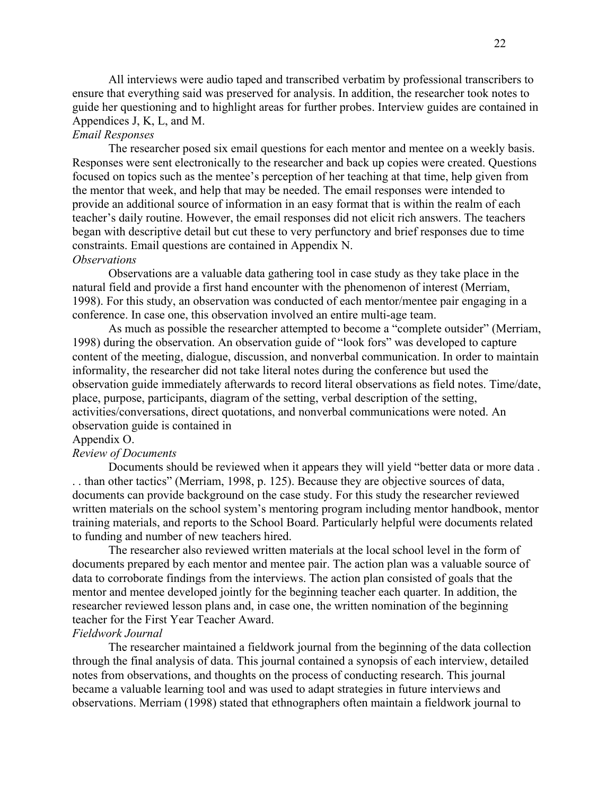All interviews were audio taped and transcribed verbatim by professional transcribers to ensure that everything said was preserved for analysis. In addition, the researcher took notes to guide her questioning and to highlight areas for further probes. Interview guides are contained in Appendices J, K, L, and M.

# *Email Responses*

The researcher posed six email questions for each mentor and mentee on a weekly basis. Responses were sent electronically to the researcher and back up copies were created. Questions focused on topics such as the mentee's perception of her teaching at that time, help given from the mentor that week, and help that may be needed. The email responses were intended to provide an additional source of information in an easy format that is within the realm of each teacher's daily routine. However, the email responses did not elicit rich answers. The teachers began with descriptive detail but cut these to very perfunctory and brief responses due to time constraints. Email questions are contained in Appendix N.

# *Observations*

Observations are a valuable data gathering tool in case study as they take place in the natural field and provide a first hand encounter with the phenomenon of interest (Merriam, 1998). For this study, an observation was conducted of each mentor/mentee pair engaging in a conference. In case one, this observation involved an entire multi-age team.

As much as possible the researcher attempted to become a "complete outsider" (Merriam, 1998) during the observation. An observation guide of "look fors" was developed to capture content of the meeting, dialogue, discussion, and nonverbal communication. In order to maintain informality, the researcher did not take literal notes during the conference but used the observation guide immediately afterwards to record literal observations as field notes. Time/date, place, purpose, participants, diagram of the setting, verbal description of the setting, activities/conversations, direct quotations, and nonverbal communications were noted. An observation guide is contained in

#### Appendix O.

## *Review of Documents*

Documents should be reviewed when it appears they will yield "better data or more data . . . than other tactics" (Merriam, 1998, p. 125). Because they are objective sources of data, documents can provide background on the case study. For this study the researcher reviewed written materials on the school system's mentoring program including mentor handbook, mentor training materials, and reports to the School Board. Particularly helpful were documents related to funding and number of new teachers hired.

The researcher also reviewed written materials at the local school level in the form of documents prepared by each mentor and mentee pair. The action plan was a valuable source of data to corroborate findings from the interviews. The action plan consisted of goals that the mentor and mentee developed jointly for the beginning teacher each quarter. In addition, the researcher reviewed lesson plans and, in case one, the written nomination of the beginning teacher for the First Year Teacher Award.

#### *Fieldwork Journal*

The researcher maintained a fieldwork journal from the beginning of the data collection through the final analysis of data. This journal contained a synopsis of each interview, detailed notes from observations, and thoughts on the process of conducting research. This journal became a valuable learning tool and was used to adapt strategies in future interviews and observations. Merriam (1998) stated that ethnographers often maintain a fieldwork journal to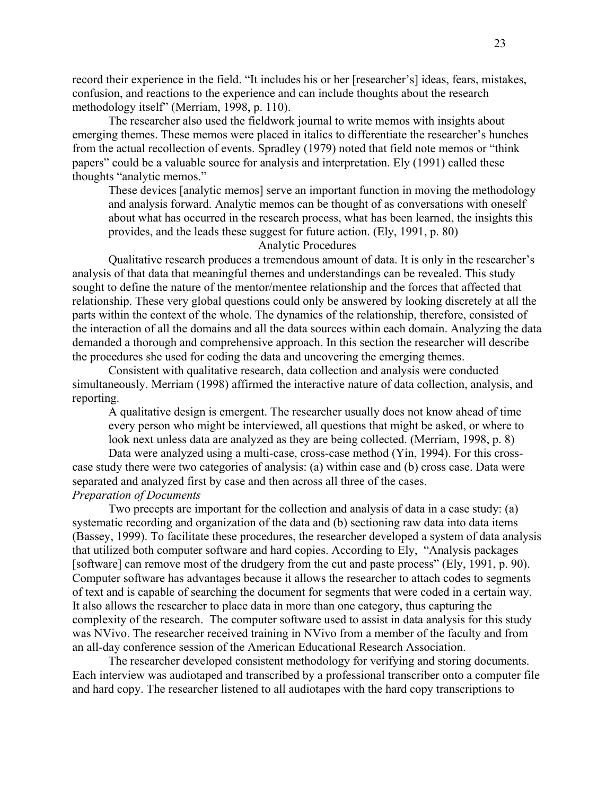record their experience in the field. "It includes his or her [researcher's] ideas, fears, mistakes, confusion, and reactions to the experience and can include thoughts about the research methodology itself" (Merriam, 1998, p. 110).

The researcher also used the fieldwork journal to write memos with insights about emerging themes. These memos were placed in italics to differentiate the researcher's hunches from the actual recollection of events. Spradley (1979) noted that field note memos or "think papers" could be a valuable source for analysis and interpretation. Ely (1991) called these thoughts "analytic memos."

These devices [analytic memos] serve an important function in moving the methodology and analysis forward. Analytic memos can be thought of as conversations with oneself about what has occurred in the research process, what has been learned, the insights this provides, and the leads these suggest for future action. (Ely, 1991, p. 80)

Analytic Procedures

Qualitative research produces a tremendous amount of data. It is only in the researcher's analysis of that data that meaningful themes and understandings can be revealed. This study sought to define the nature of the mentor/mentee relationship and the forces that affected that relationship. These very global questions could only be answered by looking discretely at all the parts within the context of the whole. The dynamics of the relationship, therefore, consisted of the interaction of all the domains and all the data sources within each domain. Analyzing the data demanded a thorough and comprehensive approach. In this section the researcher will describe the procedures she used for coding the data and uncovering the emerging themes.

Consistent with qualitative research, data collection and analysis were conducted simultaneously. Merriam (1998) affirmed the interactive nature of data collection, analysis, and reporting.

A qualitative design is emergent. The researcher usually does not know ahead of time every person who might be interviewed, all questions that might be asked, or where to look next unless data are analyzed as they are being collected. (Merriam, 1998, p. 8)

Data were analyzed using a multi-case, cross-case method (Yin, 1994). For this crosscase study there were two categories of analysis: (a) within case and (b) cross case. Data were separated and analyzed first by case and then across all three of the cases. *Preparation of Documents* 

Two precepts are important for the collection and analysis of data in a case study: (a) systematic recording and organization of the data and (b) sectioning raw data into data items (Bassey, 1999). To facilitate these procedures, the researcher developed a system of data analysis that utilized both computer software and hard copies. According to Ely, "Analysis packages [software] can remove most of the drudgery from the cut and paste process" (Ely, 1991, p. 90). Computer software has advantages because it allows the researcher to attach codes to segments of text and is capable of searching the document for segments that were coded in a certain way. It also allows the researcher to place data in more than one category, thus capturing the complexity of the research. The computer software used to assist in data analysis for this study was NVivo. The researcher received training in NVivo from a member of the faculty and from an all-day conference session of the American Educational Research Association.

The researcher developed consistent methodology for verifying and storing documents. Each interview was audiotaped and transcribed by a professional transcriber onto a computer file and hard copy. The researcher listened to all audiotapes with the hard copy transcriptions to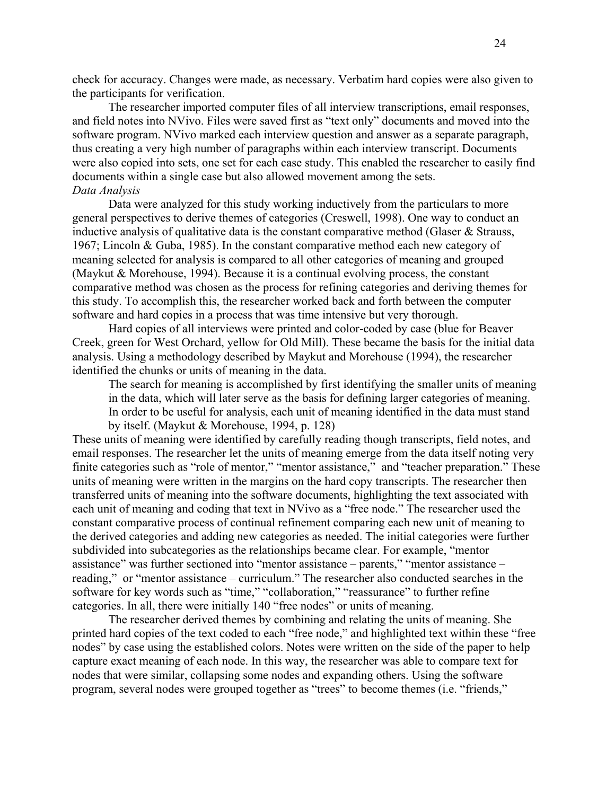check for accuracy. Changes were made, as necessary. Verbatim hard copies were also given to the participants for verification.

The researcher imported computer files of all interview transcriptions, email responses, and field notes into NVivo. Files were saved first as "text only" documents and moved into the software program. NVivo marked each interview question and answer as a separate paragraph, thus creating a very high number of paragraphs within each interview transcript. Documents were also copied into sets, one set for each case study. This enabled the researcher to easily find documents within a single case but also allowed movement among the sets. *Data Analysis* 

Data were analyzed for this study working inductively from the particulars to more general perspectives to derive themes of categories (Creswell, 1998). One way to conduct an inductive analysis of qualitative data is the constant comparative method (Glaser & Strauss, 1967; Lincoln & Guba, 1985). In the constant comparative method each new category of meaning selected for analysis is compared to all other categories of meaning and grouped (Maykut & Morehouse, 1994). Because it is a continual evolving process, the constant comparative method was chosen as the process for refining categories and deriving themes for this study. To accomplish this, the researcher worked back and forth between the computer software and hard copies in a process that was time intensive but very thorough.

Hard copies of all interviews were printed and color-coded by case (blue for Beaver Creek, green for West Orchard, yellow for Old Mill). These became the basis for the initial data analysis. Using a methodology described by Maykut and Morehouse (1994), the researcher identified the chunks or units of meaning in the data.

The search for meaning is accomplished by first identifying the smaller units of meaning in the data, which will later serve as the basis for defining larger categories of meaning. In order to be useful for analysis, each unit of meaning identified in the data must stand by itself. (Maykut & Morehouse, 1994, p. 128)

These units of meaning were identified by carefully reading though transcripts, field notes, and email responses. The researcher let the units of meaning emerge from the data itself noting very finite categories such as "role of mentor," "mentor assistance," and "teacher preparation." These units of meaning were written in the margins on the hard copy transcripts. The researcher then transferred units of meaning into the software documents, highlighting the text associated with each unit of meaning and coding that text in NVivo as a "free node." The researcher used the constant comparative process of continual refinement comparing each new unit of meaning to the derived categories and adding new categories as needed. The initial categories were further subdivided into subcategories as the relationships became clear. For example, "mentor assistance" was further sectioned into "mentor assistance – parents," "mentor assistance – reading," or "mentor assistance – curriculum." The researcher also conducted searches in the software for key words such as "time," "collaboration," "reassurance" to further refine categories. In all, there were initially 140 "free nodes" or units of meaning.

The researcher derived themes by combining and relating the units of meaning. She printed hard copies of the text coded to each "free node," and highlighted text within these "free nodes" by case using the established colors. Notes were written on the side of the paper to help capture exact meaning of each node. In this way, the researcher was able to compare text for nodes that were similar, collapsing some nodes and expanding others. Using the software program, several nodes were grouped together as "trees" to become themes (i.e. "friends,"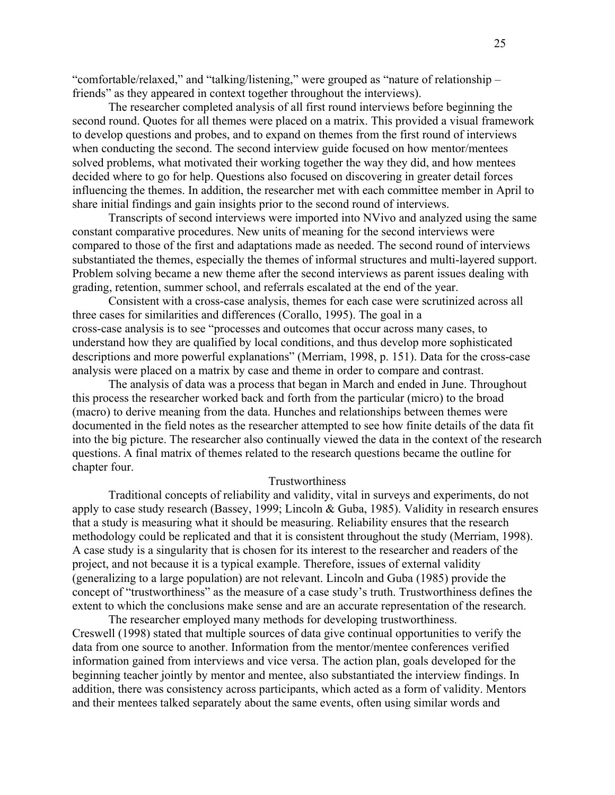"comfortable/relaxed," and "talking/listening," were grouped as "nature of relationship – friends" as they appeared in context together throughout the interviews).

The researcher completed analysis of all first round interviews before beginning the second round. Quotes for all themes were placed on a matrix. This provided a visual framework to develop questions and probes, and to expand on themes from the first round of interviews when conducting the second. The second interview guide focused on how mentor/mentees solved problems, what motivated their working together the way they did, and how mentees decided where to go for help. Questions also focused on discovering in greater detail forces influencing the themes. In addition, the researcher met with each committee member in April to share initial findings and gain insights prior to the second round of interviews.

Transcripts of second interviews were imported into NVivo and analyzed using the same constant comparative procedures. New units of meaning for the second interviews were compared to those of the first and adaptations made as needed. The second round of interviews substantiated the themes, especially the themes of informal structures and multi-layered support. Problem solving became a new theme after the second interviews as parent issues dealing with grading, retention, summer school, and referrals escalated at the end of the year.

Consistent with a cross-case analysis, themes for each case were scrutinized across all three cases for similarities and differences (Corallo, 1995). The goal in a cross-case analysis is to see "processes and outcomes that occur across many cases, to understand how they are qualified by local conditions, and thus develop more sophisticated descriptions and more powerful explanations" (Merriam, 1998, p. 151). Data for the cross-case analysis were placed on a matrix by case and theme in order to compare and contrast.

The analysis of data was a process that began in March and ended in June. Throughout this process the researcher worked back and forth from the particular (micro) to the broad (macro) to derive meaning from the data. Hunches and relationships between themes were documented in the field notes as the researcher attempted to see how finite details of the data fit into the big picture. The researcher also continually viewed the data in the context of the research questions. A final matrix of themes related to the research questions became the outline for chapter four.

## Trustworthiness

Traditional concepts of reliability and validity, vital in surveys and experiments, do not apply to case study research (Bassey, 1999; Lincoln & Guba, 1985). Validity in research ensures that a study is measuring what it should be measuring. Reliability ensures that the research methodology could be replicated and that it is consistent throughout the study (Merriam, 1998). A case study is a singularity that is chosen for its interest to the researcher and readers of the project, and not because it is a typical example. Therefore, issues of external validity (generalizing to a large population) are not relevant. Lincoln and Guba (1985) provide the concept of "trustworthiness" as the measure of a case study's truth. Trustworthiness defines the extent to which the conclusions make sense and are an accurate representation of the research.

The researcher employed many methods for developing trustworthiness. Creswell (1998) stated that multiple sources of data give continual opportunities to verify the data from one source to another. Information from the mentor/mentee conferences verified information gained from interviews and vice versa. The action plan, goals developed for the beginning teacher jointly by mentor and mentee, also substantiated the interview findings. In addition, there was consistency across participants, which acted as a form of validity. Mentors and their mentees talked separately about the same events, often using similar words and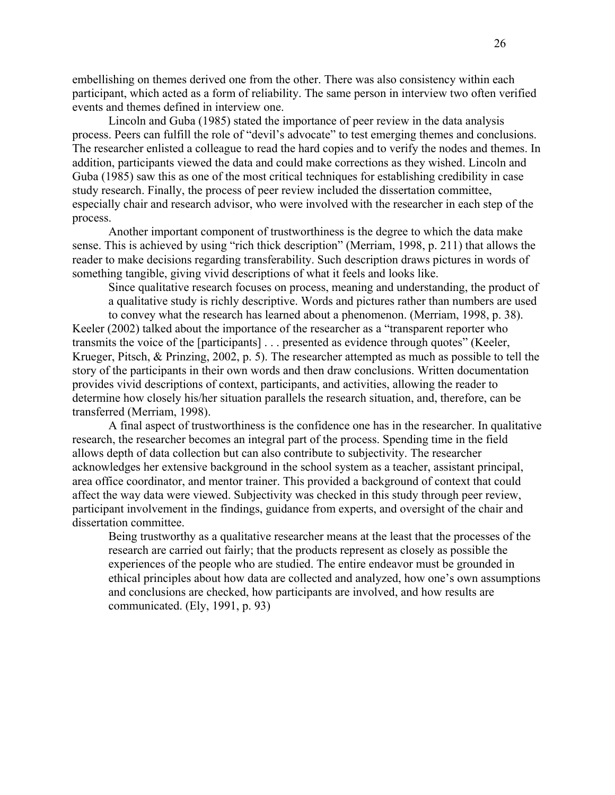embellishing on themes derived one from the other. There was also consistency within each participant, which acted as a form of reliability. The same person in interview two often verified events and themes defined in interview one.

Lincoln and Guba (1985) stated the importance of peer review in the data analysis process. Peers can fulfill the role of "devil's advocate" to test emerging themes and conclusions. The researcher enlisted a colleague to read the hard copies and to verify the nodes and themes. In addition, participants viewed the data and could make corrections as they wished. Lincoln and Guba (1985) saw this as one of the most critical techniques for establishing credibility in case study research. Finally, the process of peer review included the dissertation committee, especially chair and research advisor, who were involved with the researcher in each step of the process.

Another important component of trustworthiness is the degree to which the data make sense. This is achieved by using "rich thick description" (Merriam, 1998, p. 211) that allows the reader to make decisions regarding transferability. Such description draws pictures in words of something tangible, giving vivid descriptions of what it feels and looks like.

Since qualitative research focuses on process, meaning and understanding, the product of a qualitative study is richly descriptive. Words and pictures rather than numbers are used

to convey what the research has learned about a phenomenon. (Merriam, 1998, p. 38). Keeler (2002) talked about the importance of the researcher as a "transparent reporter who transmits the voice of the [participants] . . . presented as evidence through quotes" (Keeler, Krueger, Pitsch, & Prinzing, 2002, p. 5). The researcher attempted as much as possible to tell the story of the participants in their own words and then draw conclusions. Written documentation provides vivid descriptions of context, participants, and activities, allowing the reader to determine how closely his/her situation parallels the research situation, and, therefore, can be transferred (Merriam, 1998).

A final aspect of trustworthiness is the confidence one has in the researcher. In qualitative research, the researcher becomes an integral part of the process. Spending time in the field allows depth of data collection but can also contribute to subjectivity. The researcher acknowledges her extensive background in the school system as a teacher, assistant principal, area office coordinator, and mentor trainer. This provided a background of context that could affect the way data were viewed. Subjectivity was checked in this study through peer review, participant involvement in the findings, guidance from experts, and oversight of the chair and dissertation committee.

Being trustworthy as a qualitative researcher means at the least that the processes of the research are carried out fairly; that the products represent as closely as possible the experiences of the people who are studied. The entire endeavor must be grounded in ethical principles about how data are collected and analyzed, how one's own assumptions and conclusions are checked, how participants are involved, and how results are communicated. (Ely, 1991, p. 93)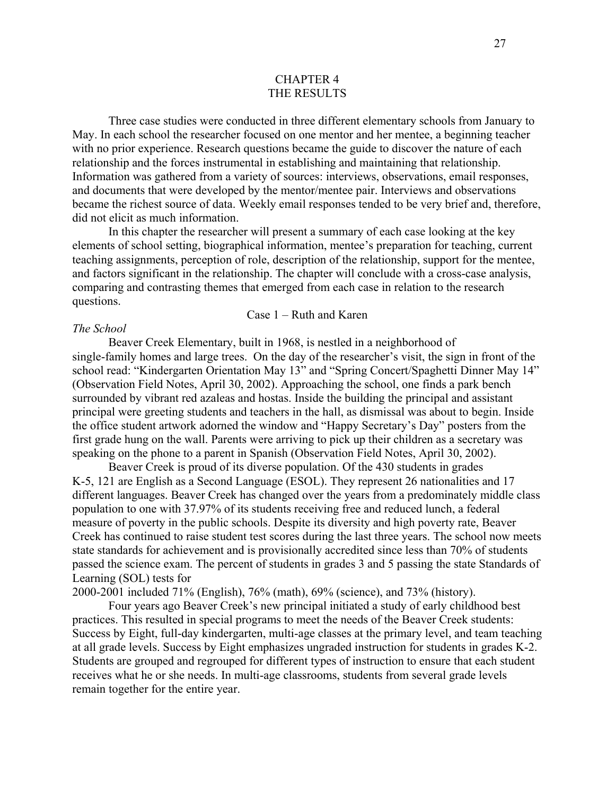## CHAPTER 4 THE RESULTS

<span id="page-34-0"></span>Three case studies were conducted in three different elementary schools from January to May. In each school the researcher focused on one mentor and her mentee, a beginning teacher with no prior experience. Research questions became the guide to discover the nature of each relationship and the forces instrumental in establishing and maintaining that relationship. Information was gathered from a variety of sources: interviews, observations, email responses, and documents that were developed by the mentor/mentee pair. Interviews and observations became the richest source of data. Weekly email responses tended to be very brief and, therefore, did not elicit as much information.

In this chapter the researcher will present a summary of each case looking at the key elements of school setting, biographical information, mentee's preparation for teaching, current teaching assignments, perception of role, description of the relationship, support for the mentee, and factors significant in the relationship. The chapter will conclude with a cross-case analysis, comparing and contrasting themes that emerged from each case in relation to the research questions.

#### Case 1 – Ruth and Karen

#### *The School*

Beaver Creek Elementary, built in 1968, is nestled in a neighborhood of single-family homes and large trees. On the day of the researcher's visit, the sign in front of the school read: "Kindergarten Orientation May 13" and "Spring Concert/Spaghetti Dinner May 14" (Observation Field Notes, April 30, 2002). Approaching the school, one finds a park bench surrounded by vibrant red azaleas and hostas. Inside the building the principal and assistant principal were greeting students and teachers in the hall, as dismissal was about to begin. Inside the office student artwork adorned the window and "Happy Secretary's Day" posters from the first grade hung on the wall. Parents were arriving to pick up their children as a secretary was speaking on the phone to a parent in Spanish (Observation Field Notes, April 30, 2002).

Beaver Creek is proud of its diverse population. Of the 430 students in grades K-5, 121 are English as a Second Language (ESOL). They represent 26 nationalities and 17 different languages. Beaver Creek has changed over the years from a predominately middle class population to one with 37.97% of its students receiving free and reduced lunch, a federal measure of poverty in the public schools. Despite its diversity and high poverty rate, Beaver Creek has continued to raise student test scores during the last three years. The school now meets state standards for achievement and is provisionally accredited since less than 70% of students passed the science exam. The percent of students in grades 3 and 5 passing the state Standards of Learning (SOL) tests for

2000-2001 included 71% (English), 76% (math), 69% (science), and 73% (history).

Four years ago Beaver Creek's new principal initiated a study of early childhood best practices. This resulted in special programs to meet the needs of the Beaver Creek students: Success by Eight, full-day kindergarten, multi-age classes at the primary level, and team teaching at all grade levels. Success by Eight emphasizes ungraded instruction for students in grades K-2. Students are grouped and regrouped for different types of instruction to ensure that each student receives what he or she needs. In multi-age classrooms, students from several grade levels remain together for the entire year.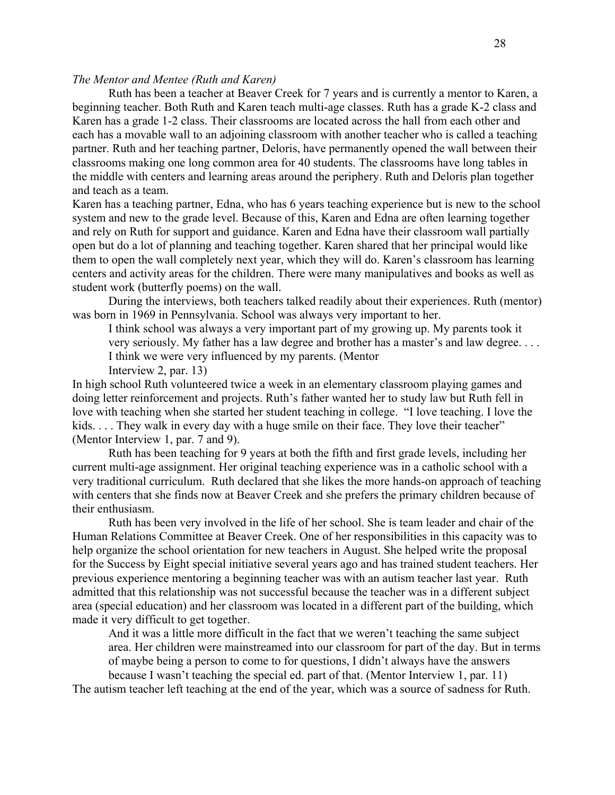# *The Mentor and Mentee (Ruth and Karen)*

Ruth has been a teacher at Beaver Creek for 7 years and is currently a mentor to Karen, a beginning teacher. Both Ruth and Karen teach multi-age classes. Ruth has a grade K-2 class and Karen has a grade 1-2 class. Their classrooms are located across the hall from each other and each has a movable wall to an adjoining classroom with another teacher who is called a teaching partner. Ruth and her teaching partner, Deloris, have permanently opened the wall between their classrooms making one long common area for 40 students. The classrooms have long tables in the middle with centers and learning areas around the periphery. Ruth and Deloris plan together and teach as a team.

Karen has a teaching partner, Edna, who has 6 years teaching experience but is new to the school system and new to the grade level. Because of this, Karen and Edna are often learning together and rely on Ruth for support and guidance. Karen and Edna have their classroom wall partially open but do a lot of planning and teaching together. Karen shared that her principal would like them to open the wall completely next year, which they will do. Karen's classroom has learning centers and activity areas for the children. There were many manipulatives and books as well as student work (butterfly poems) on the wall.

 During the interviews, both teachers talked readily about their experiences. Ruth (mentor) was born in 1969 in Pennsylvania. School was always very important to her.

I think school was always a very important part of my growing up. My parents took it very seriously. My father has a law degree and brother has a master's and law degree. . . . I think we were very influenced by my parents. (Mentor Interview 2, par. 13)

In high school Ruth volunteered twice a week in an elementary classroom playing games and doing letter reinforcement and projects. Ruth's father wanted her to study law but Ruth fell in love with teaching when she started her student teaching in college. "I love teaching. I love the kids. . . . They walk in every day with a huge smile on their face. They love their teacher" (Mentor Interview 1, par. 7 and 9).

Ruth has been teaching for 9 years at both the fifth and first grade levels, including her current multi-age assignment. Her original teaching experience was in a catholic school with a very traditional curriculum. Ruth declared that she likes the more hands-on approach of teaching with centers that she finds now at Beaver Creek and she prefers the primary children because of their enthusiasm.

Ruth has been very involved in the life of her school. She is team leader and chair of the Human Relations Committee at Beaver Creek. One of her responsibilities in this capacity was to help organize the school orientation for new teachers in August. She helped write the proposal for the Success by Eight special initiative several years ago and has trained student teachers. Her previous experience mentoring a beginning teacher was with an autism teacher last year. Ruth admitted that this relationship was not successful because the teacher was in a different subject area (special education) and her classroom was located in a different part of the building, which made it very difficult to get together.

And it was a little more difficult in the fact that we weren't teaching the same subject area. Her children were mainstreamed into our classroom for part of the day. But in terms of maybe being a person to come to for questions, I didn't always have the answers because I wasn't teaching the special ed. part of that. (Mentor Interview 1, par. 11)

The autism teacher left teaching at the end of the year, which was a source of sadness for Ruth.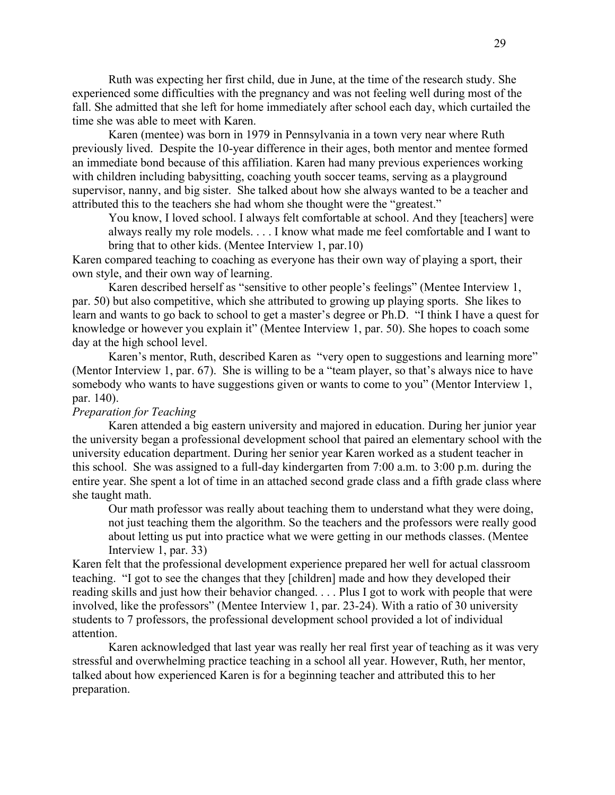Ruth was expecting her first child, due in June, at the time of the research study. She experienced some difficulties with the pregnancy and was not feeling well during most of the fall. She admitted that she left for home immediately after school each day, which curtailed the time she was able to meet with Karen.

Karen (mentee) was born in 1979 in Pennsylvania in a town very near where Ruth previously lived. Despite the 10-year difference in their ages, both mentor and mentee formed an immediate bond because of this affiliation. Karen had many previous experiences working with children including babysitting, coaching youth soccer teams, serving as a playground supervisor, nanny, and big sister. She talked about how she always wanted to be a teacher and attributed this to the teachers she had whom she thought were the "greatest."

You know, I loved school. I always felt comfortable at school. And they [teachers] were always really my role models. . . . I know what made me feel comfortable and I want to bring that to other kids. (Mentee Interview 1, par.10)

Karen compared teaching to coaching as everyone has their own way of playing a sport, their own style, and their own way of learning.

Karen described herself as "sensitive to other people's feelings" (Mentee Interview 1, par. 50) but also competitive, which she attributed to growing up playing sports. She likes to learn and wants to go back to school to get a master's degree or Ph.D. "I think I have a quest for knowledge or however you explain it" (Mentee Interview 1, par. 50). She hopes to coach some day at the high school level.

Karen's mentor, Ruth, described Karen as "very open to suggestions and learning more" (Mentor Interview 1, par. 67). She is willing to be a "team player, so that's always nice to have somebody who wants to have suggestions given or wants to come to you" (Mentor Interview 1, par. 140).

# *Preparation for Teaching*

Karen attended a big eastern university and majored in education. During her junior year the university began a professional development school that paired an elementary school with the university education department. During her senior year Karen worked as a student teacher in this school. She was assigned to a full-day kindergarten from 7:00 a.m. to 3:00 p.m. during the entire year. She spent a lot of time in an attached second grade class and a fifth grade class where she taught math.

Our math professor was really about teaching them to understand what they were doing, not just teaching them the algorithm. So the teachers and the professors were really good about letting us put into practice what we were getting in our methods classes. (Mentee Interview 1, par. 33)

Karen felt that the professional development experience prepared her well for actual classroom teaching. "I got to see the changes that they [children] made and how they developed their reading skills and just how their behavior changed. . . . Plus I got to work with people that were involved, like the professors" (Mentee Interview 1, par. 23-24). With a ratio of 30 university students to 7 professors, the professional development school provided a lot of individual attention.

Karen acknowledged that last year was really her real first year of teaching as it was very stressful and overwhelming practice teaching in a school all year. However, Ruth, her mentor, talked about how experienced Karen is for a beginning teacher and attributed this to her preparation.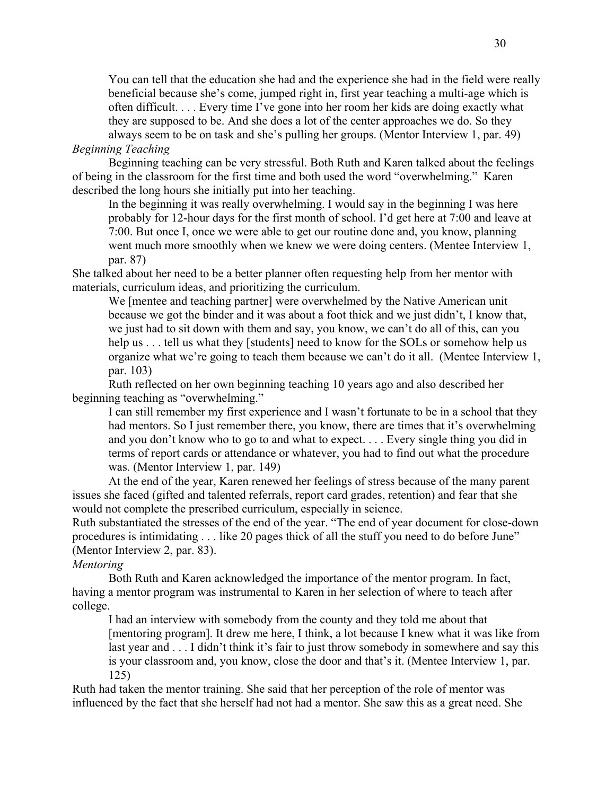You can tell that the education she had and the experience she had in the field were really beneficial because she's come, jumped right in, first year teaching a multi-age which is often difficult. . . . Every time I've gone into her room her kids are doing exactly what they are supposed to be. And she does a lot of the center approaches we do. So they always seem to be on task and she's pulling her groups. (Mentor Interview 1, par. 49)

# *Beginning Teaching*

Beginning teaching can be very stressful. Both Ruth and Karen talked about the feelings of being in the classroom for the first time and both used the word "overwhelming." Karen described the long hours she initially put into her teaching.

In the beginning it was really overwhelming. I would say in the beginning I was here probably for 12-hour days for the first month of school. I'd get here at 7:00 and leave at 7:00. But once I, once we were able to get our routine done and, you know, planning went much more smoothly when we knew we were doing centers. (Mentee Interview 1, par. 87)

She talked about her need to be a better planner often requesting help from her mentor with materials, curriculum ideas, and prioritizing the curriculum.

We [mentee and teaching partner] were overwhelmed by the Native American unit because we got the binder and it was about a foot thick and we just didn't, I know that, we just had to sit down with them and say, you know, we can't do all of this, can you help us . . . tell us what they [students] need to know for the SOLs or somehow help us organize what we're going to teach them because we can't do it all. (Mentee Interview 1, par. 103)

Ruth reflected on her own beginning teaching 10 years ago and also described her beginning teaching as "overwhelming."

I can still remember my first experience and I wasn't fortunate to be in a school that they had mentors. So I just remember there, you know, there are times that it's overwhelming and you don't know who to go to and what to expect. . . . Every single thing you did in terms of report cards or attendance or whatever, you had to find out what the procedure was. (Mentor Interview 1, par. 149)

At the end of the year, Karen renewed her feelings of stress because of the many parent issues she faced (gifted and talented referrals, report card grades, retention) and fear that she would not complete the prescribed curriculum, especially in science.

Ruth substantiated the stresses of the end of the year. "The end of year document for close-down procedures is intimidating . . . like 20 pages thick of all the stuff you need to do before June" (Mentor Interview 2, par. 83).

# *Mentoring*

Both Ruth and Karen acknowledged the importance of the mentor program. In fact, having a mentor program was instrumental to Karen in her selection of where to teach after college.

I had an interview with somebody from the county and they told me about that [mentoring program]. It drew me here, I think, a lot because I knew what it was like from last year and . . . I didn't think it's fair to just throw somebody in somewhere and say this is your classroom and, you know, close the door and that's it. (Mentee Interview 1, par. 125)

Ruth had taken the mentor training. She said that her perception of the role of mentor was influenced by the fact that she herself had not had a mentor. She saw this as a great need. She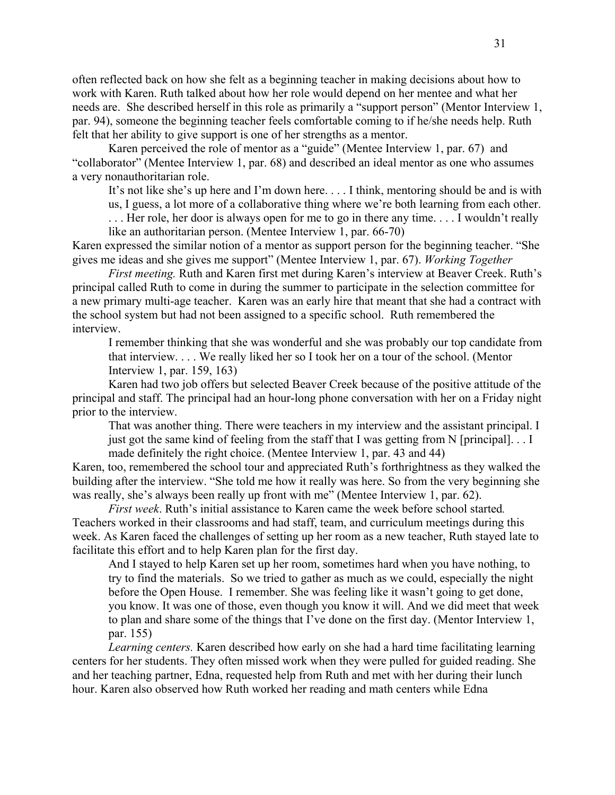often reflected back on how she felt as a beginning teacher in making decisions about how to work with Karen. Ruth talked about how her role would depend on her mentee and what her needs are. She described herself in this role as primarily a "support person" (Mentor Interview 1, par. 94), someone the beginning teacher feels comfortable coming to if he/she needs help. Ruth felt that her ability to give support is one of her strengths as a mentor.

Karen perceived the role of mentor as a "guide" (Mentee Interview 1, par. 67) and "collaborator" (Mentee Interview 1, par. 68) and described an ideal mentor as one who assumes a very nonauthoritarian role.

It's not like she's up here and I'm down here. . . . I think, mentoring should be and is with

us, I guess, a lot more of a collaborative thing where we're both learning from each other.

. . . Her role, her door is always open for me to go in there any time. . . . I wouldn't really like an authoritarian person. (Mentee Interview 1, par. 66-70)

Karen expressed the similar notion of a mentor as support person for the beginning teacher. "She gives me ideas and she gives me support" (Mentee Interview 1, par. 67). *Working Together* 

*First meeting.* Ruth and Karen first met during Karen's interview at Beaver Creek. Ruth's principal called Ruth to come in during the summer to participate in the selection committee for a new primary multi-age teacher. Karen was an early hire that meant that she had a contract with the school system but had not been assigned to a specific school. Ruth remembered the interview.

I remember thinking that she was wonderful and she was probably our top candidate from that interview. . . . We really liked her so I took her on a tour of the school. (Mentor Interview 1, par. 159, 163)

Karen had two job offers but selected Beaver Creek because of the positive attitude of the principal and staff. The principal had an hour-long phone conversation with her on a Friday night prior to the interview.

That was another thing. There were teachers in my interview and the assistant principal. I just got the same kind of feeling from the staff that I was getting from N [principal]. . . I made definitely the right choice. (Mentee Interview 1, par. 43 and 44)

Karen, too, remembered the school tour and appreciated Ruth's forthrightness as they walked the building after the interview. "She told me how it really was here. So from the very beginning she was really, she's always been really up front with me" (Mentee Interview 1, par. 62).

*First week*. Ruth's initial assistance to Karen came the week before school started*.* Teachers worked in their classrooms and had staff, team, and curriculum meetings during this week. As Karen faced the challenges of setting up her room as a new teacher, Ruth stayed late to facilitate this effort and to help Karen plan for the first day.

And I stayed to help Karen set up her room, sometimes hard when you have nothing, to try to find the materials. So we tried to gather as much as we could, especially the night before the Open House. I remember. She was feeling like it wasn't going to get done, you know. It was one of those, even though you know it will. And we did meet that week to plan and share some of the things that I've done on the first day. (Mentor Interview 1, par. 155)

*Learning centers.* Karen described how early on she had a hard time facilitating learning centers for her students. They often missed work when they were pulled for guided reading. She and her teaching partner, Edna, requested help from Ruth and met with her during their lunch hour. Karen also observed how Ruth worked her reading and math centers while Edna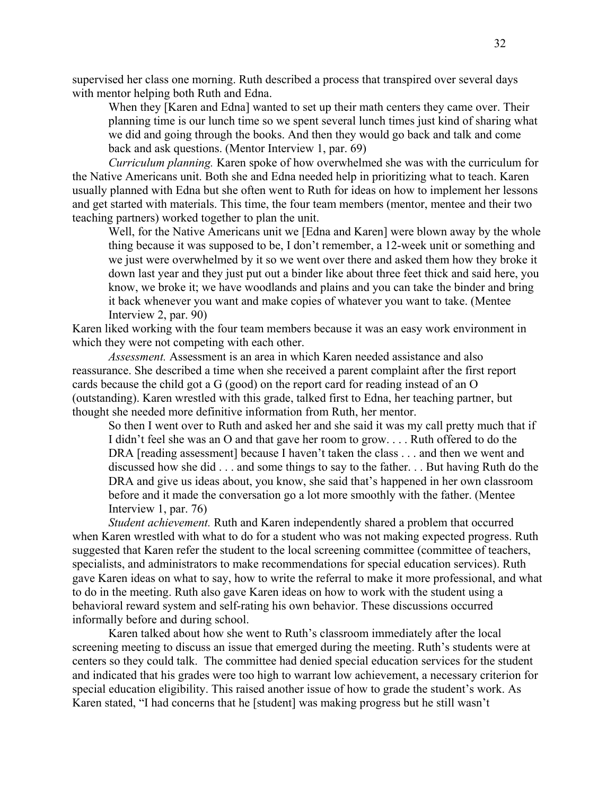supervised her class one morning. Ruth described a process that transpired over several days with mentor helping both Ruth and Edna.

When they [Karen and Edna] wanted to set up their math centers they came over. Their planning time is our lunch time so we spent several lunch times just kind of sharing what we did and going through the books. And then they would go back and talk and come back and ask questions. (Mentor Interview 1, par. 69)

*Curriculum planning.* Karen spoke of how overwhelmed she was with the curriculum for the Native Americans unit. Both she and Edna needed help in prioritizing what to teach. Karen usually planned with Edna but she often went to Ruth for ideas on how to implement her lessons and get started with materials. This time, the four team members (mentor, mentee and their two teaching partners) worked together to plan the unit.

Well, for the Native Americans unit we [Edna and Karen] were blown away by the whole thing because it was supposed to be, I don't remember, a 12-week unit or something and we just were overwhelmed by it so we went over there and asked them how they broke it down last year and they just put out a binder like about three feet thick and said here, you know, we broke it; we have woodlands and plains and you can take the binder and bring it back whenever you want and make copies of whatever you want to take. (Mentee Interview 2, par. 90)

Karen liked working with the four team members because it was an easy work environment in which they were not competing with each other.

*Assessment.* Assessment is an area in which Karen needed assistance and also reassurance. She described a time when she received a parent complaint after the first report cards because the child got a G (good) on the report card for reading instead of an O (outstanding). Karen wrestled with this grade, talked first to Edna, her teaching partner, but thought she needed more definitive information from Ruth, her mentor.

So then I went over to Ruth and asked her and she said it was my call pretty much that if I didn't feel she was an O and that gave her room to grow. . . . Ruth offered to do the DRA [reading assessment] because I haven't taken the class . . . and then we went and discussed how she did . . . and some things to say to the father. . . But having Ruth do the DRA and give us ideas about, you know, she said that's happened in her own classroom before and it made the conversation go a lot more smoothly with the father. (Mentee Interview 1, par. 76)

*Student achievement.* Ruth and Karen independently shared a problem that occurred when Karen wrestled with what to do for a student who was not making expected progress. Ruth suggested that Karen refer the student to the local screening committee (committee of teachers, specialists, and administrators to make recommendations for special education services). Ruth gave Karen ideas on what to say, how to write the referral to make it more professional, and what to do in the meeting. Ruth also gave Karen ideas on how to work with the student using a behavioral reward system and self-rating his own behavior. These discussions occurred informally before and during school.

Karen talked about how she went to Ruth's classroom immediately after the local screening meeting to discuss an issue that emerged during the meeting. Ruth's students were at centers so they could talk. The committee had denied special education services for the student and indicated that his grades were too high to warrant low achievement, a necessary criterion for special education eligibility. This raised another issue of how to grade the student's work. As Karen stated, "I had concerns that he [student] was making progress but he still wasn't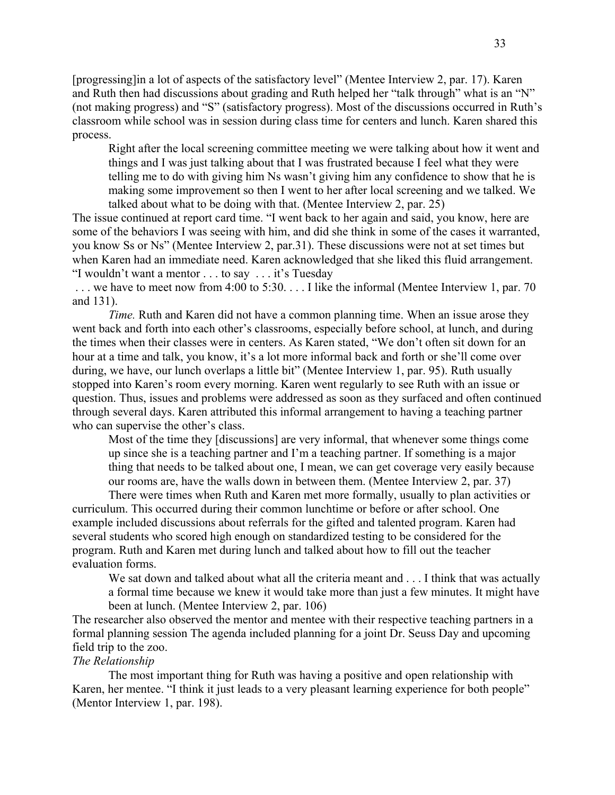[progressing]in a lot of aspects of the satisfactory level" (Mentee Interview 2, par. 17). Karen and Ruth then had discussions about grading and Ruth helped her "talk through" what is an "N" (not making progress) and "S" (satisfactory progress). Most of the discussions occurred in Ruth's classroom while school was in session during class time for centers and lunch. Karen shared this process.

Right after the local screening committee meeting we were talking about how it went and things and I was just talking about that I was frustrated because I feel what they were telling me to do with giving him Ns wasn't giving him any confidence to show that he is making some improvement so then I went to her after local screening and we talked. We talked about what to be doing with that. (Mentee Interview 2, par. 25)

The issue continued at report card time. "I went back to her again and said, you know, here are some of the behaviors I was seeing with him, and did she think in some of the cases it warranted, you know Ss or Ns" (Mentee Interview 2, par.31). These discussions were not at set times but when Karen had an immediate need. Karen acknowledged that she liked this fluid arrangement. "I wouldn't want a mentor . . . to say . . . it's Tuesday

... we have to meet now from 4:00 to 5:30... I like the informal (Mentee Interview 1, par. 70) and 131).

*Time.* Ruth and Karen did not have a common planning time. When an issue arose they went back and forth into each other's classrooms, especially before school, at lunch, and during the times when their classes were in centers. As Karen stated, "We don't often sit down for an hour at a time and talk, you know, it's a lot more informal back and forth or she'll come over during, we have, our lunch overlaps a little bit" (Mentee Interview 1, par. 95). Ruth usually stopped into Karen's room every morning. Karen went regularly to see Ruth with an issue or question. Thus, issues and problems were addressed as soon as they surfaced and often continued through several days. Karen attributed this informal arrangement to having a teaching partner who can supervise the other's class.

Most of the time they [discussions] are very informal, that whenever some things come up since she is a teaching partner and I'm a teaching partner. If something is a major thing that needs to be talked about one, I mean, we can get coverage very easily because our rooms are, have the walls down in between them. (Mentee Interview 2, par. 37)

 There were times when Ruth and Karen met more formally, usually to plan activities or curriculum. This occurred during their common lunchtime or before or after school. One example included discussions about referrals for the gifted and talented program. Karen had several students who scored high enough on standardized testing to be considered for the program. Ruth and Karen met during lunch and talked about how to fill out the teacher evaluation forms.

We sat down and talked about what all the criteria meant and . . . I think that was actually a formal time because we knew it would take more than just a few minutes. It might have been at lunch. (Mentee Interview 2, par. 106)

The researcher also observed the mentor and mentee with their respective teaching partners in a formal planning session The agenda included planning for a joint Dr. Seuss Day and upcoming field trip to the zoo.

# *The Relationship*

The most important thing for Ruth was having a positive and open relationship with Karen, her mentee. "I think it just leads to a very pleasant learning experience for both people" (Mentor Interview 1, par. 198).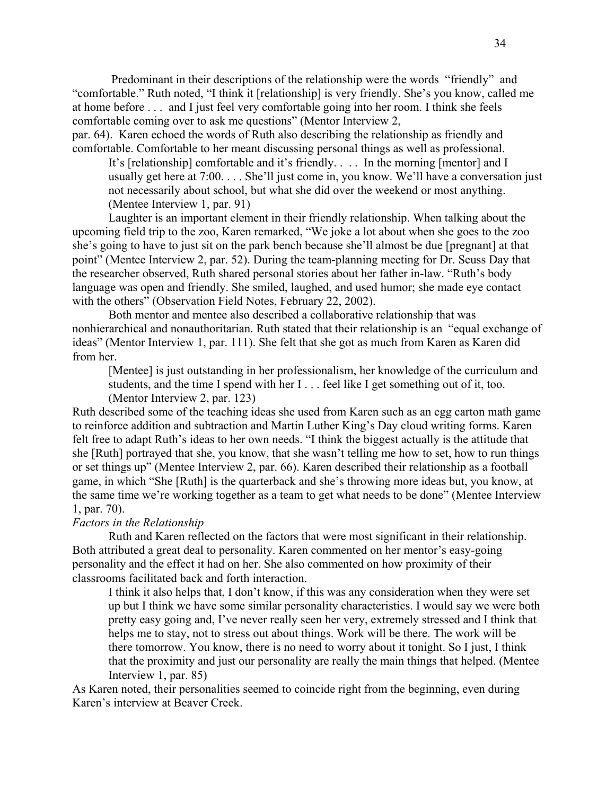Predominant in their descriptions of the relationship were the words "friendly" and "comfortable." Ruth noted, "I think it [relationship] is very friendly. She's you know, called me at home before . . . and I just feel very comfortable going into her room. I think she feels comfortable coming over to ask me questions" (Mentor Interview 2,

par. 64). Karen echoed the words of Ruth also describing the relationship as friendly and comfortable. Comfortable to her meant discussing personal things as well as professional.

It's [relationship] comfortable and it's friendly. . . . In the morning [mentor] and I usually get here at 7:00. . . . She'll just come in, you know. We'll have a conversation just not necessarily about school, but what she did over the weekend or most anything. (Mentee Interview 1, par. 91)

Laughter is an important element in their friendly relationship. When talking about the upcoming field trip to the zoo, Karen remarked, "We joke a lot about when she goes to the zoo she's going to have to just sit on the park bench because she'll almost be due [pregnant] at that point" (Mentee Interview 2, par. 52). During the team-planning meeting for Dr. Seuss Day that the researcher observed, Ruth shared personal stories about her father in-law. "Ruth's body language was open and friendly. She smiled, laughed, and used humor; she made eye contact with the others" (Observation Field Notes, February 22, 2002).

Both mentor and mentee also described a collaborative relationship that was nonhierarchical and nonauthoritarian. Ruth stated that their relationship is an "equal exchange of ideas" (Mentor Interview 1, par. 111). She felt that she got as much from Karen as Karen did from her.

[Mentee] is just outstanding in her professionalism, her knowledge of the curriculum and students, and the time I spend with her I . . . feel like I get something out of it, too. (Mentor Interview 2, par. 123)

Ruth described some of the teaching ideas she used from Karen such as an egg carton math game to reinforce addition and subtraction and Martin Luther King's Day cloud writing forms. Karen felt free to adapt Ruth's ideas to her own needs. "I think the biggest actually is the attitude that she [Ruth] portrayed that she, you know, that she wasn't telling me how to set, how to run things or set things up" (Mentee Interview 2, par. 66). Karen described their relationship as a football game, in which "She [Ruth] is the quarterback and she's throwing more ideas but, you know, at the same time we're working together as a team to get what needs to be done" (Mentee Interview 1, par. 70).

### *Factors in the Relationship*

Ruth and Karen reflected on the factors that were most significant in their relationship. Both attributed a great deal to personality. Karen commented on her mentor's easy-going personality and the effect it had on her. She also commented on how proximity of their classrooms facilitated back and forth interaction.

I think it also helps that, I don't know, if this was any consideration when they were set up but I think we have some similar personality characteristics. I would say we were both pretty easy going and, I've never really seen her very, extremely stressed and I think that helps me to stay, not to stress out about things. Work will be there. The work will be there tomorrow. You know, there is no need to worry about it tonight. So I just, I think that the proximity and just our personality are really the main things that helped. (Mentee Interview 1, par. 85)

As Karen noted, their personalities seemed to coincide right from the beginning, even during Karen's interview at Beaver Creek.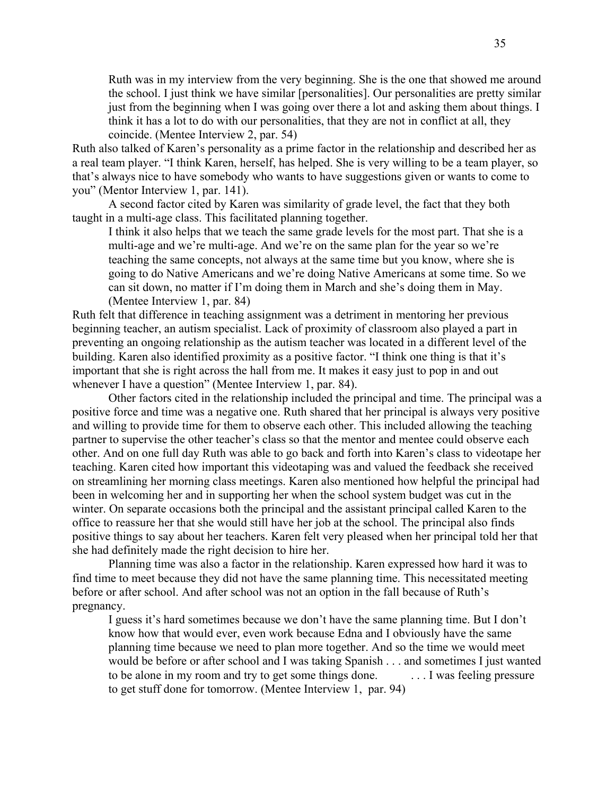Ruth was in my interview from the very beginning. She is the one that showed me around the school. I just think we have similar [personalities]. Our personalities are pretty similar just from the beginning when I was going over there a lot and asking them about things. I think it has a lot to do with our personalities, that they are not in conflict at all, they coincide. (Mentee Interview 2, par. 54)

Ruth also talked of Karen's personality as a prime factor in the relationship and described her as a real team player. "I think Karen, herself, has helped. She is very willing to be a team player, so that's always nice to have somebody who wants to have suggestions given or wants to come to you" (Mentor Interview 1, par. 141).

A second factor cited by Karen was similarity of grade level, the fact that they both taught in a multi-age class. This facilitated planning together.

I think it also helps that we teach the same grade levels for the most part. That she is a multi-age and we're multi-age. And we're on the same plan for the year so we're teaching the same concepts, not always at the same time but you know, where she is going to do Native Americans and we're doing Native Americans at some time. So we can sit down, no matter if I'm doing them in March and she's doing them in May. (Mentee Interview 1, par. 84)

Ruth felt that difference in teaching assignment was a detriment in mentoring her previous beginning teacher, an autism specialist. Lack of proximity of classroom also played a part in preventing an ongoing relationship as the autism teacher was located in a different level of the building. Karen also identified proximity as a positive factor. "I think one thing is that it's important that she is right across the hall from me. It makes it easy just to pop in and out whenever I have a question" (Mentee Interview 1, par. 84).

Other factors cited in the relationship included the principal and time. The principal was a positive force and time was a negative one. Ruth shared that her principal is always very positive and willing to provide time for them to observe each other. This included allowing the teaching partner to supervise the other teacher's class so that the mentor and mentee could observe each other. And on one full day Ruth was able to go back and forth into Karen's class to videotape her teaching. Karen cited how important this videotaping was and valued the feedback she received on streamlining her morning class meetings. Karen also mentioned how helpful the principal had been in welcoming her and in supporting her when the school system budget was cut in the winter. On separate occasions both the principal and the assistant principal called Karen to the office to reassure her that she would still have her job at the school. The principal also finds positive things to say about her teachers. Karen felt very pleased when her principal told her that she had definitely made the right decision to hire her.

Planning time was also a factor in the relationship. Karen expressed how hard it was to find time to meet because they did not have the same planning time. This necessitated meeting before or after school. And after school was not an option in the fall because of Ruth's pregnancy.

I guess it's hard sometimes because we don't have the same planning time. But I don't know how that would ever, even work because Edna and I obviously have the same planning time because we need to plan more together. And so the time we would meet would be before or after school and I was taking Spanish . . . and sometimes I just wanted to be alone in my room and try to get some things done. . . . I was feeling pressure to get stuff done for tomorrow. (Mentee Interview 1, par. 94)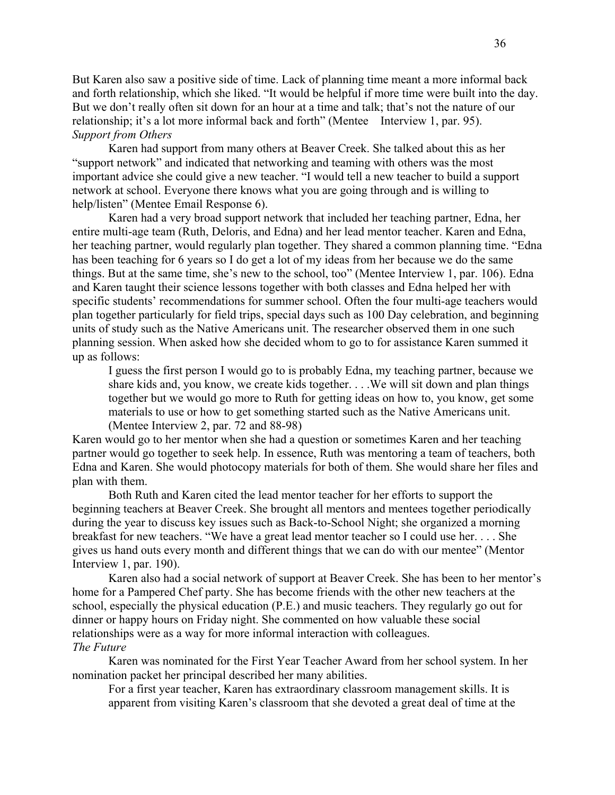But Karen also saw a positive side of time. Lack of planning time meant a more informal back and forth relationship, which she liked. "It would be helpful if more time were built into the day. But we don't really often sit down for an hour at a time and talk; that's not the nature of our relationship; it's a lot more informal back and forth" (Mentee Interview 1, par. 95). *Support from Others* 

Karen had support from many others at Beaver Creek. She talked about this as her "support network" and indicated that networking and teaming with others was the most important advice she could give a new teacher. "I would tell a new teacher to build a support network at school. Everyone there knows what you are going through and is willing to help/listen" (Mentee Email Response 6).

Karen had a very broad support network that included her teaching partner, Edna, her entire multi-age team (Ruth, Deloris, and Edna) and her lead mentor teacher. Karen and Edna, her teaching partner, would regularly plan together. They shared a common planning time. "Edna has been teaching for 6 years so I do get a lot of my ideas from her because we do the same things. But at the same time, she's new to the school, too" (Mentee Interview 1, par. 106). Edna and Karen taught their science lessons together with both classes and Edna helped her with specific students' recommendations for summer school. Often the four multi-age teachers would plan together particularly for field trips, special days such as 100 Day celebration, and beginning units of study such as the Native Americans unit. The researcher observed them in one such planning session. When asked how she decided whom to go to for assistance Karen summed it up as follows:

I guess the first person I would go to is probably Edna, my teaching partner, because we share kids and, you know, we create kids together. . . .We will sit down and plan things together but we would go more to Ruth for getting ideas on how to, you know, get some materials to use or how to get something started such as the Native Americans unit. (Mentee Interview 2, par. 72 and 88-98)

Karen would go to her mentor when she had a question or sometimes Karen and her teaching partner would go together to seek help. In essence, Ruth was mentoring a team of teachers, both Edna and Karen. She would photocopy materials for both of them. She would share her files and plan with them.

Both Ruth and Karen cited the lead mentor teacher for her efforts to support the beginning teachers at Beaver Creek. She brought all mentors and mentees together periodically during the year to discuss key issues such as Back-to-School Night; she organized a morning breakfast for new teachers. "We have a great lead mentor teacher so I could use her. . . . She gives us hand outs every month and different things that we can do with our mentee" (Mentor Interview 1, par. 190).

Karen also had a social network of support at Beaver Creek. She has been to her mentor's home for a Pampered Chef party. She has become friends with the other new teachers at the school, especially the physical education (P.E.) and music teachers. They regularly go out for dinner or happy hours on Friday night. She commented on how valuable these social relationships were as a way for more informal interaction with colleagues. *The Future* 

Karen was nominated for the First Year Teacher Award from her school system. In her nomination packet her principal described her many abilities.

For a first year teacher, Karen has extraordinary classroom management skills. It is apparent from visiting Karen's classroom that she devoted a great deal of time at the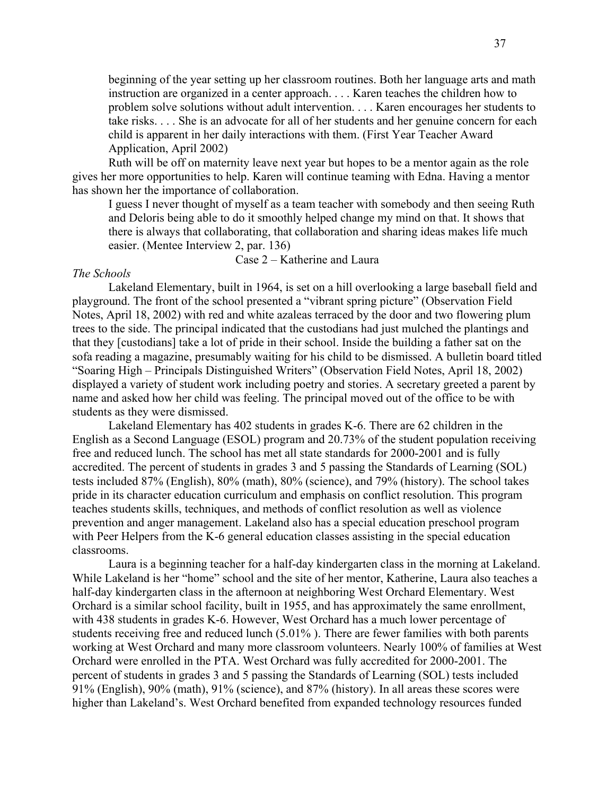beginning of the year setting up her classroom routines. Both her language arts and math instruction are organized in a center approach. . . . Karen teaches the children how to problem solve solutions without adult intervention. . . . Karen encourages her students to take risks. . . . She is an advocate for all of her students and her genuine concern for each child is apparent in her daily interactions with them. (First Year Teacher Award Application, April 2002)

Ruth will be off on maternity leave next year but hopes to be a mentor again as the role gives her more opportunities to help. Karen will continue teaming with Edna. Having a mentor has shown her the importance of collaboration.

I guess I never thought of myself as a team teacher with somebody and then seeing Ruth and Deloris being able to do it smoothly helped change my mind on that. It shows that there is always that collaborating, that collaboration and sharing ideas makes life much easier. (Mentee Interview 2, par. 136)

Case 2 – Katherine and Laura

#### *The Schools*

Lakeland Elementary, built in 1964, is set on a hill overlooking a large baseball field and playground. The front of the school presented a "vibrant spring picture" (Observation Field Notes, April 18, 2002) with red and white azaleas terraced by the door and two flowering plum trees to the side. The principal indicated that the custodians had just mulched the plantings and that they [custodians] take a lot of pride in their school. Inside the building a father sat on the sofa reading a magazine, presumably waiting for his child to be dismissed. A bulletin board titled "Soaring High – Principals Distinguished Writers" (Observation Field Notes, April 18, 2002) displayed a variety of student work including poetry and stories. A secretary greeted a parent by name and asked how her child was feeling. The principal moved out of the office to be with students as they were dismissed.

Lakeland Elementary has 402 students in grades K-6. There are 62 children in the English as a Second Language (ESOL) program and 20.73% of the student population receiving free and reduced lunch. The school has met all state standards for 2000-2001 and is fully accredited. The percent of students in grades 3 and 5 passing the Standards of Learning (SOL) tests included 87% (English), 80% (math), 80% (science), and 79% (history). The school takes pride in its character education curriculum and emphasis on conflict resolution. This program teaches students skills, techniques, and methods of conflict resolution as well as violence prevention and anger management. Lakeland also has a special education preschool program with Peer Helpers from the K-6 general education classes assisting in the special education classrooms.

Laura is a beginning teacher for a half-day kindergarten class in the morning at Lakeland. While Lakeland is her "home" school and the site of her mentor, Katherine, Laura also teaches a half-day kindergarten class in the afternoon at neighboring West Orchard Elementary. West Orchard is a similar school facility, built in 1955, and has approximately the same enrollment, with 438 students in grades K-6. However, West Orchard has a much lower percentage of students receiving free and reduced lunch (5.01% ). There are fewer families with both parents working at West Orchard and many more classroom volunteers. Nearly 100% of families at West Orchard were enrolled in the PTA. West Orchard was fully accredited for 2000-2001. The percent of students in grades 3 and 5 passing the Standards of Learning (SOL) tests included 91% (English), 90% (math), 91% (science), and 87% (history). In all areas these scores were higher than Lakeland's. West Orchard benefited from expanded technology resources funded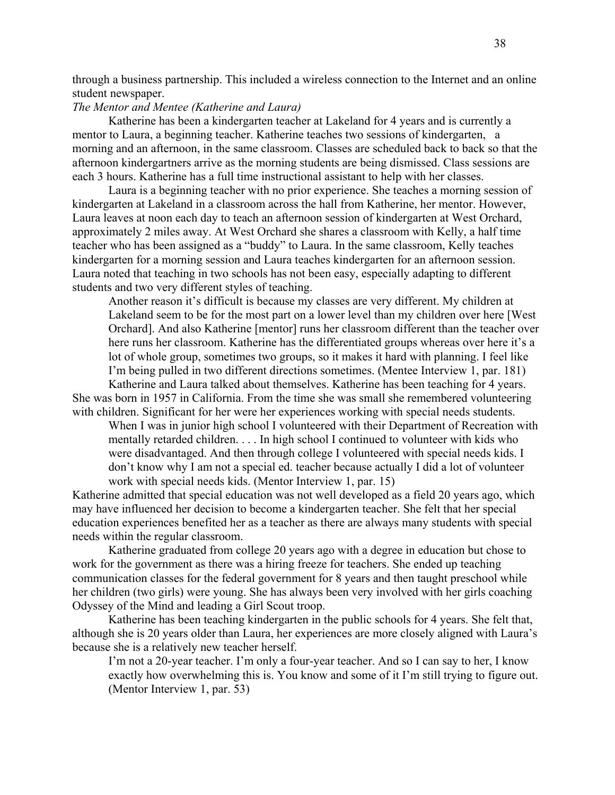through a business partnership. This included a wireless connection to the Internet and an online student newspaper.

## *The Mentor and Mentee (Katherine and Laura)*

Katherine has been a kindergarten teacher at Lakeland for 4 years and is currently a mentor to Laura, a beginning teacher. Katherine teaches two sessions of kindergarten, a morning and an afternoon, in the same classroom. Classes are scheduled back to back so that the afternoon kindergartners arrive as the morning students are being dismissed. Class sessions are each 3 hours. Katherine has a full time instructional assistant to help with her classes.

Laura is a beginning teacher with no prior experience. She teaches a morning session of kindergarten at Lakeland in a classroom across the hall from Katherine, her mentor. However, Laura leaves at noon each day to teach an afternoon session of kindergarten at West Orchard, approximately 2 miles away. At West Orchard she shares a classroom with Kelly, a half time teacher who has been assigned as a "buddy" to Laura. In the same classroom, Kelly teaches kindergarten for a morning session and Laura teaches kindergarten for an afternoon session. Laura noted that teaching in two schools has not been easy, especially adapting to different students and two very different styles of teaching.

Another reason it's difficult is because my classes are very different. My children at Lakeland seem to be for the most part on a lower level than my children over here [West Orchard]. And also Katherine [mentor] runs her classroom different than the teacher over here runs her classroom. Katherine has the differentiated groups whereas over here it's a lot of whole group, sometimes two groups, so it makes it hard with planning. I feel like I'm being pulled in two different directions sometimes. (Mentee Interview 1, par. 181)

Katherine and Laura talked about themselves. Katherine has been teaching for 4 years. She was born in 1957 in California. From the time she was small she remembered volunteering with children. Significant for her were her experiences working with special needs students.

When I was in junior high school I volunteered with their Department of Recreation with mentally retarded children. . . . In high school I continued to volunteer with kids who were disadvantaged. And then through college I volunteered with special needs kids. I don't know why I am not a special ed. teacher because actually I did a lot of volunteer work with special needs kids. (Mentor Interview 1, par. 15)

Katherine admitted that special education was not well developed as a field 20 years ago, which may have influenced her decision to become a kindergarten teacher. She felt that her special education experiences benefited her as a teacher as there are always many students with special needs within the regular classroom.

Katherine graduated from college 20 years ago with a degree in education but chose to work for the government as there was a hiring freeze for teachers. She ended up teaching communication classes for the federal government for 8 years and then taught preschool while her children (two girls) were young. She has always been very involved with her girls coaching Odyssey of the Mind and leading a Girl Scout troop.

Katherine has been teaching kindergarten in the public schools for 4 years. She felt that, although she is 20 years older than Laura, her experiences are more closely aligned with Laura's because she is a relatively new teacher herself.

I'm not a 20-year teacher. I'm only a four-year teacher. And so I can say to her, I know exactly how overwhelming this is. You know and some of it I'm still trying to figure out. (Mentor Interview 1, par. 53)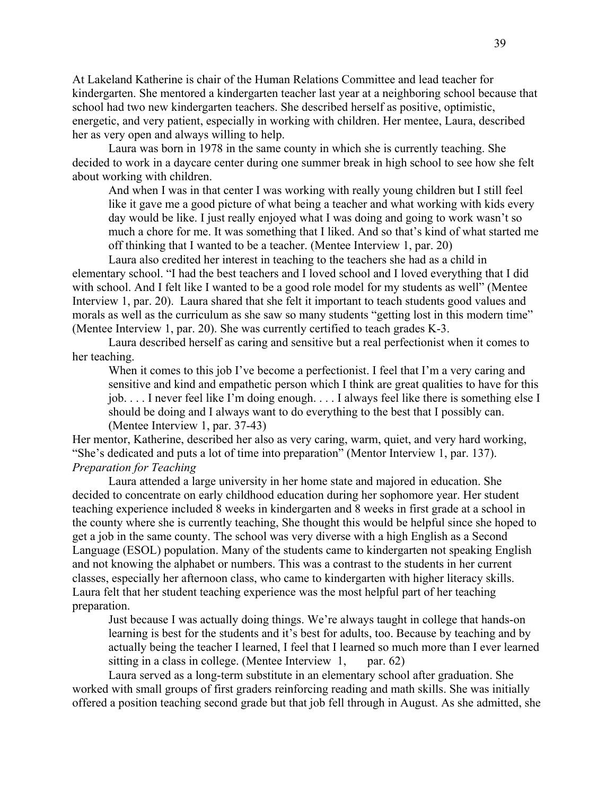At Lakeland Katherine is chair of the Human Relations Committee and lead teacher for kindergarten. She mentored a kindergarten teacher last year at a neighboring school because that school had two new kindergarten teachers. She described herself as positive, optimistic, energetic, and very patient, especially in working with children. Her mentee, Laura, described her as very open and always willing to help.

Laura was born in 1978 in the same county in which she is currently teaching. She decided to work in a daycare center during one summer break in high school to see how she felt about working with children.

And when I was in that center I was working with really young children but I still feel like it gave me a good picture of what being a teacher and what working with kids every day would be like. I just really enjoyed what I was doing and going to work wasn't so much a chore for me. It was something that I liked. And so that's kind of what started me off thinking that I wanted to be a teacher. (Mentee Interview 1, par. 20)

Laura also credited her interest in teaching to the teachers she had as a child in elementary school. "I had the best teachers and I loved school and I loved everything that I did with school. And I felt like I wanted to be a good role model for my students as well" (Mentee Interview 1, par. 20). Laura shared that she felt it important to teach students good values and morals as well as the curriculum as she saw so many students "getting lost in this modern time" (Mentee Interview 1, par. 20). She was currently certified to teach grades K-3.

Laura described herself as caring and sensitive but a real perfectionist when it comes to her teaching.

When it comes to this job I've become a perfectionist. I feel that I'm a very caring and sensitive and kind and empathetic person which I think are great qualities to have for this job. . . . I never feel like I'm doing enough. . . . I always feel like there is something else I should be doing and I always want to do everything to the best that I possibly can. (Mentee Interview 1, par. 37-43)

Her mentor, Katherine, described her also as very caring, warm, quiet, and very hard working, "She's dedicated and puts a lot of time into preparation" (Mentor Interview 1, par. 137). *Preparation for Teaching* 

Laura attended a large university in her home state and majored in education. She decided to concentrate on early childhood education during her sophomore year. Her student teaching experience included 8 weeks in kindergarten and 8 weeks in first grade at a school in the county where she is currently teaching, She thought this would be helpful since she hoped to get a job in the same county. The school was very diverse with a high English as a Second Language (ESOL) population. Many of the students came to kindergarten not speaking English and not knowing the alphabet or numbers. This was a contrast to the students in her current classes, especially her afternoon class, who came to kindergarten with higher literacy skills. Laura felt that her student teaching experience was the most helpful part of her teaching preparation.

Just because I was actually doing things. We're always taught in college that hands-on learning is best for the students and it's best for adults, too. Because by teaching and by actually being the teacher I learned, I feel that I learned so much more than I ever learned sitting in a class in college. (Mentee Interview  $1$ , par. 62)

Laura served as a long-term substitute in an elementary school after graduation. She worked with small groups of first graders reinforcing reading and math skills. She was initially offered a position teaching second grade but that job fell through in August. As she admitted, she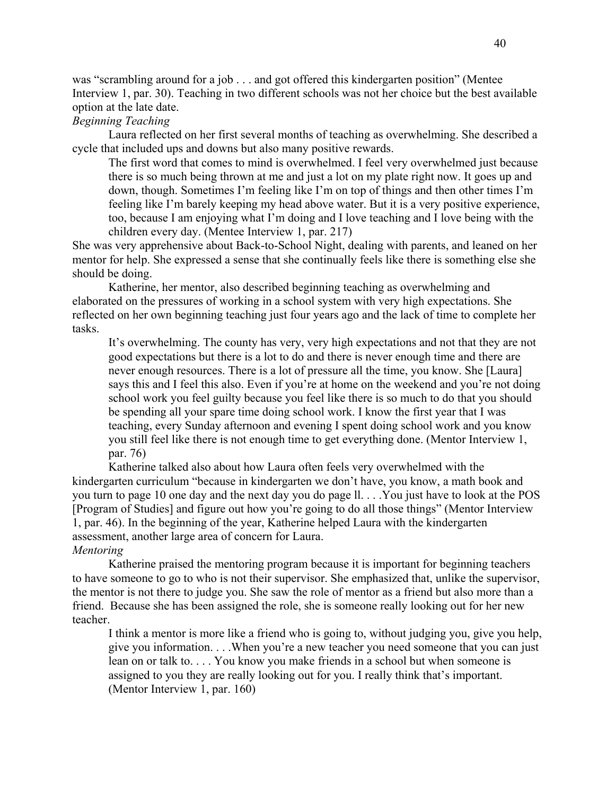was "scrambling around for a job . . . and got offered this kindergarten position" (Mentee Interview 1, par. 30). Teaching in two different schools was not her choice but the best available option at the late date.

# *Beginning Teaching*

Laura reflected on her first several months of teaching as overwhelming. She described a cycle that included ups and downs but also many positive rewards.

The first word that comes to mind is overwhelmed. I feel very overwhelmed just because there is so much being thrown at me and just a lot on my plate right now. It goes up and down, though. Sometimes I'm feeling like I'm on top of things and then other times I'm feeling like I'm barely keeping my head above water. But it is a very positive experience, too, because I am enjoying what I'm doing and I love teaching and I love being with the children every day. (Mentee Interview 1, par. 217)

She was very apprehensive about Back-to-School Night, dealing with parents, and leaned on her mentor for help. She expressed a sense that she continually feels like there is something else she should be doing.

Katherine, her mentor, also described beginning teaching as overwhelming and elaborated on the pressures of working in a school system with very high expectations. She reflected on her own beginning teaching just four years ago and the lack of time to complete her tasks.

It's overwhelming. The county has very, very high expectations and not that they are not good expectations but there is a lot to do and there is never enough time and there are never enough resources. There is a lot of pressure all the time, you know. She [Laura] says this and I feel this also. Even if you're at home on the weekend and you're not doing school work you feel guilty because you feel like there is so much to do that you should be spending all your spare time doing school work. I know the first year that I was teaching, every Sunday afternoon and evening I spent doing school work and you know you still feel like there is not enough time to get everything done. (Mentor Interview 1, par. 76)

Katherine talked also about how Laura often feels very overwhelmed with the kindergarten curriculum "because in kindergarten we don't have, you know, a math book and you turn to page 10 one day and the next day you do page ll. . . .You just have to look at the POS [Program of Studies] and figure out how you're going to do all those things" (Mentor Interview 1, par. 46). In the beginning of the year, Katherine helped Laura with the kindergarten assessment, another large area of concern for Laura.

# *Mentoring*

Katherine praised the mentoring program because it is important for beginning teachers to have someone to go to who is not their supervisor. She emphasized that, unlike the supervisor, the mentor is not there to judge you. She saw the role of mentor as a friend but also more than a friend. Because she has been assigned the role, she is someone really looking out for her new teacher.

I think a mentor is more like a friend who is going to, without judging you, give you help, give you information. . . .When you're a new teacher you need someone that you can just lean on or talk to. . . . You know you make friends in a school but when someone is assigned to you they are really looking out for you. I really think that's important. (Mentor Interview 1, par. 160)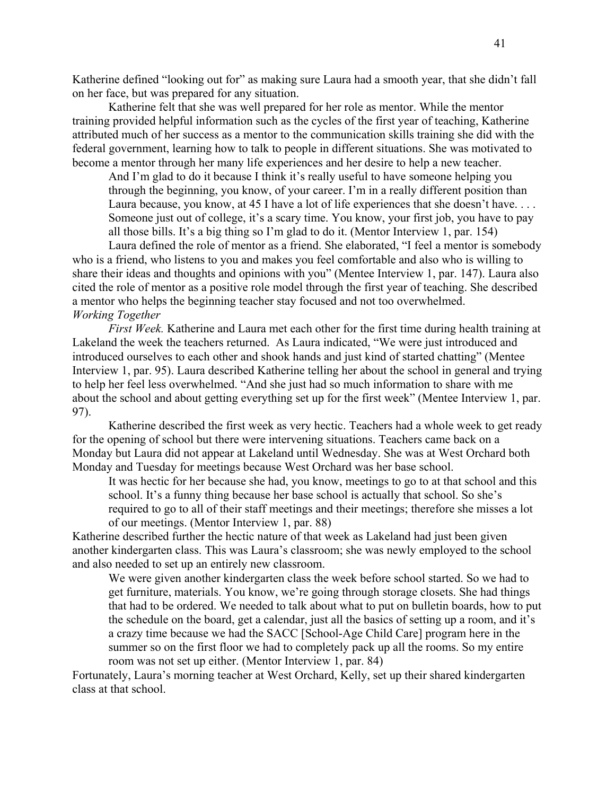Katherine defined "looking out for" as making sure Laura had a smooth year, that she didn't fall on her face, but was prepared for any situation.

Katherine felt that she was well prepared for her role as mentor. While the mentor training provided helpful information such as the cycles of the first year of teaching, Katherine attributed much of her success as a mentor to the communication skills training she did with the federal government, learning how to talk to people in different situations. She was motivated to become a mentor through her many life experiences and her desire to help a new teacher.

And I'm glad to do it because I think it's really useful to have someone helping you through the beginning, you know, of your career. I'm in a really different position than Laura because, you know, at 45 I have a lot of life experiences that she doesn't have... Someone just out of college, it's a scary time. You know, your first job, you have to pay all those bills. It's a big thing so I'm glad to do it. (Mentor Interview 1, par. 154)

Laura defined the role of mentor as a friend. She elaborated, "I feel a mentor is somebody who is a friend, who listens to you and makes you feel comfortable and also who is willing to share their ideas and thoughts and opinions with you" (Mentee Interview 1, par. 147). Laura also cited the role of mentor as a positive role model through the first year of teaching. She described a mentor who helps the beginning teacher stay focused and not too overwhelmed. *Working Together* 

*First Week.* Katherine and Laura met each other for the first time during health training at Lakeland the week the teachers returned. As Laura indicated, "We were just introduced and introduced ourselves to each other and shook hands and just kind of started chatting" (Mentee Interview 1, par. 95). Laura described Katherine telling her about the school in general and trying to help her feel less overwhelmed. "And she just had so much information to share with me about the school and about getting everything set up for the first week" (Mentee Interview 1, par. 97).

Katherine described the first week as very hectic. Teachers had a whole week to get ready for the opening of school but there were intervening situations. Teachers came back on a Monday but Laura did not appear at Lakeland until Wednesday. She was at West Orchard both Monday and Tuesday for meetings because West Orchard was her base school.

It was hectic for her because she had, you know, meetings to go to at that school and this school. It's a funny thing because her base school is actually that school. So she's required to go to all of their staff meetings and their meetings; therefore she misses a lot of our meetings. (Mentor Interview 1, par. 88)

Katherine described further the hectic nature of that week as Lakeland had just been given another kindergarten class. This was Laura's classroom; she was newly employed to the school and also needed to set up an entirely new classroom.

We were given another kindergarten class the week before school started. So we had to get furniture, materials. You know, we're going through storage closets. She had things that had to be ordered. We needed to talk about what to put on bulletin boards, how to put the schedule on the board, get a calendar, just all the basics of setting up a room, and it's a crazy time because we had the SACC [School-Age Child Care] program here in the summer so on the first floor we had to completely pack up all the rooms. So my entire room was not set up either. (Mentor Interview 1, par. 84)

Fortunately, Laura's morning teacher at West Orchard, Kelly, set up their shared kindergarten class at that school.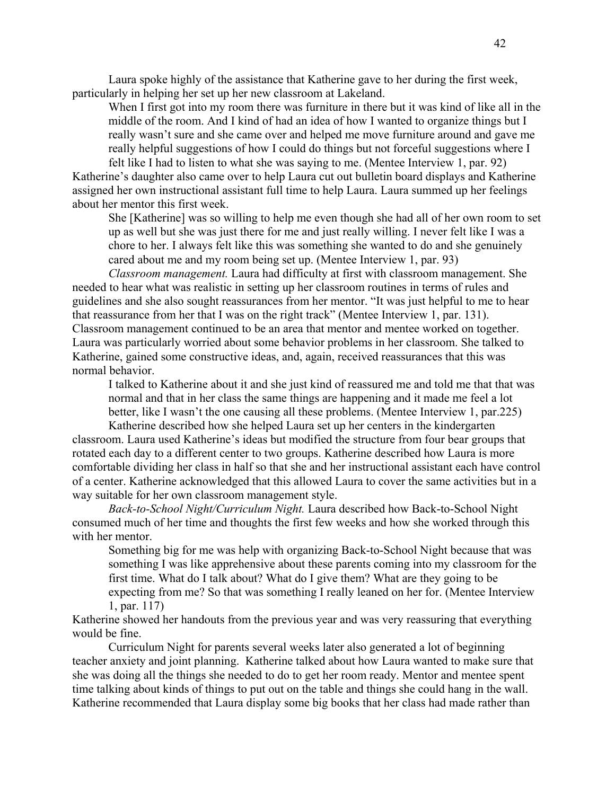Laura spoke highly of the assistance that Katherine gave to her during the first week, particularly in helping her set up her new classroom at Lakeland.

When I first got into my room there was furniture in there but it was kind of like all in the middle of the room. And I kind of had an idea of how I wanted to organize things but I really wasn't sure and she came over and helped me move furniture around and gave me really helpful suggestions of how I could do things but not forceful suggestions where I felt like I had to listen to what she was saying to me. (Mentee Interview 1, par. 92)

Katherine's daughter also came over to help Laura cut out bulletin board displays and Katherine assigned her own instructional assistant full time to help Laura. Laura summed up her feelings about her mentor this first week.

She [Katherine] was so willing to help me even though she had all of her own room to set up as well but she was just there for me and just really willing. I never felt like I was a chore to her. I always felt like this was something she wanted to do and she genuinely cared about me and my room being set up. (Mentee Interview 1, par. 93)

*Classroom management.* Laura had difficulty at first with classroom management. She needed to hear what was realistic in setting up her classroom routines in terms of rules and guidelines and she also sought reassurances from her mentor. "It was just helpful to me to hear that reassurance from her that I was on the right track" (Mentee Interview 1, par. 131). Classroom management continued to be an area that mentor and mentee worked on together. Laura was particularly worried about some behavior problems in her classroom. She talked to Katherine, gained some constructive ideas, and, again, received reassurances that this was normal behavior.

I talked to Katherine about it and she just kind of reassured me and told me that that was normal and that in her class the same things are happening and it made me feel a lot better, like I wasn't the one causing all these problems. (Mentee Interview 1, par.225)

Katherine described how she helped Laura set up her centers in the kindergarten classroom. Laura used Katherine's ideas but modified the structure from four bear groups that rotated each day to a different center to two groups. Katherine described how Laura is more comfortable dividing her class in half so that she and her instructional assistant each have control of a center. Katherine acknowledged that this allowed Laura to cover the same activities but in a way suitable for her own classroom management style.

*Back-to-School Night/Curriculum Night.* Laura described how Back-to-School Night consumed much of her time and thoughts the first few weeks and how she worked through this with her mentor.

Something big for me was help with organizing Back-to-School Night because that was something I was like apprehensive about these parents coming into my classroom for the first time. What do I talk about? What do I give them? What are they going to be expecting from me? So that was something I really leaned on her for. (Mentee Interview 1, par. 117)

Katherine showed her handouts from the previous year and was very reassuring that everything would be fine.

Curriculum Night for parents several weeks later also generated a lot of beginning teacher anxiety and joint planning. Katherine talked about how Laura wanted to make sure that she was doing all the things she needed to do to get her room ready. Mentor and mentee spent time talking about kinds of things to put out on the table and things she could hang in the wall. Katherine recommended that Laura display some big books that her class had made rather than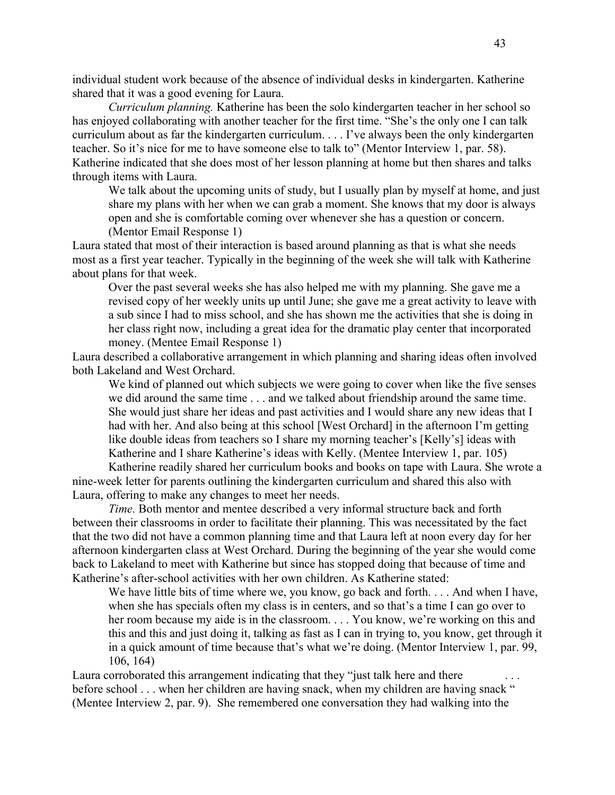individual student work because of the absence of individual desks in kindergarten. Katherine shared that it was a good evening for Laura.

*Curriculum planning.* Katherine has been the solo kindergarten teacher in her school so has enjoyed collaborating with another teacher for the first time. "She's the only one I can talk curriculum about as far the kindergarten curriculum. . . . I've always been the only kindergarten teacher. So it's nice for me to have someone else to talk to" (Mentor Interview 1, par. 58). Katherine indicated that she does most of her lesson planning at home but then shares and talks through items with Laura.

We talk about the upcoming units of study, but I usually plan by myself at home, and just share my plans with her when we can grab a moment. She knows that my door is always open and she is comfortable coming over whenever she has a question or concern. (Mentor Email Response 1)

Laura stated that most of their interaction is based around planning as that is what she needs most as a first year teacher. Typically in the beginning of the week she will talk with Katherine about plans for that week.

Over the past several weeks she has also helped me with my planning. She gave me a revised copy of her weekly units up until June; she gave me a great activity to leave with a sub since I had to miss school, and she has shown me the activities that she is doing in her class right now, including a great idea for the dramatic play center that incorporated money. (Mentee Email Response 1)

Laura described a collaborative arrangement in which planning and sharing ideas often involved both Lakeland and West Orchard.

We kind of planned out which subjects we were going to cover when like the five senses we did around the same time . . . and we talked about friendship around the same time. She would just share her ideas and past activities and I would share any new ideas that I had with her. And also being at this school [West Orchard] in the afternoon I'm getting like double ideas from teachers so I share my morning teacher's [Kelly's] ideas with Katherine and I share Katherine's ideas with Kelly. (Mentee Interview 1, par. 105)

Katherine readily shared her curriculum books and books on tape with Laura. She wrote a nine-week letter for parents outlining the kindergarten curriculum and shared this also with Laura, offering to make any changes to meet her needs.

*Time.* Both mentor and mentee described a very informal structure back and forth between their classrooms in order to facilitate their planning. This was necessitated by the fact that the two did not have a common planning time and that Laura left at noon every day for her afternoon kindergarten class at West Orchard. During the beginning of the year she would come back to Lakeland to meet with Katherine but since has stopped doing that because of time and Katherine's after-school activities with her own children. As Katherine stated:

We have little bits of time where we, you know, go back and forth. . . . And when I have, when she has specials often my class is in centers, and so that's a time I can go over to her room because my aide is in the classroom. . . . You know, we're working on this and this and this and just doing it, talking as fast as I can in trying to, you know, get through it in a quick amount of time because that's what we're doing. (Mentor Interview 1, par. 99, 106, 164)

Laura corroborated this arrangement indicating that they "just talk here and there. before school . . . when her children are having snack, when my children are having snack " (Mentee Interview 2, par. 9). She remembered one conversation they had walking into the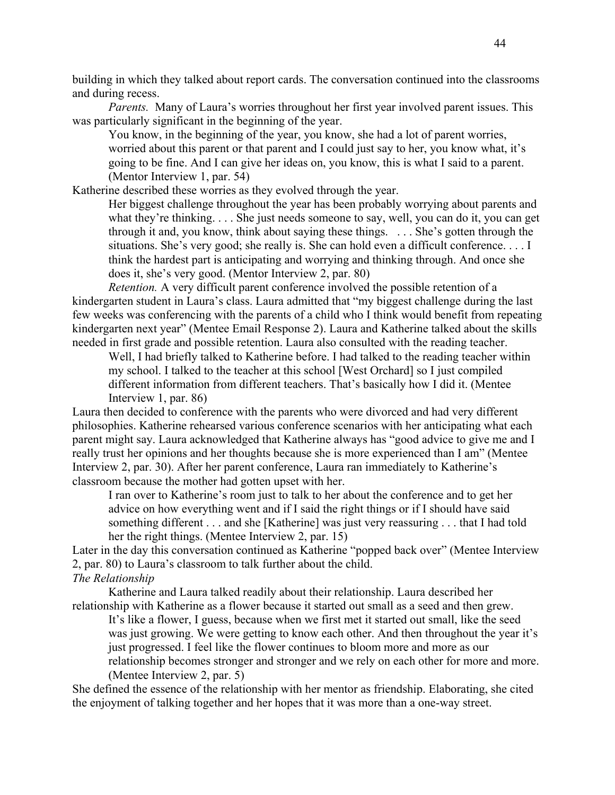building in which they talked about report cards. The conversation continued into the classrooms and during recess.

*Parents.* Many of Laura's worries throughout her first year involved parent issues. This was particularly significant in the beginning of the year.

You know, in the beginning of the year, you know, she had a lot of parent worries, worried about this parent or that parent and I could just say to her, you know what, it's going to be fine. And I can give her ideas on, you know, this is what I said to a parent. (Mentor Interview 1, par. 54)

Katherine described these worries as they evolved through the year.

Her biggest challenge throughout the year has been probably worrying about parents and what they're thinking. . . . She just needs someone to say, well, you can do it, you can get through it and, you know, think about saying these things. . . . She's gotten through the situations. She's very good; she really is. She can hold even a difficult conference. . . . I think the hardest part is anticipating and worrying and thinking through. And once she does it, she's very good. (Mentor Interview 2, par. 80)

*Retention.* A very difficult parent conference involved the possible retention of a kindergarten student in Laura's class. Laura admitted that "my biggest challenge during the last few weeks was conferencing with the parents of a child who I think would benefit from repeating kindergarten next year" (Mentee Email Response 2). Laura and Katherine talked about the skills needed in first grade and possible retention. Laura also consulted with the reading teacher.

Well, I had briefly talked to Katherine before. I had talked to the reading teacher within my school. I talked to the teacher at this school [West Orchard] so I just compiled different information from different teachers. That's basically how I did it. (Mentee Interview 1, par. 86)

Laura then decided to conference with the parents who were divorced and had very different philosophies. Katherine rehearsed various conference scenarios with her anticipating what each parent might say. Laura acknowledged that Katherine always has "good advice to give me and I really trust her opinions and her thoughts because she is more experienced than I am" (Mentee Interview 2, par. 30). After her parent conference, Laura ran immediately to Katherine's classroom because the mother had gotten upset with her.

I ran over to Katherine's room just to talk to her about the conference and to get her advice on how everything went and if I said the right things or if I should have said something different . . . and she [Katherine] was just very reassuring . . . that I had told her the right things. (Mentee Interview 2, par. 15)

Later in the day this conversation continued as Katherine "popped back over" (Mentee Interview 2, par. 80) to Laura's classroom to talk further about the child. *The Relationship* 

Katherine and Laura talked readily about their relationship. Laura described her relationship with Katherine as a flower because it started out small as a seed and then grew.

It's like a flower, I guess, because when we first met it started out small, like the seed was just growing. We were getting to know each other. And then throughout the year it's just progressed. I feel like the flower continues to bloom more and more as our relationship becomes stronger and stronger and we rely on each other for more and more. (Mentee Interview 2, par. 5)

She defined the essence of the relationship with her mentor as friendship. Elaborating, she cited the enjoyment of talking together and her hopes that it was more than a one-way street.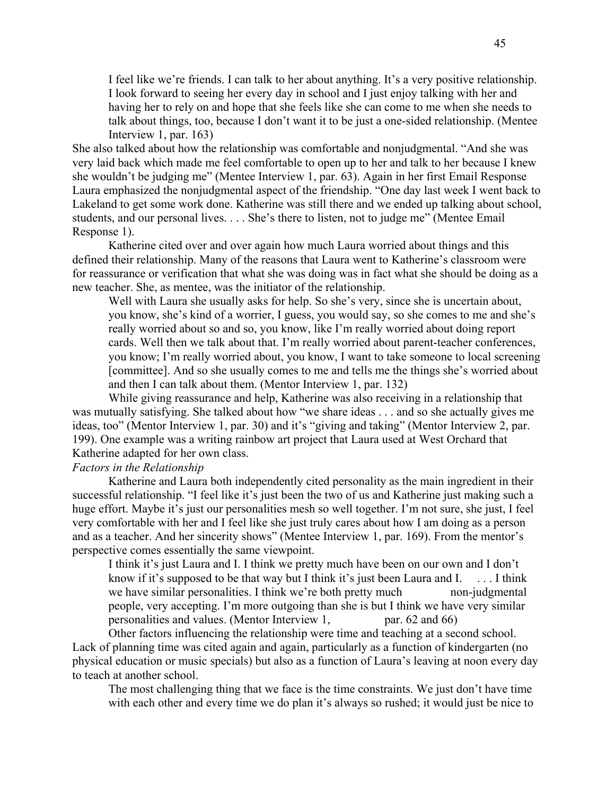I feel like we're friends. I can talk to her about anything. It's a very positive relationship. I look forward to seeing her every day in school and I just enjoy talking with her and having her to rely on and hope that she feels like she can come to me when she needs to talk about things, too, because I don't want it to be just a one-sided relationship. (Mentee Interview 1, par. 163)

She also talked about how the relationship was comfortable and nonjudgmental. "And she was very laid back which made me feel comfortable to open up to her and talk to her because I knew she wouldn't be judging me" (Mentee Interview 1, par. 63). Again in her first Email Response Laura emphasized the nonjudgmental aspect of the friendship. "One day last week I went back to Lakeland to get some work done. Katherine was still there and we ended up talking about school, students, and our personal lives. . . . She's there to listen, not to judge me" (Mentee Email Response 1).

Katherine cited over and over again how much Laura worried about things and this defined their relationship. Many of the reasons that Laura went to Katherine's classroom were for reassurance or verification that what she was doing was in fact what she should be doing as a new teacher. She, as mentee, was the initiator of the relationship.

Well with Laura she usually asks for help. So she's very, since she is uncertain about, you know, she's kind of a worrier, I guess, you would say, so she comes to me and she's really worried about so and so, you know, like I'm really worried about doing report cards. Well then we talk about that. I'm really worried about parent-teacher conferences, you know; I'm really worried about, you know, I want to take someone to local screening [committee]. And so she usually comes to me and tells me the things she's worried about and then I can talk about them. (Mentor Interview 1, par. 132)

While giving reassurance and help, Katherine was also receiving in a relationship that was mutually satisfying. She talked about how "we share ideas . . . and so she actually gives me ideas, too" (Mentor Interview 1, par. 30) and it's "giving and taking" (Mentor Interview 2, par. 199). One example was a writing rainbow art project that Laura used at West Orchard that Katherine adapted for her own class.

## *Factors in the Relationship*

Katherine and Laura both independently cited personality as the main ingredient in their successful relationship. "I feel like it's just been the two of us and Katherine just making such a huge effort. Maybe it's just our personalities mesh so well together. I'm not sure, she just, I feel very comfortable with her and I feel like she just truly cares about how I am doing as a person and as a teacher. And her sincerity shows" (Mentee Interview 1, par. 169). From the mentor's perspective comes essentially the same viewpoint.

I think it's just Laura and I. I think we pretty much have been on our own and I don't know if it's supposed to be that way but I think it's just been Laura and I.  $\ldots$  I think we have similar personalities. I think we're both pretty much non-judgmental people, very accepting. I'm more outgoing than she is but I think we have very similar personalities and values. (Mentor Interview 1, par. 62 and 66)

Other factors influencing the relationship were time and teaching at a second school. Lack of planning time was cited again and again, particularly as a function of kindergarten (no physical education or music specials) but also as a function of Laura's leaving at noon every day to teach at another school.

The most challenging thing that we face is the time constraints. We just don't have time with each other and every time we do plan it's always so rushed; it would just be nice to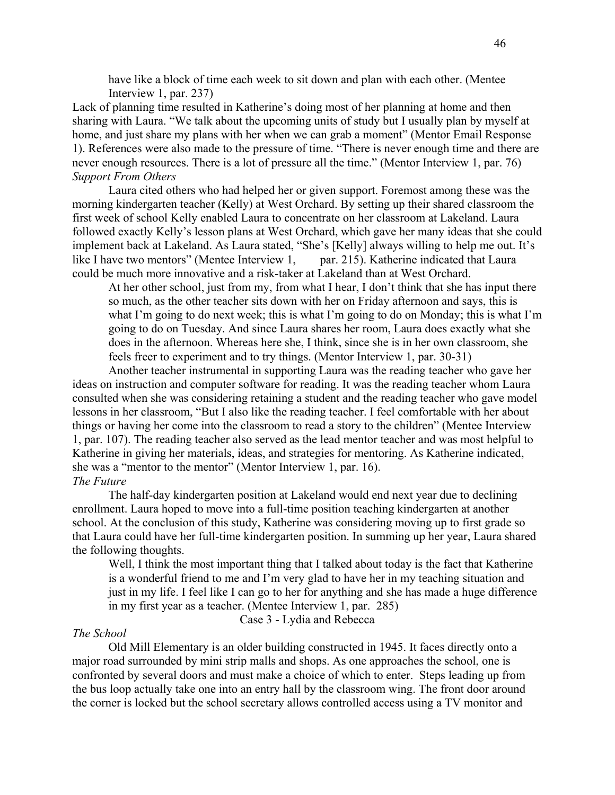have like a block of time each week to sit down and plan with each other. (Mentee Interview 1, par. 237)

Lack of planning time resulted in Katherine's doing most of her planning at home and then sharing with Laura. "We talk about the upcoming units of study but I usually plan by myself at home, and just share my plans with her when we can grab a moment" (Mentor Email Response 1). References were also made to the pressure of time. "There is never enough time and there are never enough resources. There is a lot of pressure all the time." (Mentor Interview 1, par. 76) *Support From Others* 

Laura cited others who had helped her or given support. Foremost among these was the morning kindergarten teacher (Kelly) at West Orchard. By setting up their shared classroom the first week of school Kelly enabled Laura to concentrate on her classroom at Lakeland. Laura followed exactly Kelly's lesson plans at West Orchard, which gave her many ideas that she could implement back at Lakeland. As Laura stated, "She's [Kelly] always willing to help me out. It's like I have two mentors" (Mentee Interview 1, par. 215). Katherine indicated that Laura could be much more innovative and a risk-taker at Lakeland than at West Orchard.

At her other school, just from my, from what I hear, I don't think that she has input there so much, as the other teacher sits down with her on Friday afternoon and says, this is what I'm going to do next week; this is what I'm going to do on Monday; this is what I'm going to do on Tuesday. And since Laura shares her room, Laura does exactly what she does in the afternoon. Whereas here she, I think, since she is in her own classroom, she feels freer to experiment and to try things. (Mentor Interview 1, par. 30-31)

Another teacher instrumental in supporting Laura was the reading teacher who gave her ideas on instruction and computer software for reading. It was the reading teacher whom Laura consulted when she was considering retaining a student and the reading teacher who gave model lessons in her classroom, "But I also like the reading teacher. I feel comfortable with her about things or having her come into the classroom to read a story to the children" (Mentee Interview 1, par. 107). The reading teacher also served as the lead mentor teacher and was most helpful to Katherine in giving her materials, ideas, and strategies for mentoring. As Katherine indicated, she was a "mentor to the mentor" (Mentor Interview 1, par. 16). *The Future* 

The half-day kindergarten position at Lakeland would end next year due to declining enrollment. Laura hoped to move into a full-time position teaching kindergarten at another school. At the conclusion of this study, Katherine was considering moving up to first grade so that Laura could have her full-time kindergarten position. In summing up her year, Laura shared the following thoughts.

Well, I think the most important thing that I talked about today is the fact that Katherine is a wonderful friend to me and I'm very glad to have her in my teaching situation and just in my life. I feel like I can go to her for anything and she has made a huge difference in my first year as a teacher. (Mentee Interview 1, par. 285)

Case 3 - Lydia and Rebecca

#### *The School*

Old Mill Elementary is an older building constructed in 1945. It faces directly onto a major road surrounded by mini strip malls and shops. As one approaches the school, one is confronted by several doors and must make a choice of which to enter. Steps leading up from the bus loop actually take one into an entry hall by the classroom wing. The front door around the corner is locked but the school secretary allows controlled access using a TV monitor and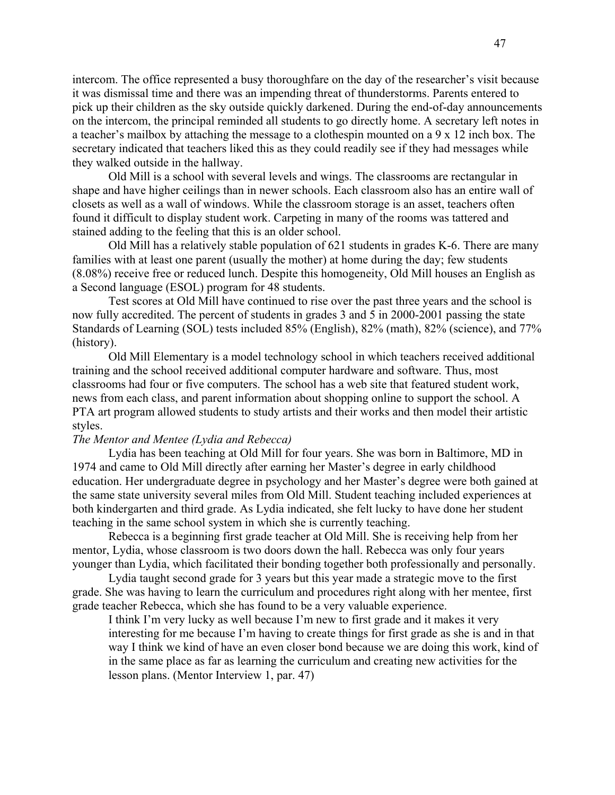intercom. The office represented a busy thoroughfare on the day of the researcher's visit because it was dismissal time and there was an impending threat of thunderstorms. Parents entered to pick up their children as the sky outside quickly darkened. During the end-of-day announcements on the intercom, the principal reminded all students to go directly home. A secretary left notes in a teacher's mailbox by attaching the message to a clothespin mounted on a 9 x 12 inch box. The secretary indicated that teachers liked this as they could readily see if they had messages while they walked outside in the hallway.

Old Mill is a school with several levels and wings. The classrooms are rectangular in shape and have higher ceilings than in newer schools. Each classroom also has an entire wall of closets as well as a wall of windows. While the classroom storage is an asset, teachers often found it difficult to display student work. Carpeting in many of the rooms was tattered and stained adding to the feeling that this is an older school.

Old Mill has a relatively stable population of 621 students in grades K-6. There are many families with at least one parent (usually the mother) at home during the day; few students (8.08%) receive free or reduced lunch. Despite this homogeneity, Old Mill houses an English as a Second language (ESOL) program for 48 students.

Test scores at Old Mill have continued to rise over the past three years and the school is now fully accredited. The percent of students in grades 3 and 5 in 2000-2001 passing the state Standards of Learning (SOL) tests included 85% (English), 82% (math), 82% (science), and 77% (history).

Old Mill Elementary is a model technology school in which teachers received additional training and the school received additional computer hardware and software. Thus, most classrooms had four or five computers. The school has a web site that featured student work, news from each class, and parent information about shopping online to support the school. A PTA art program allowed students to study artists and their works and then model their artistic styles.

## *The Mentor and Mentee (Lydia and Rebecca)*

Lydia has been teaching at Old Mill for four years. She was born in Baltimore, MD in 1974 and came to Old Mill directly after earning her Master's degree in early childhood education. Her undergraduate degree in psychology and her Master's degree were both gained at the same state university several miles from Old Mill. Student teaching included experiences at both kindergarten and third grade. As Lydia indicated, she felt lucky to have done her student teaching in the same school system in which she is currently teaching.

Rebecca is a beginning first grade teacher at Old Mill. She is receiving help from her mentor, Lydia, whose classroom is two doors down the hall. Rebecca was only four years younger than Lydia, which facilitated their bonding together both professionally and personally.

Lydia taught second grade for 3 years but this year made a strategic move to the first grade. She was having to learn the curriculum and procedures right along with her mentee, first grade teacher Rebecca, which she has found to be a very valuable experience.

I think I'm very lucky as well because I'm new to first grade and it makes it very interesting for me because I'm having to create things for first grade as she is and in that way I think we kind of have an even closer bond because we are doing this work, kind of in the same place as far as learning the curriculum and creating new activities for the lesson plans. (Mentor Interview 1, par. 47)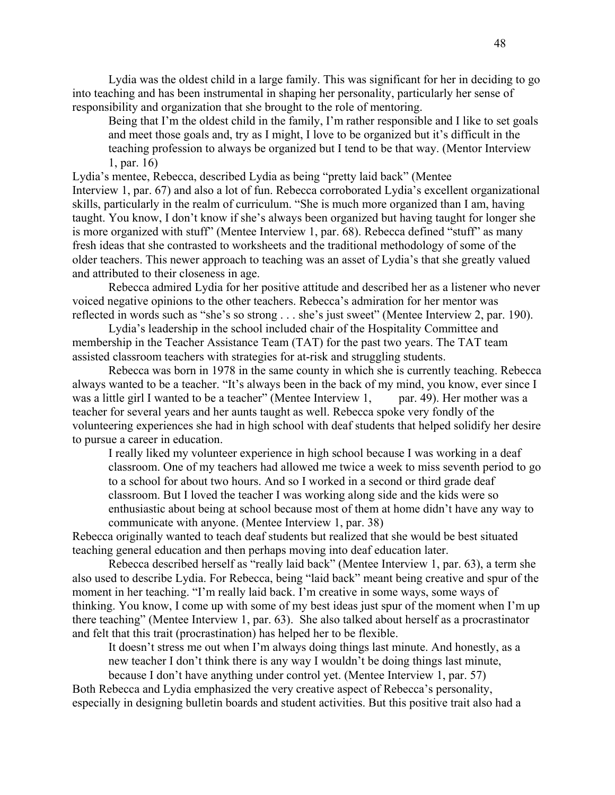Lydia was the oldest child in a large family. This was significant for her in deciding to go into teaching and has been instrumental in shaping her personality, particularly her sense of responsibility and organization that she brought to the role of mentoring.

Being that I'm the oldest child in the family, I'm rather responsible and I like to set goals and meet those goals and, try as I might, I love to be organized but it's difficult in the teaching profession to always be organized but I tend to be that way. (Mentor Interview 1, par. 16)

Lydia's mentee, Rebecca, described Lydia as being "pretty laid back" (Mentee Interview 1, par. 67) and also a lot of fun. Rebecca corroborated Lydia's excellent organizational skills, particularly in the realm of curriculum. "She is much more organized than I am, having taught. You know, I don't know if she's always been organized but having taught for longer she is more organized with stuff" (Mentee Interview 1, par. 68). Rebecca defined "stuff" as many fresh ideas that she contrasted to worksheets and the traditional methodology of some of the older teachers. This newer approach to teaching was an asset of Lydia's that she greatly valued and attributed to their closeness in age.

Rebecca admired Lydia for her positive attitude and described her as a listener who never voiced negative opinions to the other teachers. Rebecca's admiration for her mentor was reflected in words such as "she's so strong . . . she's just sweet" (Mentee Interview 2, par. 190).

Lydia's leadership in the school included chair of the Hospitality Committee and membership in the Teacher Assistance Team (TAT) for the past two years. The TAT team assisted classroom teachers with strategies for at-risk and struggling students.

Rebecca was born in 1978 in the same county in which she is currently teaching. Rebecca always wanted to be a teacher. "It's always been in the back of my mind, you know, ever since I was a little girl I wanted to be a teacher" (Mentee Interview 1, par. 49). Her mother was a teacher for several years and her aunts taught as well. Rebecca spoke very fondly of the volunteering experiences she had in high school with deaf students that helped solidify her desire to pursue a career in education.

I really liked my volunteer experience in high school because I was working in a deaf classroom. One of my teachers had allowed me twice a week to miss seventh period to go to a school for about two hours. And so I worked in a second or third grade deaf classroom. But I loved the teacher I was working along side and the kids were so enthusiastic about being at school because most of them at home didn't have any way to communicate with anyone. (Mentee Interview 1, par. 38)

Rebecca originally wanted to teach deaf students but realized that she would be best situated teaching general education and then perhaps moving into deaf education later.

Rebecca described herself as "really laid back" (Mentee Interview 1, par. 63), a term she also used to describe Lydia. For Rebecca, being "laid back" meant being creative and spur of the moment in her teaching. "I'm really laid back. I'm creative in some ways, some ways of thinking. You know, I come up with some of my best ideas just spur of the moment when I'm up there teaching" (Mentee Interview 1, par. 63). She also talked about herself as a procrastinator and felt that this trait (procrastination) has helped her to be flexible.

It doesn't stress me out when I'm always doing things last minute. And honestly, as a new teacher I don't think there is any way I wouldn't be doing things last minute,

because I don't have anything under control yet. (Mentee Interview 1, par. 57) Both Rebecca and Lydia emphasized the very creative aspect of Rebecca's personality, especially in designing bulletin boards and student activities. But this positive trait also had a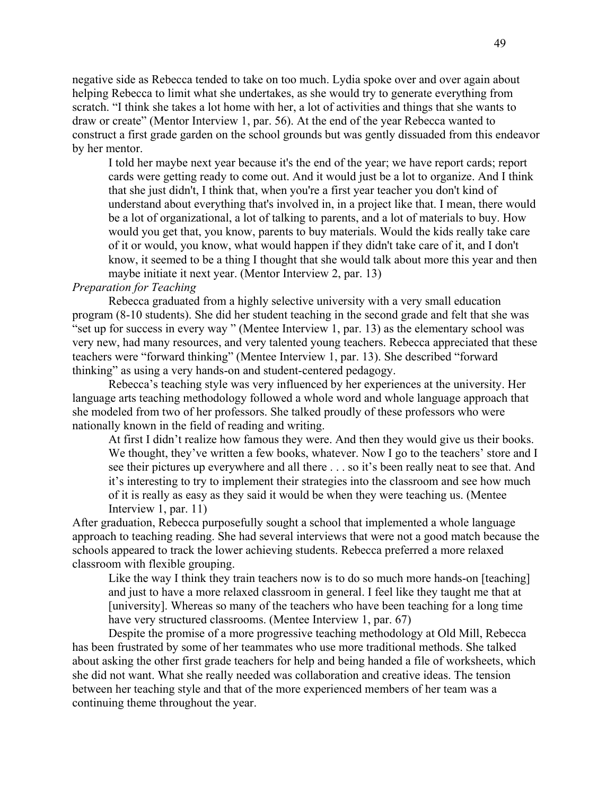negative side as Rebecca tended to take on too much. Lydia spoke over and over again about helping Rebecca to limit what she undertakes, as she would try to generate everything from scratch. "I think she takes a lot home with her, a lot of activities and things that she wants to draw or create" (Mentor Interview 1, par. 56). At the end of the year Rebecca wanted to construct a first grade garden on the school grounds but was gently dissuaded from this endeavor by her mentor.

I told her maybe next year because it's the end of the year; we have report cards; report cards were getting ready to come out. And it would just be a lot to organize. And I think that she just didn't, I think that, when you're a first year teacher you don't kind of understand about everything that's involved in, in a project like that. I mean, there would be a lot of organizational, a lot of talking to parents, and a lot of materials to buy. How would you get that, you know, parents to buy materials. Would the kids really take care of it or would, you know, what would happen if they didn't take care of it, and I don't know, it seemed to be a thing I thought that she would talk about more this year and then maybe initiate it next year. (Mentor Interview 2, par. 13)

# *Preparation for Teaching*

Rebecca graduated from a highly selective university with a very small education program (8-10 students). She did her student teaching in the second grade and felt that she was "set up for success in every way " (Mentee Interview 1, par. 13) as the elementary school was very new, had many resources, and very talented young teachers. Rebecca appreciated that these teachers were "forward thinking" (Mentee Interview 1, par. 13). She described "forward thinking" as using a very hands-on and student-centered pedagogy.

Rebecca's teaching style was very influenced by her experiences at the university. Her language arts teaching methodology followed a whole word and whole language approach that she modeled from two of her professors. She talked proudly of these professors who were nationally known in the field of reading and writing.

At first I didn't realize how famous they were. And then they would give us their books. We thought, they've written a few books, whatever. Now I go to the teachers' store and I see their pictures up everywhere and all there . . . so it's been really neat to see that. And it's interesting to try to implement their strategies into the classroom and see how much of it is really as easy as they said it would be when they were teaching us. (Mentee Interview 1, par. 11)

After graduation, Rebecca purposefully sought a school that implemented a whole language approach to teaching reading. She had several interviews that were not a good match because the schools appeared to track the lower achieving students. Rebecca preferred a more relaxed classroom with flexible grouping.

Like the way I think they train teachers now is to do so much more hands-on [teaching] and just to have a more relaxed classroom in general. I feel like they taught me that at [university]. Whereas so many of the teachers who have been teaching for a long time have very structured classrooms. (Mentee Interview 1, par. 67)

Despite the promise of a more progressive teaching methodology at Old Mill, Rebecca has been frustrated by some of her teammates who use more traditional methods. She talked about asking the other first grade teachers for help and being handed a file of worksheets, which she did not want. What she really needed was collaboration and creative ideas. The tension between her teaching style and that of the more experienced members of her team was a continuing theme throughout the year.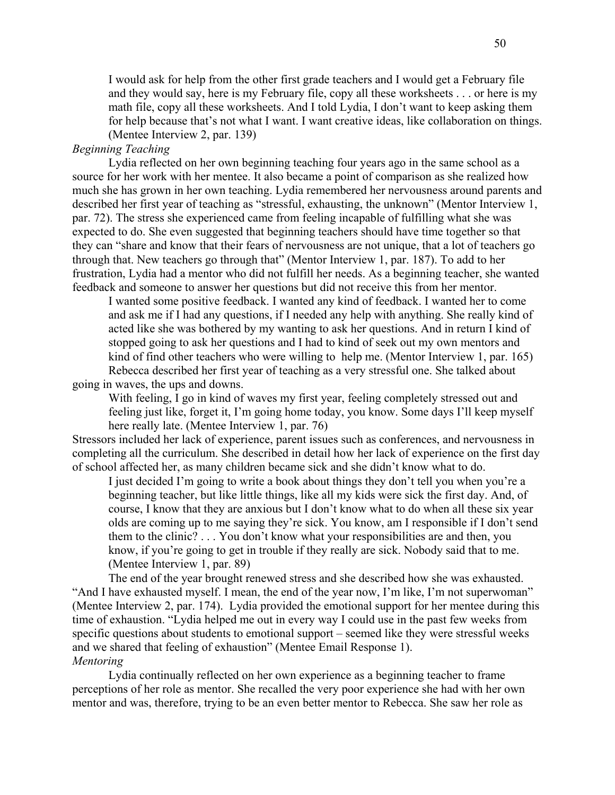I would ask for help from the other first grade teachers and I would get a February file and they would say, here is my February file, copy all these worksheets . . . or here is my math file, copy all these worksheets. And I told Lydia, I don't want to keep asking them for help because that's not what I want. I want creative ideas, like collaboration on things. (Mentee Interview 2, par. 139)

# *Beginning Teaching*

Lydia reflected on her own beginning teaching four years ago in the same school as a source for her work with her mentee. It also became a point of comparison as she realized how much she has grown in her own teaching. Lydia remembered her nervousness around parents and described her first year of teaching as "stressful, exhausting, the unknown" (Mentor Interview 1, par. 72). The stress she experienced came from feeling incapable of fulfilling what she was expected to do. She even suggested that beginning teachers should have time together so that they can "share and know that their fears of nervousness are not unique, that a lot of teachers go through that. New teachers go through that" (Mentor Interview 1, par. 187). To add to her frustration, Lydia had a mentor who did not fulfill her needs. As a beginning teacher, she wanted feedback and someone to answer her questions but did not receive this from her mentor.

I wanted some positive feedback. I wanted any kind of feedback. I wanted her to come and ask me if I had any questions, if I needed any help with anything. She really kind of acted like she was bothered by my wanting to ask her questions. And in return I kind of stopped going to ask her questions and I had to kind of seek out my own mentors and kind of find other teachers who were willing to help me. (Mentor Interview 1, par. 165) Rebecca described her first year of teaching as a very stressful one. She talked about

going in waves, the ups and downs.

With feeling, I go in kind of waves my first year, feeling completely stressed out and feeling just like, forget it, I'm going home today, you know. Some days I'll keep myself here really late. (Mentee Interview 1, par. 76)

Stressors included her lack of experience, parent issues such as conferences, and nervousness in completing all the curriculum. She described in detail how her lack of experience on the first day of school affected her, as many children became sick and she didn't know what to do.

I just decided I'm going to write a book about things they don't tell you when you're a beginning teacher, but like little things, like all my kids were sick the first day. And, of course, I know that they are anxious but I don't know what to do when all these six year olds are coming up to me saying they're sick. You know, am I responsible if I don't send them to the clinic? . . . You don't know what your responsibilities are and then, you know, if you're going to get in trouble if they really are sick. Nobody said that to me. (Mentee Interview 1, par. 89)

The end of the year brought renewed stress and she described how she was exhausted. "And I have exhausted myself. I mean, the end of the year now, I'm like, I'm not superwoman" (Mentee Interview 2, par. 174). Lydia provided the emotional support for her mentee during this time of exhaustion. "Lydia helped me out in every way I could use in the past few weeks from specific questions about students to emotional support – seemed like they were stressful weeks and we shared that feeling of exhaustion" (Mentee Email Response 1). *Mentoring* 

Lydia continually reflected on her own experience as a beginning teacher to frame perceptions of her role as mentor. She recalled the very poor experience she had with her own mentor and was, therefore, trying to be an even better mentor to Rebecca. She saw her role as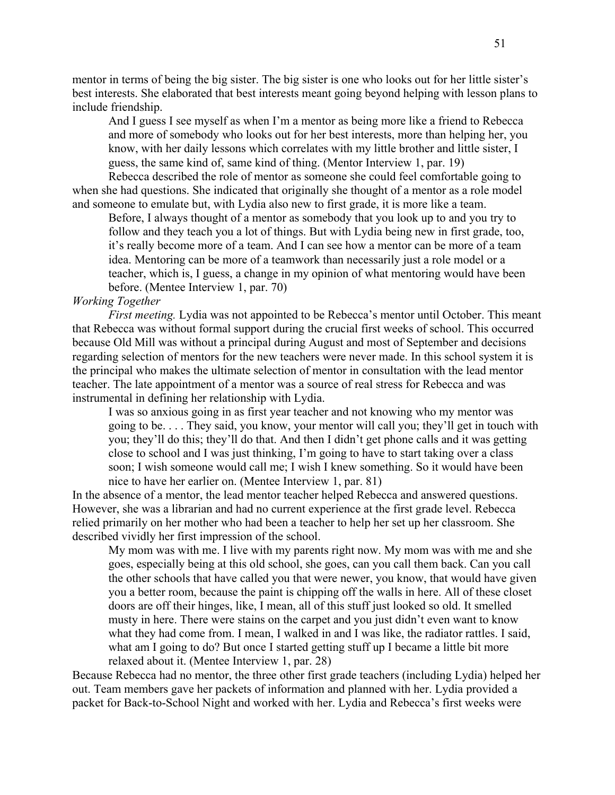mentor in terms of being the big sister. The big sister is one who looks out for her little sister's best interests. She elaborated that best interests meant going beyond helping with lesson plans to include friendship.

And I guess I see myself as when I'm a mentor as being more like a friend to Rebecca and more of somebody who looks out for her best interests, more than helping her, you know, with her daily lessons which correlates with my little brother and little sister, I guess, the same kind of, same kind of thing. (Mentor Interview 1, par. 19)

Rebecca described the role of mentor as someone she could feel comfortable going to when she had questions. She indicated that originally she thought of a mentor as a role model and someone to emulate but, with Lydia also new to first grade, it is more like a team.

Before, I always thought of a mentor as somebody that you look up to and you try to follow and they teach you a lot of things. But with Lydia being new in first grade, too, it's really become more of a team. And I can see how a mentor can be more of a team idea. Mentoring can be more of a teamwork than necessarily just a role model or a teacher, which is, I guess, a change in my opinion of what mentoring would have been before. (Mentee Interview 1, par. 70)

# *Working Together*

*First meeting.* Lydia was not appointed to be Rebecca's mentor until October. This meant that Rebecca was without formal support during the crucial first weeks of school. This occurred because Old Mill was without a principal during August and most of September and decisions regarding selection of mentors for the new teachers were never made. In this school system it is the principal who makes the ultimate selection of mentor in consultation with the lead mentor teacher. The late appointment of a mentor was a source of real stress for Rebecca and was instrumental in defining her relationship with Lydia.

I was so anxious going in as first year teacher and not knowing who my mentor was going to be. . . . They said, you know, your mentor will call you; they'll get in touch with you; they'll do this; they'll do that. And then I didn't get phone calls and it was getting close to school and I was just thinking, I'm going to have to start taking over a class soon; I wish someone would call me; I wish I knew something. So it would have been nice to have her earlier on. (Mentee Interview 1, par. 81)

In the absence of a mentor, the lead mentor teacher helped Rebecca and answered questions. However, she was a librarian and had no current experience at the first grade level. Rebecca relied primarily on her mother who had been a teacher to help her set up her classroom. She described vividly her first impression of the school.

My mom was with me. I live with my parents right now. My mom was with me and she goes, especially being at this old school, she goes, can you call them back. Can you call the other schools that have called you that were newer, you know, that would have given you a better room, because the paint is chipping off the walls in here. All of these closet doors are off their hinges, like, I mean, all of this stuff just looked so old. It smelled musty in here. There were stains on the carpet and you just didn't even want to know what they had come from. I mean, I walked in and I was like, the radiator rattles. I said, what am I going to do? But once I started getting stuff up I became a little bit more relaxed about it. (Mentee Interview 1, par. 28)

Because Rebecca had no mentor, the three other first grade teachers (including Lydia) helped her out. Team members gave her packets of information and planned with her. Lydia provided a packet for Back-to-School Night and worked with her. Lydia and Rebecca's first weeks were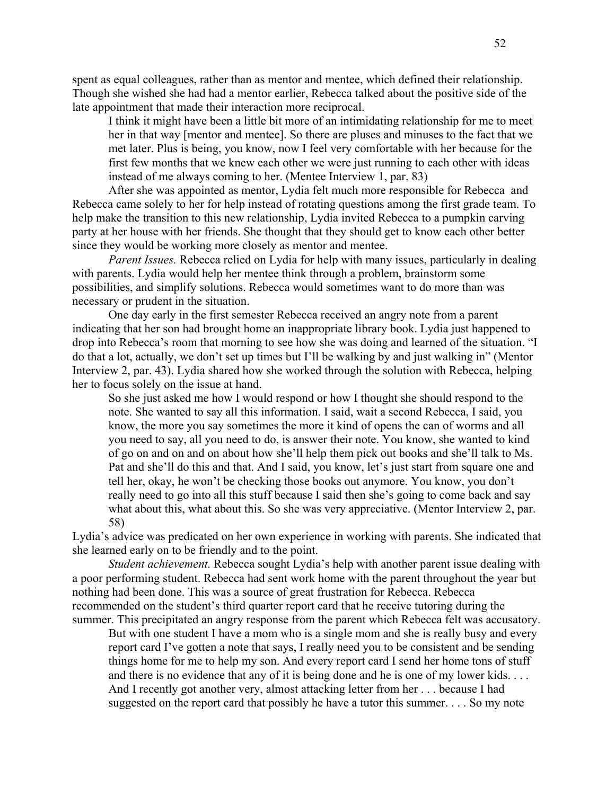spent as equal colleagues, rather than as mentor and mentee, which defined their relationship. Though she wished she had had a mentor earlier, Rebecca talked about the positive side of the late appointment that made their interaction more reciprocal.

I think it might have been a little bit more of an intimidating relationship for me to meet her in that way [mentor and mentee]. So there are pluses and minuses to the fact that we met later. Plus is being, you know, now I feel very comfortable with her because for the first few months that we knew each other we were just running to each other with ideas instead of me always coming to her. (Mentee Interview 1, par. 83)

After she was appointed as mentor, Lydia felt much more responsible for Rebecca and Rebecca came solely to her for help instead of rotating questions among the first grade team. To help make the transition to this new relationship, Lydia invited Rebecca to a pumpkin carving party at her house with her friends. She thought that they should get to know each other better since they would be working more closely as mentor and mentee.

*Parent Issues.* Rebecca relied on Lydia for help with many issues, particularly in dealing with parents. Lydia would help her mentee think through a problem, brainstorm some possibilities, and simplify solutions. Rebecca would sometimes want to do more than was necessary or prudent in the situation.

One day early in the first semester Rebecca received an angry note from a parent indicating that her son had brought home an inappropriate library book. Lydia just happened to drop into Rebecca's room that morning to see how she was doing and learned of the situation. "I do that a lot, actually, we don't set up times but I'll be walking by and just walking in" (Mentor Interview 2, par. 43). Lydia shared how she worked through the solution with Rebecca, helping her to focus solely on the issue at hand.

So she just asked me how I would respond or how I thought she should respond to the note. She wanted to say all this information. I said, wait a second Rebecca, I said, you know, the more you say sometimes the more it kind of opens the can of worms and all you need to say, all you need to do, is answer their note. You know, she wanted to kind of go on and on and on about how she'll help them pick out books and she'll talk to Ms. Pat and she'll do this and that. And I said, you know, let's just start from square one and tell her, okay, he won't be checking those books out anymore. You know, you don't really need to go into all this stuff because I said then she's going to come back and say what about this, what about this. So she was very appreciative. (Mentor Interview 2, par. 58)

Lydia's advice was predicated on her own experience in working with parents. She indicated that she learned early on to be friendly and to the point.

*Student achievement.* Rebecca sought Lydia's help with another parent issue dealing with a poor performing student. Rebecca had sent work home with the parent throughout the year but nothing had been done. This was a source of great frustration for Rebecca. Rebecca recommended on the student's third quarter report card that he receive tutoring during the summer. This precipitated an angry response from the parent which Rebecca felt was accusatory.

But with one student I have a mom who is a single mom and she is really busy and every report card I've gotten a note that says, I really need you to be consistent and be sending things home for me to help my son. And every report card I send her home tons of stuff and there is no evidence that any of it is being done and he is one of my lower kids. . . . And I recently got another very, almost attacking letter from her . . . because I had suggested on the report card that possibly he have a tutor this summer. . . . So my note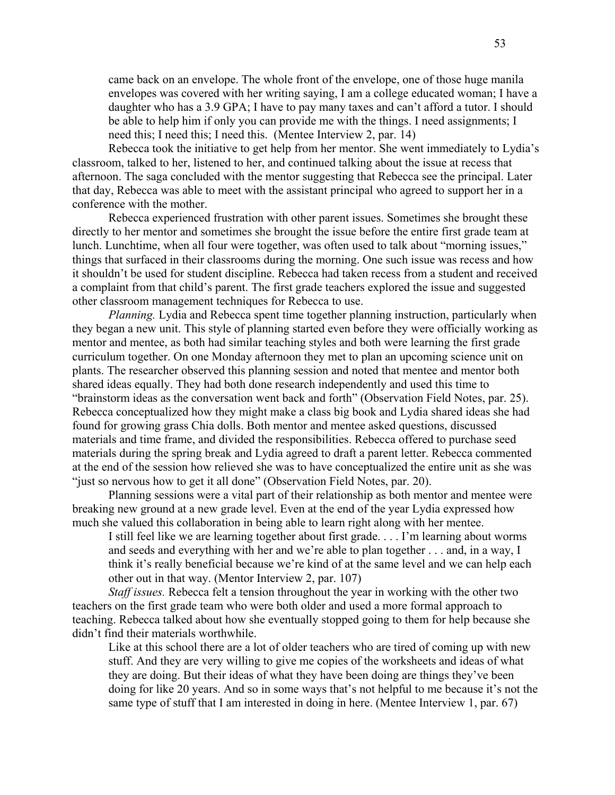came back on an envelope. The whole front of the envelope, one of those huge manila envelopes was covered with her writing saying, I am a college educated woman; I have a daughter who has a 3.9 GPA; I have to pay many taxes and can't afford a tutor. I should be able to help him if only you can provide me with the things. I need assignments; I need this; I need this; I need this. (Mentee Interview 2, par. 14)

Rebecca took the initiative to get help from her mentor. She went immediately to Lydia's classroom, talked to her, listened to her, and continued talking about the issue at recess that afternoon. The saga concluded with the mentor suggesting that Rebecca see the principal. Later that day, Rebecca was able to meet with the assistant principal who agreed to support her in a conference with the mother.

Rebecca experienced frustration with other parent issues. Sometimes she brought these directly to her mentor and sometimes she brought the issue before the entire first grade team at lunch. Lunchtime, when all four were together, was often used to talk about "morning issues," things that surfaced in their classrooms during the morning. One such issue was recess and how it shouldn't be used for student discipline. Rebecca had taken recess from a student and received a complaint from that child's parent. The first grade teachers explored the issue and suggested other classroom management techniques for Rebecca to use.

*Planning.* Lydia and Rebecca spent time together planning instruction, particularly when they began a new unit. This style of planning started even before they were officially working as mentor and mentee, as both had similar teaching styles and both were learning the first grade curriculum together. On one Monday afternoon they met to plan an upcoming science unit on plants. The researcher observed this planning session and noted that mentee and mentor both shared ideas equally. They had both done research independently and used this time to "brainstorm ideas as the conversation went back and forth" (Observation Field Notes, par. 25). Rebecca conceptualized how they might make a class big book and Lydia shared ideas she had found for growing grass Chia dolls. Both mentor and mentee asked questions, discussed materials and time frame, and divided the responsibilities. Rebecca offered to purchase seed materials during the spring break and Lydia agreed to draft a parent letter. Rebecca commented at the end of the session how relieved she was to have conceptualized the entire unit as she was "just so nervous how to get it all done" (Observation Field Notes, par. 20).

Planning sessions were a vital part of their relationship as both mentor and mentee were breaking new ground at a new grade level. Even at the end of the year Lydia expressed how much she valued this collaboration in being able to learn right along with her mentee.

I still feel like we are learning together about first grade. . . . I'm learning about worms and seeds and everything with her and we're able to plan together . . . and, in a way, I think it's really beneficial because we're kind of at the same level and we can help each other out in that way. (Mentor Interview 2, par. 107)

*Staff issues.* Rebecca felt a tension throughout the year in working with the other two teachers on the first grade team who were both older and used a more formal approach to teaching. Rebecca talked about how she eventually stopped going to them for help because she didn't find their materials worthwhile.

Like at this school there are a lot of older teachers who are tired of coming up with new stuff. And they are very willing to give me copies of the worksheets and ideas of what they are doing. But their ideas of what they have been doing are things they've been doing for like 20 years. And so in some ways that's not helpful to me because it's not the same type of stuff that I am interested in doing in here. (Mentee Interview 1, par. 67)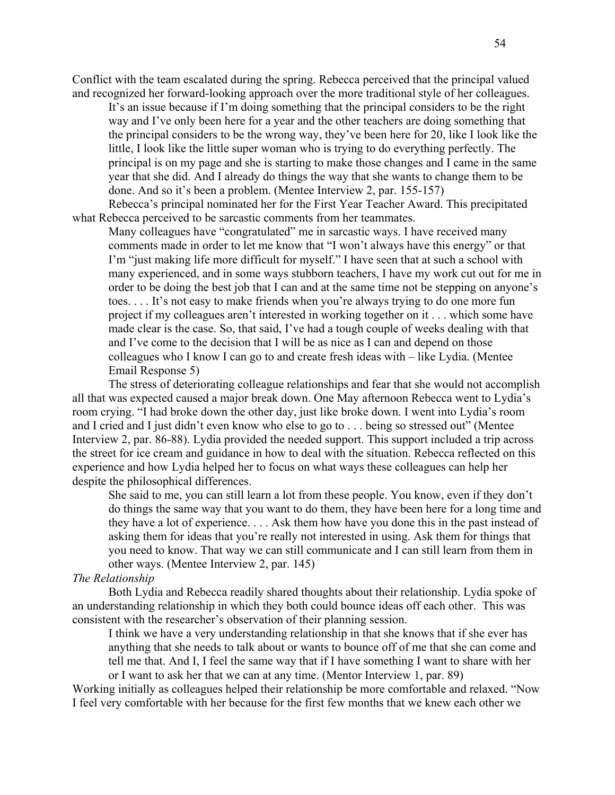Conflict with the team escalated during the spring. Rebecca perceived that the principal valued and recognized her forward-looking approach over the more traditional style of her colleagues.

It's an issue because if I'm doing something that the principal considers to be the right way and I've only been here for a year and the other teachers are doing something that the principal considers to be the wrong way, they've been here for 20, like I look like the little, I look like the little super woman who is trying to do everything perfectly. The principal is on my page and she is starting to make those changes and I came in the same year that she did. And I already do things the way that she wants to change them to be done. And so it's been a problem. (Mentee Interview 2, par. 155-157)

Rebecca's principal nominated her for the First Year Teacher Award. This precipitated what Rebecca perceived to be sarcastic comments from her teammates.

Many colleagues have "congratulated" me in sarcastic ways. I have received many comments made in order to let me know that "I won't always have this energy" or that I'm "just making life more difficult for myself." I have seen that at such a school with many experienced, and in some ways stubborn teachers, I have my work cut out for me in order to be doing the best job that I can and at the same time not be stepping on anyone's toes. . . . It's not easy to make friends when you're always trying to do one more fun project if my colleagues aren't interested in working together on it . . . which some have made clear is the case. So, that said, I've had a tough couple of weeks dealing with that and I've come to the decision that I will be as nice as I can and depend on those colleagues who I know I can go to and create fresh ideas with – like Lydia. (Mentee Email Response 5)

The stress of deteriorating colleague relationships and fear that she would not accomplish all that was expected caused a major break down. One May afternoon Rebecca went to Lydia's room crying. "I had broke down the other day, just like broke down. I went into Lydia's room and I cried and I just didn't even know who else to go to . . . being so stressed out" (Mentee Interview 2, par. 86-88). Lydia provided the needed support. This support included a trip across the street for ice cream and guidance in how to deal with the situation. Rebecca reflected on this experience and how Lydia helped her to focus on what ways these colleagues can help her despite the philosophical differences.

She said to me, you can still learn a lot from these people. You know, even if they don't do things the same way that you want to do them, they have been here for a long time and they have a lot of experience. . . . Ask them how have you done this in the past instead of asking them for ideas that you're really not interested in using. Ask them for things that you need to know. That way we can still communicate and I can still learn from them in other ways. (Mentee Interview 2, par. 145)

#### *The Relationship*

Both Lydia and Rebecca readily shared thoughts about their relationship. Lydia spoke of an understanding relationship in which they both could bounce ideas off each other. This was consistent with the researcher's observation of their planning session.

I think we have a very understanding relationship in that she knows that if she ever has anything that she needs to talk about or wants to bounce off of me that she can come and tell me that. And I, I feel the same way that if I have something I want to share with her or I want to ask her that we can at any time. (Mentor Interview 1, par. 89)

Working initially as colleagues helped their relationship be more comfortable and relaxed. "Now I feel very comfortable with her because for the first few months that we knew each other we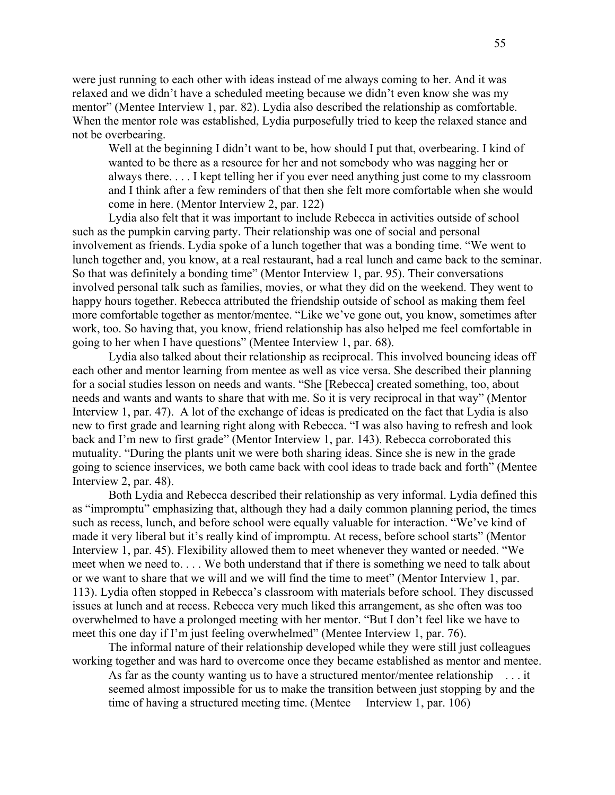were just running to each other with ideas instead of me always coming to her. And it was relaxed and we didn't have a scheduled meeting because we didn't even know she was my mentor" (Mentee Interview 1, par. 82). Lydia also described the relationship as comfortable. When the mentor role was established, Lydia purposefully tried to keep the relaxed stance and not be overbearing.

Well at the beginning I didn't want to be, how should I put that, overbearing. I kind of wanted to be there as a resource for her and not somebody who was nagging her or always there. . . . I kept telling her if you ever need anything just come to my classroom and I think after a few reminders of that then she felt more comfortable when she would come in here. (Mentor Interview 2, par. 122)

Lydia also felt that it was important to include Rebecca in activities outside of school such as the pumpkin carving party. Their relationship was one of social and personal involvement as friends. Lydia spoke of a lunch together that was a bonding time. "We went to lunch together and, you know, at a real restaurant, had a real lunch and came back to the seminar. So that was definitely a bonding time" (Mentor Interview 1, par. 95). Their conversations involved personal talk such as families, movies, or what they did on the weekend. They went to happy hours together. Rebecca attributed the friendship outside of school as making them feel more comfortable together as mentor/mentee. "Like we've gone out, you know, sometimes after work, too. So having that, you know, friend relationship has also helped me feel comfortable in going to her when I have questions" (Mentee Interview 1, par. 68).

Lydia also talked about their relationship as reciprocal. This involved bouncing ideas off each other and mentor learning from mentee as well as vice versa. She described their planning for a social studies lesson on needs and wants. "She [Rebecca] created something, too, about needs and wants and wants to share that with me. So it is very reciprocal in that way" (Mentor Interview 1, par. 47). A lot of the exchange of ideas is predicated on the fact that Lydia is also new to first grade and learning right along with Rebecca. "I was also having to refresh and look back and I'm new to first grade" (Mentor Interview 1, par. 143). Rebecca corroborated this mutuality. "During the plants unit we were both sharing ideas. Since she is new in the grade going to science inservices, we both came back with cool ideas to trade back and forth" (Mentee Interview 2, par. 48).

Both Lydia and Rebecca described their relationship as very informal. Lydia defined this as "impromptu" emphasizing that, although they had a daily common planning period, the times such as recess, lunch, and before school were equally valuable for interaction. "We've kind of made it very liberal but it's really kind of impromptu. At recess, before school starts" (Mentor Interview 1, par. 45). Flexibility allowed them to meet whenever they wanted or needed. "We meet when we need to. . . . We both understand that if there is something we need to talk about or we want to share that we will and we will find the time to meet" (Mentor Interview 1, par. 113). Lydia often stopped in Rebecca's classroom with materials before school. They discussed issues at lunch and at recess. Rebecca very much liked this arrangement, as she often was too overwhelmed to have a prolonged meeting with her mentor. "But I don't feel like we have to meet this one day if I'm just feeling overwhelmed" (Mentee Interview 1, par. 76).

The informal nature of their relationship developed while they were still just colleagues working together and was hard to overcome once they became established as mentor and mentee.

As far as the county wanting us to have a structured mentor/mentee relationship . . . it seemed almost impossible for us to make the transition between just stopping by and the time of having a structured meeting time. (Mentee Interview 1, par. 106)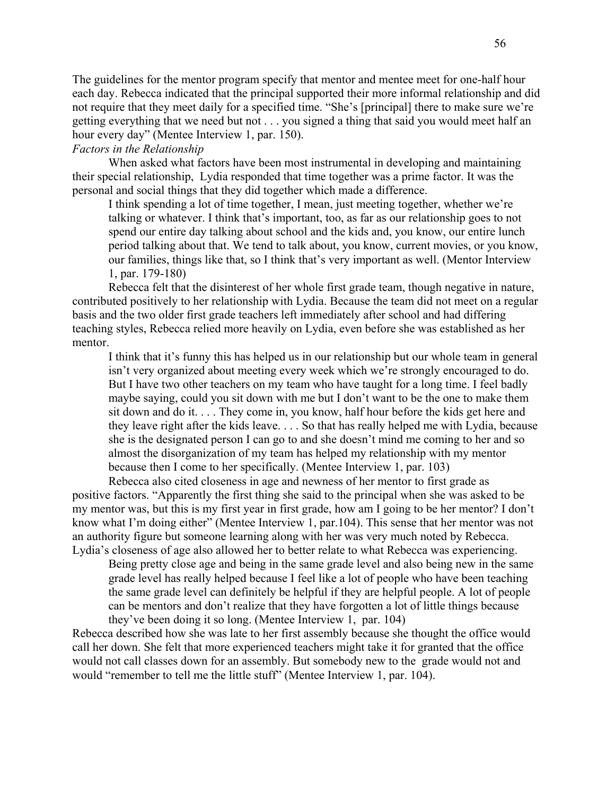The guidelines for the mentor program specify that mentor and mentee meet for one-half hour each day. Rebecca indicated that the principal supported their more informal relationship and did not require that they meet daily for a specified time. "She's [principal] there to make sure we're getting everything that we need but not . . . you signed a thing that said you would meet half an hour every day" (Mentee Interview 1, par. 150).

# *Factors in the Relationship*

When asked what factors have been most instrumental in developing and maintaining their special relationship, Lydia responded that time together was a prime factor. It was the personal and social things that they did together which made a difference.

I think spending a lot of time together, I mean, just meeting together, whether we're talking or whatever. I think that's important, too, as far as our relationship goes to not spend our entire day talking about school and the kids and, you know, our entire lunch period talking about that. We tend to talk about, you know, current movies, or you know, our families, things like that, so I think that's very important as well. (Mentor Interview 1, par. 179-180)

Rebecca felt that the disinterest of her whole first grade team, though negative in nature, contributed positively to her relationship with Lydia. Because the team did not meet on a regular basis and the two older first grade teachers left immediately after school and had differing teaching styles, Rebecca relied more heavily on Lydia, even before she was established as her mentor.

I think that it's funny this has helped us in our relationship but our whole team in general isn't very organized about meeting every week which we're strongly encouraged to do. But I have two other teachers on my team who have taught for a long time. I feel badly maybe saying, could you sit down with me but I don't want to be the one to make them sit down and do it. . . . They come in, you know, half hour before the kids get here and they leave right after the kids leave. . . . So that has really helped me with Lydia, because she is the designated person I can go to and she doesn't mind me coming to her and so almost the disorganization of my team has helped my relationship with my mentor because then I come to her specifically. (Mentee Interview 1, par. 103)

Rebecca also cited closeness in age and newness of her mentor to first grade as positive factors. "Apparently the first thing she said to the principal when she was asked to be my mentor was, but this is my first year in first grade, how am I going to be her mentor? I don't know what I'm doing either" (Mentee Interview 1, par.104). This sense that her mentor was not an authority figure but someone learning along with her was very much noted by Rebecca. Lydia's closeness of age also allowed her to better relate to what Rebecca was experiencing.

Being pretty close age and being in the same grade level and also being new in the same grade level has really helped because I feel like a lot of people who have been teaching the same grade level can definitely be helpful if they are helpful people. A lot of people can be mentors and don't realize that they have forgotten a lot of little things because they've been doing it so long. (Mentee Interview 1, par. 104)

Rebecca described how she was late to her first assembly because she thought the office would call her down. She felt that more experienced teachers might take it for granted that the office would not call classes down for an assembly. But somebody new to the grade would not and would "remember to tell me the little stuff" (Mentee Interview 1, par. 104).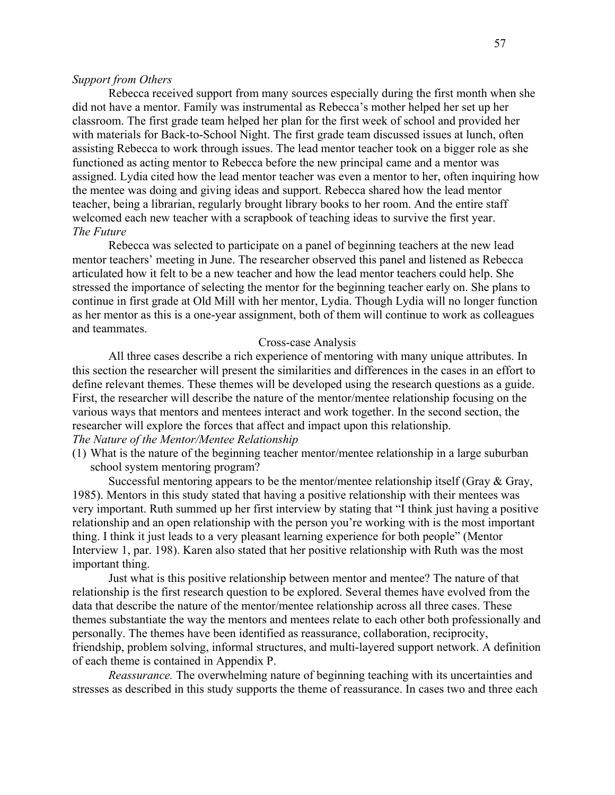#### *Support from Others*

Rebecca received support from many sources especially during the first month when she did not have a mentor. Family was instrumental as Rebecca's mother helped her set up her classroom. The first grade team helped her plan for the first week of school and provided her with materials for Back-to-School Night. The first grade team discussed issues at lunch, often assisting Rebecca to work through issues. The lead mentor teacher took on a bigger role as she functioned as acting mentor to Rebecca before the new principal came and a mentor was assigned. Lydia cited how the lead mentor teacher was even a mentor to her, often inquiring how the mentee was doing and giving ideas and support. Rebecca shared how the lead mentor teacher, being a librarian, regularly brought library books to her room. And the entire staff welcomed each new teacher with a scrapbook of teaching ideas to survive the first year. *The Future* 

Rebecca was selected to participate on a panel of beginning teachers at the new lead mentor teachers' meeting in June. The researcher observed this panel and listened as Rebecca articulated how it felt to be a new teacher and how the lead mentor teachers could help. She stressed the importance of selecting the mentor for the beginning teacher early on. She plans to continue in first grade at Old Mill with her mentor, Lydia. Though Lydia will no longer function as her mentor as this is a one-year assignment, both of them will continue to work as colleagues and teammates.

#### Cross-case Analysis

All three cases describe a rich experience of mentoring with many unique attributes. In this section the researcher will present the similarities and differences in the cases in an effort to define relevant themes. These themes will be developed using the research questions as a guide. First, the researcher will describe the nature of the mentor/mentee relationship focusing on the various ways that mentors and mentees interact and work together. In the second section, the researcher will explore the forces that affect and impact upon this relationship.

# *The Nature of the Mentor/Mentee Relationship*

(1) What is the nature of the beginning teacher mentor/mentee relationship in a large suburban school system mentoring program?

Successful mentoring appears to be the mentor/mentee relationship itself (Gray & Gray, 1985). Mentors in this study stated that having a positive relationship with their mentees was very important. Ruth summed up her first interview by stating that "I think just having a positive relationship and an open relationship with the person you're working with is the most important thing. I think it just leads to a very pleasant learning experience for both people" (Mentor Interview 1, par. 198). Karen also stated that her positive relationship with Ruth was the most important thing.

Just what is this positive relationship between mentor and mentee? The nature of that relationship is the first research question to be explored. Several themes have evolved from the data that describe the nature of the mentor/mentee relationship across all three cases. These themes substantiate the way the mentors and mentees relate to each other both professionally and personally. The themes have been identified as reassurance, collaboration, reciprocity, friendship, problem solving, informal structures, and multi-layered support network. A definition of each theme is contained in Appendix P.

*Reassurance.* The overwhelming nature of beginning teaching with its uncertainties and stresses as described in this study supports the theme of reassurance. In cases two and three each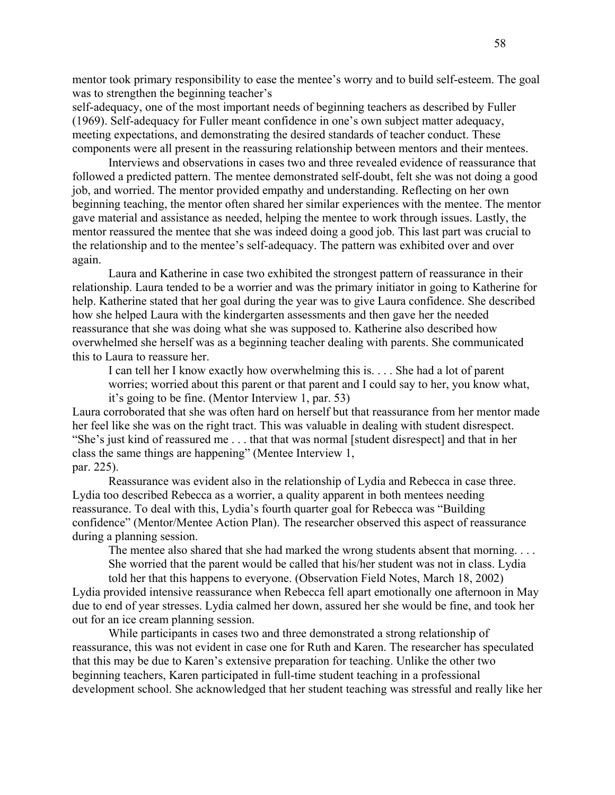mentor took primary responsibility to ease the mentee's worry and to build self-esteem. The goal was to strengthen the beginning teacher's

self-adequacy, one of the most important needs of beginning teachers as described by Fuller (1969). Self-adequacy for Fuller meant confidence in one's own subject matter adequacy, meeting expectations, and demonstrating the desired standards of teacher conduct. These components were all present in the reassuring relationship between mentors and their mentees.

Interviews and observations in cases two and three revealed evidence of reassurance that followed a predicted pattern. The mentee demonstrated self-doubt, felt she was not doing a good job, and worried. The mentor provided empathy and understanding. Reflecting on her own beginning teaching, the mentor often shared her similar experiences with the mentee. The mentor gave material and assistance as needed, helping the mentee to work through issues. Lastly, the mentor reassured the mentee that she was indeed doing a good job. This last part was crucial to the relationship and to the mentee's self-adequacy. The pattern was exhibited over and over again.

Laura and Katherine in case two exhibited the strongest pattern of reassurance in their relationship. Laura tended to be a worrier and was the primary initiator in going to Katherine for help. Katherine stated that her goal during the year was to give Laura confidence. She described how she helped Laura with the kindergarten assessments and then gave her the needed reassurance that she was doing what she was supposed to. Katherine also described how overwhelmed she herself was as a beginning teacher dealing with parents. She communicated this to Laura to reassure her.

I can tell her I know exactly how overwhelming this is. . . . She had a lot of parent worries; worried about this parent or that parent and I could say to her, you know what, it's going to be fine. (Mentor Interview 1, par. 53)

Laura corroborated that she was often hard on herself but that reassurance from her mentor made her feel like she was on the right tract. This was valuable in dealing with student disrespect. "She's just kind of reassured me . . . that that was normal [student disrespect] and that in her class the same things are happening" (Mentee Interview 1, par. 225).

Reassurance was evident also in the relationship of Lydia and Rebecca in case three. Lydia too described Rebecca as a worrier, a quality apparent in both mentees needing reassurance. To deal with this, Lydia's fourth quarter goal for Rebecca was "Building confidence" (Mentor/Mentee Action Plan). The researcher observed this aspect of reassurance during a planning session.

The mentee also shared that she had marked the wrong students absent that morning. . . .

She worried that the parent would be called that his/her student was not in class. Lydia told her that this happens to everyone. (Observation Field Notes, March 18, 2002) Lydia provided intensive reassurance when Rebecca fell apart emotionally one afternoon in May due to end of year stresses. Lydia calmed her down, assured her she would be fine, and took her out for an ice cream planning session.

While participants in cases two and three demonstrated a strong relationship of reassurance, this was not evident in case one for Ruth and Karen. The researcher has speculated that this may be due to Karen's extensive preparation for teaching. Unlike the other two beginning teachers, Karen participated in full-time student teaching in a professional development school. She acknowledged that her student teaching was stressful and really like her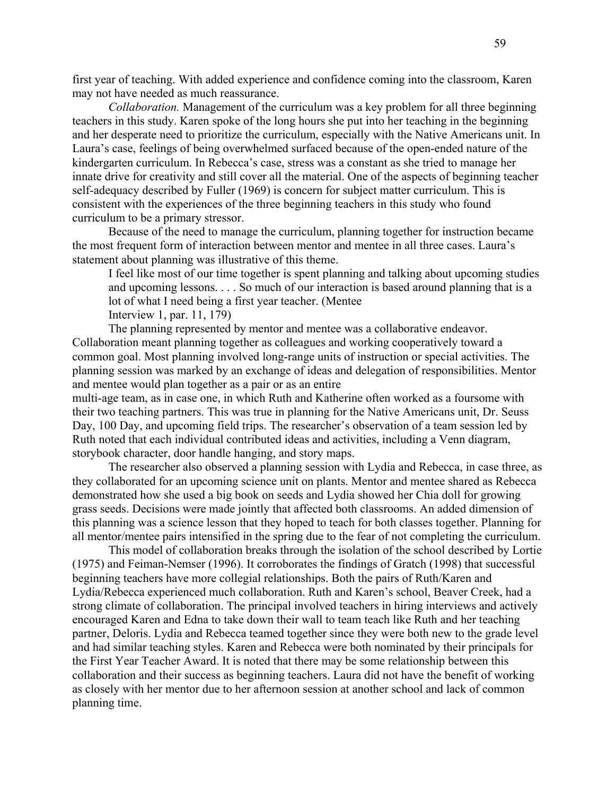first year of teaching. With added experience and confidence coming into the classroom, Karen may not have needed as much reassurance.

*Collaboration.* Management of the curriculum was a key problem for all three beginning teachers in this study. Karen spoke of the long hours she put into her teaching in the beginning and her desperate need to prioritize the curriculum, especially with the Native Americans unit. In Laura's case, feelings of being overwhelmed surfaced because of the open-ended nature of the kindergarten curriculum. In Rebecca's case, stress was a constant as she tried to manage her innate drive for creativity and still cover all the material. One of the aspects of beginning teacher self-adequacy described by Fuller (1969) is concern for subject matter curriculum. This is consistent with the experiences of the three beginning teachers in this study who found curriculum to be a primary stressor.

Because of the need to manage the curriculum, planning together for instruction became the most frequent form of interaction between mentor and mentee in all three cases. Laura's statement about planning was illustrative of this theme.

I feel like most of our time together is spent planning and talking about upcoming studies and upcoming lessons. . . . So much of our interaction is based around planning that is a lot of what I need being a first year teacher. (Mentee Interview 1, par. 11, 179)

The planning represented by mentor and mentee was a collaborative endeavor. Collaboration meant planning together as colleagues and working cooperatively toward a common goal. Most planning involved long-range units of instruction or special activities. The planning session was marked by an exchange of ideas and delegation of responsibilities. Mentor and mentee would plan together as a pair or as an entire

multi-age team, as in case one, in which Ruth and Katherine often worked as a foursome with their two teaching partners. This was true in planning for the Native Americans unit, Dr. Seuss Day, 100 Day, and upcoming field trips. The researcher's observation of a team session led by Ruth noted that each individual contributed ideas and activities, including a Venn diagram, storybook character, door handle hanging, and story maps.

The researcher also observed a planning session with Lydia and Rebecca, in case three, as they collaborated for an upcoming science unit on plants. Mentor and mentee shared as Rebecca demonstrated how she used a big book on seeds and Lydia showed her Chia doll for growing grass seeds. Decisions were made jointly that affected both classrooms. An added dimension of this planning was a science lesson that they hoped to teach for both classes together. Planning for all mentor/mentee pairs intensified in the spring due to the fear of not completing the curriculum.

This model of collaboration breaks through the isolation of the school described by Lortie (1975) and Feiman-Nemser (1996). It corroborates the findings of Gratch (1998) that successful beginning teachers have more collegial relationships. Both the pairs of Ruth/Karen and Lydia/Rebecca experienced much collaboration. Ruth and Karen's school, Beaver Creek, had a strong climate of collaboration. The principal involved teachers in hiring interviews and actively encouraged Karen and Edna to take down their wall to team teach like Ruth and her teaching partner, Deloris. Lydia and Rebecca teamed together since they were both new to the grade level and had similar teaching styles. Karen and Rebecca were both nominated by their principals for the First Year Teacher Award. It is noted that there may be some relationship between this collaboration and their success as beginning teachers. Laura did not have the benefit of working as closely with her mentor due to her afternoon session at another school and lack of common planning time.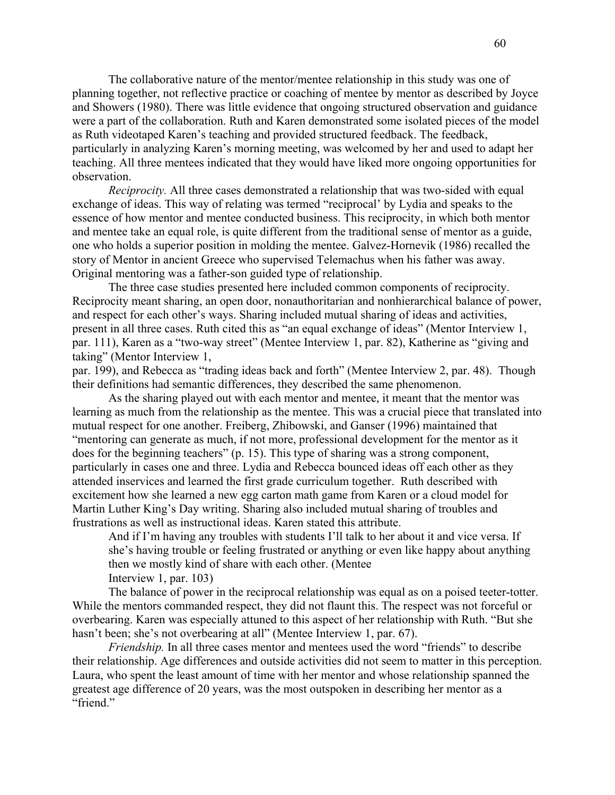The collaborative nature of the mentor/mentee relationship in this study was one of planning together, not reflective practice or coaching of mentee by mentor as described by Joyce and Showers (1980). There was little evidence that ongoing structured observation and guidance were a part of the collaboration. Ruth and Karen demonstrated some isolated pieces of the model as Ruth videotaped Karen's teaching and provided structured feedback. The feedback, particularly in analyzing Karen's morning meeting, was welcomed by her and used to adapt her teaching. All three mentees indicated that they would have liked more ongoing opportunities for observation.

*Reciprocity.* All three cases demonstrated a relationship that was two-sided with equal exchange of ideas. This way of relating was termed "reciprocal' by Lydia and speaks to the essence of how mentor and mentee conducted business. This reciprocity, in which both mentor and mentee take an equal role, is quite different from the traditional sense of mentor as a guide, one who holds a superior position in molding the mentee. Galvez-Hornevik (1986) recalled the story of Mentor in ancient Greece who supervised Telemachus when his father was away. Original mentoring was a father-son guided type of relationship.

The three case studies presented here included common components of reciprocity. Reciprocity meant sharing, an open door, nonauthoritarian and nonhierarchical balance of power, and respect for each other's ways. Sharing included mutual sharing of ideas and activities, present in all three cases. Ruth cited this as "an equal exchange of ideas" (Mentor Interview 1, par. 111), Karen as a "two-way street" (Mentee Interview 1, par. 82), Katherine as "giving and taking" (Mentor Interview 1,

par. 199), and Rebecca as "trading ideas back and forth" (Mentee Interview 2, par. 48). Though their definitions had semantic differences, they described the same phenomenon.

As the sharing played out with each mentor and mentee, it meant that the mentor was learning as much from the relationship as the mentee. This was a crucial piece that translated into mutual respect for one another. Freiberg, Zhibowski, and Ganser (1996) maintained that "mentoring can generate as much, if not more, professional development for the mentor as it does for the beginning teachers" (p. 15). This type of sharing was a strong component, particularly in cases one and three. Lydia and Rebecca bounced ideas off each other as they attended inservices and learned the first grade curriculum together. Ruth described with excitement how she learned a new egg carton math game from Karen or a cloud model for Martin Luther King's Day writing. Sharing also included mutual sharing of troubles and frustrations as well as instructional ideas. Karen stated this attribute.

And if I'm having any troubles with students I'll talk to her about it and vice versa. If she's having trouble or feeling frustrated or anything or even like happy about anything then we mostly kind of share with each other. (Mentee Interview 1, par. 103)

The balance of power in the reciprocal relationship was equal as on a poised teeter-totter. While the mentors commanded respect, they did not flaunt this. The respect was not forceful or overbearing. Karen was especially attuned to this aspect of her relationship with Ruth. "But she hasn't been; she's not overbearing at all" (Mentee Interview 1, par. 67).

*Friendship.* In all three cases mentor and mentees used the word "friends" to describe their relationship. Age differences and outside activities did not seem to matter in this perception. Laura, who spent the least amount of time with her mentor and whose relationship spanned the greatest age difference of 20 years, was the most outspoken in describing her mentor as a "friend."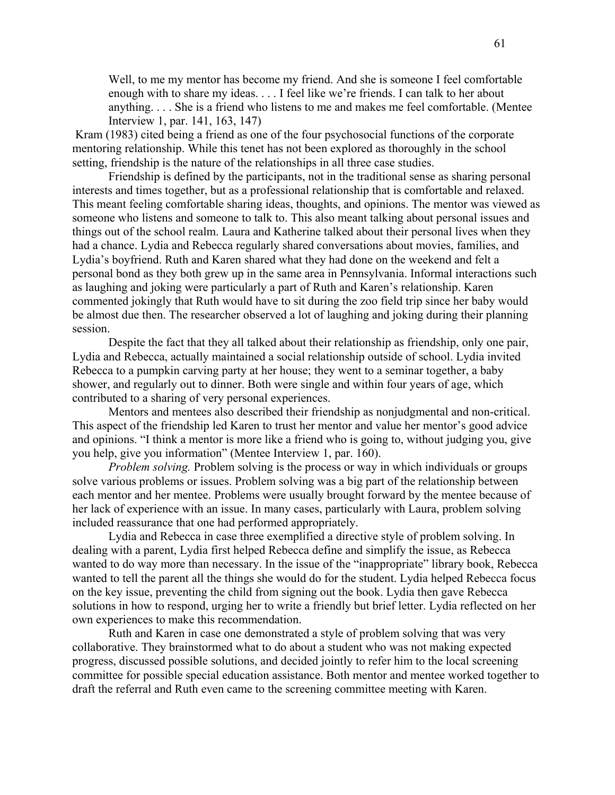Well, to me my mentor has become my friend. And she is someone I feel comfortable enough with to share my ideas. . . . I feel like we're friends. I can talk to her about anything. . . . She is a friend who listens to me and makes me feel comfortable. (Mentee Interview 1, par. 141, 163, 147)

 Kram (1983) cited being a friend as one of the four psychosocial functions of the corporate mentoring relationship. While this tenet has not been explored as thoroughly in the school setting, friendship is the nature of the relationships in all three case studies.

Friendship is defined by the participants, not in the traditional sense as sharing personal interests and times together, but as a professional relationship that is comfortable and relaxed. This meant feeling comfortable sharing ideas, thoughts, and opinions. The mentor was viewed as someone who listens and someone to talk to. This also meant talking about personal issues and things out of the school realm. Laura and Katherine talked about their personal lives when they had a chance. Lydia and Rebecca regularly shared conversations about movies, families, and Lydia's boyfriend. Ruth and Karen shared what they had done on the weekend and felt a personal bond as they both grew up in the same area in Pennsylvania. Informal interactions such as laughing and joking were particularly a part of Ruth and Karen's relationship. Karen commented jokingly that Ruth would have to sit during the zoo field trip since her baby would be almost due then. The researcher observed a lot of laughing and joking during their planning session.

Despite the fact that they all talked about their relationship as friendship, only one pair, Lydia and Rebecca, actually maintained a social relationship outside of school. Lydia invited Rebecca to a pumpkin carving party at her house; they went to a seminar together, a baby shower, and regularly out to dinner. Both were single and within four years of age, which contributed to a sharing of very personal experiences.

Mentors and mentees also described their friendship as nonjudgmental and non-critical. This aspect of the friendship led Karen to trust her mentor and value her mentor's good advice and opinions. "I think a mentor is more like a friend who is going to, without judging you, give you help, give you information" (Mentee Interview 1, par. 160).

*Problem solving.* Problem solving is the process or way in which individuals or groups solve various problems or issues. Problem solving was a big part of the relationship between each mentor and her mentee. Problems were usually brought forward by the mentee because of her lack of experience with an issue. In many cases, particularly with Laura, problem solving included reassurance that one had performed appropriately.

Lydia and Rebecca in case three exemplified a directive style of problem solving. In dealing with a parent, Lydia first helped Rebecca define and simplify the issue, as Rebecca wanted to do way more than necessary. In the issue of the "inappropriate" library book, Rebecca wanted to tell the parent all the things she would do for the student. Lydia helped Rebecca focus on the key issue, preventing the child from signing out the book. Lydia then gave Rebecca solutions in how to respond, urging her to write a friendly but brief letter. Lydia reflected on her own experiences to make this recommendation.

Ruth and Karen in case one demonstrated a style of problem solving that was very collaborative. They brainstormed what to do about a student who was not making expected progress, discussed possible solutions, and decided jointly to refer him to the local screening committee for possible special education assistance. Both mentor and mentee worked together to draft the referral and Ruth even came to the screening committee meeting with Karen.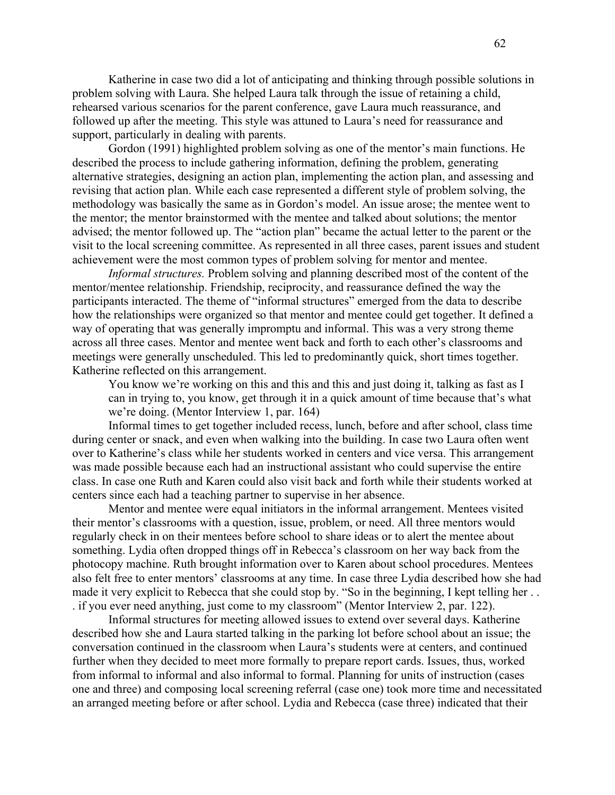Katherine in case two did a lot of anticipating and thinking through possible solutions in problem solving with Laura. She helped Laura talk through the issue of retaining a child, rehearsed various scenarios for the parent conference, gave Laura much reassurance, and followed up after the meeting. This style was attuned to Laura's need for reassurance and support, particularly in dealing with parents.

Gordon (1991) highlighted problem solving as one of the mentor's main functions. He described the process to include gathering information, defining the problem, generating alternative strategies, designing an action plan, implementing the action plan, and assessing and revising that action plan. While each case represented a different style of problem solving, the methodology was basically the same as in Gordon's model. An issue arose; the mentee went to the mentor; the mentor brainstormed with the mentee and talked about solutions; the mentor advised; the mentor followed up. The "action plan" became the actual letter to the parent or the visit to the local screening committee. As represented in all three cases, parent issues and student achievement were the most common types of problem solving for mentor and mentee.

*Informal structures.* Problem solving and planning described most of the content of the mentor/mentee relationship. Friendship, reciprocity, and reassurance defined the way the participants interacted. The theme of "informal structures" emerged from the data to describe how the relationships were organized so that mentor and mentee could get together. It defined a way of operating that was generally impromptu and informal. This was a very strong theme across all three cases. Mentor and mentee went back and forth to each other's classrooms and meetings were generally unscheduled. This led to predominantly quick, short times together. Katherine reflected on this arrangement.

You know we're working on this and this and this and just doing it, talking as fast as I can in trying to, you know, get through it in a quick amount of time because that's what we're doing. (Mentor Interview 1, par. 164)

Informal times to get together included recess, lunch, before and after school, class time during center or snack, and even when walking into the building. In case two Laura often went over to Katherine's class while her students worked in centers and vice versa. This arrangement was made possible because each had an instructional assistant who could supervise the entire class. In case one Ruth and Karen could also visit back and forth while their students worked at centers since each had a teaching partner to supervise in her absence.

Mentor and mentee were equal initiators in the informal arrangement. Mentees visited their mentor's classrooms with a question, issue, problem, or need. All three mentors would regularly check in on their mentees before school to share ideas or to alert the mentee about something. Lydia often dropped things off in Rebecca's classroom on her way back from the photocopy machine. Ruth brought information over to Karen about school procedures. Mentees also felt free to enter mentors' classrooms at any time. In case three Lydia described how she had made it very explicit to Rebecca that she could stop by. "So in the beginning, I kept telling her . . . if you ever need anything, just come to my classroom" (Mentor Interview 2, par. 122).

Informal structures for meeting allowed issues to extend over several days. Katherine described how she and Laura started talking in the parking lot before school about an issue; the conversation continued in the classroom when Laura's students were at centers, and continued further when they decided to meet more formally to prepare report cards. Issues, thus, worked from informal to informal and also informal to formal. Planning for units of instruction (cases one and three) and composing local screening referral (case one) took more time and necessitated an arranged meeting before or after school. Lydia and Rebecca (case three) indicated that their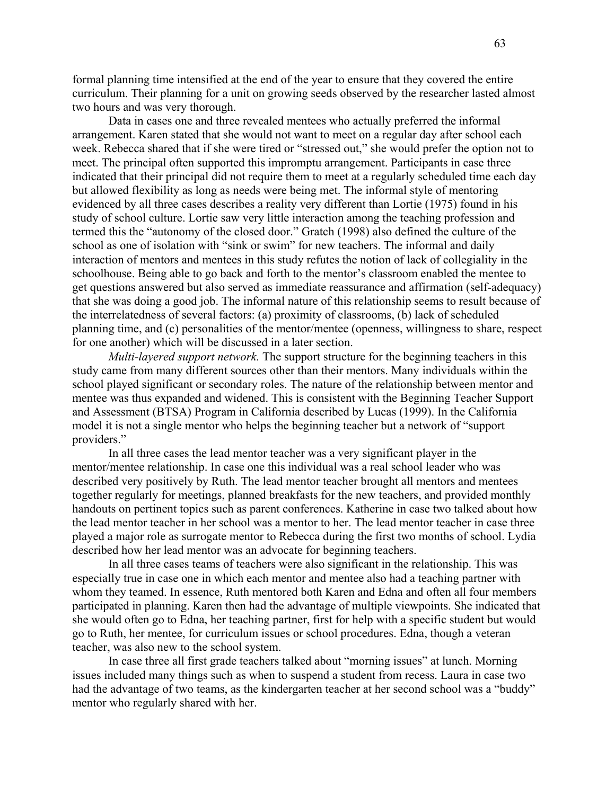formal planning time intensified at the end of the year to ensure that they covered the entire curriculum. Their planning for a unit on growing seeds observed by the researcher lasted almost two hours and was very thorough.

Data in cases one and three revealed mentees who actually preferred the informal arrangement. Karen stated that she would not want to meet on a regular day after school each week. Rebecca shared that if she were tired or "stressed out," she would prefer the option not to meet. The principal often supported this impromptu arrangement. Participants in case three indicated that their principal did not require them to meet at a regularly scheduled time each day but allowed flexibility as long as needs were being met. The informal style of mentoring evidenced by all three cases describes a reality very different than Lortie (1975) found in his study of school culture. Lortie saw very little interaction among the teaching profession and termed this the "autonomy of the closed door." Gratch (1998) also defined the culture of the school as one of isolation with "sink or swim" for new teachers. The informal and daily interaction of mentors and mentees in this study refutes the notion of lack of collegiality in the schoolhouse. Being able to go back and forth to the mentor's classroom enabled the mentee to get questions answered but also served as immediate reassurance and affirmation (self-adequacy) that she was doing a good job. The informal nature of this relationship seems to result because of the interrelatedness of several factors: (a) proximity of classrooms, (b) lack of scheduled planning time, and (c) personalities of the mentor/mentee (openness, willingness to share, respect for one another) which will be discussed in a later section.

*Multi-layered support network.* The support structure for the beginning teachers in this study came from many different sources other than their mentors. Many individuals within the school played significant or secondary roles. The nature of the relationship between mentor and mentee was thus expanded and widened. This is consistent with the Beginning Teacher Support and Assessment (BTSA) Program in California described by Lucas (1999). In the California model it is not a single mentor who helps the beginning teacher but a network of "support providers."

In all three cases the lead mentor teacher was a very significant player in the mentor/mentee relationship. In case one this individual was a real school leader who was described very positively by Ruth. The lead mentor teacher brought all mentors and mentees together regularly for meetings, planned breakfasts for the new teachers, and provided monthly handouts on pertinent topics such as parent conferences. Katherine in case two talked about how the lead mentor teacher in her school was a mentor to her. The lead mentor teacher in case three played a major role as surrogate mentor to Rebecca during the first two months of school. Lydia described how her lead mentor was an advocate for beginning teachers.

In all three cases teams of teachers were also significant in the relationship. This was especially true in case one in which each mentor and mentee also had a teaching partner with whom they teamed. In essence, Ruth mentored both Karen and Edna and often all four members participated in planning. Karen then had the advantage of multiple viewpoints. She indicated that she would often go to Edna, her teaching partner, first for help with a specific student but would go to Ruth, her mentee, for curriculum issues or school procedures. Edna, though a veteran teacher, was also new to the school system.

In case three all first grade teachers talked about "morning issues" at lunch. Morning issues included many things such as when to suspend a student from recess. Laura in case two had the advantage of two teams, as the kindergarten teacher at her second school was a "buddy" mentor who regularly shared with her.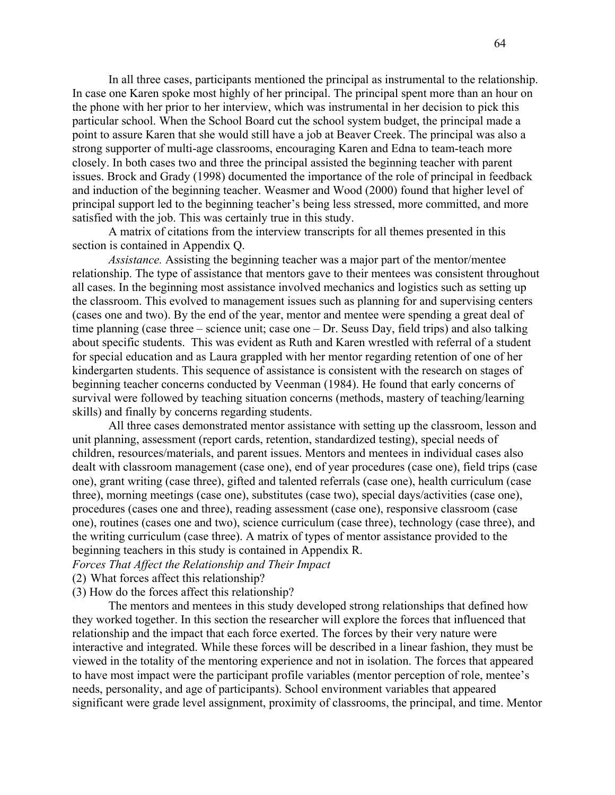In all three cases, participants mentioned the principal as instrumental to the relationship. In case one Karen spoke most highly of her principal. The principal spent more than an hour on the phone with her prior to her interview, which was instrumental in her decision to pick this particular school. When the School Board cut the school system budget, the principal made a point to assure Karen that she would still have a job at Beaver Creek. The principal was also a strong supporter of multi-age classrooms, encouraging Karen and Edna to team-teach more closely. In both cases two and three the principal assisted the beginning teacher with parent issues. Brock and Grady (1998) documented the importance of the role of principal in feedback and induction of the beginning teacher. Weasmer and Wood (2000) found that higher level of principal support led to the beginning teacher's being less stressed, more committed, and more satisfied with the job. This was certainly true in this study.

A matrix of citations from the interview transcripts for all themes presented in this section is contained in Appendix Q.

*Assistance.* Assisting the beginning teacher was a major part of the mentor/mentee relationship. The type of assistance that mentors gave to their mentees was consistent throughout all cases. In the beginning most assistance involved mechanics and logistics such as setting up the classroom. This evolved to management issues such as planning for and supervising centers (cases one and two). By the end of the year, mentor and mentee were spending a great deal of time planning (case three – science unit; case one – Dr. Seuss Day, field trips) and also talking about specific students. This was evident as Ruth and Karen wrestled with referral of a student for special education and as Laura grappled with her mentor regarding retention of one of her kindergarten students. This sequence of assistance is consistent with the research on stages of beginning teacher concerns conducted by Veenman (1984). He found that early concerns of survival were followed by teaching situation concerns (methods, mastery of teaching/learning skills) and finally by concerns regarding students.

All three cases demonstrated mentor assistance with setting up the classroom, lesson and unit planning, assessment (report cards, retention, standardized testing), special needs of children, resources/materials, and parent issues. Mentors and mentees in individual cases also dealt with classroom management (case one), end of year procedures (case one), field trips (case one), grant writing (case three), gifted and talented referrals (case one), health curriculum (case three), morning meetings (case one), substitutes (case two), special days/activities (case one), procedures (cases one and three), reading assessment (case one), responsive classroom (case one), routines (cases one and two), science curriculum (case three), technology (case three), and the writing curriculum (case three). A matrix of types of mentor assistance provided to the beginning teachers in this study is contained in Appendix R.

## *Forces That Affect the Relationship and Their Impact*

(2) What forces affect this relationship?

# (3) How do the forces affect this relationship?

The mentors and mentees in this study developed strong relationships that defined how they worked together. In this section the researcher will explore the forces that influenced that relationship and the impact that each force exerted. The forces by their very nature were interactive and integrated. While these forces will be described in a linear fashion, they must be viewed in the totality of the mentoring experience and not in isolation. The forces that appeared to have most impact were the participant profile variables (mentor perception of role, mentee's needs, personality, and age of participants). School environment variables that appeared significant were grade level assignment, proximity of classrooms, the principal, and time. Mentor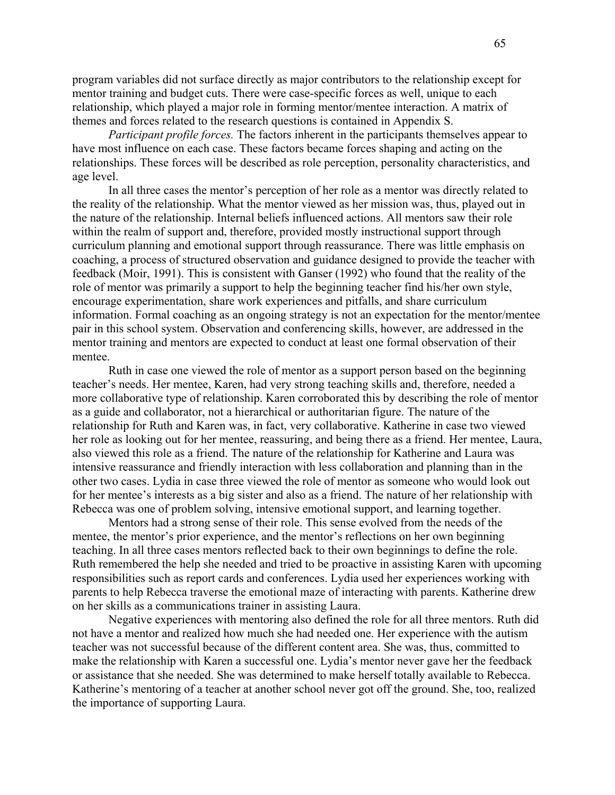program variables did not surface directly as major contributors to the relationship except for mentor training and budget cuts. There were case-specific forces as well, unique to each relationship, which played a major role in forming mentor/mentee interaction. A matrix of themes and forces related to the research questions is contained in Appendix S.

*Participant profile forces.* The factors inherent in the participants themselves appear to have most influence on each case. These factors became forces shaping and acting on the relationships. These forces will be described as role perception, personality characteristics, and age level.

In all three cases the mentor's perception of her role as a mentor was directly related to the reality of the relationship. What the mentor viewed as her mission was, thus, played out in the nature of the relationship. Internal beliefs influenced actions. All mentors saw their role within the realm of support and, therefore, provided mostly instructional support through curriculum planning and emotional support through reassurance. There was little emphasis on coaching, a process of structured observation and guidance designed to provide the teacher with feedback (Moir, 1991). This is consistent with Ganser (1992) who found that the reality of the role of mentor was primarily a support to help the beginning teacher find his/her own style, encourage experimentation, share work experiences and pitfalls, and share curriculum information. Formal coaching as an ongoing strategy is not an expectation for the mentor/mentee pair in this school system. Observation and conferencing skills, however, are addressed in the mentor training and mentors are expected to conduct at least one formal observation of their mentee.

Ruth in case one viewed the role of mentor as a support person based on the beginning teacher's needs. Her mentee, Karen, had very strong teaching skills and, therefore, needed a more collaborative type of relationship. Karen corroborated this by describing the role of mentor as a guide and collaborator, not a hierarchical or authoritarian figure. The nature of the relationship for Ruth and Karen was, in fact, very collaborative. Katherine in case two viewed her role as looking out for her mentee, reassuring, and being there as a friend. Her mentee, Laura, also viewed this role as a friend. The nature of the relationship for Katherine and Laura was intensive reassurance and friendly interaction with less collaboration and planning than in the other two cases. Lydia in case three viewed the role of mentor as someone who would look out for her mentee's interests as a big sister and also as a friend. The nature of her relationship with Rebecca was one of problem solving, intensive emotional support, and learning together.

Mentors had a strong sense of their role. This sense evolved from the needs of the mentee, the mentor's prior experience, and the mentor's reflections on her own beginning teaching. In all three cases mentors reflected back to their own beginnings to define the role. Ruth remembered the help she needed and tried to be proactive in assisting Karen with upcoming responsibilities such as report cards and conferences. Lydia used her experiences working with parents to help Rebecca traverse the emotional maze of interacting with parents. Katherine drew on her skills as a communications trainer in assisting Laura.

Negative experiences with mentoring also defined the role for all three mentors. Ruth did not have a mentor and realized how much she had needed one. Her experience with the autism teacher was not successful because of the different content area. She was, thus, committed to make the relationship with Karen a successful one. Lydia's mentor never gave her the feedback or assistance that she needed. She was determined to make herself totally available to Rebecca. Katherine's mentoring of a teacher at another school never got off the ground. She, too, realized the importance of supporting Laura.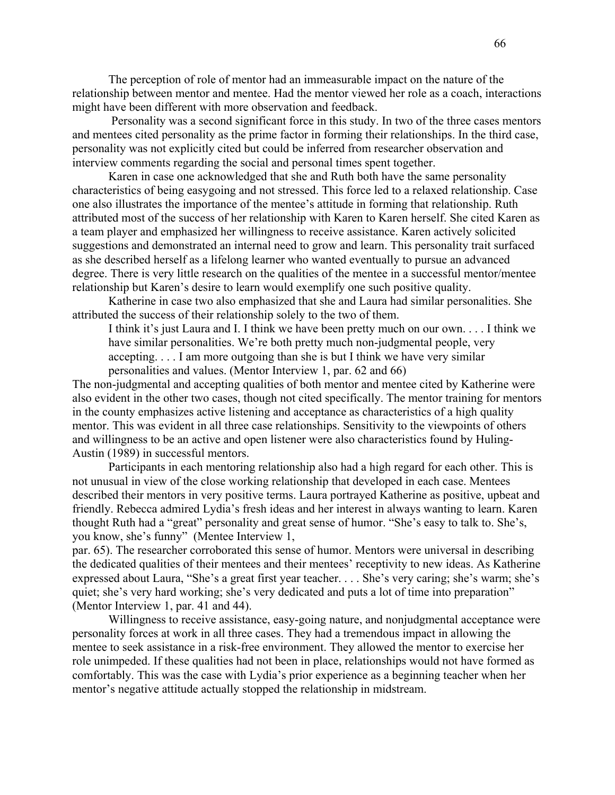The perception of role of mentor had an immeasurable impact on the nature of the relationship between mentor and mentee. Had the mentor viewed her role as a coach, interactions might have been different with more observation and feedback.

Personality was a second significant force in this study. In two of the three cases mentors and mentees cited personality as the prime factor in forming their relationships. In the third case, personality was not explicitly cited but could be inferred from researcher observation and interview comments regarding the social and personal times spent together.

Karen in case one acknowledged that she and Ruth both have the same personality characteristics of being easygoing and not stressed. This force led to a relaxed relationship. Case one also illustrates the importance of the mentee's attitude in forming that relationship. Ruth attributed most of the success of her relationship with Karen to Karen herself. She cited Karen as a team player and emphasized her willingness to receive assistance. Karen actively solicited suggestions and demonstrated an internal need to grow and learn. This personality trait surfaced as she described herself as a lifelong learner who wanted eventually to pursue an advanced degree. There is very little research on the qualities of the mentee in a successful mentor/mentee relationship but Karen's desire to learn would exemplify one such positive quality.

Katherine in case two also emphasized that she and Laura had similar personalities. She attributed the success of their relationship solely to the two of them.

I think it's just Laura and I. I think we have been pretty much on our own. . . . I think we have similar personalities. We're both pretty much non-judgmental people, very accepting. . . . I am more outgoing than she is but I think we have very similar personalities and values. (Mentor Interview 1, par. 62 and 66)

The non-judgmental and accepting qualities of both mentor and mentee cited by Katherine were also evident in the other two cases, though not cited specifically. The mentor training for mentors in the county emphasizes active listening and acceptance as characteristics of a high quality mentor. This was evident in all three case relationships. Sensitivity to the viewpoints of others and willingness to be an active and open listener were also characteristics found by Huling-Austin (1989) in successful mentors.

Participants in each mentoring relationship also had a high regard for each other. This is not unusual in view of the close working relationship that developed in each case. Mentees described their mentors in very positive terms. Laura portrayed Katherine as positive, upbeat and friendly. Rebecca admired Lydia's fresh ideas and her interest in always wanting to learn. Karen thought Ruth had a "great" personality and great sense of humor. "She's easy to talk to. She's, you know, she's funny" (Mentee Interview 1,

par. 65). The researcher corroborated this sense of humor. Mentors were universal in describing the dedicated qualities of their mentees and their mentees' receptivity to new ideas. As Katherine expressed about Laura, "She's a great first year teacher. . . . She's very caring; she's warm; she's quiet; she's very hard working; she's very dedicated and puts a lot of time into preparation" (Mentor Interview 1, par. 41 and 44).

Willingness to receive assistance, easy-going nature, and nonjudgmental acceptance were personality forces at work in all three cases. They had a tremendous impact in allowing the mentee to seek assistance in a risk-free environment. They allowed the mentor to exercise her role unimpeded. If these qualities had not been in place, relationships would not have formed as comfortably. This was the case with Lydia's prior experience as a beginning teacher when her mentor's negative attitude actually stopped the relationship in midstream.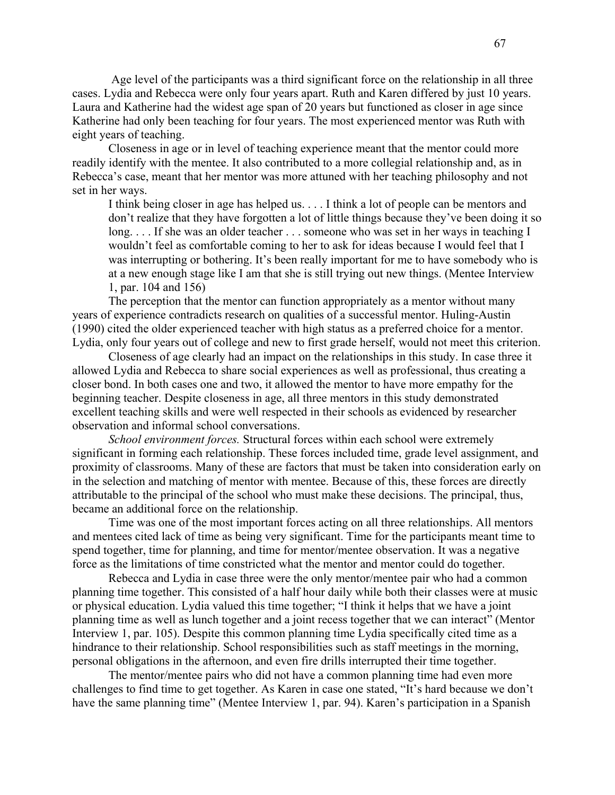Age level of the participants was a third significant force on the relationship in all three cases. Lydia and Rebecca were only four years apart. Ruth and Karen differed by just 10 years. Laura and Katherine had the widest age span of 20 years but functioned as closer in age since Katherine had only been teaching for four years. The most experienced mentor was Ruth with eight years of teaching.

Closeness in age or in level of teaching experience meant that the mentor could more readily identify with the mentee. It also contributed to a more collegial relationship and, as in Rebecca's case, meant that her mentor was more attuned with her teaching philosophy and not set in her ways.

I think being closer in age has helped us. . . . I think a lot of people can be mentors and don't realize that they have forgotten a lot of little things because they've been doing it so long. . . . If she was an older teacher . . . someone who was set in her ways in teaching I wouldn't feel as comfortable coming to her to ask for ideas because I would feel that I was interrupting or bothering. It's been really important for me to have somebody who is at a new enough stage like I am that she is still trying out new things. (Mentee Interview 1, par. 104 and 156)

The perception that the mentor can function appropriately as a mentor without many years of experience contradicts research on qualities of a successful mentor. Huling-Austin (1990) cited the older experienced teacher with high status as a preferred choice for a mentor. Lydia, only four years out of college and new to first grade herself, would not meet this criterion.

Closeness of age clearly had an impact on the relationships in this study. In case three it allowed Lydia and Rebecca to share social experiences as well as professional, thus creating a closer bond. In both cases one and two, it allowed the mentor to have more empathy for the beginning teacher. Despite closeness in age, all three mentors in this study demonstrated excellent teaching skills and were well respected in their schools as evidenced by researcher observation and informal school conversations.

*School environment forces.* Structural forces within each school were extremely significant in forming each relationship. These forces included time, grade level assignment, and proximity of classrooms. Many of these are factors that must be taken into consideration early on in the selection and matching of mentor with mentee. Because of this, these forces are directly attributable to the principal of the school who must make these decisions. The principal, thus, became an additional force on the relationship.

Time was one of the most important forces acting on all three relationships. All mentors and mentees cited lack of time as being very significant. Time for the participants meant time to spend together, time for planning, and time for mentor/mentee observation. It was a negative force as the limitations of time constricted what the mentor and mentor could do together.

Rebecca and Lydia in case three were the only mentor/mentee pair who had a common planning time together. This consisted of a half hour daily while both their classes were at music or physical education. Lydia valued this time together; "I think it helps that we have a joint planning time as well as lunch together and a joint recess together that we can interact" (Mentor Interview 1, par. 105). Despite this common planning time Lydia specifically cited time as a hindrance to their relationship. School responsibilities such as staff meetings in the morning, personal obligations in the afternoon, and even fire drills interrupted their time together.

The mentor/mentee pairs who did not have a common planning time had even more challenges to find time to get together. As Karen in case one stated, "It's hard because we don't have the same planning time" (Mentee Interview 1, par. 94). Karen's participation in a Spanish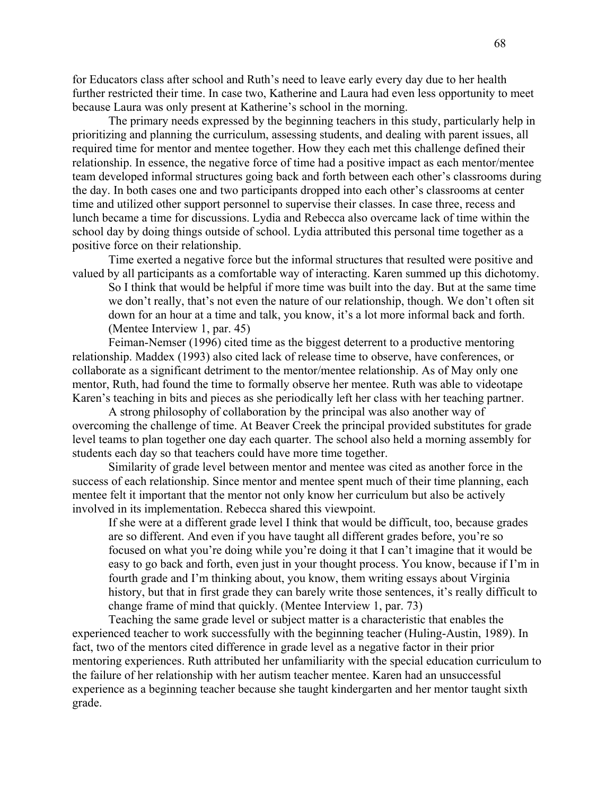for Educators class after school and Ruth's need to leave early every day due to her health further restricted their time. In case two, Katherine and Laura had even less opportunity to meet because Laura was only present at Katherine's school in the morning.

The primary needs expressed by the beginning teachers in this study, particularly help in prioritizing and planning the curriculum, assessing students, and dealing with parent issues, all required time for mentor and mentee together. How they each met this challenge defined their relationship. In essence, the negative force of time had a positive impact as each mentor/mentee team developed informal structures going back and forth between each other's classrooms during the day. In both cases one and two participants dropped into each other's classrooms at center time and utilized other support personnel to supervise their classes. In case three, recess and lunch became a time for discussions. Lydia and Rebecca also overcame lack of time within the school day by doing things outside of school. Lydia attributed this personal time together as a positive force on their relationship.

Time exerted a negative force but the informal structures that resulted were positive and valued by all participants as a comfortable way of interacting. Karen summed up this dichotomy.

So I think that would be helpful if more time was built into the day. But at the same time we don't really, that's not even the nature of our relationship, though. We don't often sit down for an hour at a time and talk, you know, it's a lot more informal back and forth. (Mentee Interview 1, par. 45)

Feiman-Nemser (1996) cited time as the biggest deterrent to a productive mentoring relationship. Maddex (1993) also cited lack of release time to observe, have conferences, or collaborate as a significant detriment to the mentor/mentee relationship. As of May only one mentor, Ruth, had found the time to formally observe her mentee. Ruth was able to videotape Karen's teaching in bits and pieces as she periodically left her class with her teaching partner.

A strong philosophy of collaboration by the principal was also another way of overcoming the challenge of time. At Beaver Creek the principal provided substitutes for grade level teams to plan together one day each quarter. The school also held a morning assembly for students each day so that teachers could have more time together.

Similarity of grade level between mentor and mentee was cited as another force in the success of each relationship. Since mentor and mentee spent much of their time planning, each mentee felt it important that the mentor not only know her curriculum but also be actively involved in its implementation. Rebecca shared this viewpoint.

If she were at a different grade level I think that would be difficult, too, because grades are so different. And even if you have taught all different grades before, you're so focused on what you're doing while you're doing it that I can't imagine that it would be easy to go back and forth, even just in your thought process. You know, because if I'm in fourth grade and I'm thinking about, you know, them writing essays about Virginia history, but that in first grade they can barely write those sentences, it's really difficult to change frame of mind that quickly. (Mentee Interview 1, par. 73)

Teaching the same grade level or subject matter is a characteristic that enables the experienced teacher to work successfully with the beginning teacher (Huling-Austin, 1989). In fact, two of the mentors cited difference in grade level as a negative factor in their prior mentoring experiences. Ruth attributed her unfamiliarity with the special education curriculum to the failure of her relationship with her autism teacher mentee. Karen had an unsuccessful experience as a beginning teacher because she taught kindergarten and her mentor taught sixth grade.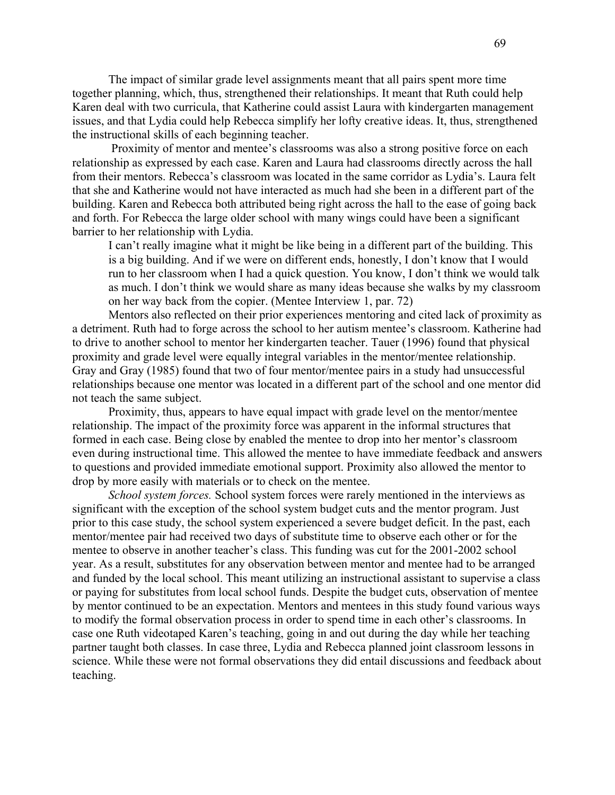The impact of similar grade level assignments meant that all pairs spent more time together planning, which, thus, strengthened their relationships. It meant that Ruth could help Karen deal with two curricula, that Katherine could assist Laura with kindergarten management issues, and that Lydia could help Rebecca simplify her lofty creative ideas. It, thus, strengthened the instructional skills of each beginning teacher.

Proximity of mentor and mentee's classrooms was also a strong positive force on each relationship as expressed by each case. Karen and Laura had classrooms directly across the hall from their mentors. Rebecca's classroom was located in the same corridor as Lydia's. Laura felt that she and Katherine would not have interacted as much had she been in a different part of the building. Karen and Rebecca both attributed being right across the hall to the ease of going back and forth. For Rebecca the large older school with many wings could have been a significant barrier to her relationship with Lydia.

I can't really imagine what it might be like being in a different part of the building. This is a big building. And if we were on different ends, honestly, I don't know that I would run to her classroom when I had a quick question. You know, I don't think we would talk as much. I don't think we would share as many ideas because she walks by my classroom on her way back from the copier. (Mentee Interview 1, par. 72)

Mentors also reflected on their prior experiences mentoring and cited lack of proximity as a detriment. Ruth had to forge across the school to her autism mentee's classroom. Katherine had to drive to another school to mentor her kindergarten teacher. Tauer (1996) found that physical proximity and grade level were equally integral variables in the mentor/mentee relationship. Gray and Gray (1985) found that two of four mentor/mentee pairs in a study had unsuccessful relationships because one mentor was located in a different part of the school and one mentor did not teach the same subject.

Proximity, thus, appears to have equal impact with grade level on the mentor/mentee relationship. The impact of the proximity force was apparent in the informal structures that formed in each case. Being close by enabled the mentee to drop into her mentor's classroom even during instructional time. This allowed the mentee to have immediate feedback and answers to questions and provided immediate emotional support. Proximity also allowed the mentor to drop by more easily with materials or to check on the mentee.

*School system forces.* School system forces were rarely mentioned in the interviews as significant with the exception of the school system budget cuts and the mentor program. Just prior to this case study, the school system experienced a severe budget deficit. In the past, each mentor/mentee pair had received two days of substitute time to observe each other or for the mentee to observe in another teacher's class. This funding was cut for the 2001-2002 school year. As a result, substitutes for any observation between mentor and mentee had to be arranged and funded by the local school. This meant utilizing an instructional assistant to supervise a class or paying for substitutes from local school funds. Despite the budget cuts, observation of mentee by mentor continued to be an expectation. Mentors and mentees in this study found various ways to modify the formal observation process in order to spend time in each other's classrooms. In case one Ruth videotaped Karen's teaching, going in and out during the day while her teaching partner taught both classes. In case three, Lydia and Rebecca planned joint classroom lessons in science. While these were not formal observations they did entail discussions and feedback about teaching.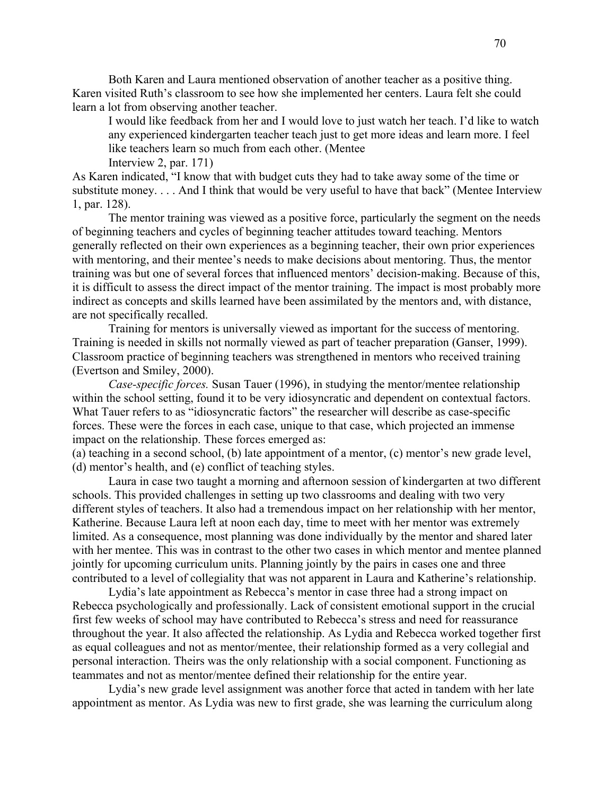Both Karen and Laura mentioned observation of another teacher as a positive thing. Karen visited Ruth's classroom to see how she implemented her centers. Laura felt she could learn a lot from observing another teacher.

I would like feedback from her and I would love to just watch her teach. I'd like to watch any experienced kindergarten teacher teach just to get more ideas and learn more. I feel like teachers learn so much from each other. (Mentee Interview 2, par. 171)

As Karen indicated, "I know that with budget cuts they had to take away some of the time or substitute money. . . . And I think that would be very useful to have that back" (Mentee Interview 1, par. 128).

The mentor training was viewed as a positive force, particularly the segment on the needs of beginning teachers and cycles of beginning teacher attitudes toward teaching. Mentors generally reflected on their own experiences as a beginning teacher, their own prior experiences with mentoring, and their mentee's needs to make decisions about mentoring. Thus, the mentor training was but one of several forces that influenced mentors' decision-making. Because of this, it is difficult to assess the direct impact of the mentor training. The impact is most probably more indirect as concepts and skills learned have been assimilated by the mentors and, with distance, are not specifically recalled.

Training for mentors is universally viewed as important for the success of mentoring. Training is needed in skills not normally viewed as part of teacher preparation (Ganser, 1999). Classroom practice of beginning teachers was strengthened in mentors who received training (Evertson and Smiley, 2000).

*Case-specific forces.* Susan Tauer (1996), in studying the mentor/mentee relationship within the school setting, found it to be very idiosyncratic and dependent on contextual factors. What Tauer refers to as "idiosyncratic factors" the researcher will describe as case-specific forces. These were the forces in each case, unique to that case, which projected an immense impact on the relationship. These forces emerged as:

(a) teaching in a second school, (b) late appointment of a mentor, (c) mentor's new grade level, (d) mentor's health, and (e) conflict of teaching styles.

Laura in case two taught a morning and afternoon session of kindergarten at two different schools. This provided challenges in setting up two classrooms and dealing with two very different styles of teachers. It also had a tremendous impact on her relationship with her mentor, Katherine. Because Laura left at noon each day, time to meet with her mentor was extremely limited. As a consequence, most planning was done individually by the mentor and shared later with her mentee. This was in contrast to the other two cases in which mentor and mentee planned jointly for upcoming curriculum units. Planning jointly by the pairs in cases one and three contributed to a level of collegiality that was not apparent in Laura and Katherine's relationship.

Lydia's late appointment as Rebecca's mentor in case three had a strong impact on Rebecca psychologically and professionally. Lack of consistent emotional support in the crucial first few weeks of school may have contributed to Rebecca's stress and need for reassurance throughout the year. It also affected the relationship. As Lydia and Rebecca worked together first as equal colleagues and not as mentor/mentee, their relationship formed as a very collegial and personal interaction. Theirs was the only relationship with a social component. Functioning as teammates and not as mentor/mentee defined their relationship for the entire year.

Lydia's new grade level assignment was another force that acted in tandem with her late appointment as mentor. As Lydia was new to first grade, she was learning the curriculum along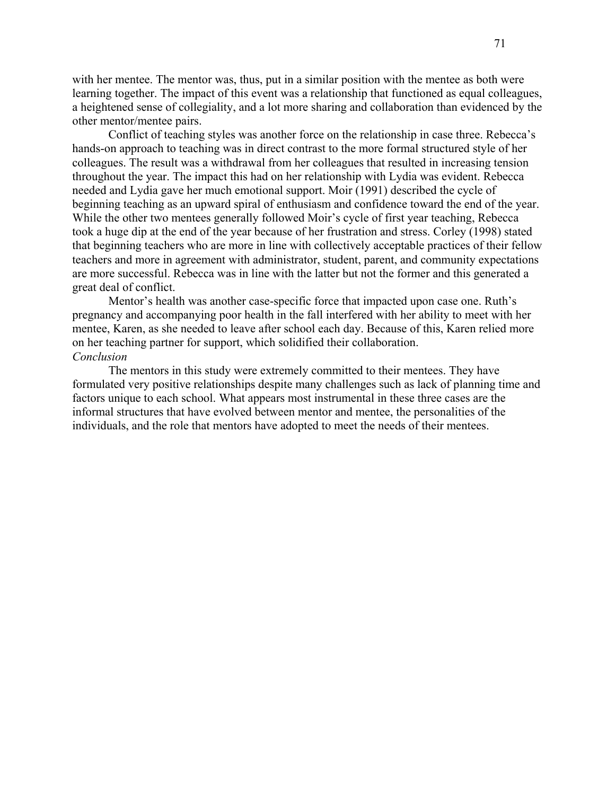with her mentee. The mentor was, thus, put in a similar position with the mentee as both were learning together. The impact of this event was a relationship that functioned as equal colleagues, a heightened sense of collegiality, and a lot more sharing and collaboration than evidenced by the other mentor/mentee pairs.

Conflict of teaching styles was another force on the relationship in case three. Rebecca's hands-on approach to teaching was in direct contrast to the more formal structured style of her colleagues. The result was a withdrawal from her colleagues that resulted in increasing tension throughout the year. The impact this had on her relationship with Lydia was evident. Rebecca needed and Lydia gave her much emotional support. Moir (1991) described the cycle of beginning teaching as an upward spiral of enthusiasm and confidence toward the end of the year. While the other two mentees generally followed Moir's cycle of first year teaching, Rebecca took a huge dip at the end of the year because of her frustration and stress. Corley (1998) stated that beginning teachers who are more in line with collectively acceptable practices of their fellow teachers and more in agreement with administrator, student, parent, and community expectations are more successful. Rebecca was in line with the latter but not the former and this generated a great deal of conflict.

Mentor's health was another case-specific force that impacted upon case one. Ruth's pregnancy and accompanying poor health in the fall interfered with her ability to meet with her mentee, Karen, as she needed to leave after school each day. Because of this, Karen relied more on her teaching partner for support, which solidified their collaboration. *Conclusion* 

The mentors in this study were extremely committed to their mentees. They have formulated very positive relationships despite many challenges such as lack of planning time and factors unique to each school. What appears most instrumental in these three cases are the informal structures that have evolved between mentor and mentee, the personalities of the individuals, and the role that mentors have adopted to meet the needs of their mentees.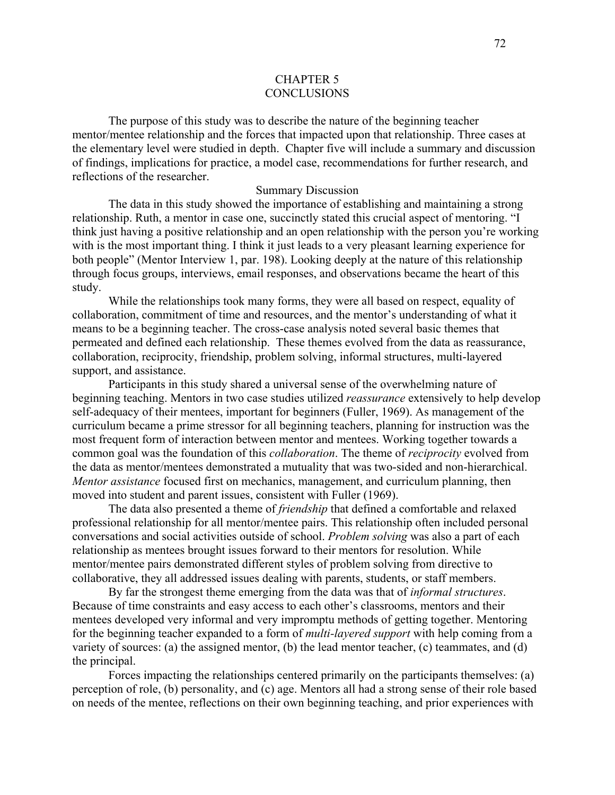## CHAPTER 5 **CONCLUSIONS**

The purpose of this study was to describe the nature of the beginning teacher mentor/mentee relationship and the forces that impacted upon that relationship. Three cases at the elementary level were studied in depth. Chapter five will include a summary and discussion of findings, implications for practice, a model case, recommendations for further research, and reflections of the researcher.

### Summary Discussion

The data in this study showed the importance of establishing and maintaining a strong relationship. Ruth, a mentor in case one, succinctly stated this crucial aspect of mentoring. "I think just having a positive relationship and an open relationship with the person you're working with is the most important thing. I think it just leads to a very pleasant learning experience for both people" (Mentor Interview 1, par. 198). Looking deeply at the nature of this relationship through focus groups, interviews, email responses, and observations became the heart of this study.

While the relationships took many forms, they were all based on respect, equality of collaboration, commitment of time and resources, and the mentor's understanding of what it means to be a beginning teacher. The cross-case analysis noted several basic themes that permeated and defined each relationship. These themes evolved from the data as reassurance, collaboration, reciprocity, friendship, problem solving, informal structures, multi-layered support, and assistance.

Participants in this study shared a universal sense of the overwhelming nature of beginning teaching. Mentors in two case studies utilized *reassurance* extensively to help develop self-adequacy of their mentees, important for beginners (Fuller, 1969). As management of the curriculum became a prime stressor for all beginning teachers, planning for instruction was the most frequent form of interaction between mentor and mentees. Working together towards a common goal was the foundation of this *collaboration*. The theme of *reciprocity* evolved from the data as mentor/mentees demonstrated a mutuality that was two-sided and non-hierarchical. *Mentor assistance* focused first on mechanics, management, and curriculum planning, then moved into student and parent issues, consistent with Fuller (1969).

The data also presented a theme of *friendship* that defined a comfortable and relaxed professional relationship for all mentor/mentee pairs. This relationship often included personal conversations and social activities outside of school. *Problem solving* was also a part of each relationship as mentees brought issues forward to their mentors for resolution. While mentor/mentee pairs demonstrated different styles of problem solving from directive to collaborative, they all addressed issues dealing with parents, students, or staff members.

By far the strongest theme emerging from the data was that of *informal structures*. Because of time constraints and easy access to each other's classrooms, mentors and their mentees developed very informal and very impromptu methods of getting together. Mentoring for the beginning teacher expanded to a form of *multi-layered support* with help coming from a variety of sources: (a) the assigned mentor, (b) the lead mentor teacher, (c) teammates, and (d) the principal.

Forces impacting the relationships centered primarily on the participants themselves: (a) perception of role, (b) personality, and (c) age. Mentors all had a strong sense of their role based on needs of the mentee, reflections on their own beginning teaching, and prior experiences with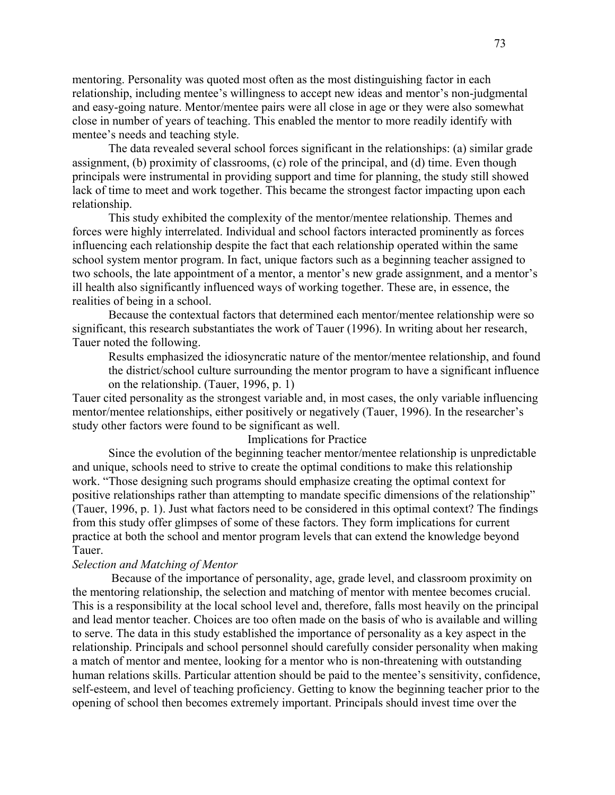mentoring. Personality was quoted most often as the most distinguishing factor in each relationship, including mentee's willingness to accept new ideas and mentor's non-judgmental and easy-going nature. Mentor/mentee pairs were all close in age or they were also somewhat close in number of years of teaching. This enabled the mentor to more readily identify with mentee's needs and teaching style.

The data revealed several school forces significant in the relationships: (a) similar grade assignment, (b) proximity of classrooms, (c) role of the principal, and (d) time. Even though principals were instrumental in providing support and time for planning, the study still showed lack of time to meet and work together. This became the strongest factor impacting upon each relationship.

This study exhibited the complexity of the mentor/mentee relationship. Themes and forces were highly interrelated. Individual and school factors interacted prominently as forces influencing each relationship despite the fact that each relationship operated within the same school system mentor program. In fact, unique factors such as a beginning teacher assigned to two schools, the late appointment of a mentor, a mentor's new grade assignment, and a mentor's ill health also significantly influenced ways of working together. These are, in essence, the realities of being in a school.

Because the contextual factors that determined each mentor/mentee relationship were so significant, this research substantiates the work of Tauer (1996). In writing about her research, Tauer noted the following.

Results emphasized the idiosyncratic nature of the mentor/mentee relationship, and found the district/school culture surrounding the mentor program to have a significant influence on the relationship. (Tauer, 1996, p. 1)

Tauer cited personality as the strongest variable and, in most cases, the only variable influencing mentor/mentee relationships, either positively or negatively (Tauer, 1996). In the researcher's study other factors were found to be significant as well.

### Implications for Practice

Since the evolution of the beginning teacher mentor/mentee relationship is unpredictable and unique, schools need to strive to create the optimal conditions to make this relationship work. "Those designing such programs should emphasize creating the optimal context for positive relationships rather than attempting to mandate specific dimensions of the relationship" (Tauer, 1996, p. 1). Just what factors need to be considered in this optimal context? The findings from this study offer glimpses of some of these factors. They form implications for current practice at both the school and mentor program levels that can extend the knowledge beyond Tauer.

### *Selection and Matching of Mentor*

Because of the importance of personality, age, grade level, and classroom proximity on the mentoring relationship, the selection and matching of mentor with mentee becomes crucial. This is a responsibility at the local school level and, therefore, falls most heavily on the principal and lead mentor teacher. Choices are too often made on the basis of who is available and willing to serve. The data in this study established the importance of personality as a key aspect in the relationship. Principals and school personnel should carefully consider personality when making a match of mentor and mentee, looking for a mentor who is non-threatening with outstanding human relations skills. Particular attention should be paid to the mentee's sensitivity, confidence, self-esteem, and level of teaching proficiency. Getting to know the beginning teacher prior to the opening of school then becomes extremely important. Principals should invest time over the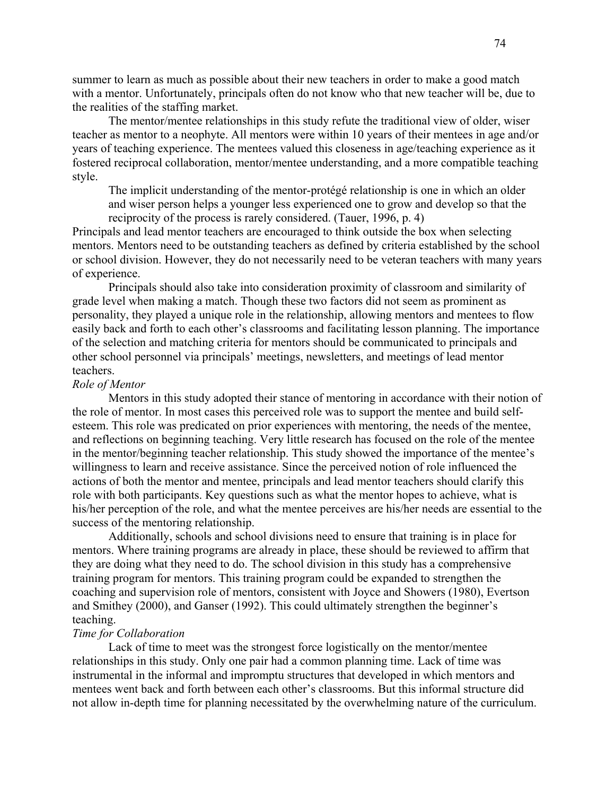summer to learn as much as possible about their new teachers in order to make a good match with a mentor. Unfortunately, principals often do not know who that new teacher will be, due to the realities of the staffing market.

The mentor/mentee relationships in this study refute the traditional view of older, wiser teacher as mentor to a neophyte. All mentors were within 10 years of their mentees in age and/or years of teaching experience. The mentees valued this closeness in age/teaching experience as it fostered reciprocal collaboration, mentor/mentee understanding, and a more compatible teaching style.

The implicit understanding of the mentor-protégé relationship is one in which an older and wiser person helps a younger less experienced one to grow and develop so that the reciprocity of the process is rarely considered. (Tauer, 1996, p. 4)

Principals and lead mentor teachers are encouraged to think outside the box when selecting mentors. Mentors need to be outstanding teachers as defined by criteria established by the school or school division. However, they do not necessarily need to be veteran teachers with many years of experience.

Principals should also take into consideration proximity of classroom and similarity of grade level when making a match. Though these two factors did not seem as prominent as personality, they played a unique role in the relationship, allowing mentors and mentees to flow easily back and forth to each other's classrooms and facilitating lesson planning. The importance of the selection and matching criteria for mentors should be communicated to principals and other school personnel via principals' meetings, newsletters, and meetings of lead mentor teachers.

### *Role of Mentor*

Mentors in this study adopted their stance of mentoring in accordance with their notion of the role of mentor. In most cases this perceived role was to support the mentee and build selfesteem. This role was predicated on prior experiences with mentoring, the needs of the mentee, and reflections on beginning teaching. Very little research has focused on the role of the mentee in the mentor/beginning teacher relationship. This study showed the importance of the mentee's willingness to learn and receive assistance. Since the perceived notion of role influenced the actions of both the mentor and mentee, principals and lead mentor teachers should clarify this role with both participants. Key questions such as what the mentor hopes to achieve, what is his/her perception of the role, and what the mentee perceives are his/her needs are essential to the success of the mentoring relationship.

Additionally, schools and school divisions need to ensure that training is in place for mentors. Where training programs are already in place, these should be reviewed to affirm that they are doing what they need to do. The school division in this study has a comprehensive training program for mentors. This training program could be expanded to strengthen the coaching and supervision role of mentors, consistent with Joyce and Showers (1980), Evertson and Smithey (2000), and Ganser (1992). This could ultimately strengthen the beginner's teaching.

#### *Time for Collaboration*

Lack of time to meet was the strongest force logistically on the mentor/mentee relationships in this study. Only one pair had a common planning time. Lack of time was instrumental in the informal and impromptu structures that developed in which mentors and mentees went back and forth between each other's classrooms. But this informal structure did not allow in-depth time for planning necessitated by the overwhelming nature of the curriculum.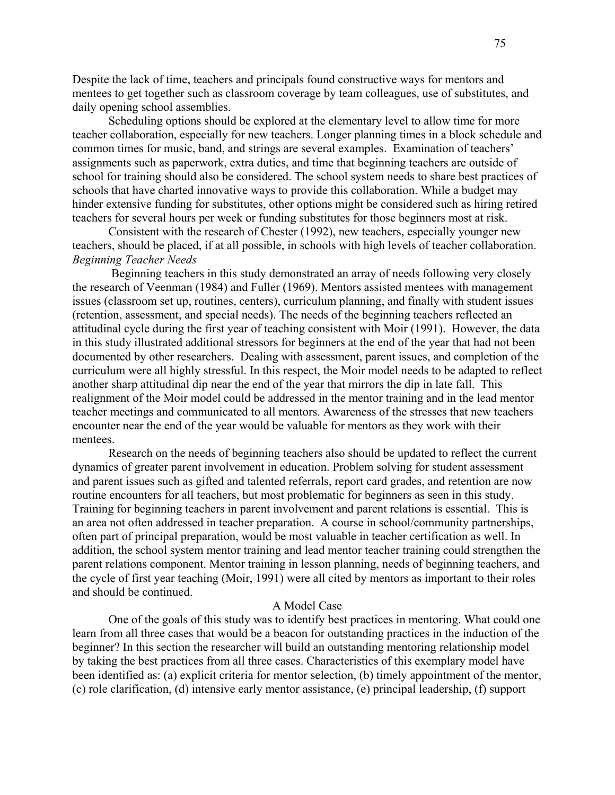Despite the lack of time, teachers and principals found constructive ways for mentors and mentees to get together such as classroom coverage by team colleagues, use of substitutes, and daily opening school assemblies.

Scheduling options should be explored at the elementary level to allow time for more teacher collaboration, especially for new teachers. Longer planning times in a block schedule and common times for music, band, and strings are several examples. Examination of teachers' assignments such as paperwork, extra duties, and time that beginning teachers are outside of school for training should also be considered. The school system needs to share best practices of schools that have charted innovative ways to provide this collaboration. While a budget may hinder extensive funding for substitutes, other options might be considered such as hiring retired teachers for several hours per week or funding substitutes for those beginners most at risk.

Consistent with the research of Chester (1992), new teachers, especially younger new teachers, should be placed, if at all possible, in schools with high levels of teacher collaboration. *Beginning Teacher Needs* 

Beginning teachers in this study demonstrated an array of needs following very closely the research of Veenman (1984) and Fuller (1969). Mentors assisted mentees with management issues (classroom set up, routines, centers), curriculum planning, and finally with student issues (retention, assessment, and special needs). The needs of the beginning teachers reflected an attitudinal cycle during the first year of teaching consistent with Moir (1991). However, the data in this study illustrated additional stressors for beginners at the end of the year that had not been documented by other researchers. Dealing with assessment, parent issues, and completion of the curriculum were all highly stressful. In this respect, the Moir model needs to be adapted to reflect another sharp attitudinal dip near the end of the year that mirrors the dip in late fall. This realignment of the Moir model could be addressed in the mentor training and in the lead mentor teacher meetings and communicated to all mentors. Awareness of the stresses that new teachers encounter near the end of the year would be valuable for mentors as they work with their mentees.

Research on the needs of beginning teachers also should be updated to reflect the current dynamics of greater parent involvement in education. Problem solving for student assessment and parent issues such as gifted and talented referrals, report card grades, and retention are now routine encounters for all teachers, but most problematic for beginners as seen in this study. Training for beginning teachers in parent involvement and parent relations is essential. This is an area not often addressed in teacher preparation. A course in school/community partnerships, often part of principal preparation, would be most valuable in teacher certification as well. In addition, the school system mentor training and lead mentor teacher training could strengthen the parent relations component. Mentor training in lesson planning, needs of beginning teachers, and the cycle of first year teaching (Moir, 1991) were all cited by mentors as important to their roles and should be continued.

### A Model Case

One of the goals of this study was to identify best practices in mentoring. What could one learn from all three cases that would be a beacon for outstanding practices in the induction of the beginner? In this section the researcher will build an outstanding mentoring relationship model by taking the best practices from all three cases. Characteristics of this exemplary model have been identified as: (a) explicit criteria for mentor selection, (b) timely appointment of the mentor, (c) role clarification, (d) intensive early mentor assistance, (e) principal leadership, (f) support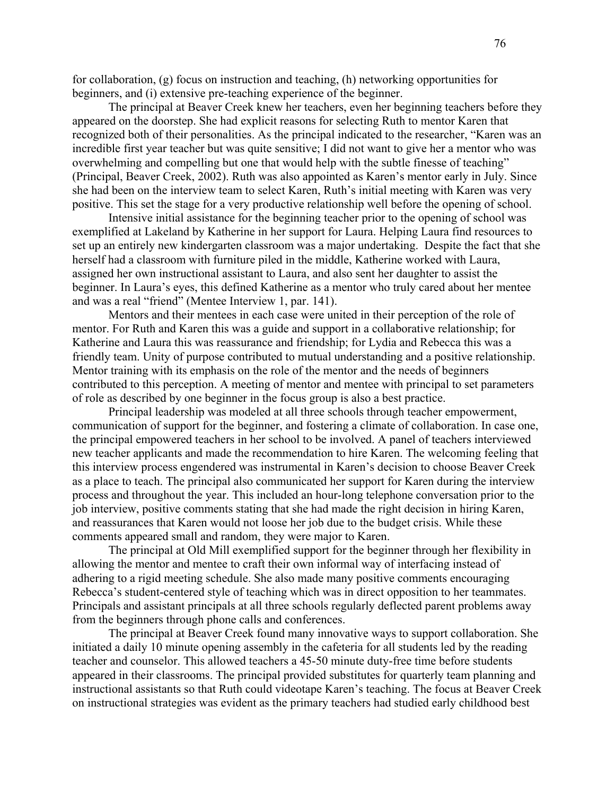for collaboration, (g) focus on instruction and teaching, (h) networking opportunities for beginners, and (i) extensive pre-teaching experience of the beginner.

The principal at Beaver Creek knew her teachers, even her beginning teachers before they appeared on the doorstep. She had explicit reasons for selecting Ruth to mentor Karen that recognized both of their personalities. As the principal indicated to the researcher, "Karen was an incredible first year teacher but was quite sensitive; I did not want to give her a mentor who was overwhelming and compelling but one that would help with the subtle finesse of teaching" (Principal, Beaver Creek, 2002). Ruth was also appointed as Karen's mentor early in July. Since she had been on the interview team to select Karen, Ruth's initial meeting with Karen was very positive. This set the stage for a very productive relationship well before the opening of school.

Intensive initial assistance for the beginning teacher prior to the opening of school was exemplified at Lakeland by Katherine in her support for Laura. Helping Laura find resources to set up an entirely new kindergarten classroom was a major undertaking. Despite the fact that she herself had a classroom with furniture piled in the middle, Katherine worked with Laura, assigned her own instructional assistant to Laura, and also sent her daughter to assist the beginner. In Laura's eyes, this defined Katherine as a mentor who truly cared about her mentee and was a real "friend" (Mentee Interview 1, par. 141).

Mentors and their mentees in each case were united in their perception of the role of mentor. For Ruth and Karen this was a guide and support in a collaborative relationship; for Katherine and Laura this was reassurance and friendship; for Lydia and Rebecca this was a friendly team. Unity of purpose contributed to mutual understanding and a positive relationship. Mentor training with its emphasis on the role of the mentor and the needs of beginners contributed to this perception. A meeting of mentor and mentee with principal to set parameters of role as described by one beginner in the focus group is also a best practice.

Principal leadership was modeled at all three schools through teacher empowerment, communication of support for the beginner, and fostering a climate of collaboration. In case one, the principal empowered teachers in her school to be involved. A panel of teachers interviewed new teacher applicants and made the recommendation to hire Karen. The welcoming feeling that this interview process engendered was instrumental in Karen's decision to choose Beaver Creek as a place to teach. The principal also communicated her support for Karen during the interview process and throughout the year. This included an hour-long telephone conversation prior to the job interview, positive comments stating that she had made the right decision in hiring Karen, and reassurances that Karen would not loose her job due to the budget crisis. While these comments appeared small and random, they were major to Karen.

The principal at Old Mill exemplified support for the beginner through her flexibility in allowing the mentor and mentee to craft their own informal way of interfacing instead of adhering to a rigid meeting schedule. She also made many positive comments encouraging Rebecca's student-centered style of teaching which was in direct opposition to her teammates. Principals and assistant principals at all three schools regularly deflected parent problems away from the beginners through phone calls and conferences.

The principal at Beaver Creek found many innovative ways to support collaboration. She initiated a daily 10 minute opening assembly in the cafeteria for all students led by the reading teacher and counselor. This allowed teachers a 45-50 minute duty-free time before students appeared in their classrooms. The principal provided substitutes for quarterly team planning and instructional assistants so that Ruth could videotape Karen's teaching. The focus at Beaver Creek on instructional strategies was evident as the primary teachers had studied early childhood best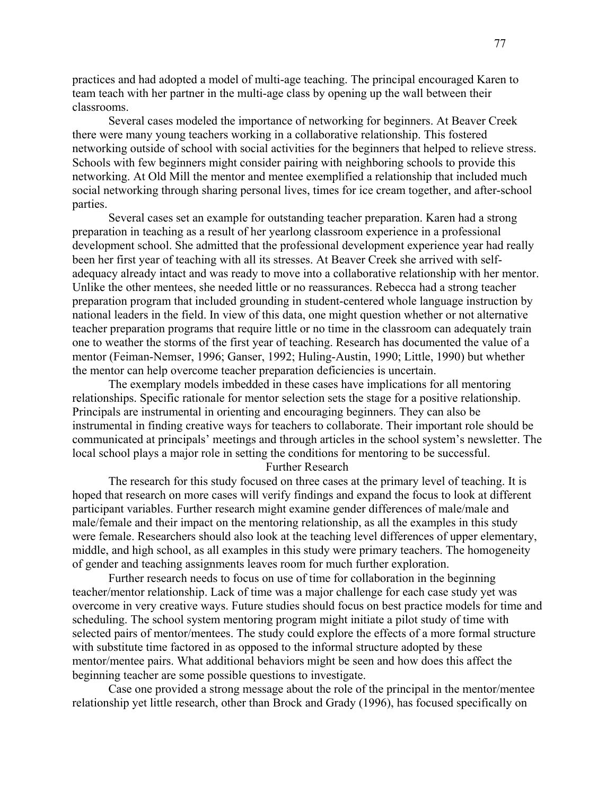practices and had adopted a model of multi-age teaching. The principal encouraged Karen to team teach with her partner in the multi-age class by opening up the wall between their classrooms.

Several cases modeled the importance of networking for beginners. At Beaver Creek there were many young teachers working in a collaborative relationship. This fostered networking outside of school with social activities for the beginners that helped to relieve stress. Schools with few beginners might consider pairing with neighboring schools to provide this networking. At Old Mill the mentor and mentee exemplified a relationship that included much social networking through sharing personal lives, times for ice cream together, and after-school parties.

Several cases set an example for outstanding teacher preparation. Karen had a strong preparation in teaching as a result of her yearlong classroom experience in a professional development school. She admitted that the professional development experience year had really been her first year of teaching with all its stresses. At Beaver Creek she arrived with selfadequacy already intact and was ready to move into a collaborative relationship with her mentor. Unlike the other mentees, she needed little or no reassurances. Rebecca had a strong teacher preparation program that included grounding in student-centered whole language instruction by national leaders in the field. In view of this data, one might question whether or not alternative teacher preparation programs that require little or no time in the classroom can adequately train one to weather the storms of the first year of teaching. Research has documented the value of a mentor (Feiman-Nemser, 1996; Ganser, 1992; Huling-Austin, 1990; Little, 1990) but whether the mentor can help overcome teacher preparation deficiencies is uncertain.

The exemplary models imbedded in these cases have implications for all mentoring relationships. Specific rationale for mentor selection sets the stage for a positive relationship. Principals are instrumental in orienting and encouraging beginners. They can also be instrumental in finding creative ways for teachers to collaborate. Their important role should be communicated at principals' meetings and through articles in the school system's newsletter. The local school plays a major role in setting the conditions for mentoring to be successful.

### Further Research

The research for this study focused on three cases at the primary level of teaching. It is hoped that research on more cases will verify findings and expand the focus to look at different participant variables. Further research might examine gender differences of male/male and male/female and their impact on the mentoring relationship, as all the examples in this study were female. Researchers should also look at the teaching level differences of upper elementary, middle, and high school, as all examples in this study were primary teachers. The homogeneity of gender and teaching assignments leaves room for much further exploration.

Further research needs to focus on use of time for collaboration in the beginning teacher/mentor relationship. Lack of time was a major challenge for each case study yet was overcome in very creative ways. Future studies should focus on best practice models for time and scheduling. The school system mentoring program might initiate a pilot study of time with selected pairs of mentor/mentees. The study could explore the effects of a more formal structure with substitute time factored in as opposed to the informal structure adopted by these mentor/mentee pairs. What additional behaviors might be seen and how does this affect the beginning teacher are some possible questions to investigate.

Case one provided a strong message about the role of the principal in the mentor/mentee relationship yet little research, other than Brock and Grady (1996), has focused specifically on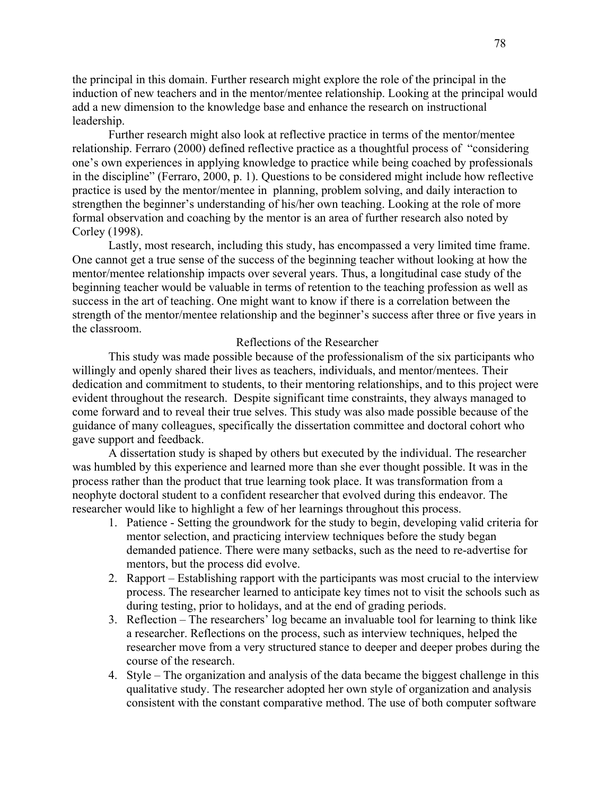the principal in this domain. Further research might explore the role of the principal in the induction of new teachers and in the mentor/mentee relationship. Looking at the principal would add a new dimension to the knowledge base and enhance the research on instructional leadership.

Further research might also look at reflective practice in terms of the mentor/mentee relationship. Ferraro (2000) defined reflective practice as a thoughtful process of "considering one's own experiences in applying knowledge to practice while being coached by professionals in the discipline" (Ferraro, 2000, p. 1). Questions to be considered might include how reflective practice is used by the mentor/mentee in planning, problem solving, and daily interaction to strengthen the beginner's understanding of his/her own teaching. Looking at the role of more formal observation and coaching by the mentor is an area of further research also noted by Corley (1998).

Lastly, most research, including this study, has encompassed a very limited time frame. One cannot get a true sense of the success of the beginning teacher without looking at how the mentor/mentee relationship impacts over several years. Thus, a longitudinal case study of the beginning teacher would be valuable in terms of retention to the teaching profession as well as success in the art of teaching. One might want to know if there is a correlation between the strength of the mentor/mentee relationship and the beginner's success after three or five years in the classroom.

## Reflections of the Researcher

This study was made possible because of the professionalism of the six participants who willingly and openly shared their lives as teachers, individuals, and mentor/mentees. Their dedication and commitment to students, to their mentoring relationships, and to this project were evident throughout the research. Despite significant time constraints, they always managed to come forward and to reveal their true selves. This study was also made possible because of the guidance of many colleagues, specifically the dissertation committee and doctoral cohort who gave support and feedback.

A dissertation study is shaped by others but executed by the individual. The researcher was humbled by this experience and learned more than she ever thought possible. It was in the process rather than the product that true learning took place. It was transformation from a neophyte doctoral student to a confident researcher that evolved during this endeavor. The researcher would like to highlight a few of her learnings throughout this process.

- 1. Patience Setting the groundwork for the study to begin, developing valid criteria for mentor selection, and practicing interview techniques before the study began demanded patience. There were many setbacks, such as the need to re-advertise for mentors, but the process did evolve.
- 2. Rapport Establishing rapport with the participants was most crucial to the interview process. The researcher learned to anticipate key times not to visit the schools such as during testing, prior to holidays, and at the end of grading periods.
- 3. Reflection The researchers' log became an invaluable tool for learning to think like a researcher. Reflections on the process, such as interview techniques, helped the researcher move from a very structured stance to deeper and deeper probes during the course of the research.
- 4. Style The organization and analysis of the data became the biggest challenge in this qualitative study. The researcher adopted her own style of organization and analysis consistent with the constant comparative method. The use of both computer software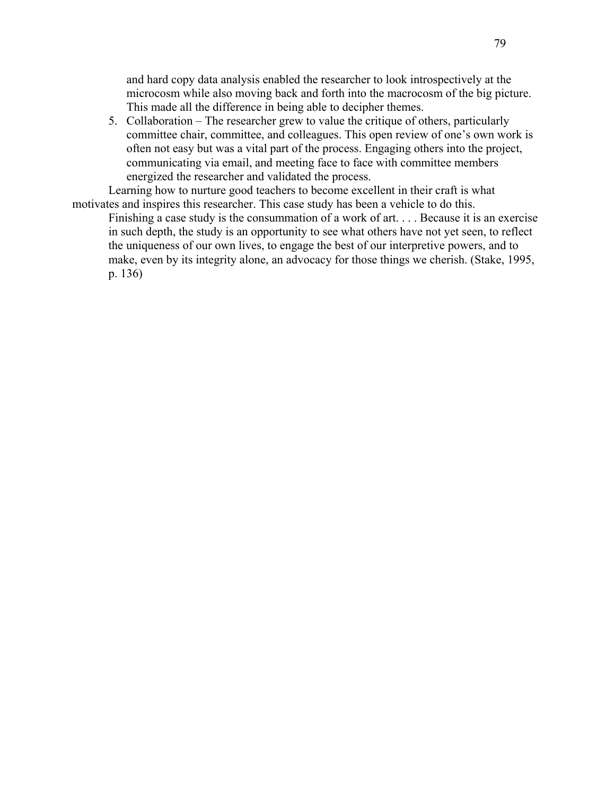and hard copy data analysis enabled the researcher to look introspectively at the microcosm while also moving back and forth into the macrocosm of the big picture. This made all the difference in being able to decipher themes.

5. Collaboration – The researcher grew to value the critique of others, particularly committee chair, committee, and colleagues. This open review of one's own work is often not easy but was a vital part of the process. Engaging others into the project, communicating via email, and meeting face to face with committee members energized the researcher and validated the process.

Learning how to nurture good teachers to become excellent in their craft is what motivates and inspires this researcher. This case study has been a vehicle to do this.

Finishing a case study is the consummation of a work of art. . . . Because it is an exercise in such depth, the study is an opportunity to see what others have not yet seen, to reflect the uniqueness of our own lives, to engage the best of our interpretive powers, and to make, even by its integrity alone, an advocacy for those things we cherish. (Stake, 1995, p. 136)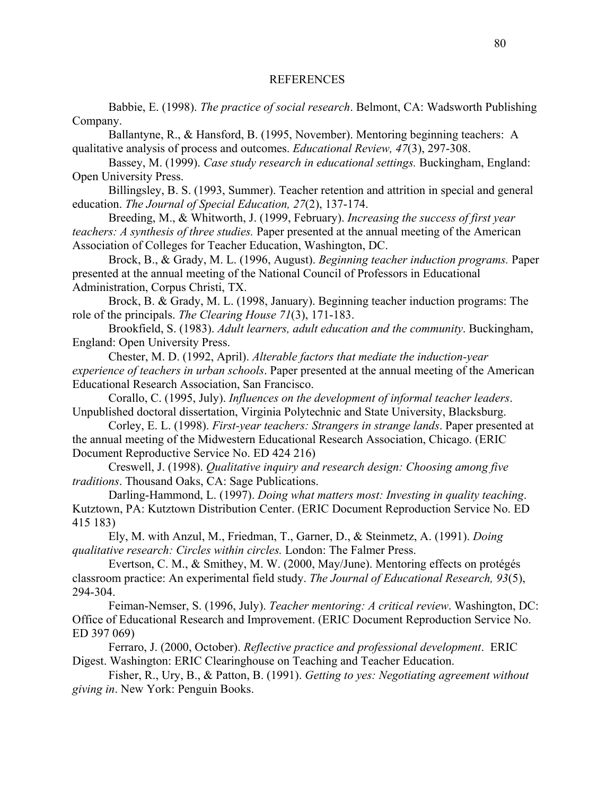#### REFERENCES

 Babbie, E. (1998). *The practice of social research*. Belmont, CA: Wadsworth Publishing Company.

Ballantyne, R., & Hansford, B. (1995, November). Mentoring beginning teachers: A qualitative analysis of process and outcomes. *Educational Review, 47*(3), 297-308.

Bassey, M. (1999). *Case study research in educational settings.* Buckingham, England: Open University Press.

Billingsley, B. S. (1993, Summer). Teacher retention and attrition in special and general education. *The Journal of Special Education, 27*(2), 137-174.

Breeding, M., & Whitworth, J. (1999, February). *Increasing the success of first year teachers: A synthesis of three studies.* Paper presented at the annual meeting of the American Association of Colleges for Teacher Education, Washington, DC.

Brock, B., & Grady, M. L. (1996, August). *Beginning teacher induction programs.* Paper presented at the annual meeting of the National Council of Professors in Educational Administration, Corpus Christi, TX.

Brock, B. & Grady, M. L. (1998, January). Beginning teacher induction programs: The role of the principals. *The Clearing House 71*(3), 171-183.

Brookfield, S. (1983). *Adult learners, adult education and the community*. Buckingham, England: Open University Press.

Chester, M. D. (1992, April). *Alterable factors that mediate the induction-year experience of teachers in urban schools*. Paper presented at the annual meeting of the American Educational Research Association, San Francisco.

Corallo, C. (1995, July). *Influences on the development of informal teacher leaders*. Unpublished doctoral dissertation, Virginia Polytechnic and State University, Blacksburg.

Corley, E. L. (1998). *First-year teachers: Strangers in strange lands*. Paper presented at the annual meeting of the Midwestern Educational Research Association, Chicago. (ERIC Document Reproductive Service No. ED 424 216)

Creswell, J. (1998). *Qualitative inquiry and research design: Choosing among five traditions*. Thousand Oaks, CA: Sage Publications.

Darling-Hammond, L. (1997). *Doing what matters most: Investing in quality teaching*. Kutztown, PA: Kutztown Distribution Center. (ERIC Document Reproduction Service No. ED 415 183)

Ely, M. with Anzul, M., Friedman, T., Garner, D., & Steinmetz, A. (1991). *Doing qualitative research: Circles within circles.* London: The Falmer Press.

Evertson, C. M., & Smithey, M. W. (2000, May/June). Mentoring effects on protégés classroom practice: An experimental field study. *The Journal of Educational Research, 93*(5), 294-304.

Feiman-Nemser, S. (1996, July). *Teacher mentoring: A critical review*. Washington, DC: Office of Educational Research and Improvement. (ERIC Document Reproduction Service No. ED 397 069)

Ferraro, J. (2000, October). *Reflective practice and professional development*. ERIC Digest. Washington: ERIC Clearinghouse on Teaching and Teacher Education.

Fisher, R., Ury, B., & Patton, B. (1991). *Getting to yes: Negotiating agreement without giving in*. New York: Penguin Books.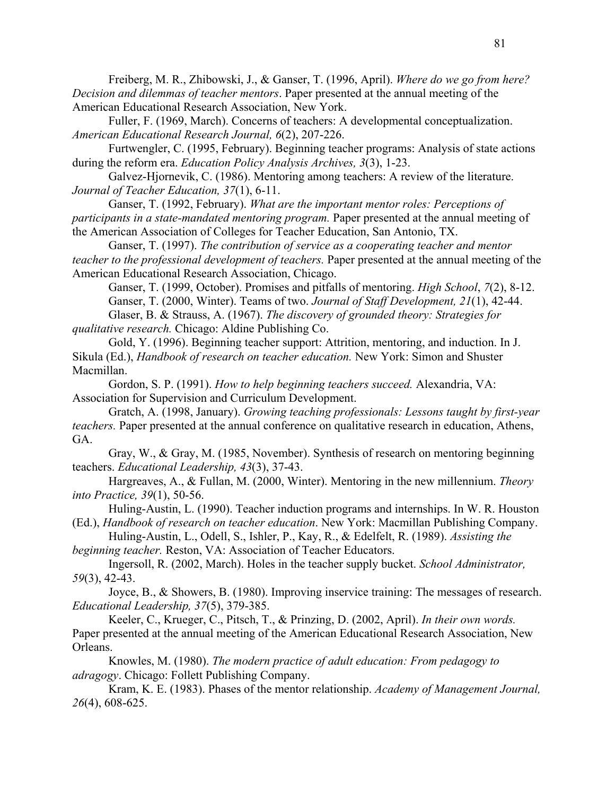Freiberg, M. R., Zhibowski, J., & Ganser, T. (1996, April). *Where do we go from here? Decision and dilemmas of teacher mentors*. Paper presented at the annual meeting of the American Educational Research Association, New York.

Fuller, F. (1969, March). Concerns of teachers: A developmental conceptualization. *American Educational Research Journal, 6*(2), 207-226.

Furtwengler, C. (1995, February). Beginning teacher programs: Analysis of state actions during the reform era. *Education Policy Analysis Archives, 3*(3), 1-23.

Galvez-Hjornevik, C. (1986). Mentoring among teachers: A review of the literature. *Journal of Teacher Education, 37*(1), 6-11.

Ganser, T. (1992, February). *What are the important mentor roles: Perceptions of participants in a state-mandated mentoring program.* Paper presented at the annual meeting of the American Association of Colleges for Teacher Education, San Antonio, TX.

Ganser, T. (1997). *The contribution of service as a cooperating teacher and mentor teacher to the professional development of teachers.* Paper presented at the annual meeting of the American Educational Research Association, Chicago.

Ganser, T. (1999, October). Promises and pitfalls of mentoring. *High School*, *7*(2), 8-12.

Ganser, T. (2000, Winter). Teams of two. *Journal of Staff Development, 21*(1), 42-44. Glaser, B. & Strauss, A. (1967). *The discovery of grounded theory: Strategies for qualitative research.* Chicago: Aldine Publishing Co.

Gold, Y. (1996). Beginning teacher support: Attrition, mentoring, and induction. In J. Sikula (Ed.), *Handbook of research on teacher education.* New York: Simon and Shuster Macmillan.

Gordon, S. P. (1991). *How to help beginning teachers succeed.* Alexandria, VA: Association for Supervision and Curriculum Development.

Gratch, A. (1998, January). *Growing teaching professionals: Lessons taught by first-year teachers.* Paper presented at the annual conference on qualitative research in education, Athens, GA.

Gray, W., & Gray, M. (1985, November). Synthesis of research on mentoring beginning teachers. *Educational Leadership, 43*(3), 37-43.

Hargreaves, A., & Fullan, M. (2000, Winter). Mentoring in the new millennium. *Theory into Practice, 39*(1), 50-56.

Huling-Austin, L. (1990). Teacher induction programs and internships. In W. R. Houston (Ed.), *Handbook of research on teacher education*. New York: Macmillan Publishing Company.

Huling-Austin, L., Odell, S., Ishler, P., Kay, R., & Edelfelt, R. (1989). *Assisting the beginning teacher.* Reston, VA: Association of Teacher Educators.

Ingersoll, R. (2002, March). Holes in the teacher supply bucket. *School Administrator, 59*(3), 42-43.

Joyce, B., & Showers, B. (1980). Improving inservice training: The messages of research. *Educational Leadership, 37*(5), 379-385.

Keeler, C., Krueger, C., Pitsch, T., & Prinzing, D. (2002, April). *In their own words.* Paper presented at the annual meeting of the American Educational Research Association, New Orleans.

Knowles, M. (1980). *The modern practice of adult education: From pedagogy to adragogy*. Chicago: Follett Publishing Company.

Kram, K. E. (1983). Phases of the mentor relationship. *Academy of Management Journal, 26*(4), 608-625.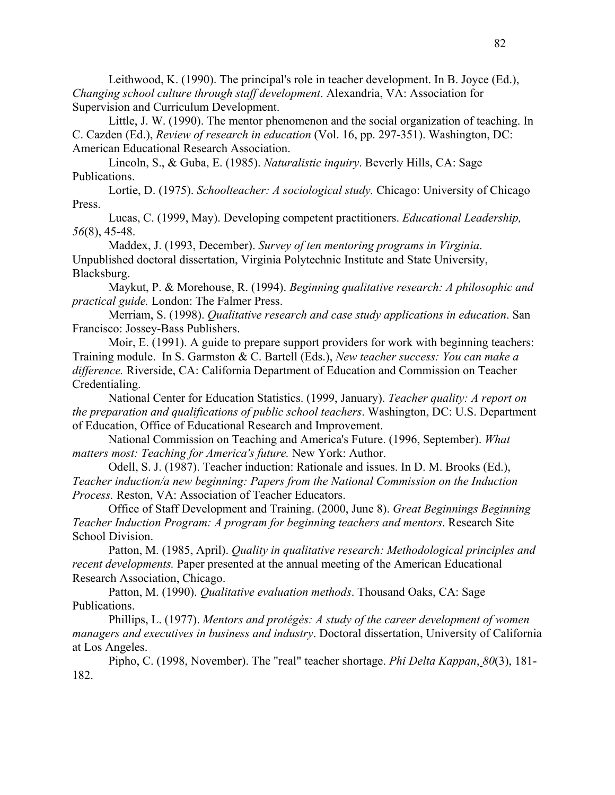Leithwood, K. (1990). The principal's role in teacher development. In B. Joyce (Ed.), *Changing school culture through staff development*. Alexandria, VA: Association for Supervision and Curriculum Development.

Little, J. W. (1990). The mentor phenomenon and the social organization of teaching. In C. Cazden (Ed.), *Review of research in education* (Vol. 16, pp. 297-351). Washington, DC: American Educational Research Association.

Lincoln, S., & Guba, E. (1985). *Naturalistic inquiry*. Beverly Hills, CA: Sage Publications.

Lortie, D. (1975). *Schoolteacher: A sociological study.* Chicago: University of Chicago Press.

Lucas, C. (1999, May). Developing competent practitioners. *Educational Leadership, 56*(8), 45-48.

Maddex, J. (1993, December). *Survey of ten mentoring programs in Virginia*. Unpublished doctoral dissertation, Virginia Polytechnic Institute and State University, Blacksburg.

Maykut, P. & Morehouse, R. (1994). *Beginning qualitative research: A philosophic and practical guide.* London: The Falmer Press.

Merriam, S. (1998). *Qualitative research and case study applications in education*. San Francisco: Jossey-Bass Publishers.

Moir, E. (1991). A guide to prepare support providers for work with beginning teachers: Training module. In S. Garmston & C. Bartell (Eds.), *New teacher success: You can make a difference.* Riverside, CA: California Department of Education and Commission on Teacher Credentialing.

National Center for Education Statistics. (1999, January). *Teacher quality: A report on the preparation and qualifications of public school teachers*. Washington, DC: U.S. Department of Education, Office of Educational Research and Improvement.

National Commission on Teaching and America's Future. (1996, September). *What matters most: Teaching for America's future.* New York: Author.

Odell, S. J. (1987). Teacher induction: Rationale and issues. In D. M. Brooks (Ed.), *Teacher induction/a new beginning: Papers from the National Commission on the Induction Process.* Reston, VA: Association of Teacher Educators.

Office of Staff Development and Training. (2000, June 8). *Great Beginnings Beginning Teacher Induction Program: A program for beginning teachers and mentors*. Research Site School Division.

Patton, M. (1985, April). *Quality in qualitative research: Methodological principles and recent developments.* Paper presented at the annual meeting of the American Educational Research Association, Chicago.

Patton, M. (1990). *Qualitative evaluation methods*. Thousand Oaks, CA: Sage Publications.

Phillips, L. (1977). *Mentors and protégés: A study of the career development of women managers and executives in business and industry*. Doctoral dissertation, University of California at Los Angeles.

Pipho, C. (1998, November). The "real" teacher shortage. *Phi Delta Kappan*, *80*(3), 181- 182.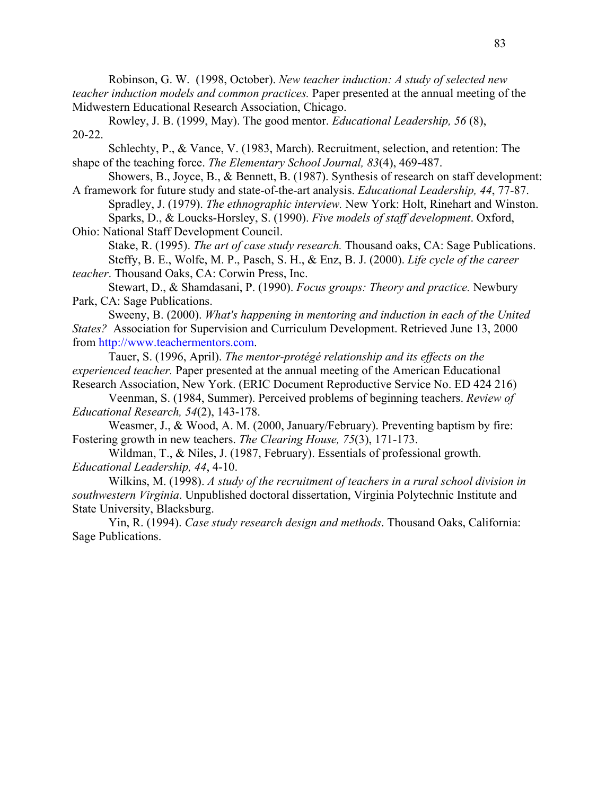Robinson, G. W. (1998, October). *New teacher induction: A study of selected new teacher induction models and common practices.* Paper presented at the annual meeting of the Midwestern Educational Research Association, Chicago.

Rowley, J. B. (1999, May). The good mentor. *Educational Leadership, 56* (8), 20-22.

Schlechty, P., & Vance, V. (1983, March). Recruitment, selection, and retention: The shape of the teaching force. *The Elementary School Journal, 83*(4), 469-487.

Showers, B., Joyce, B., & Bennett, B. (1987). Synthesis of research on staff development: A framework for future study and state-of-the-art analysis. *Educational Leadership, 44*, 77-87.

Spradley, J. (1979). *The ethnographic interview.* New York: Holt, Rinehart and Winston. Sparks, D., & Loucks-Horsley, S. (1990). *Five models of staff development*. Oxford, Ohio: National Staff Development Council.

Stake, R. (1995). *The art of case study research.* Thousand oaks, CA: Sage Publications. Steffy, B. E., Wolfe, M. P., Pasch, S. H., & Enz, B. J. (2000). *Life cycle of the career teacher*. Thousand Oaks, CA: Corwin Press, Inc.

Stewart, D., & Shamdasani, P. (1990). *Focus groups: Theory and practice.* Newbury Park, CA: Sage Publications.

Sweeny, B. (2000). *What's happening in mentoring and induction in each of the United States?* Association for Supervision and Curriculum Development. Retrieved June 13, 2000 from http://www.teachermentors.com.

Tauer, S. (1996, April). *The mentor-protégé relationship and its effects on the experienced teacher.* Paper presented at the annual meeting of the American Educational Research Association, New York. (ERIC Document Reproductive Service No. ED 424 216)

Veenman, S. (1984, Summer). Perceived problems of beginning teachers. *Review of Educational Research, 54*(2), 143-178.

Weasmer, J., & Wood, A. M. (2000, January/February). Preventing baptism by fire: Fostering growth in new teachers. *The Clearing House, 75*(3), 171-173.

Wildman, T., & Niles, J. (1987, February). Essentials of professional growth. *Educational Leadership, 44*, 4-10.

Wilkins, M. (1998). *A study of the recruitment of teachers in a rural school division in southwestern Virginia*. Unpublished doctoral dissertation, Virginia Polytechnic Institute and State University, Blacksburg.

Yin, R. (1994). *Case study research design and methods*. Thousand Oaks, California: Sage Publications.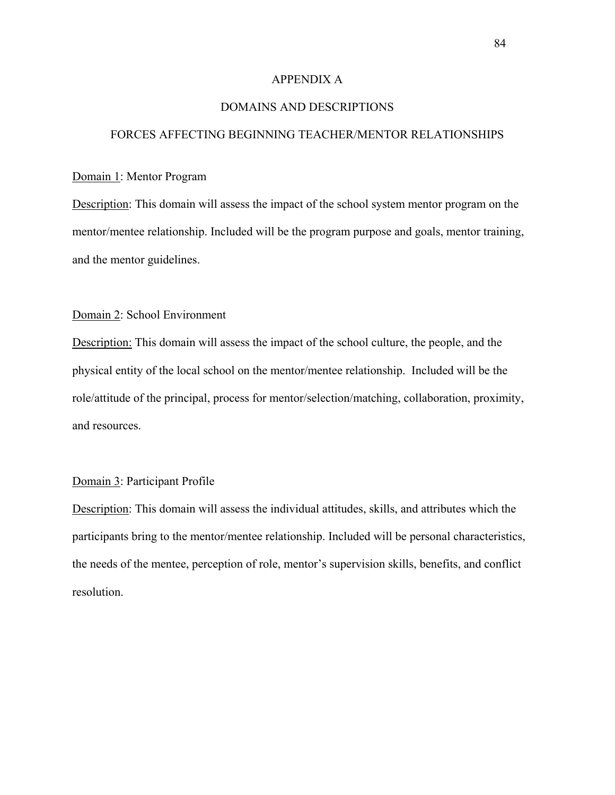## APPENDIX A

## DOMAINS AND DESCRIPTIONS

## FORCES AFFECTING BEGINNING TEACHER/MENTOR RELATIONSHIPS

## Domain 1: Mentor Program

Description: This domain will assess the impact of the school system mentor program on the mentor/mentee relationship. Included will be the program purpose and goals, mentor training, and the mentor guidelines.

## Domain 2: School Environment

Description: This domain will assess the impact of the school culture, the people, and the physical entity of the local school on the mentor/mentee relationship. Included will be the role/attitude of the principal, process for mentor/selection/matching, collaboration, proximity, and resources.

## Domain 3: Participant Profile

Description: This domain will assess the individual attitudes, skills, and attributes which the participants bring to the mentor/mentee relationship. Included will be personal characteristics, the needs of the mentee, perception of role, mentor's supervision skills, benefits, and conflict resolution.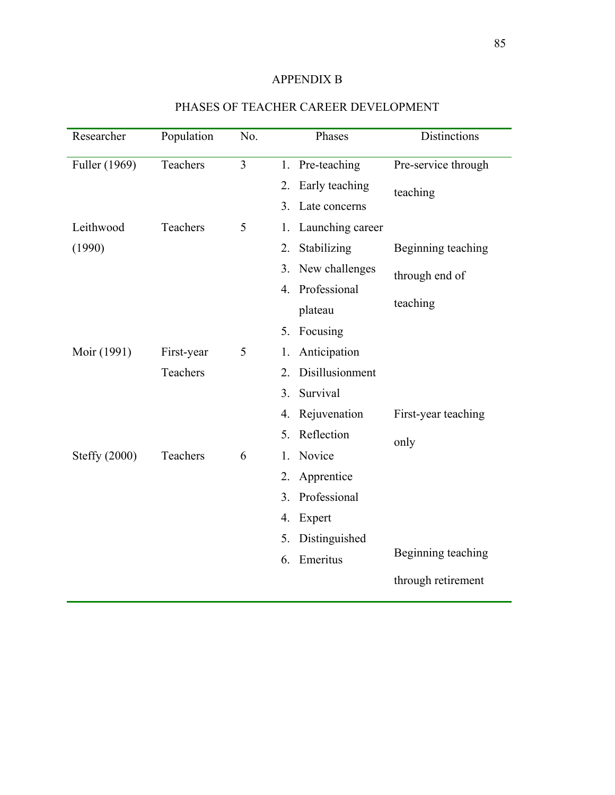# APPENDIX B

| Researcher    | Population | No. | Phases                              | Distinctions        |
|---------------|------------|-----|-------------------------------------|---------------------|
| Fuller (1969) | Teachers   | 3   | Pre-teaching<br>1.                  | Pre-service through |
|               |            |     | Early teaching<br>2.                | teaching            |
|               |            |     | Late concerns<br>3.                 |                     |
| Leithwood     | Teachers   | 5   | Launching career<br>1.              |                     |
| (1990)        |            |     | Stabilizing<br>2.                   | Beginning teaching  |
|               |            |     | New challenges<br>3.                | through end of      |
|               |            |     | 4. Professional                     |                     |
|               |            |     | plateau                             | teaching            |
|               |            |     | Focusing<br>5.                      |                     |
| Moir (1991)   | First-year | 5   | Anticipation<br>1.                  |                     |
|               | Teachers   |     | Disillusionment<br>$\overline{2}$ . |                     |
|               |            |     | Survival<br>3 <sub>1</sub>          |                     |
|               |            |     | Rejuvenation<br>4.                  | First-year teaching |
|               |            |     | Reflection<br>5.                    | only                |
| Steffy (2000) | Teachers   | 6   | Novice<br>1.                        |                     |
|               |            |     | Apprentice<br>2.                    |                     |
|               |            |     | Professional<br>3.                  |                     |
|               |            |     | Expert<br>4.                        |                     |
|               |            |     | Distinguished<br>5.                 |                     |
|               |            |     | Emeritus<br>6.                      | Beginning teaching  |
|               |            |     |                                     | through retirement  |
|               |            |     |                                     |                     |

# PHASES OF TEACHER CAREER DEVELOPMENT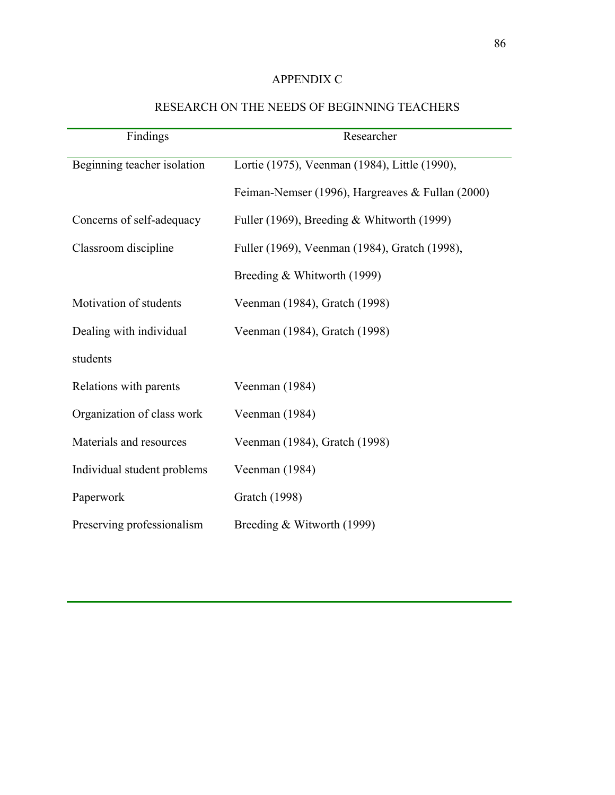# APPENDIX C

| Findings                    | Researcher                                       |
|-----------------------------|--------------------------------------------------|
| Beginning teacher isolation | Lortie (1975), Veenman (1984), Little (1990),    |
|                             | Feiman-Nemser (1996), Hargreaves & Fullan (2000) |
| Concerns of self-adequacy   | Fuller (1969), Breeding & Whitworth (1999)       |
| Classroom discipline        | Fuller (1969), Veenman (1984), Gratch (1998),    |
|                             | Breeding & Whitworth (1999)                      |
| Motivation of students      | Veenman (1984), Gratch (1998)                    |
| Dealing with individual     | Veenman (1984), Gratch (1998)                    |
| students                    |                                                  |
| Relations with parents      | Veenman (1984)                                   |
| Organization of class work  | Veenman (1984)                                   |
| Materials and resources     | Veenman (1984), Gratch (1998)                    |
| Individual student problems | Veenman (1984)                                   |
| Paperwork                   | Gratch (1998)                                    |
| Preserving professionalism  | Breeding & Witworth (1999)                       |

# RESEARCH ON THE NEEDS OF BEGINNING TEACHERS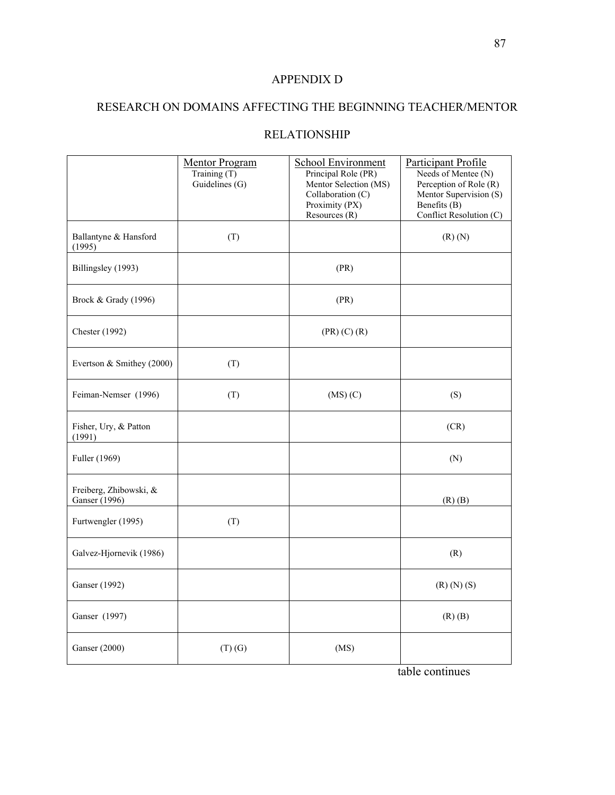# APPENDIX D

# RESEARCH ON DOMAINS AFFECTING THE BEGINNING TEACHER/MENTOR

# RELATIONSHIP

|                                         | <b>Mentor Program</b><br>Training $(T)$<br>Guidelines (G) | <b>School Environment</b><br>Principal Role (PR)<br>Mentor Selection (MS)<br>Collaboration (C)<br>Proximity (PX)<br>Resources (R) | Participant Profile<br>Needs of Mentee (N)<br>Perception of Role (R)<br>Mentor Supervision (S)<br>Benefits $(B)$<br>Conflict Resolution (C) |
|-----------------------------------------|-----------------------------------------------------------|-----------------------------------------------------------------------------------------------------------------------------------|---------------------------------------------------------------------------------------------------------------------------------------------|
| Ballantyne & Hansford<br>(1995)         | (T)                                                       |                                                                                                                                   | $(R)$ $(N)$                                                                                                                                 |
| Billingsley (1993)                      |                                                           | (PR)                                                                                                                              |                                                                                                                                             |
| Brock & Grady (1996)                    |                                                           | (PR)                                                                                                                              |                                                                                                                                             |
| <b>Chester</b> (1992)                   |                                                           | $(PR)$ $(C)$ $(R)$                                                                                                                |                                                                                                                                             |
| Evertson & Smithey (2000)               | (T)                                                       |                                                                                                                                   |                                                                                                                                             |
| Feiman-Nemser (1996)                    | (T)                                                       | (MS)(C)                                                                                                                           | (S)                                                                                                                                         |
| Fisher, Ury, & Patton<br>(1991)         |                                                           |                                                                                                                                   | (CR)                                                                                                                                        |
| Fuller (1969)                           |                                                           |                                                                                                                                   | (N)                                                                                                                                         |
| Freiberg, Zhibowski, &<br>Ganser (1996) |                                                           |                                                                                                                                   | $(R)$ $(B)$                                                                                                                                 |
| Furtwengler (1995)                      | (T)                                                       |                                                                                                                                   |                                                                                                                                             |
| Galvez-Hjornevik (1986)                 |                                                           |                                                                                                                                   | (R)                                                                                                                                         |
| Ganser (1992)                           |                                                           |                                                                                                                                   | $(R)$ $(N)$ $(S)$                                                                                                                           |
| Ganser (1997)                           |                                                           |                                                                                                                                   | $(R)$ $(B)$                                                                                                                                 |
| <b>Ganser</b> (2000)                    | $(T)$ $(G)$                                               | (MS)                                                                                                                              | $\mathbf{A}$<br>$4 - 1 - 1 - 1 = -$                                                                                                         |

table continues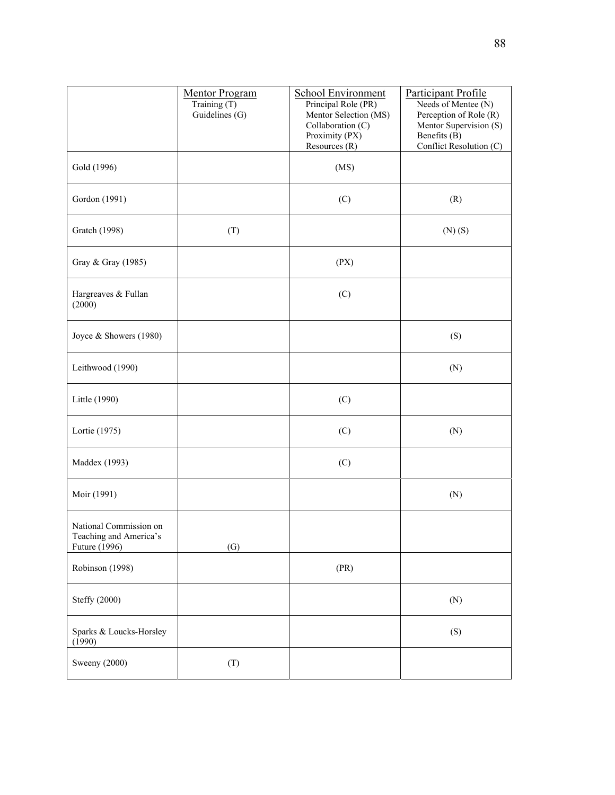|                                                                   | <b>Mentor Program</b><br>Training (T)<br>Guidelines (G) | <b>School Environment</b><br>Principal Role (PR)<br>Mentor Selection (MS)<br>Collaboration (C)<br>Proximity (PX)<br>Resources $(R)$ | <b>Participant Profile</b><br>Needs of Mentee (N)<br>Perception of Role (R)<br>Mentor Supervision (S)<br>Benefits $(\dot{B})$<br>Conflict Resolution (C) |
|-------------------------------------------------------------------|---------------------------------------------------------|-------------------------------------------------------------------------------------------------------------------------------------|----------------------------------------------------------------------------------------------------------------------------------------------------------|
| Gold (1996)                                                       |                                                         | (MS)                                                                                                                                |                                                                                                                                                          |
| Gordon (1991)                                                     |                                                         | (C)                                                                                                                                 | (R)                                                                                                                                                      |
| <b>Gratch</b> (1998)                                              | (T)                                                     |                                                                                                                                     | $(N)$ $(S)$                                                                                                                                              |
| Gray & Gray (1985)                                                |                                                         | (PX)                                                                                                                                |                                                                                                                                                          |
| Hargreaves & Fullan<br>(2000)                                     |                                                         | (C)                                                                                                                                 |                                                                                                                                                          |
| Joyce & Showers (1980)                                            |                                                         |                                                                                                                                     | (S)                                                                                                                                                      |
| Leithwood (1990)                                                  |                                                         |                                                                                                                                     | (N)                                                                                                                                                      |
| Little (1990)                                                     |                                                         | (C)                                                                                                                                 |                                                                                                                                                          |
| Lortie (1975)                                                     |                                                         | (C)                                                                                                                                 | (N)                                                                                                                                                      |
| Maddex (1993)                                                     |                                                         | (C)                                                                                                                                 |                                                                                                                                                          |
| Moir (1991)                                                       |                                                         |                                                                                                                                     | (N)                                                                                                                                                      |
| National Commission on<br>Teaching and America's<br>Future (1996) | (G)                                                     |                                                                                                                                     |                                                                                                                                                          |
| Robinson (1998)                                                   |                                                         | (PR)                                                                                                                                |                                                                                                                                                          |
| Steffy (2000)                                                     |                                                         |                                                                                                                                     | (N)                                                                                                                                                      |
| Sparks & Loucks-Horsley<br>(1990)                                 |                                                         |                                                                                                                                     | (S)                                                                                                                                                      |
| Sweeny (2000)                                                     | (T)                                                     |                                                                                                                                     |                                                                                                                                                          |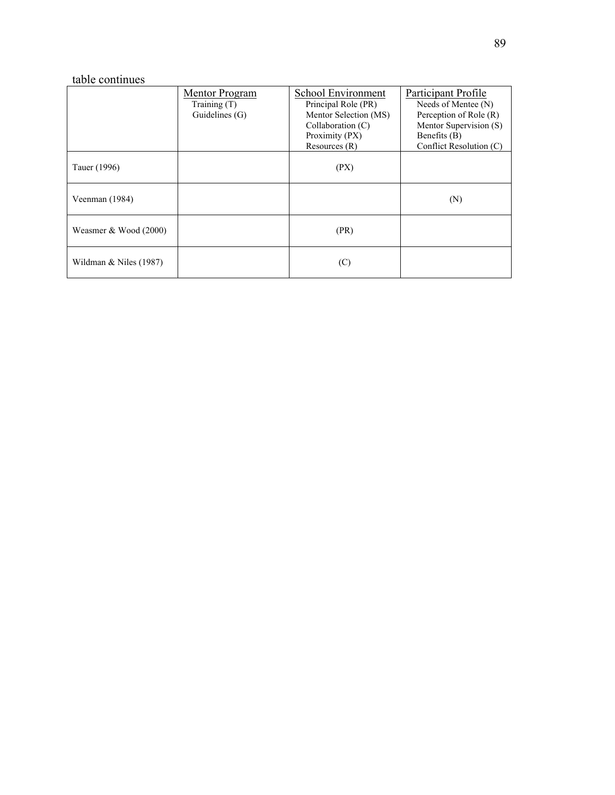# table continues

|                          | Mentor Program | School Environment    | Participant Profile       |
|--------------------------|----------------|-----------------------|---------------------------|
|                          | Training $(T)$ | Principal Role (PR)   | Needs of Mentee (N)       |
|                          | Guidelines (G) | Mentor Selection (MS) | Perception of Role (R)    |
|                          |                | Collaboration $(C)$   | Mentor Supervision (S)    |
|                          |                | Proximity (PX)        | Benefits (B)              |
|                          |                | Resources $(R)$       | Conflict Resolution $(C)$ |
| Tauer (1996)             |                | (PX)                  |                           |
| Veenman (1984)           |                |                       | (N)                       |
| Weasmer $& Wood (2000)$  |                | (PR)                  |                           |
| Wildman $&$ Niles (1987) |                | (C)                   |                           |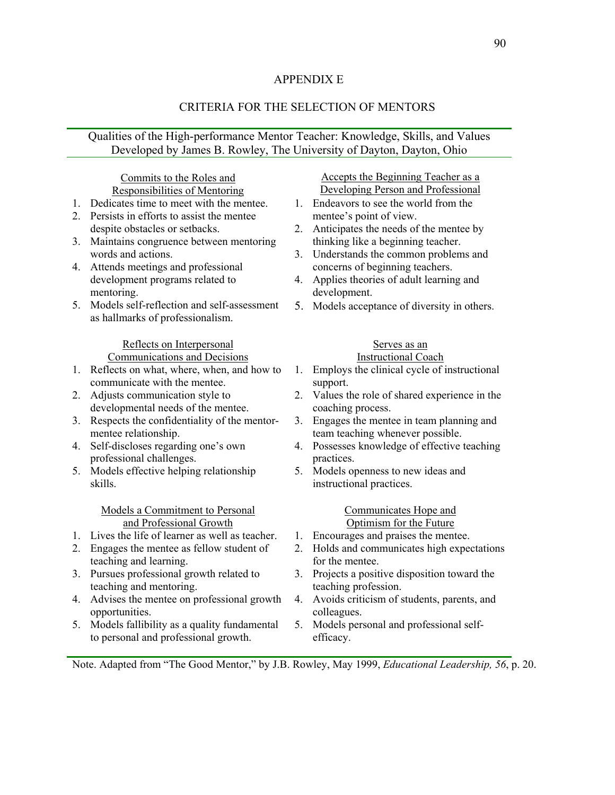## APPENDIX E

## CRITERIA FOR THE SELECTION OF MENTORS

## Qualities of the High-performance Mentor Teacher: Knowledge, Skills, and Values Developed by James B. Rowley, The University of Dayton, Dayton, Ohio

## Commits to the Roles and Responsibilities of Mentoring

- 1. Dedicates time to meet with the mentee.
- 2. Persists in efforts to assist the mentee despite obstacles or setbacks.
- 3. Maintains congruence between mentoring words and actions.
- 4. Attends meetings and professional development programs related to mentoring.
- 5. Models self-reflection and self-assessment as hallmarks of professionalism.

#### Reflects on Interpersonal Communications and Decisions

- 
- 1. Reflects on what, where, when, and how to communicate with the mentee.
- 2. Adjusts communication style to developmental needs of the mentee.
- 3. Respects the confidentiality of the mentormentee relationship.
- 4. Self-discloses regarding one's own professional challenges.
- 5. Models effective helping relationship skills.

### Models a Commitment to Personal and Professional Growth

- 1. Lives the life of learner as well as teacher.
- 2. Engages the mentee as fellow student of teaching and learning.
- 3. Pursues professional growth related to teaching and mentoring.
- 4. Advises the mentee on professional growth opportunities.
- 5. Models fallibility as a quality fundamental to personal and professional growth.

Accepts the Beginning Teacher as a Developing Person and Professional

- 1. Endeavors to see the world from the mentee's point of view.
- 2. Anticipates the needs of the mentee by thinking like a beginning teacher.
- 3. Understands the common problems and concerns of beginning teachers.
- 4. Applies theories of adult learning and development.
- 5. Models acceptance of diversity in others.

## Serves as an

## Instructional Coach

- 1. Employs the clinical cycle of instructional support.
- 2. Values the role of shared experience in the coaching process.
- 3. Engages the mentee in team planning and team teaching whenever possible.
- 4. Possesses knowledge of effective teaching practices.
- 5. Models openness to new ideas and instructional practices.

### Communicates Hope and Optimism for the Future

- 1. Encourages and praises the mentee.
- 2. Holds and communicates high expectations for the mentee.
- 3. Projects a positive disposition toward the teaching profession.
- 4. Avoids criticism of students, parents, and colleagues.
- 5. Models personal and professional selfefficacy.

Note. Adapted from "The Good Mentor," by J.B. Rowley, May 1999, *Educational Leadership, 56*, p. 20.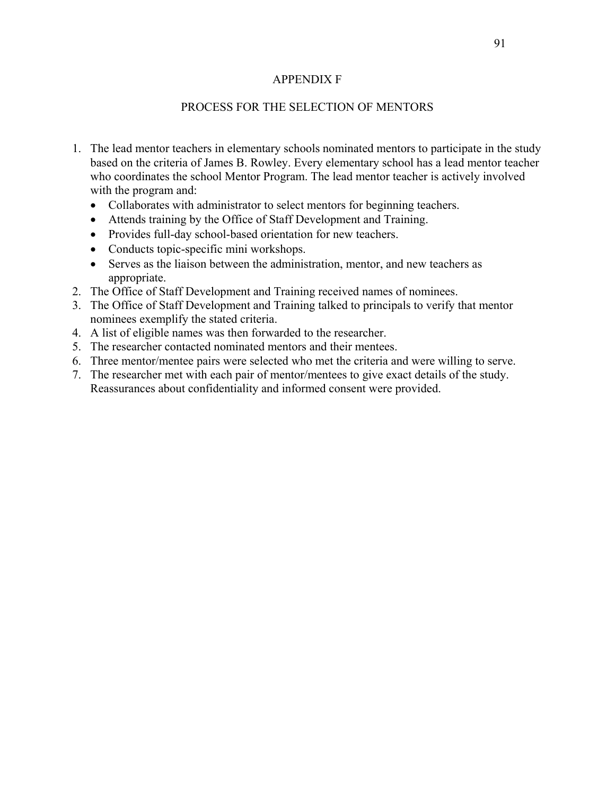## APPENDIX F

## PROCESS FOR THE SELECTION OF MENTORS

- 1. The lead mentor teachers in elementary schools nominated mentors to participate in the study based on the criteria of James B. Rowley. Every elementary school has a lead mentor teacher who coordinates the school Mentor Program. The lead mentor teacher is actively involved with the program and:
	- Collaborates with administrator to select mentors for beginning teachers.
	- Attends training by the Office of Staff Development and Training.
	- Provides full-day school-based orientation for new teachers.
	- Conducts topic-specific mini workshops.
	- Serves as the liaison between the administration, mentor, and new teachers as appropriate.
- 2. The Office of Staff Development and Training received names of nominees.
- 3. The Office of Staff Development and Training talked to principals to verify that mentor nominees exemplify the stated criteria.
- 4. A list of eligible names was then forwarded to the researcher.
- 5. The researcher contacted nominated mentors and their mentees.
- 6. Three mentor/mentee pairs were selected who met the criteria and were willing to serve.
- 7. The researcher met with each pair of mentor/mentees to give exact details of the study. Reassurances about confidentiality and informed consent were provided.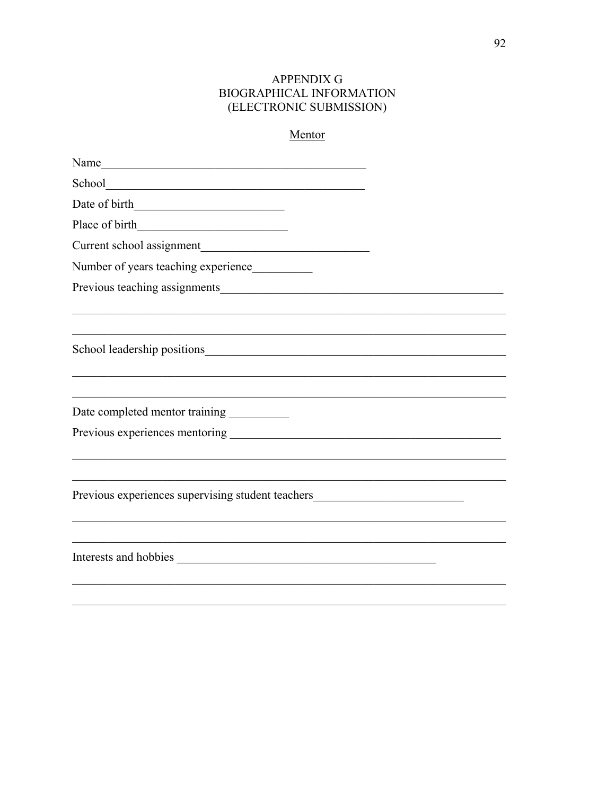# **APPENDIX G** BIOGRAPHICAL INFORMATION (ELECTRONIC SUBMISSION)

| Mentor |
|--------|
|--------|

| Name                                                                             |  |
|----------------------------------------------------------------------------------|--|
|                                                                                  |  |
|                                                                                  |  |
|                                                                                  |  |
|                                                                                  |  |
| Number of years teaching experience__________                                    |  |
|                                                                                  |  |
|                                                                                  |  |
|                                                                                  |  |
| Date completed mentor training ___________                                       |  |
|                                                                                  |  |
|                                                                                  |  |
| Previous experiences supervising student teachers_______________________________ |  |
|                                                                                  |  |
|                                                                                  |  |
|                                                                                  |  |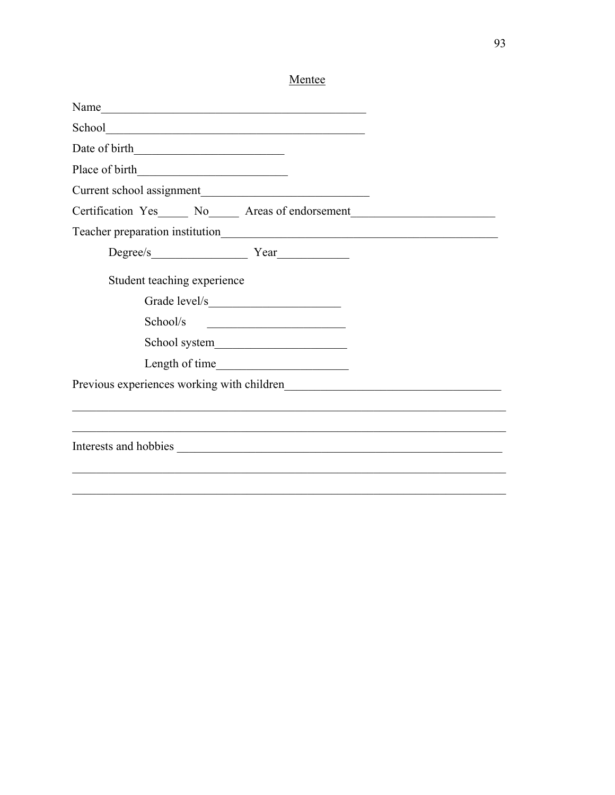| Name                                                                             |  |
|----------------------------------------------------------------------------------|--|
|                                                                                  |  |
|                                                                                  |  |
| Place of birth                                                                   |  |
|                                                                                  |  |
| Certification Yes_____ No_____ Areas of endorsement_____________________________ |  |
|                                                                                  |  |
|                                                                                  |  |
| Student teaching experience                                                      |  |
|                                                                                  |  |
| School/s                                                                         |  |
| School system                                                                    |  |
|                                                                                  |  |
|                                                                                  |  |
|                                                                                  |  |
|                                                                                  |  |
|                                                                                  |  |
|                                                                                  |  |
|                                                                                  |  |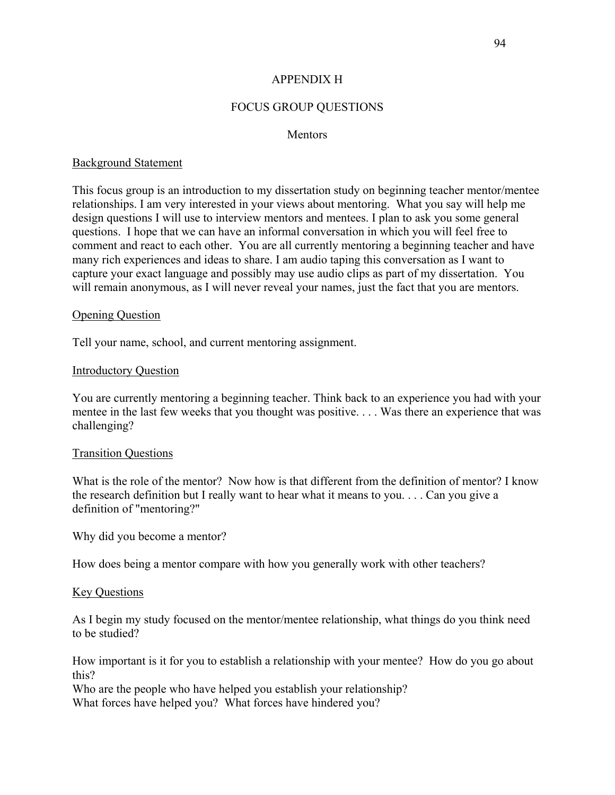## APPENDIX H

## FOCUS GROUP QUESTIONS

### **Mentors**

### Background Statement

This focus group is an introduction to my dissertation study on beginning teacher mentor/mentee relationships. I am very interested in your views about mentoring. What you say will help me design questions I will use to interview mentors and mentees. I plan to ask you some general questions. I hope that we can have an informal conversation in which you will feel free to comment and react to each other. You are all currently mentoring a beginning teacher and have many rich experiences and ideas to share. I am audio taping this conversation as I want to capture your exact language and possibly may use audio clips as part of my dissertation. You will remain anonymous, as I will never reveal your names, just the fact that you are mentors.

### Opening Question

Tell your name, school, and current mentoring assignment.

### Introductory Question

You are currently mentoring a beginning teacher. Think back to an experience you had with your mentee in the last few weeks that you thought was positive. . . . Was there an experience that was challenging?

### Transition Questions

What is the role of the mentor? Now how is that different from the definition of mentor? I know the research definition but I really want to hear what it means to you. . . . Can you give a definition of "mentoring?"

Why did you become a mentor?

How does being a mentor compare with how you generally work with other teachers?

### Key Questions

As I begin my study focused on the mentor/mentee relationship, what things do you think need to be studied?

How important is it for you to establish a relationship with your mentee? How do you go about this?

Who are the people who have helped you establish your relationship?

What forces have helped you? What forces have hindered you?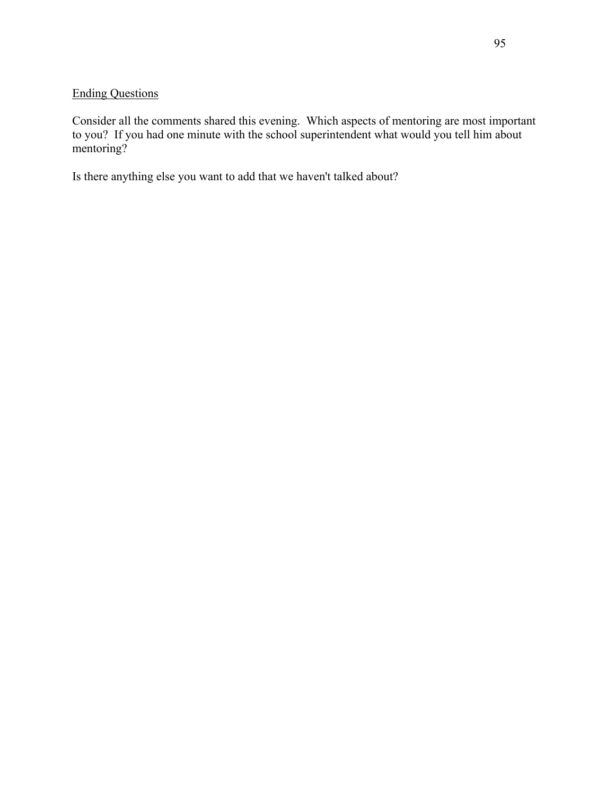# Ending Questions

Consider all the comments shared this evening. Which aspects of mentoring are most important to you? If you had one minute with the school superintendent what would you tell him about mentoring?

Is there anything else you want to add that we haven't talked about?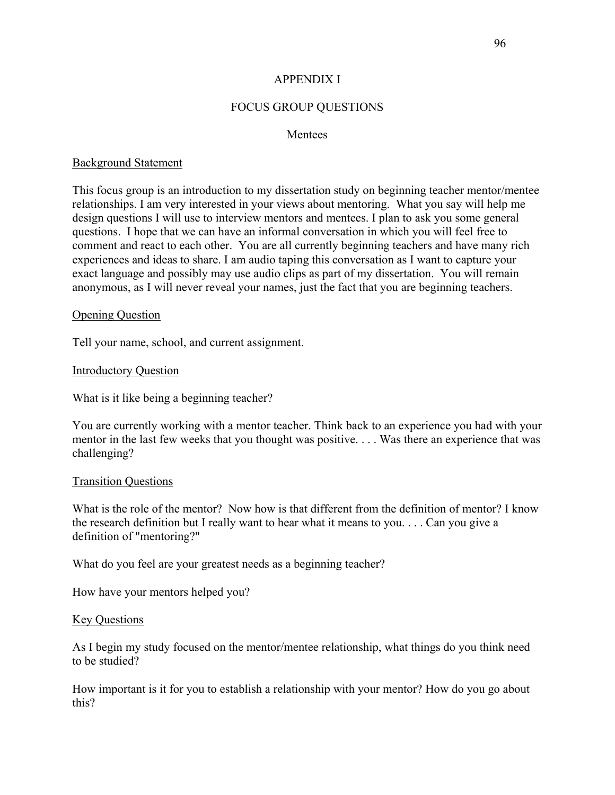## APPENDIX I

## FOCUS GROUP QUESTIONS

### **Mentees**

### Background Statement

This focus group is an introduction to my dissertation study on beginning teacher mentor/mentee relationships. I am very interested in your views about mentoring. What you say will help me design questions I will use to interview mentors and mentees. I plan to ask you some general questions. I hope that we can have an informal conversation in which you will feel free to comment and react to each other. You are all currently beginning teachers and have many rich experiences and ideas to share. I am audio taping this conversation as I want to capture your exact language and possibly may use audio clips as part of my dissertation. You will remain anonymous, as I will never reveal your names, just the fact that you are beginning teachers.

### Opening Question

Tell your name, school, and current assignment.

### Introductory Question

What is it like being a beginning teacher?

You are currently working with a mentor teacher. Think back to an experience you had with your mentor in the last few weeks that you thought was positive. . . . Was there an experience that was challenging?

### Transition Questions

What is the role of the mentor? Now how is that different from the definition of mentor? I know the research definition but I really want to hear what it means to you. . . . Can you give a definition of "mentoring?"

What do you feel are your greatest needs as a beginning teacher?

How have your mentors helped you?

### Key Questions

As I begin my study focused on the mentor/mentee relationship, what things do you think need to be studied?

How important is it for you to establish a relationship with your mentor? How do you go about this?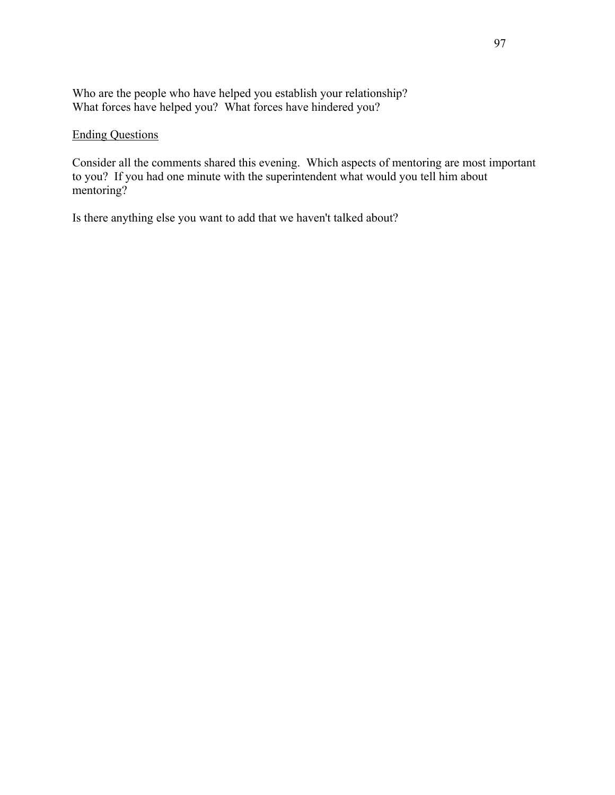Who are the people who have helped you establish your relationship? What forces have helped you? What forces have hindered you?

## Ending Questions

Consider all the comments shared this evening. Which aspects of mentoring are most important to you? If you had one minute with the superintendent what would you tell him about mentoring?

Is there anything else you want to add that we haven't talked about?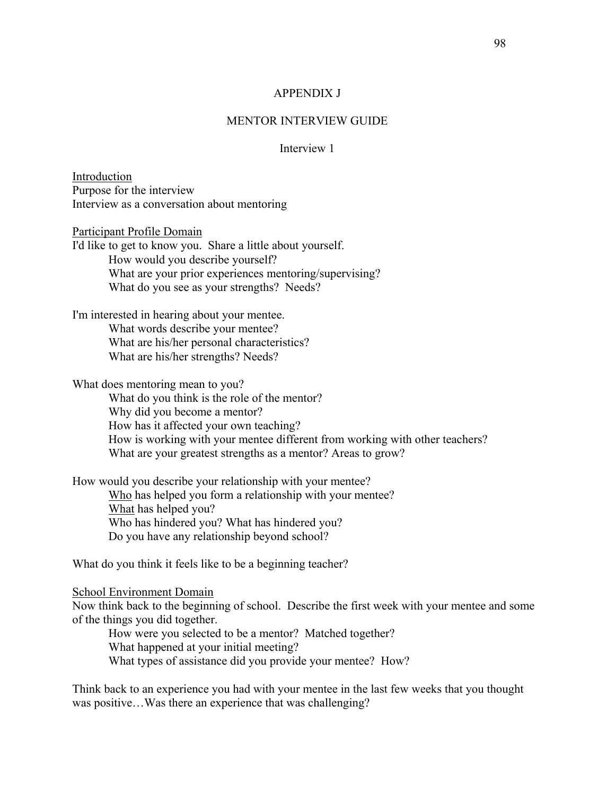### APPENDIX J

## MENTOR INTERVIEW GUIDE

## Interview 1

Introduction Purpose for the interview Interview as a conversation about mentoring

Participant Profile Domain

I'd like to get to know you. Share a little about yourself. How would you describe yourself? What are your prior experiences mentoring/supervising? What do you see as your strengths? Needs?

I'm interested in hearing about your mentee. What words describe your mentee? What are his/her personal characteristics? What are his/her strengths? Needs?

What does mentoring mean to you?

What do you think is the role of the mentor? Why did you become a mentor? How has it affected your own teaching? How is working with your mentee different from working with other teachers? What are your greatest strengths as a mentor? Areas to grow?

How would you describe your relationship with your mentee? Who has helped you form a relationship with your mentee? What has helped you? Who has hindered you? What has hindered you? Do you have any relationship beyond school?

What do you think it feels like to be a beginning teacher?

### School Environment Domain

Now think back to the beginning of school. Describe the first week with your mentee and some of the things you did together.

How were you selected to be a mentor? Matched together? What happened at your initial meeting? What types of assistance did you provide your mentee? How?

Think back to an experience you had with your mentee in the last few weeks that you thought was positive...Was there an experience that was challenging?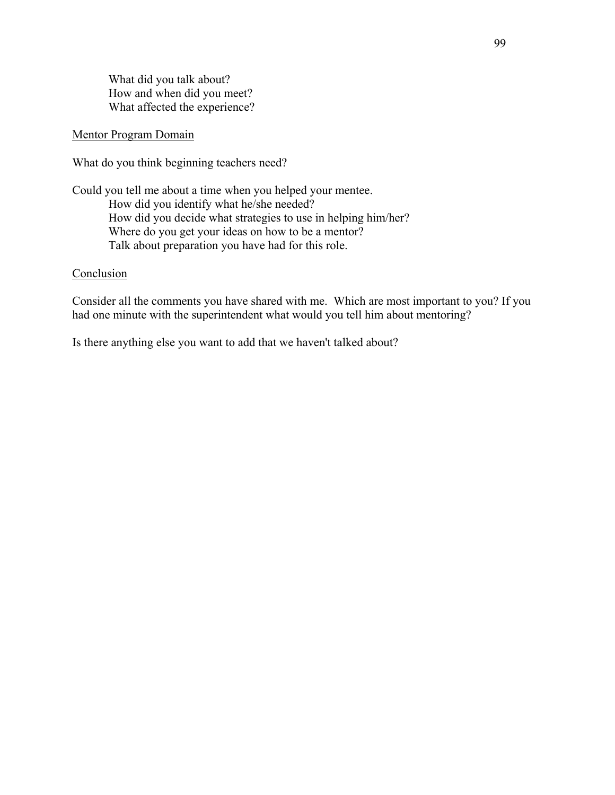What did you talk about? How and when did you meet? What affected the experience?

## Mentor Program Domain

What do you think beginning teachers need?

Could you tell me about a time when you helped your mentee. How did you identify what he/she needed? How did you decide what strategies to use in helping him/her? Where do you get your ideas on how to be a mentor? Talk about preparation you have had for this role.

### Conclusion

Consider all the comments you have shared with me. Which are most important to you? If you had one minute with the superintendent what would you tell him about mentoring?

Is there anything else you want to add that we haven't talked about?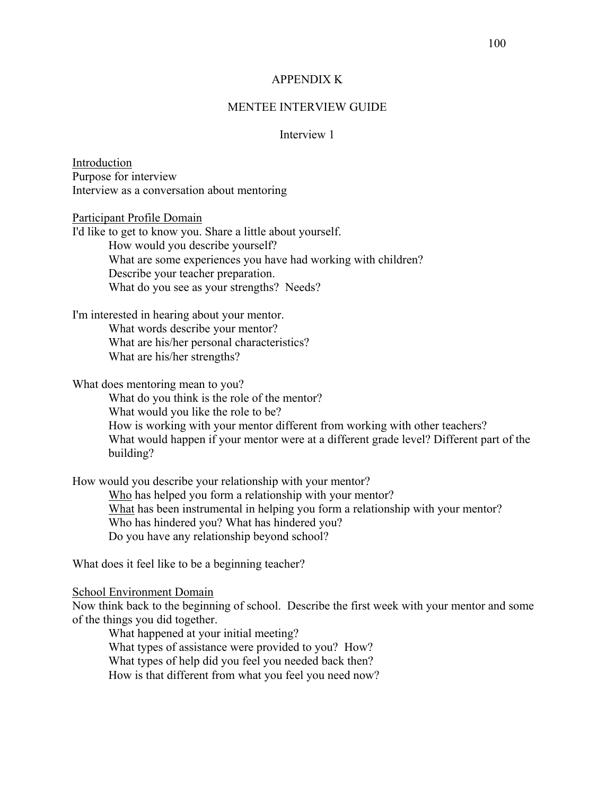### APPENDIX K

### MENTEE INTERVIEW GUIDE

## Interview 1

Introduction Purpose for interview Interview as a conversation about mentoring

Participant Profile Domain

I'd like to get to know you. Share a little about yourself. How would you describe yourself? What are some experiences you have had working with children? Describe your teacher preparation. What do you see as your strengths? Needs?

I'm interested in hearing about your mentor. What words describe your mentor? What are his/her personal characteristics? What are his/her strengths?

### What does mentoring mean to you?

What do you think is the role of the mentor? What would you like the role to be? How is working with your mentor different from working with other teachers? What would happen if your mentor were at a different grade level? Different part of the building?

How would you describe your relationship with your mentor? Who has helped you form a relationship with your mentor? What has been instrumental in helping you form a relationship with your mentor? Who has hindered you? What has hindered you? Do you have any relationship beyond school?

What does it feel like to be a beginning teacher?

#### School Environment Domain

Now think back to the beginning of school. Describe the first week with your mentor and some of the things you did together.

What happened at your initial meeting? What types of assistance were provided to you? How? What types of help did you feel you needed back then? How is that different from what you feel you need now?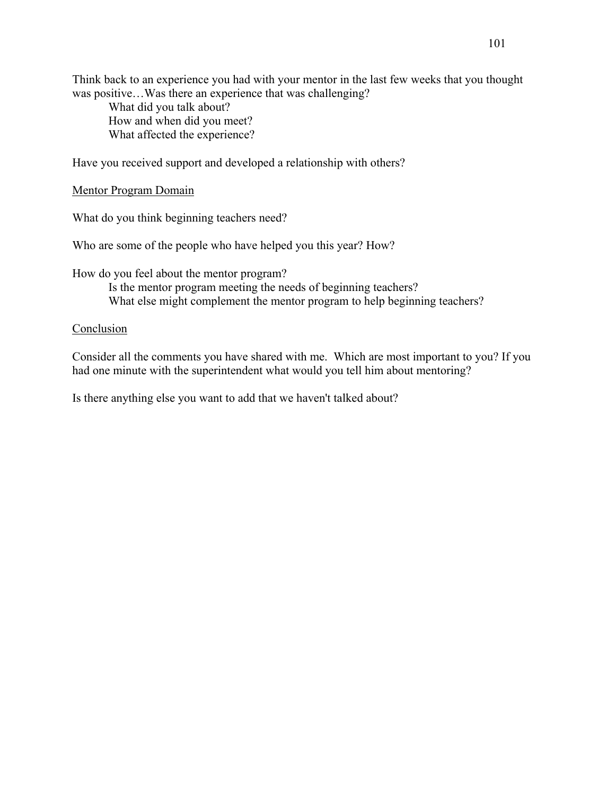Think back to an experience you had with your mentor in the last few weeks that you thought was positive…Was there an experience that was challenging?

What did you talk about? How and when did you meet? What affected the experience?

Have you received support and developed a relationship with others?

Mentor Program Domain

What do you think beginning teachers need?

Who are some of the people who have helped you this year? How?

How do you feel about the mentor program?

Is the mentor program meeting the needs of beginning teachers? What else might complement the mentor program to help beginning teachers?

## **Conclusion**

Consider all the comments you have shared with me. Which are most important to you? If you had one minute with the superintendent what would you tell him about mentoring?

Is there anything else you want to add that we haven't talked about?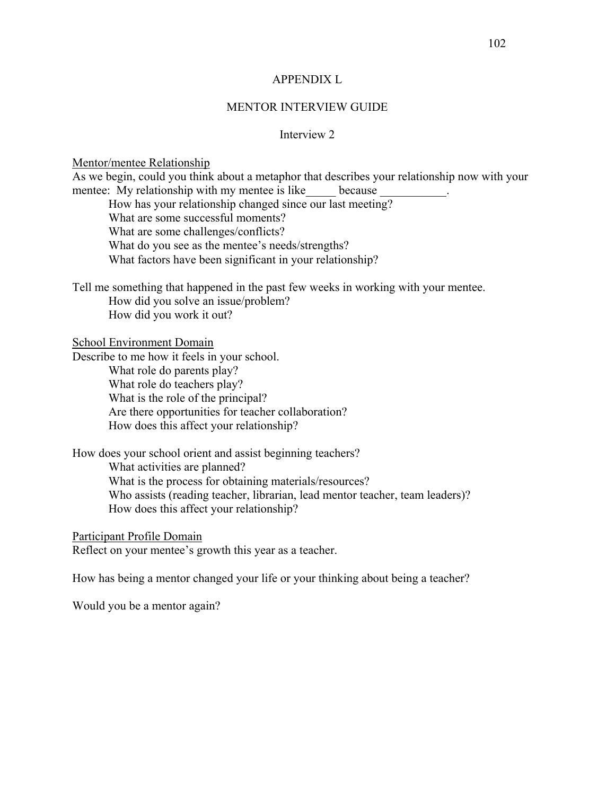#### APPENDIX L

## MENTOR INTERVIEW GUIDE

## Interview 2

## Mentor/mentee Relationship

As we begin, could you think about a metaphor that describes your relationship now with your mentee: My relationship with my mentee is like because How has your relationship changed since our last meeting? What are some successful moments? What are some challenges/conflicts? What do you see as the mentee's needs/strengths? What factors have been significant in your relationship? Tell me something that happened in the past few weeks in working with your mentee. How did you solve an issue/problem? How did you work it out?

#### School Environment Domain

Describe to me how it feels in your school. What role do parents play? What role do teachers play? What is the role of the principal? Are there opportunities for teacher collaboration? How does this affect your relationship?

How does your school orient and assist beginning teachers? What activities are planned? What is the process for obtaining materials/resources? Who assists (reading teacher, librarian, lead mentor teacher, team leaders)? How does this affect your relationship?

Participant Profile Domain

Reflect on your mentee's growth this year as a teacher.

How has being a mentor changed your life or your thinking about being a teacher?

Would you be a mentor again?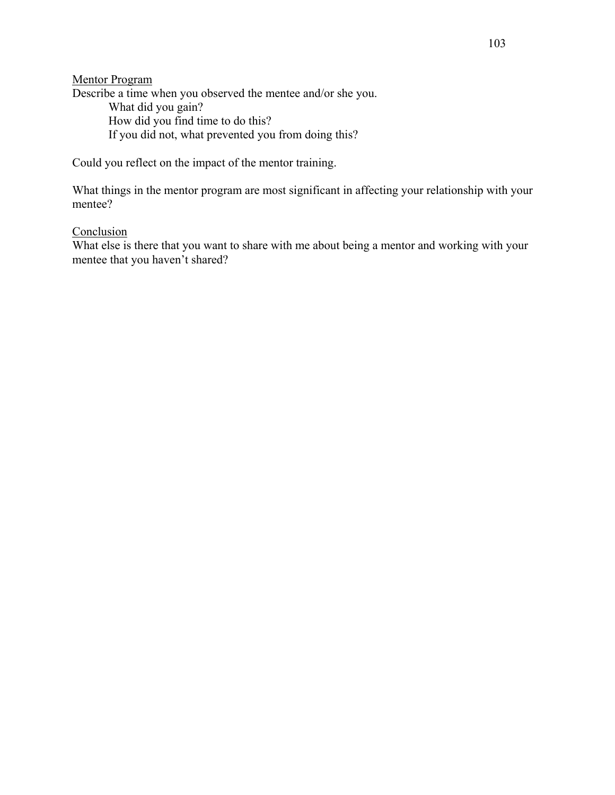Mentor Program Describe a time when you observed the mentee and/or she you. What did you gain? How did you find time to do this?

If you did not, what prevented you from doing this?

Could you reflect on the impact of the mentor training.

What things in the mentor program are most significant in affecting your relationship with your mentee?

## Conclusion

What else is there that you want to share with me about being a mentor and working with your mentee that you haven't shared?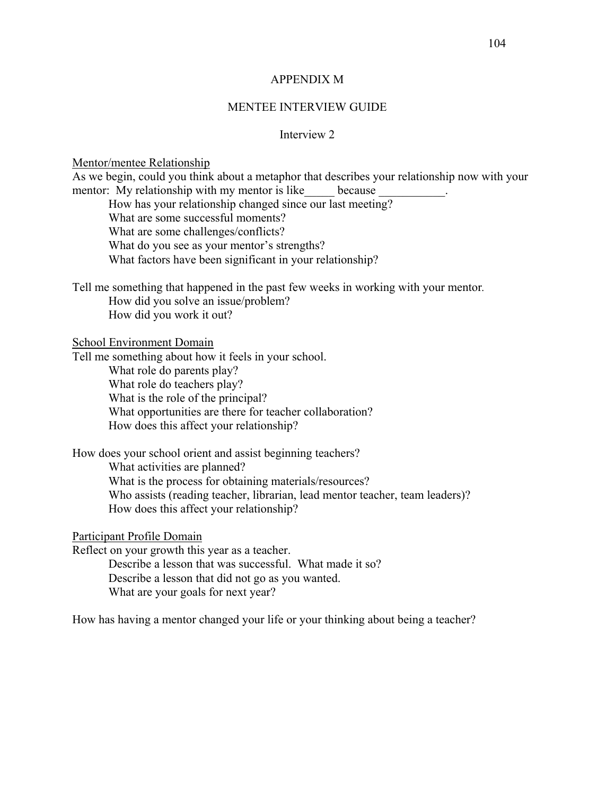#### APPENDIX M

#### MENTEE INTERVIEW GUIDE

## Interview 2

#### Mentor/mentee Relationship

As we begin, could you think about a metaphor that describes your relationship now with your mentor: My relationship with my mentor is like because How has your relationship changed since our last meeting? What are some successful moments? What are some challenges/conflicts? What do you see as your mentor's strengths? What factors have been significant in your relationship? Tell me something that happened in the past few weeks in working with your mentor*.*  How did you solve an issue/problem? How did you work it out? School Environment Domain Tell me something about how it feels in your school. What role do parents play? What role do teachers play? What is the role of the principal? What opportunities are there for teacher collaboration? How does this affect your relationship? How does your school orient and assist beginning teachers? What activities are planned? What is the process for obtaining materials/resources? Who assists (reading teacher, librarian, lead mentor teacher, team leaders)? How does this affect your relationship? Participant Profile Domain

Reflect on your growth this year as a teacher.

Describe a lesson that was successful. What made it so? Describe a lesson that did not go as you wanted. What are your goals for next year?

How has having a mentor changed your life or your thinking about being a teacher?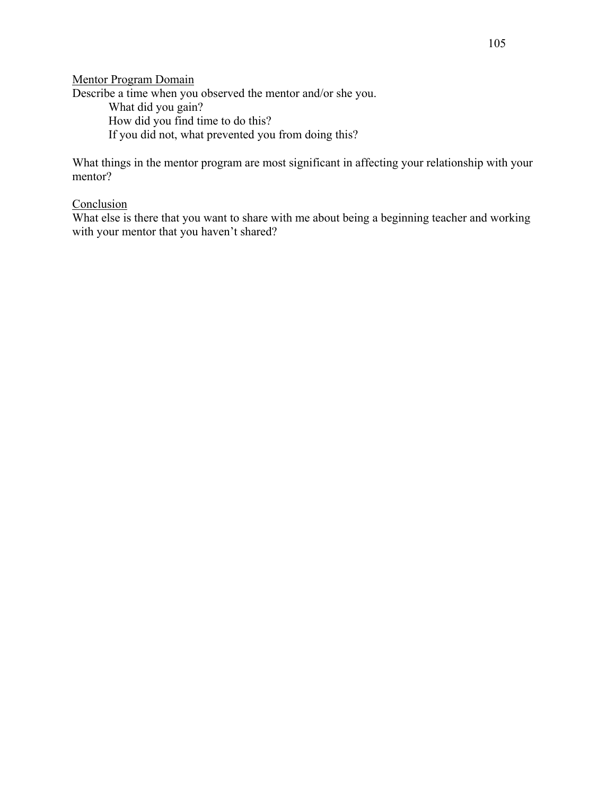Mentor Program Domain Describe a time when you observed the mentor and/or she you. What did you gain?

How did you find time to do this?

If you did not, what prevented you from doing this?

What things in the mentor program are most significant in affecting your relationship with your mentor?

## Conclusion

What else is there that you want to share with me about being a beginning teacher and working with your mentor that you haven't shared?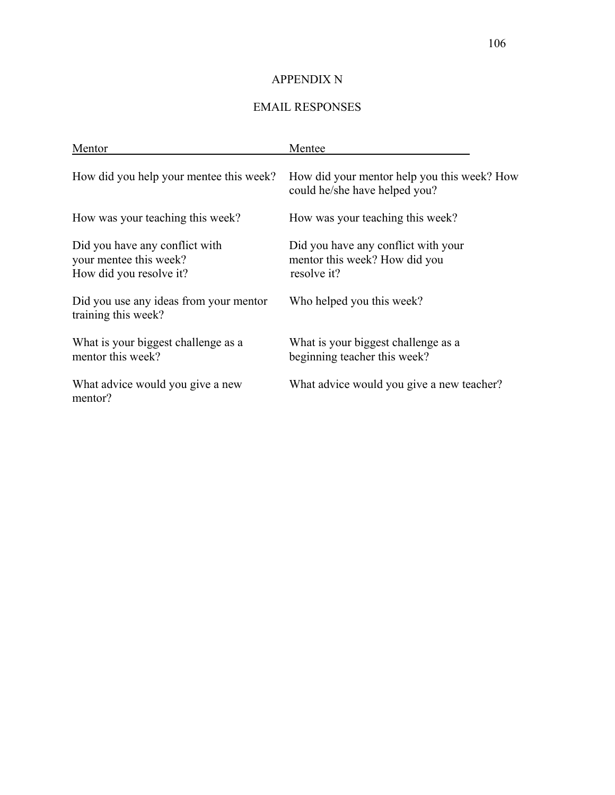# APPENDIX N

# EMAIL RESPONSES

| Mentor                                                                              | Mentee                                                                              |
|-------------------------------------------------------------------------------------|-------------------------------------------------------------------------------------|
| How did you help your mentee this week?                                             | How did your mentor help you this week? How<br>could he/she have helped you?        |
| How was your teaching this week?                                                    | How was your teaching this week?                                                    |
| Did you have any conflict with<br>your mentee this week?<br>How did you resolve it? | Did you have any conflict with your<br>mentor this week? How did you<br>resolve it? |
| Did you use any ideas from your mentor<br>training this week?                       | Who helped you this week?                                                           |
| What is your biggest challenge as a<br>mentor this week?                            | What is your biggest challenge as a<br>beginning teacher this week?                 |
| What advice would you give a new<br>mentor?                                         | What advice would you give a new teacher?                                           |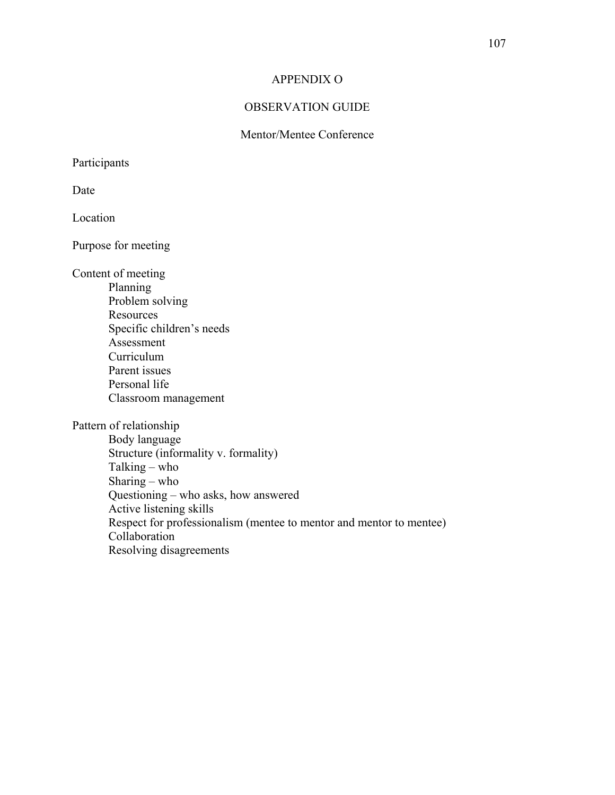## APPENDIX O

## OBSERVATION GUIDE

## Mentor/Mentee Conference

Participants

Date

Location

Purpose for meeting

Content of meeting

Planning Problem solving **Resources** Specific children's needs Assessment Curriculum Parent issues Personal life Classroom management

Pattern of relationship

Body language Structure (informality v. formality) Talking – who Sharing – who Questioning – who asks, how answered Active listening skills Respect for professionalism (mentee to mentor and mentor to mentee) Collaboration Resolving disagreements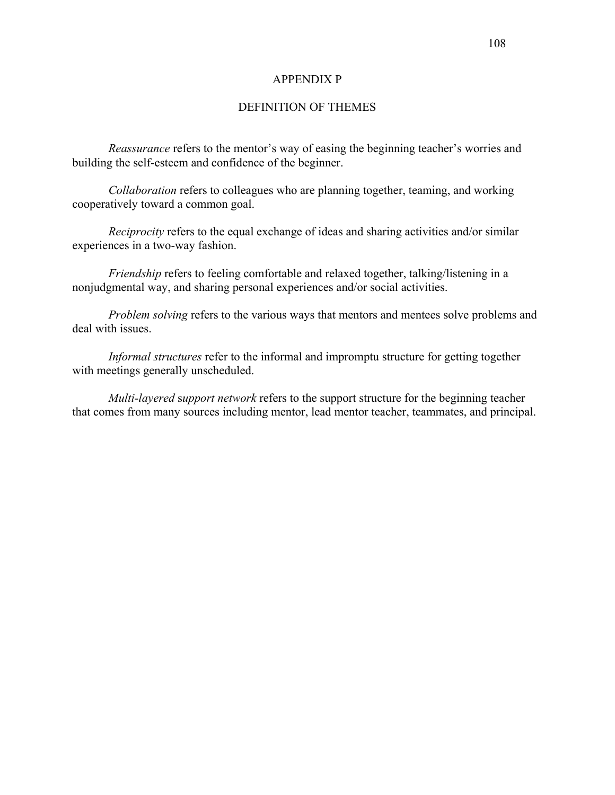#### APPENDIX P

## DEFINITION OF THEMES

*Reassurance* refers to the mentor's way of easing the beginning teacher's worries and building the self-esteem and confidence of the beginner.

*Collaboration* refers to colleagues who are planning together, teaming, and working cooperatively toward a common goal.

*Reciprocity* refers to the equal exchange of ideas and sharing activities and/or similar experiences in a two-way fashion.

*Friendship* refers to feeling comfortable and relaxed together, talking/listening in a nonjudgmental way, and sharing personal experiences and/or social activities.

*Problem solving* refers to the various ways that mentors and mentees solve problems and deal with issues.

*Informal structures* refer to the informal and impromptu structure for getting together with meetings generally unscheduled.

*Multi-layered* s*upport network* refers to the support structure for the beginning teacher that comes from many sources including mentor, lead mentor teacher, teammates, and principal.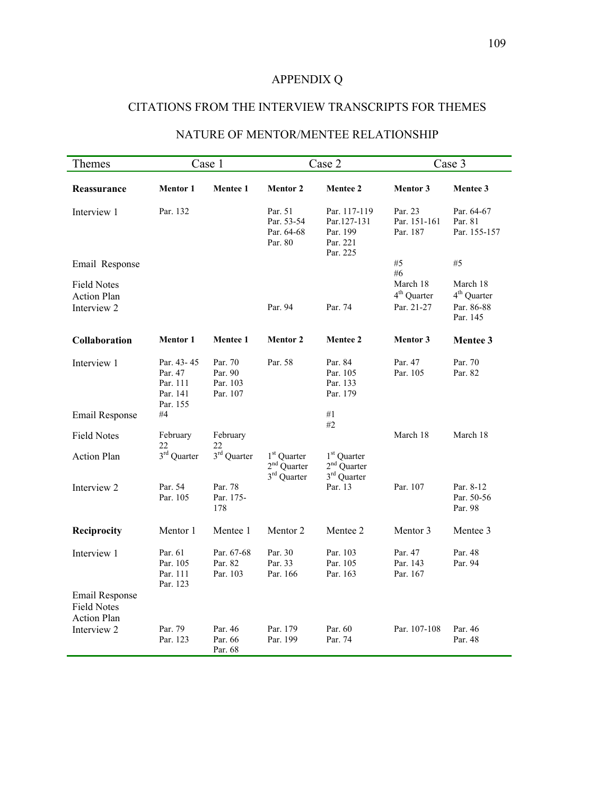# APPENDIX Q

# CITATIONS FROM THE INTERVIEW TRANSCRIPTS FOR THEMES

# NATURE OF MENTOR/MENTEE RELATIONSHIP

| Themes                                                     |                                                           | Case 1                                     |                                                                     | Case 2                                                              |                                     | Case 3                                |
|------------------------------------------------------------|-----------------------------------------------------------|--------------------------------------------|---------------------------------------------------------------------|---------------------------------------------------------------------|-------------------------------------|---------------------------------------|
| Reassurance                                                | <b>Mentor 1</b>                                           | Mentee 1                                   | <b>Mentor 2</b>                                                     | <b>Mentee 2</b>                                                     | <b>Mentor 3</b>                     | Mentee 3                              |
| Interview 1                                                | Par. 132                                                  |                                            | Par. 51<br>Par. 53-54<br>Par. 64-68<br>Par. 80                      | Par. 117-119<br>Par.127-131<br>Par. 199<br>Par. 221<br>Par. 225     | Par. 23<br>Par. 151-161<br>Par. 187 | Par. 64-67<br>Par. 81<br>Par. 155-157 |
| Email Response                                             |                                                           |                                            |                                                                     |                                                                     | #5<br>#6                            | #5                                    |
| <b>Field Notes</b><br><b>Action Plan</b>                   |                                                           |                                            |                                                                     |                                                                     | March 18<br>$4th$ Quarter           | March 18<br>$4th$ Quarter             |
| Interview 2                                                |                                                           |                                            | Par. 94                                                             | Par. 74                                                             | Par. 21-27                          | Par. 86-88<br>Par. 145                |
| Collaboration                                              | <b>Mentor 1</b>                                           | <b>Mentee 1</b>                            | <b>Mentor 2</b>                                                     | <b>Mentee 2</b>                                                     | <b>Mentor 3</b>                     | Mentee 3                              |
| Interview 1                                                | Par. 43-45<br>Par. 47<br>Par. 111<br>Par. 141<br>Par. 155 | Par. 70<br>Par. 90<br>Par. 103<br>Par. 107 | Par. 58                                                             | Par. 84<br>Par. 105<br>Par. 133<br>Par. 179                         | Par. 47<br>Par. 105                 | Par. 70<br>Par. 82                    |
| Email Response                                             | #4                                                        |                                            |                                                                     | #1<br>#2                                                            |                                     |                                       |
| <b>Field Notes</b>                                         | February<br>22                                            | February<br>22                             |                                                                     |                                                                     | March 18                            | March 18                              |
| <b>Action Plan</b>                                         | $3^{\rm rd}$ Quarter                                      | $3^{\rm rd}$ Quarter                       | 1 <sup>st</sup> Quarter<br>$2nd$ Quarter<br>3 <sup>rd</sup> Quarter | 1 <sup>st</sup> Quarter<br>$2nd$ Quarter<br>3 <sup>rd</sup> Quarter |                                     |                                       |
| Interview 2                                                | Par. 54<br>Par. 105                                       | Par. 78<br>Par. 175-<br>178                |                                                                     | Par. 13                                                             | Par. 107                            | Par. 8-12<br>Par. 50-56<br>Par. 98    |
| Reciprocity                                                | Mentor 1                                                  | Mentee 1                                   | Mentor 2                                                            | Mentee 2                                                            | Mentor 3                            | Mentee 3                              |
| Interview 1                                                | Par. 61<br>Par. 105<br>Par. 111<br>Par. 123               | Par. 67-68<br>Par. 82<br>Par. 103          | Par. 30<br>Par. 33<br>Par. 166                                      | Par. 103<br>Par. 105<br>Par. 163                                    | Par. 47<br>Par. 143<br>Par. 167     | Par. 48<br>Par. 94                    |
| Email Response<br><b>Field Notes</b><br><b>Action Plan</b> |                                                           |                                            |                                                                     |                                                                     |                                     |                                       |
| Interview 2                                                | Par. 79<br>Par. 123                                       | Par. 46<br>Par. 66<br>Par. 68              | Par. 179<br>Par. 199                                                | Par. 60<br>Par. 74                                                  | Par. 107-108                        | Par. 46<br>Par. 48                    |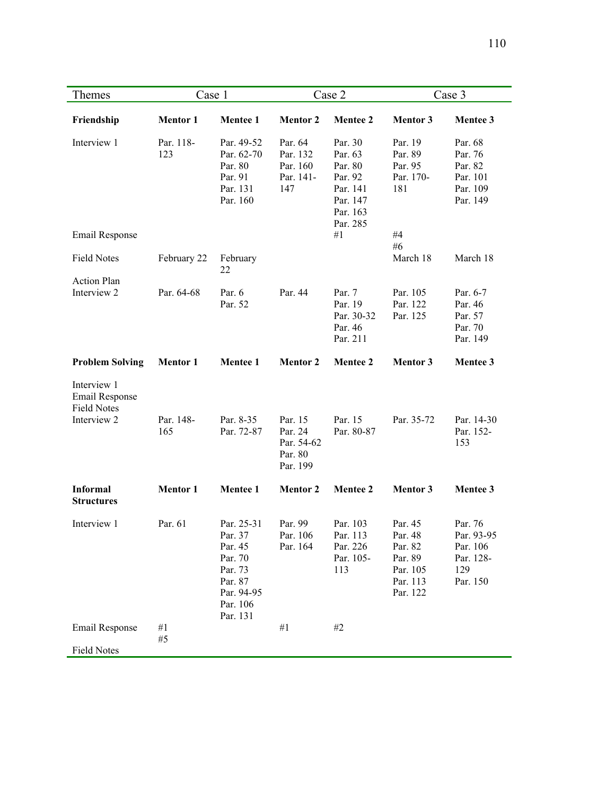| Themes                                                     | Case 1           |                                                                                                         | Case 2                                                  |                                                                                                | Case 3                                                                       |                                                                   |
|------------------------------------------------------------|------------------|---------------------------------------------------------------------------------------------------------|---------------------------------------------------------|------------------------------------------------------------------------------------------------|------------------------------------------------------------------------------|-------------------------------------------------------------------|
| Friendship                                                 | <b>Mentor 1</b>  | <b>Mentee 1</b>                                                                                         | <b>Mentor 2</b>                                         | <b>Mentee 2</b>                                                                                | <b>Mentor 3</b>                                                              | Mentee 3                                                          |
| Interview 1<br>Email Response                              | Par. 118-<br>123 | Par. 49-52<br>Par. 62-70<br>Par. 80<br>Par. 91<br>Par. 131<br>Par. 160                                  | Par. 64<br>Par. 132<br>Par. 160<br>Par. 141-<br>147     | Par. 30<br>Par. 63<br>Par. 80<br>Par. 92<br>Par. 141<br>Par. 147<br>Par. 163<br>Par. 285<br>#1 | Par. 19<br>Par. 89<br>Par. 95<br>Par. 170-<br>181<br>#4                      | Par. 68<br>Par. 76<br>Par. 82<br>Par. 101<br>Par. 109<br>Par. 149 |
|                                                            |                  |                                                                                                         |                                                         |                                                                                                | #6                                                                           |                                                                   |
| <b>Field Notes</b>                                         | February 22      | February<br>22                                                                                          |                                                         |                                                                                                | March 18                                                                     | March 18                                                          |
| <b>Action Plan</b><br>Interview 2                          |                  |                                                                                                         |                                                         |                                                                                                |                                                                              | Par. 6-7                                                          |
|                                                            | Par. 64-68       | Par. 6<br>Par. 52                                                                                       | Par. 44                                                 | Par. 7<br>Par. 19<br>Par. 30-32<br>Par. 46<br>Par. 211                                         | Par. 105<br>Par. 122<br>Par. 125                                             | Par. 46<br>Par. 57<br>Par. 70<br>Par. 149                         |
| <b>Problem Solving</b>                                     | <b>Mentor 1</b>  | <b>Mentee 1</b>                                                                                         | <b>Mentor 2</b>                                         | <b>Mentee 2</b>                                                                                | <b>Mentor 3</b>                                                              | Mentee 3                                                          |
| Interview 1<br><b>Email Response</b><br><b>Field Notes</b> |                  |                                                                                                         |                                                         |                                                                                                |                                                                              |                                                                   |
| Interview 2                                                | Par. 148-<br>165 | Par. 8-35<br>Par. 72-87                                                                                 | Par. 15<br>Par. 24<br>Par. 54-62<br>Par. 80<br>Par. 199 | Par. 15<br>Par. 80-87                                                                          | Par. 35-72                                                                   | Par. 14-30<br>Par. 152-<br>153                                    |
| <b>Informal</b><br><b>Structures</b>                       | <b>Mentor 1</b>  | Mentee 1                                                                                                | <b>Mentor 2</b>                                         | <b>Mentee 2</b>                                                                                | <b>Mentor 3</b>                                                              | Mentee 3                                                          |
| Interview 1                                                | Par. 61          | Par. 25-31<br>Par. 37<br>Par. 45<br>Par. 70<br>Par. 73<br>Par. 87<br>Par. 94-95<br>Par. 106<br>Par. 131 | Par. 99<br>Par. 106<br>Par. 164                         | Par. 103<br>Par. 113<br>Par. 226<br>Par. 105-<br>113                                           | Par. 45<br>Par. 48<br>Par. 82<br>Par. 89<br>Par. 105<br>Par. 113<br>Par. 122 | Par. 76<br>Par. 93-95<br>Par. 106<br>Par. 128-<br>129<br>Par. 150 |
| <b>Email Response</b>                                      | #1               |                                                                                                         | #1                                                      | $\#2$                                                                                          |                                                                              |                                                                   |
|                                                            | $\#5$            |                                                                                                         |                                                         |                                                                                                |                                                                              |                                                                   |
| <b>Field Notes</b>                                         |                  |                                                                                                         |                                                         |                                                                                                |                                                                              |                                                                   |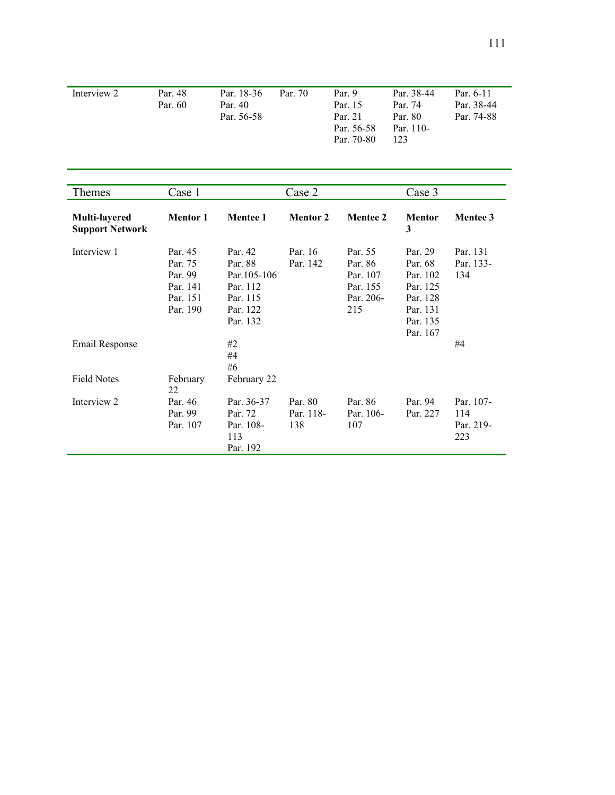| Interview 2 | Par 48  | Par. 18-36 | Par 70 | Par. $9$   | Par. 38-44 | Par 6-11   |
|-------------|---------|------------|--------|------------|------------|------------|
|             | Par. 60 | Par. 40    |        | Par. 15    | Par 74     | Par 38-44  |
|             |         | Par. 56-58 |        | Par 21     | Par 80     | Par. 74-88 |
|             |         |            |        | Par. 56-58 | Par. 110-  |            |
|             |         |            |        | Par. 70-80 | 123        |            |

| <b>Themes</b>                           | Case 1                                                            |                                                                                    | Case 2                      |                                                                | Case 3                                                                                     |                                      |
|-----------------------------------------|-------------------------------------------------------------------|------------------------------------------------------------------------------------|-----------------------------|----------------------------------------------------------------|--------------------------------------------------------------------------------------------|--------------------------------------|
| Multi-layered<br><b>Support Network</b> | <b>Mentor 1</b>                                                   | <b>Mentee 1</b>                                                                    | <b>Mentor 2</b>             | <b>Mentee 2</b>                                                | <b>Mentor</b><br>3                                                                         | <b>Mentee 3</b>                      |
| Interview 1                             | Par. 45<br>Par. 75<br>Par. 99<br>Par. 141<br>Par. 151<br>Par. 190 | Par. 42<br>Par. 88<br>Par. 105-106<br>Par. 112<br>Par. 115<br>Par. 122<br>Par. 132 | Par. 16<br>Par. 142         | Par. 55<br>Par. 86<br>Par. 107<br>Par. 155<br>Par. 206-<br>215 | Par. 29<br>Par. 68<br>Par. 102<br>Par. 125<br>Par. 128<br>Par. 131<br>Par. 135<br>Par. 167 | Par. 131<br>Par. 133-<br>134         |
| Email Response                          |                                                                   | #2<br>#4<br>#6                                                                     |                             |                                                                |                                                                                            | #4                                   |
| <b>Field Notes</b>                      | February<br>22                                                    | February 22                                                                        |                             |                                                                |                                                                                            |                                      |
| Interview 2                             | Par. 46<br>Par. 99<br>Par. 107                                    | Par. 36-37<br>Par. 72<br>Par. 108-<br>113<br>Par. 192                              | Par. 80<br>Par. 118-<br>138 | Par. 86<br>Par. 106-<br>107                                    | Par. 94<br>Par. 227                                                                        | Par. 107-<br>114<br>Par. 219-<br>223 |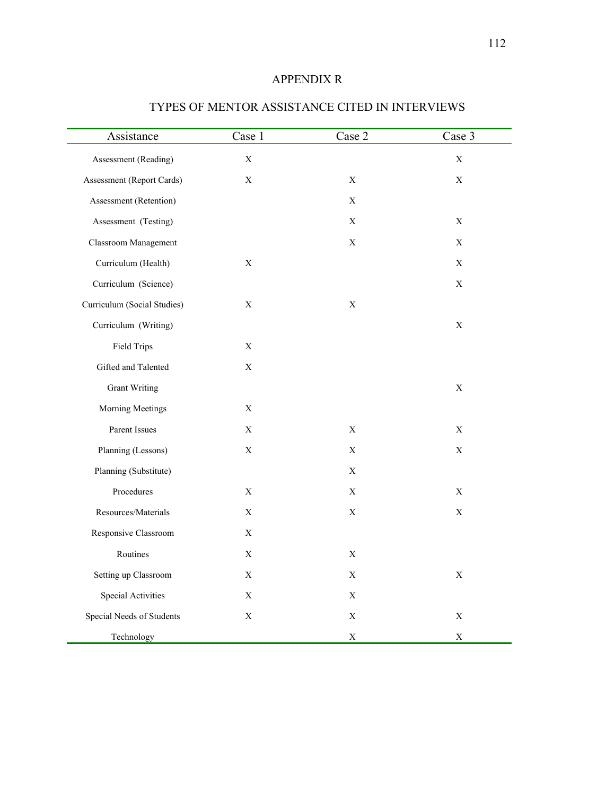# APPENDIX R

| Assistance                  | Case 1      | Case 2                    | Case 3      |
|-----------------------------|-------------|---------------------------|-------------|
| Assessment (Reading)        | $\mathbf X$ |                           | $\mathbf X$ |
| Assessment (Report Cards)   | $\mathbf X$ | $\mathbf X$               | $\mathbf X$ |
| Assessment (Retention)      |             | $\mathbf X$               |             |
| Assessment (Testing)        |             | $\mathbf X$               | X           |
| <b>Classroom Management</b> |             | $\mathbf X$               | $\mathbf X$ |
| Curriculum (Health)         | $\mathbf X$ |                           | $\mathbf X$ |
| Curriculum (Science)        |             |                           | $\mathbf X$ |
| Curriculum (Social Studies) | X           | $\boldsymbol{\mathrm{X}}$ |             |
| Curriculum (Writing)        |             |                           | $\mathbf X$ |
| <b>Field Trips</b>          | $\mathbf X$ |                           |             |
| Gifted and Talented         | $\mathbf X$ |                           |             |
| <b>Grant Writing</b>        |             |                           | $\mathbf X$ |
| Morning Meetings            | $\mathbf X$ |                           |             |
| Parent Issues               | $\mathbf X$ | $\mathbf X$               | $\mathbf X$ |
| Planning (Lessons)          | $\mathbf X$ | $\mathbf X$               | $\mathbf X$ |
| Planning (Substitute)       |             | $\boldsymbol{\mathrm{X}}$ |             |
| Procedures                  | X           | $\mathbf X$               | $\mathbf X$ |
| Resources/Materials         | $\mathbf X$ | $\mathbf X$               | $\mathbf X$ |
| Responsive Classroom        | $\mathbf X$ |                           |             |
| Routines                    | X           | $\boldsymbol{\mathrm{X}}$ |             |
| Setting up Classroom        | $\mathbf X$ | $\mathbf X$               | $\mathbf X$ |
| Special Activities          | X           | $\mathbf X$               |             |
| Special Needs of Students   | $\mathbf X$ | $\mathbf X$               | $\mathbf X$ |
| Technology                  |             | $\mathbf X$               | $\mathbf X$ |

# TYPES OF MENTOR ASSISTANCE CITED IN INTERVIEWS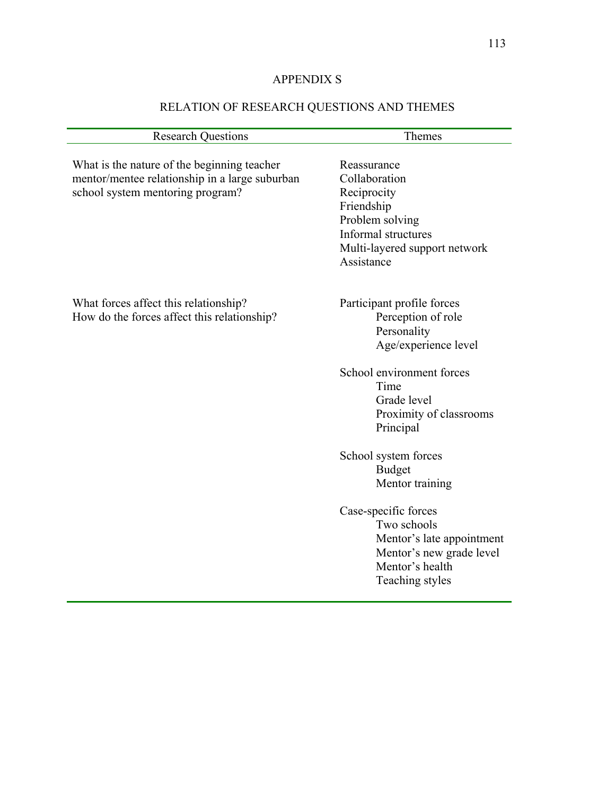# APPENDIX S

# RELATION OF RESEARCH QUESTIONS AND THEMES

| <b>Research Questions</b>                                                                                                         | Themes                                                                                                                                                                              |
|-----------------------------------------------------------------------------------------------------------------------------------|-------------------------------------------------------------------------------------------------------------------------------------------------------------------------------------|
| What is the nature of the beginning teacher<br>mentor/mentee relationship in a large suburban<br>school system mentoring program? | Reassurance<br>Collaboration<br>Reciprocity<br>Friendship<br>Problem solving<br>Informal structures<br>Multi-layered support network<br>Assistance                                  |
| What forces affect this relationship?<br>How do the forces affect this relationship?                                              | Participant profile forces<br>Perception of role<br>Personality<br>Age/experience level<br>School environment forces<br>Time<br>Grade level<br>Proximity of classrooms<br>Principal |
|                                                                                                                                   | School system forces<br><b>Budget</b><br>Mentor training<br>Case-specific forces                                                                                                    |
|                                                                                                                                   | Two schools<br>Mentor's late appointment<br>Mentor's new grade level<br>Mentor's health<br>Teaching styles                                                                          |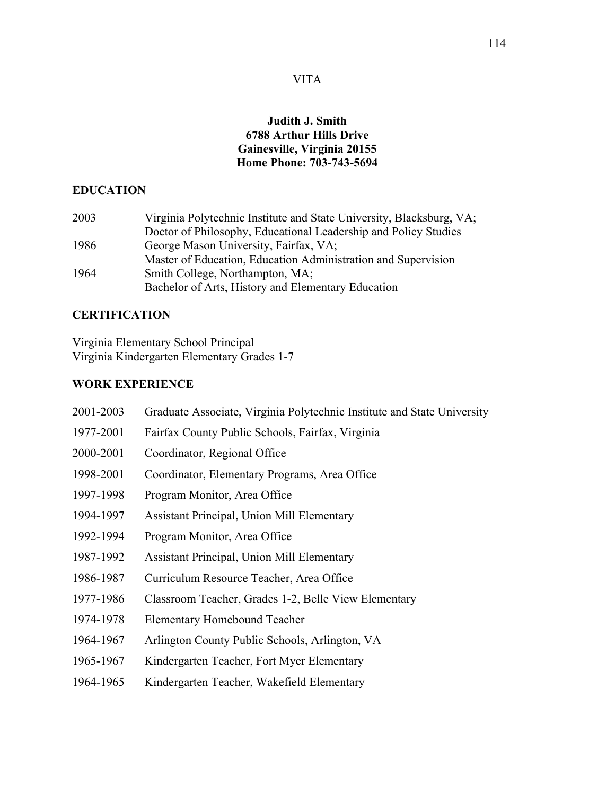## **Judith J. Smith 6788 Arthur Hills Drive Gainesville, Virginia 20155 Home Phone: 703-743-5694**

# **EDUCATION**

| 2003 | Virginia Polytechnic Institute and State University, Blacksburg, VA; |
|------|----------------------------------------------------------------------|
|      | Doctor of Philosophy, Educational Leadership and Policy Studies      |
| 1986 | George Mason University, Fairfax, VA;                                |
|      | Master of Education, Education Administration and Supervision        |
| 1964 | Smith College, Northampton, MA;                                      |
|      | Bachelor of Arts, History and Elementary Education                   |

# **CERTIFICATION**

Virginia Elementary School Principal Virginia Kindergarten Elementary Grades 1-7

## **WORK EXPERIENCE**

| 2001-2003 | Graduate Associate, Virginia Polytechnic Institute and State University |
|-----------|-------------------------------------------------------------------------|
| 1977-2001 | Fairfax County Public Schools, Fairfax, Virginia                        |
| 2000-2001 | Coordinator, Regional Office                                            |
| 1998-2001 | Coordinator, Elementary Programs, Area Office                           |
| 1997-1998 | Program Monitor, Area Office                                            |
| 1994-1997 | <b>Assistant Principal, Union Mill Elementary</b>                       |
| 1992-1994 | Program Monitor, Area Office                                            |
| 1987-1992 | Assistant Principal, Union Mill Elementary                              |
| 1986-1987 | Curriculum Resource Teacher, Area Office                                |
| 1977-1986 | Classroom Teacher, Grades 1-2, Belle View Elementary                    |
| 1974-1978 | <b>Elementary Homebound Teacher</b>                                     |
| 1964-1967 | Arlington County Public Schools, Arlington, VA                          |
| 1965-1967 | Kindergarten Teacher, Fort Myer Elementary                              |
| 1964-1965 | Kindergarten Teacher, Wakefield Elementary                              |